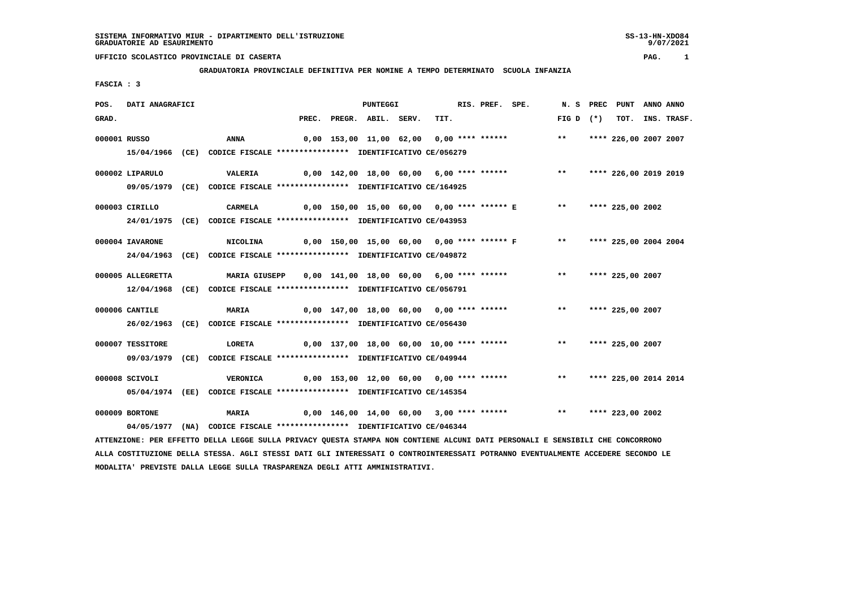SS-13-HN-XDO84<br>9/07/2021

### **UFFICIO SCOLASTICO PROVINCIALE DI CASERTA PAG. 1**

### **GRADUATORIA PROVINCIALE DEFINITIVA PER NOMINE A TEMPO DETERMINATO SCUOLA INFANZIA**

 **FASCIA : 3**

| POS.         | DATI ANAGRAFICI   |                                                                                                                               |  | <b>PUNTEGGI</b>          |                                           | RIS. PREF. SPE. |                                                                         |              | N. S PREC PUNT ANNO ANNO |                  |
|--------------|-------------------|-------------------------------------------------------------------------------------------------------------------------------|--|--------------------------|-------------------------------------------|-----------------|-------------------------------------------------------------------------|--------------|--------------------------|------------------|
| GRAD.        |                   |                                                                                                                               |  | PREC. PREGR. ABIL. SERV. | TIT.                                      |                 |                                                                         | $FIG D (*)$  |                          | TOT. INS. TRASF. |
| 000001 RUSSO |                   | ANNA                                                                                                                          |  |                          |                                           |                 | 0,00 153,00 11,00 62,00 0,00 **** ****** *** **                         |              | **** 226,00 2007 2007    |                  |
|              |                   | 15/04/1966 (CE) CODICE FISCALE *************** IDENTIFICATIVO CE/056279                                                       |  |                          |                                           |                 |                                                                         |              |                          |                  |
|              | 000002 LIPARULO   | VALERIA                                                                                                                       |  |                          |                                           |                 | 0,00 142,00 18,00 60,00 6,00 **** ****** **** *** **** 226,00 2019 2019 |              |                          |                  |
|              |                   | 09/05/1979 (CE) CODICE FISCALE *************** IDENTIFICATIVO CE/164925                                                       |  |                          |                                           |                 |                                                                         |              |                          |                  |
|              | 000003 CIRILLO    | <b>CARMELA</b>                                                                                                                |  |                          |                                           |                 | 0,00 150,00 15,00 60,00 0,00 **** ****** E                              | $\star\star$ | **** 225,00 2002         |                  |
|              |                   | 24/01/1975 (CE) CODICE FISCALE *************** IDENTIFICATIVO CE/043953                                                       |  |                          |                                           |                 |                                                                         |              |                          |                  |
|              | 000004 IAVARONE   | NICOLINA                                                                                                                      |  |                          |                                           |                 | 0,00 150,00 15,00 60,00 0,00 **** ****** F *** **** 225,00 2004 2004    |              |                          |                  |
|              |                   | 24/04/1963 (CE) CODICE FISCALE *************** IDENTIFICATIVO CE/049872                                                       |  |                          |                                           |                 |                                                                         |              |                          |                  |
|              | 000005 ALLEGRETTA | MARIA GIUSEPP 0,00 141,00 18,00 60,00 6,00 **** ****** *** *** **** 225,00 2007                                               |  |                          |                                           |                 |                                                                         |              |                          |                  |
|              |                   | 12/04/1968 (CE) CODICE FISCALE *************** IDENTIFICATIVO CE/056791                                                       |  |                          |                                           |                 |                                                                         |              |                          |                  |
|              | 000006 CANTILE    | <b>MARIA</b>                                                                                                                  |  |                          | 0,00 147,00 18,00 60,00 0,00 **** ******  |                 |                                                                         | $***$        | **** 225,00 2007         |                  |
|              |                   | 26/02/1963 (CE) CODICE FISCALE *************** IDENTIFICATIVO CE/056430                                                       |  |                          |                                           |                 |                                                                         |              |                          |                  |
|              | 000007 TESSITORE  | LORETA                                                                                                                        |  |                          | 0,00 137,00 18,00 60,00 10,00 **** ****** |                 |                                                                         |              | ** **** 225,00 2007      |                  |
|              |                   | 09/03/1979 (CE) CODICE FISCALE *************** IDENTIFICATIVO CE/049944                                                       |  |                          |                                           |                 |                                                                         |              |                          |                  |
|              | 000008 SCIVOLI    | VERONICA                                                                                                                      |  |                          |                                           |                 |                                                                         |              |                          |                  |
|              |                   | 05/04/1974 (EE) CODICE FISCALE *************** IDENTIFICATIVO CE/145354                                                       |  |                          |                                           |                 |                                                                         |              |                          |                  |
|              | 000009 BORTONE    | <b>MARIA</b>                                                                                                                  |  |                          |                                           |                 | 0,00 146,00 14,00 60,00 3,00 **** ****** *** *** **** 223,00 2002       |              |                          |                  |
|              |                   | 04/05/1977 (NA) CODICE FISCALE *************** IDENTIFICATIVO CE/046344                                                       |  |                          |                                           |                 |                                                                         |              |                          |                  |
|              |                   | ATTENZIONE: PER EFFETTO DELLA LEGGE SULLA PRIVACY QUESTA STAMPA NON CONTIENE ALCUNI DATI PERSONALI E SENSIBILI CHE CONCORRONO |  |                          |                                           |                 |                                                                         |              |                          |                  |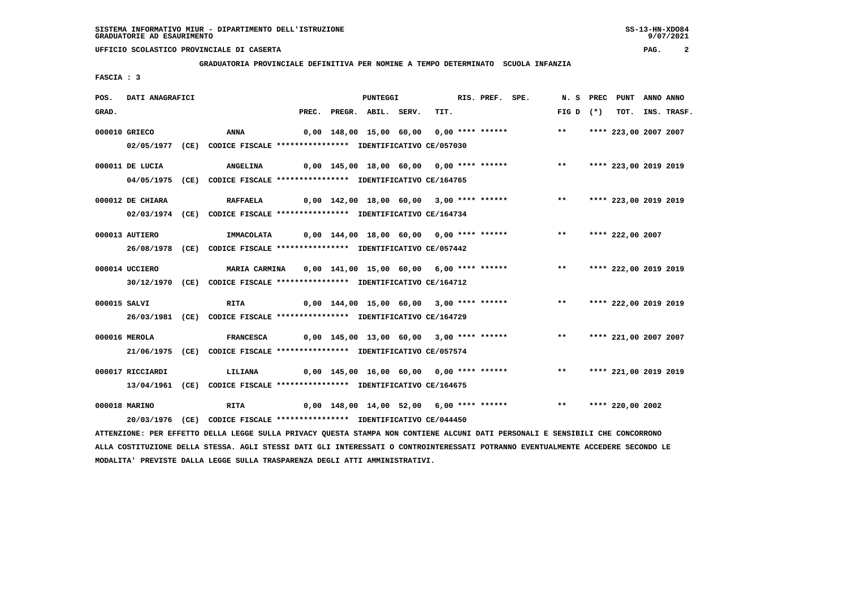**GRADUATORIA PROVINCIALE DEFINITIVA PER NOMINE A TEMPO DETERMINATO SCUOLA INFANZIA**

 **FASCIA : 3**

| POS.  | DATI ANAGRAFICI  |                                                                                                                               |       | <b>PUNTEGGI</b>                          |      | RIS. PREF. SPE. |                                                                         | N.S PREC                 | PUNT                  | ANNO ANNO |                  |
|-------|------------------|-------------------------------------------------------------------------------------------------------------------------------|-------|------------------------------------------|------|-----------------|-------------------------------------------------------------------------|--------------------------|-----------------------|-----------|------------------|
| GRAD. |                  |                                                                                                                               | PREC. | PREGR. ABIL. SERV.                       | TIT. |                 |                                                                         | $FIG D (*)$              |                       |           | TOT. INS. TRASF. |
|       | 000010 GRIECO    | ANNA                                                                                                                          |       | 0,00 148,00 15,00 60,00 0,00 **** ****** |      |                 |                                                                         | $***$                    | **** 223,00 2007 2007 |           |                  |
|       |                  | 02/05/1977 (CE) CODICE FISCALE *************** IDENTIFICATIVO CE/057030                                                       |       |                                          |      |                 |                                                                         |                          |                       |           |                  |
|       | 000011 DE LUCIA  | <b>ANGELINA</b>                                                                                                               |       |                                          |      |                 | 0,00 145,00 18,00 60,00 0,00 **** ****** **** *** **** 223,00 2019 2019 |                          |                       |           |                  |
|       |                  | 04/05/1975 (CE) CODICE FISCALE *************** IDENTIFICATIVO CE/164765                                                       |       |                                          |      |                 |                                                                         |                          |                       |           |                  |
|       | 000012 DE CHIARA | <b>RAFFAELA</b>                                                                                                               |       |                                          |      |                 | 0,00 142,00 18,00 60,00 3,00 **** ****** *** **                         |                          | **** 223,00 2019 2019 |           |                  |
|       |                  | 02/03/1974 (CE) CODICE FISCALE *************** IDENTIFICATIVO CE/164734                                                       |       |                                          |      |                 |                                                                         |                          |                       |           |                  |
|       | 000013 AUTIERO   | IMMACOLATA                                                                                                                    |       |                                          |      |                 | 0,00 144,00 18,00 60,00 0,00 **** ****** *** **                         |                          | **** 222,00 2007      |           |                  |
|       |                  | 26/08/1978 (CE) CODICE FISCALE *************** IDENTIFICATIVO CE/057442                                                       |       |                                          |      |                 |                                                                         |                          |                       |           |                  |
|       | 000014 UCCIERO   | <b>MARIA CARMINA</b>                                                                                                          |       |                                          |      |                 | 0,00 141,00 15,00 60,00 6,00 **** ******                                | ** **** 222,00 2019 2019 |                       |           |                  |
|       |                  | 30/12/1970 (CE) CODICE FISCALE *************** IDENTIFICATIVO CE/164712                                                       |       |                                          |      |                 |                                                                         |                          |                       |           |                  |
|       | 000015 SALVI     | <b>RITA</b>                                                                                                                   |       |                                          |      |                 | 0,00 144,00 15,00 60,00 3,00 **** ****** *** **                         |                          | **** 222,00 2019 2019 |           |                  |
|       |                  | 26/03/1981 (CE) CODICE FISCALE *************** IDENTIFICATIVO CE/164729                                                       |       |                                          |      |                 |                                                                         |                          |                       |           |                  |
|       | 000016 MEROLA    | <b>FRANCESCA</b>                                                                                                              |       |                                          |      |                 | 0,00 145,00 13,00 60,00 3,00 **** ******                                | $***$                    | **** 221,00 2007 2007 |           |                  |
|       |                  | 21/06/1975 (CE) CODICE FISCALE *************** IDENTIFICATIVO CE/057574                                                       |       |                                          |      |                 |                                                                         |                          |                       |           |                  |
|       | 000017 RICCIARDI | LILIANA                                                                                                                       |       | 0,00 145,00 16,00 60,00 0,00 **** ****** |      |                 |                                                                         | $***$                    | **** 221,00 2019 2019 |           |                  |
|       |                  | 13/04/1961 (CE) CODICE FISCALE *************** IDENTIFICATIVO CE/164675                                                       |       |                                          |      |                 |                                                                         |                          |                       |           |                  |
|       | 000018 MARINO    | <b>RITA</b>                                                                                                                   |       |                                          |      |                 | 0,00 148,00 14,00 52,00 6,00 **** ******      **   **** 220,00 2002     |                          |                       |           |                  |
|       |                  | 20/03/1976 (CE) CODICE FISCALE *************** IDENTIFICATIVO CE/044450                                                       |       |                                          |      |                 |                                                                         |                          |                       |           |                  |
|       |                  | ATTENZIONE: PER EFFETTO DELLA LEGGE SULLA PRIVACY QUESTA STAMPA NON CONTIENE ALCUNI DATI PERSONALI E SENSIBILI CHE CONCORRONO |       |                                          |      |                 |                                                                         |                          |                       |           |                  |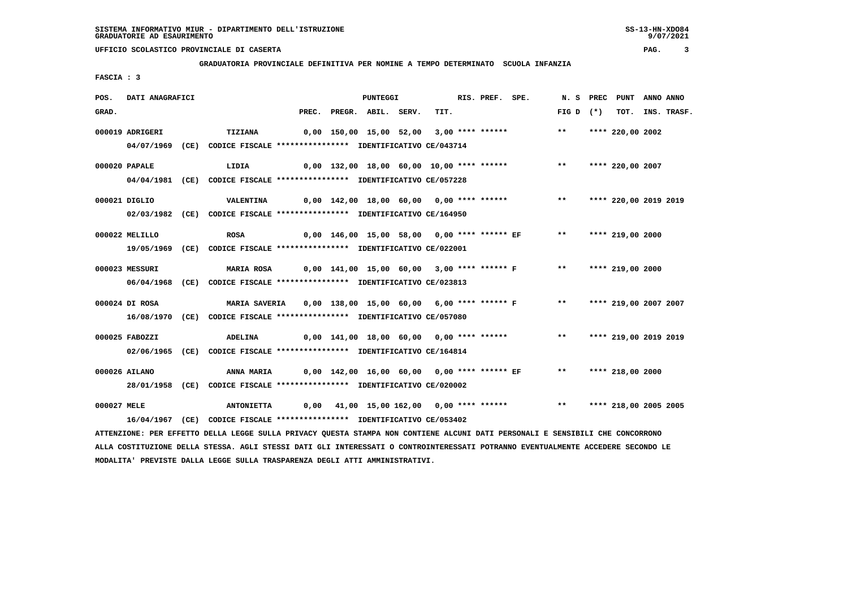**GRADUATORIA PROVINCIALE DEFINITIVA PER NOMINE A TEMPO DETERMINATO SCUOLA INFANZIA**

 **FASCIA : 3**

| POS.        | DATI ANAGRAFICI |                                                                                                                                 |  | PUNTEGGI                 |                                           | RIS. PREF. SPE. |                                                                                 |             | N. S PREC PUNT ANNO ANNO |                  |
|-------------|-----------------|---------------------------------------------------------------------------------------------------------------------------------|--|--------------------------|-------------------------------------------|-----------------|---------------------------------------------------------------------------------|-------------|--------------------------|------------------|
| GRAD.       |                 |                                                                                                                                 |  | PREC. PREGR. ABIL. SERV. | TIT.                                      |                 |                                                                                 | FIG D $(*)$ |                          | TOT. INS. TRASF. |
|             | 000019 ADRIGERI | TIZIANA                                                                                                                         |  |                          | 0,00 150,00 15,00 52,00 3,00 **** ******  |                 |                                                                                 | $***$       | **** 220,00 2002         |                  |
|             |                 | 04/07/1969 (CE) CODICE FISCALE *************** IDENTIFICATIVO CE/043714                                                         |  |                          |                                           |                 |                                                                                 |             |                          |                  |
|             |                 |                                                                                                                                 |  |                          |                                           |                 |                                                                                 |             |                          |                  |
|             | 000020 PAPALE   | LIDIA                                                                                                                           |  |                          | 0,00 132,00 18,00 60,00 10,00 **** ****** |                 |                                                                                 | $***$       | **** 220,00 2007         |                  |
|             |                 | 04/04/1981 (CE) CODICE FISCALE *************** IDENTIFICATIVO CE/057228                                                         |  |                          |                                           |                 |                                                                                 |             |                          |                  |
|             |                 |                                                                                                                                 |  |                          |                                           |                 |                                                                                 |             |                          |                  |
|             | 000021 DIGLIO   | <b>VALENTINA</b>                                                                                                                |  |                          |                                           |                 | 0,00 142,00 18,00 60,00 0,00 **** ******           **     **** 220,00 2019 2019 |             |                          |                  |
|             |                 | 02/03/1982 (CE) CODICE FISCALE *************** IDENTIFICATIVO CE/164950                                                         |  |                          |                                           |                 |                                                                                 |             |                          |                  |
|             | 000022 MELILLO  | <b>ROSA</b>                                                                                                                     |  |                          |                                           |                 | 0,00 146,00 15,00 58,00  0,00 **** ****** EF             **                     |             | **** 219,00 2000         |                  |
|             |                 | 19/05/1969 (CE) CODICE FISCALE *************** IDENTIFICATIVO CE/022001                                                         |  |                          |                                           |                 |                                                                                 |             |                          |                  |
|             |                 |                                                                                                                                 |  |                          |                                           |                 |                                                                                 |             |                          |                  |
|             | 000023 MESSURI  | <b>MARIA ROSA</b>                                                                                                               |  |                          |                                           |                 | 0,00 141,00 15,00 60,00  3,00 **** ****** F      **    **** 219,00 2000         |             |                          |                  |
|             |                 | 06/04/1968 (CE) CODICE FISCALE *************** IDENTIFICATIVO CE/023813                                                         |  |                          |                                           |                 |                                                                                 |             |                          |                  |
|             |                 |                                                                                                                                 |  |                          |                                           |                 |                                                                                 |             |                          |                  |
|             | 000024 DI ROSA  | MARIA SAVERIA 0,00 138,00 15,00 60,00 6,00 **** ****** F *** ***** 219,00 2007 2007                                             |  |                          |                                           |                 |                                                                                 |             |                          |                  |
|             |                 | 16/08/1970 (CE) CODICE FISCALE *************** IDENTIFICATIVO CE/057080                                                         |  |                          |                                           |                 |                                                                                 |             |                          |                  |
|             | 000025 FABOZZI  | ADELINA                                                                                                                         |  |                          |                                           |                 | 0,00 141,00 18,00 60,00 0,00 **** ****** *** *** **** 219,00 2019 2019          |             |                          |                  |
|             |                 | 02/06/1965 (CE) CODICE FISCALE *************** IDENTIFICATIVO CE/164814                                                         |  |                          |                                           |                 |                                                                                 |             |                          |                  |
|             |                 |                                                                                                                                 |  |                          |                                           |                 |                                                                                 |             |                          |                  |
|             | 000026 AILANO   | ANNA MARIA                                                                                                                      |  |                          |                                           |                 | 0,00 142,00 16,00 60,00 0,00 **** ****** EF ** **** 218,00 2000                 |             |                          |                  |
|             |                 | 28/01/1958 (CE) CODICE FISCALE *************** IDENTIFICATIVO CE/020002                                                         |  |                          |                                           |                 |                                                                                 |             |                          |                  |
|             |                 |                                                                                                                                 |  |                          |                                           |                 |                                                                                 |             |                          |                  |
| 000027 MELE |                 | <b>ANTONIETTA</b>                                                                                                               |  |                          |                                           |                 | 0,00 41,00 15,00 162,00 0,00 **** ******                                        | $***$       | **** 218,00 2005 2005    |                  |
|             |                 | 16/04/1967 (CE) CODICE FISCALE *************** IDENTIFICATIVO CE/053402                                                         |  |                          |                                           |                 |                                                                                 |             |                          |                  |
|             |                 | ATTENZIONE: PER EFFETTO DELLA LEGGE SULLA PRIVACY QUESTA STAMPA NON CONTIENE ALCUNI DATI PERSONALI E SENSIBILI CHE CONCORRONO   |  |                          |                                           |                 |                                                                                 |             |                          |                  |
|             |                 | ALLA COSTITUZIONE DELLA STESSA. AGLI STESSI DATI GLI INTERESSATI O CONTROINTERESSATI POTRANNO EVENTUALMENTE ACCEDERE SECONDO LE |  |                          |                                           |                 |                                                                                 |             |                          |                  |

 **MODALITA' PREVISTE DALLA LEGGE SULLA TRASPARENZA DEGLI ATTI AMMINISTRATIVI.**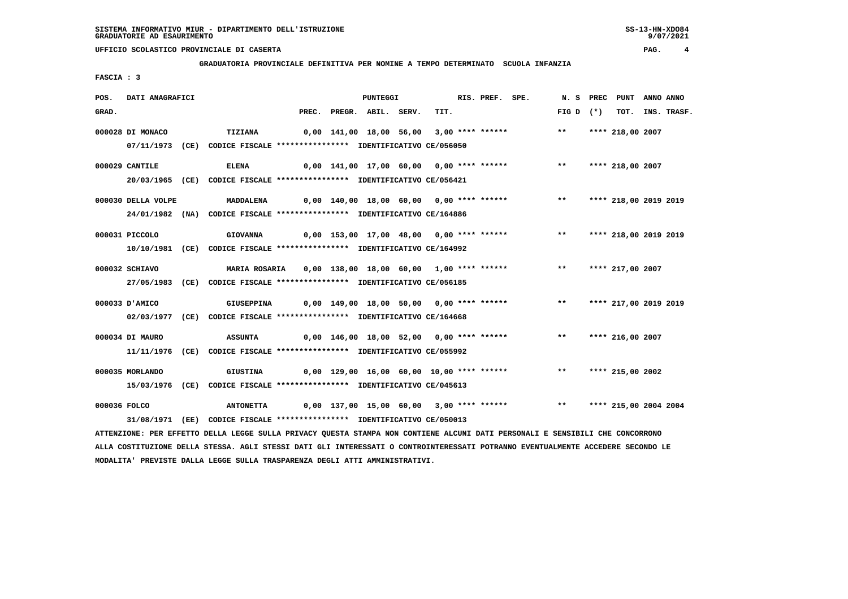**GRADUATORIA PROVINCIALE DEFINITIVA PER NOMINE A TEMPO DETERMINATO SCUOLA INFANZIA**

 **FASCIA : 3**

| POS.         | DATI ANAGRAFICI    |                                                                                                                               |                                                                          | PUNTEGGI                 |      | RIS. PREF. SPE. |                                                                        |             | N. S PREC PUNT ANNO ANNO |                  |
|--------------|--------------------|-------------------------------------------------------------------------------------------------------------------------------|--------------------------------------------------------------------------|--------------------------|------|-----------------|------------------------------------------------------------------------|-------------|--------------------------|------------------|
| GRAD.        |                    |                                                                                                                               |                                                                          | PREC. PREGR. ABIL. SERV. | TIT. |                 |                                                                        | $FIG D (*)$ |                          | TOT. INS. TRASF. |
|              | 000028 DI MONACO   | <b>TIZIANA</b>                                                                                                                |                                                                          |                          |      |                 | 0,00 141,00 18,00 56,00 3,00 **** ****** *** **** **** 218,00 2007     |             |                          |                  |
|              |                    |                                                                                                                               |                                                                          |                          |      |                 |                                                                        |             |                          |                  |
|              |                    | 07/11/1973 (CE) CODICE FISCALE *************** IDENTIFICATIVO CE/056050                                                       |                                                                          |                          |      |                 |                                                                        |             |                          |                  |
|              | 000029 CANTILE     | <b>ELENA</b>                                                                                                                  |                                                                          |                          |      |                 | 0,00 141,00 17,00 60,00 0,00 **** ****** *** **                        |             | **** 218,00 2007         |                  |
|              |                    | 20/03/1965 (CE) CODICE FISCALE *************** IDENTIFICATIVO CE/056421                                                       |                                                                          |                          |      |                 |                                                                        |             |                          |                  |
|              |                    |                                                                                                                               |                                                                          |                          |      |                 |                                                                        |             |                          |                  |
|              | 000030 DELLA VOLPE | <b>MADDALENA</b>                                                                                                              |                                                                          |                          |      |                 | 0,00 140,00 18,00 60,00 0,00 **** ****** *** *** **** 218,00 2019 2019 |             |                          |                  |
|              |                    | 24/01/1982 (NA) CODICE FISCALE *************** IDENTIFICATIVO CE/164886                                                       |                                                                          |                          |      |                 |                                                                        |             |                          |                  |
|              |                    |                                                                                                                               |                                                                          |                          |      |                 |                                                                        |             |                          |                  |
|              | 000031 PICCOLO     | <b>GIOVANNA</b>                                                                                                               |                                                                          |                          |      |                 | 0,00 153,00 17,00 48,00 0,00 **** ****** *** *** **** 218,00 2019 2019 |             |                          |                  |
|              |                    | 10/10/1981 (CE) CODICE FISCALE *************** IDENTIFICATIVO CE/164992                                                       |                                                                          |                          |      |                 |                                                                        |             |                          |                  |
|              | 000032 SCHIAVO     |                                                                                                                               | MARIA ROSARIA 0,00 138,00 18,00 60,00 1,00 **** ****** *** **            |                          |      |                 |                                                                        |             | **** 217,00 2007         |                  |
|              |                    |                                                                                                                               |                                                                          |                          |      |                 |                                                                        |             |                          |                  |
|              |                    | 27/05/1983 (CE) CODICE FISCALE *************** IDENTIFICATIVO CE/056185                                                       |                                                                          |                          |      |                 |                                                                        |             |                          |                  |
|              | 000033 D'AMICO     | GIUSEPPINA                                                                                                                    | 0,00 149,00 18,00 50,00 0,00 **** ******      **   **** 217,00 2019 2019 |                          |      |                 |                                                                        |             |                          |                  |
|              |                    | 02/03/1977 (CE) CODICE FISCALE *************** IDENTIFICATIVO CE/164668                                                       |                                                                          |                          |      |                 |                                                                        |             |                          |                  |
|              |                    |                                                                                                                               |                                                                          |                          |      |                 |                                                                        |             |                          |                  |
|              | 000034 DI MAURO    | <b>ASSUNTA</b>                                                                                                                |                                                                          |                          |      |                 | 0,00 146,00 18,00 52,00 0,00 **** ****** *** **** 216,00 2007          |             |                          |                  |
|              |                    | 11/11/1976 (CE) CODICE FISCALE *************** IDENTIFICATIVO CE/055992                                                       |                                                                          |                          |      |                 |                                                                        |             |                          |                  |
|              |                    |                                                                                                                               |                                                                          |                          |      |                 |                                                                        |             |                          |                  |
|              | 000035 MORLANDO    | <b>GIUSTINA</b>                                                                                                               |                                                                          |                          |      |                 | $0,00$ 129,00 16,00 60,00 10,00 **** ****** *** **                     |             | **** 215,00 2002         |                  |
|              |                    | 15/03/1976 (CE) CODICE FISCALE **************** IDENTIFICATIVO CE/045613                                                      |                                                                          |                          |      |                 |                                                                        |             |                          |                  |
| 000036 FOLCO |                    | <b>ANTONETTA</b>                                                                                                              |                                                                          |                          |      |                 | 0,00 137,00 15,00 60,00 3,00 **** ****** *** **                        |             | **** 215,00 2004 2004    |                  |
|              |                    | 31/08/1971 (EE) CODICE FISCALE *************** IDENTIFICATIVO CE/050013                                                       |                                                                          |                          |      |                 |                                                                        |             |                          |                  |
|              |                    |                                                                                                                               |                                                                          |                          |      |                 |                                                                        |             |                          |                  |
|              |                    | ATTENZIONE: PER EFFETTO DELLA LEGGE SULLA PRIVACY QUESTA STAMPA NON CONTIENE ALCUNI DATI PERSONALI E SENSIBILI CHE CONCORRONO |                                                                          |                          |      |                 |                                                                        |             |                          |                  |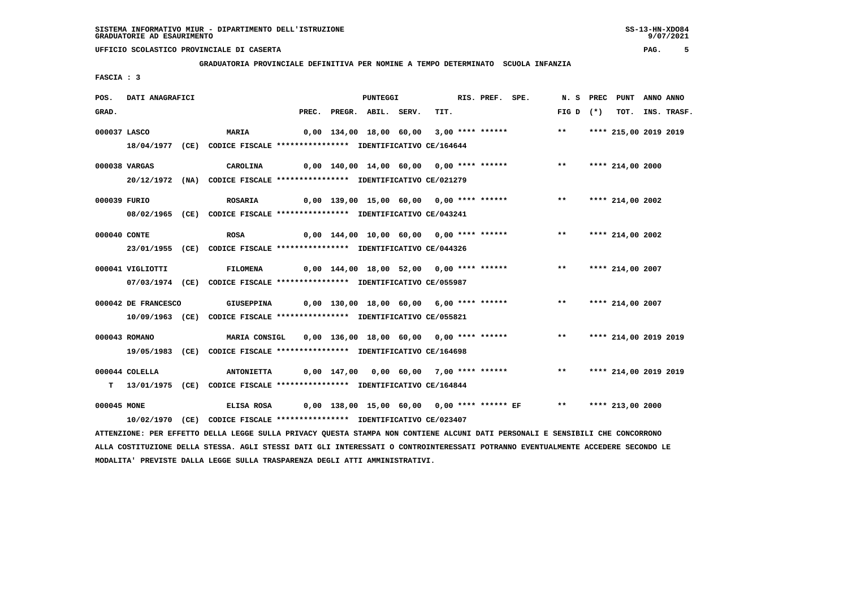**GRADUATORIA PROVINCIALE DEFINITIVA PER NOMINE A TEMPO DETERMINATO SCUOLA INFANZIA**

 **FASCIA : 3**

| POS.        | DATI ANAGRAFICI     |                                                                                                                                 |       | <b>PUNTEGGI</b>    |                                          | RIS. PREF. SPE. |                                                                         | N.S PREC                 | PUNT ANNO ANNO   |                  |
|-------------|---------------------|---------------------------------------------------------------------------------------------------------------------------------|-------|--------------------|------------------------------------------|-----------------|-------------------------------------------------------------------------|--------------------------|------------------|------------------|
| GRAD.       |                     |                                                                                                                                 | PREC. | PREGR. ABIL. SERV. | TIT.                                     |                 |                                                                         | $FIG D (*)$              |                  | TOT. INS. TRASF. |
|             | 000037 LASCO        | <b>MARIA</b>                                                                                                                    |       |                    | 0,00 134,00 18,00 60,00 3,00 **** ****** |                 |                                                                         | ** **** 215,00 2019 2019 |                  |                  |
|             |                     | 18/04/1977 (CE) CODICE FISCALE *************** IDENTIFICATIVO CE/164644                                                         |       |                    |                                          |                 |                                                                         |                          |                  |                  |
|             |                     |                                                                                                                                 |       |                    |                                          |                 |                                                                         |                          |                  |                  |
|             | 000038 VARGAS       | CAROLINA                                                                                                                        |       |                    |                                          |                 | $0,00$ 140,00 14,00 60,00 0,00 **** ****** *** **                       |                          | **** 214,00 2000 |                  |
|             |                     | 20/12/1972 (NA) CODICE FISCALE *************** IDENTIFICATIVO CE/021279                                                         |       |                    |                                          |                 |                                                                         |                          |                  |                  |
|             | 000039 FURIO        | <b>ROSARIA</b>                                                                                                                  |       |                    |                                          |                 | 0,00 139,00 15,00 60,00 0,00 **** ****** **** *** **** 214,00 2002      |                          |                  |                  |
|             |                     | 08/02/1965 (CE) CODICE FISCALE *************** IDENTIFICATIVO CE/043241                                                         |       |                    |                                          |                 |                                                                         |                          |                  |                  |
|             |                     |                                                                                                                                 |       |                    |                                          |                 |                                                                         |                          |                  |                  |
|             | 000040 CONTE        | <b>ROSA</b>                                                                                                                     |       |                    |                                          |                 | $0,00$ 144,00 10,00 60,00 0,00 **** ****** *** *** **** 214,00 2002     |                          |                  |                  |
|             |                     | 23/01/1955 (CE) CODICE FISCALE *************** IDENTIFICATIVO CE/044326                                                         |       |                    |                                          |                 |                                                                         |                          |                  |                  |
|             | 000041 VIGLIOTTI    | <b>FILOMENA</b>                                                                                                                 |       |                    |                                          |                 | 0,00 144,00 18,00 52,00 0,00 **** ****** *** **** **** 214,00 2007      |                          |                  |                  |
|             |                     | 07/03/1974 (CE) CODICE FISCALE *************** IDENTIFICATIVO CE/055987                                                         |       |                    |                                          |                 |                                                                         |                          |                  |                  |
|             |                     |                                                                                                                                 |       |                    |                                          |                 |                                                                         |                          |                  |                  |
|             | 000042 DE FRANCESCO |                                                                                                                                 |       |                    |                                          |                 |                                                                         |                          |                  |                  |
|             |                     | 10/09/1963 (CE) CODICE FISCALE *************** IDENTIFICATIVO CE/055821                                                         |       |                    |                                          |                 |                                                                         |                          |                  |                  |
|             | 000043 ROMANO       | MARIA CONSIGL                                                                                                                   |       |                    |                                          |                 | 0,00 136,00 18,00 60,00 0,00 **** ****** **** *** **** 214,00 2019 2019 |                          |                  |                  |
|             |                     |                                                                                                                                 |       |                    |                                          |                 |                                                                         |                          |                  |                  |
|             |                     | 19/05/1983 (CE) CODICE FISCALE *************** IDENTIFICATIVO CE/164698                                                         |       |                    |                                          |                 |                                                                         |                          |                  |                  |
|             | 000044 COLELLA      | <b>ANTONIETTA</b>                                                                                                               |       |                    |                                          |                 | 0,00 147,00 0,00 60,00 7,00 **** ****** *** *** **** 214,00 2019 2019   |                          |                  |                  |
|             |                     | T 13/01/1975 (CE) CODICE FISCALE *************** IDENTIFICATIVO CE/164844                                                       |       |                    |                                          |                 |                                                                         |                          |                  |                  |
|             |                     |                                                                                                                                 |       |                    |                                          |                 |                                                                         |                          |                  |                  |
| 000045 MONE |                     | ELISA ROSA                                                                                                                      |       |                    |                                          |                 | 0,00 138,00 15,00 60,00 0,00 **** ****** EF ** **** 213,00 2000         |                          |                  |                  |
|             |                     | 10/02/1970 (CE) CODICE FISCALE *************** IDENTIFICATIVO CE/023407                                                         |       |                    |                                          |                 |                                                                         |                          |                  |                  |
|             |                     | ATTENZIONE: PER EFFETTO DELLA LEGGE SULLA PRIVACY QUESTA STAMPA NON CONTIENE ALCUNI DATI PERSONALI E SENSIBILI CHE CONCORRONO   |       |                    |                                          |                 |                                                                         |                          |                  |                  |
|             |                     | ALLA COSTITUZIONE DELLA STESSA. AGLI STESSI DATI GLI INTERESSATI O CONTROINTERESSATI POTRANNO EVENTUALMENTE ACCEDERE SECONDO LE |       |                    |                                          |                 |                                                                         |                          |                  |                  |

 **MODALITA' PREVISTE DALLA LEGGE SULLA TRASPARENZA DEGLI ATTI AMMINISTRATIVI.**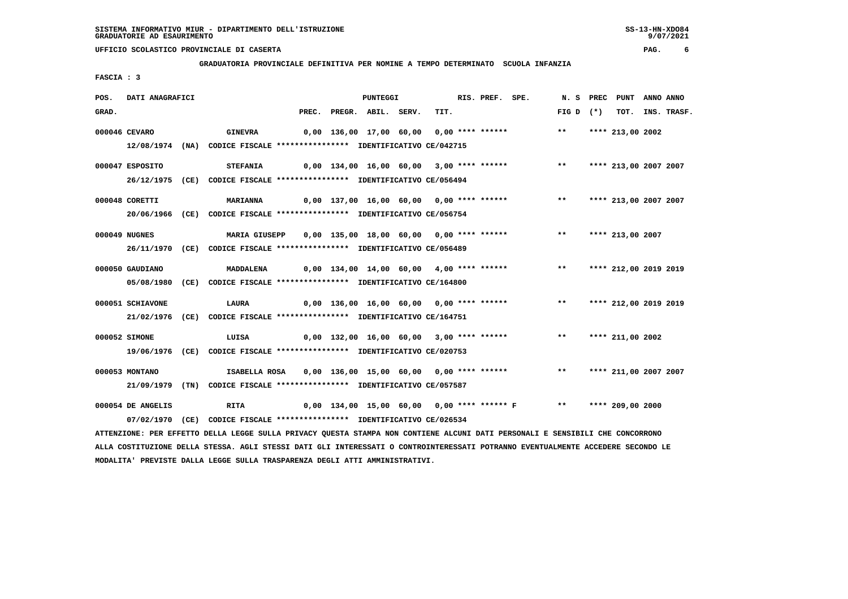#### **GRADUATORIA PROVINCIALE DEFINITIVA PER NOMINE A TEMPO DETERMINATO SCUOLA INFANZIA**

 **FASCIA : 3**

| POS.  | DATI ANAGRAFICI   |                                                                                                                               |       | <b>PUNTEGGI</b>    |                                            | RIS. PREF. SPE. |                                                                     | N. S                | PREC      | PUNT                  | ANNO ANNO |                  |
|-------|-------------------|-------------------------------------------------------------------------------------------------------------------------------|-------|--------------------|--------------------------------------------|-----------------|---------------------------------------------------------------------|---------------------|-----------|-----------------------|-----------|------------------|
| GRAD. |                   |                                                                                                                               | PREC. | PREGR. ABIL. SERV. | TIT.                                       |                 |                                                                     | FIG D               | $(\star)$ |                       |           | TOT. INS. TRASF. |
|       | 000046 CEVARO     | <b>GINEVRA</b>                                                                                                                |       |                    | 0,00 136,00 17,00 60,00 0,00 **** ******   |                 |                                                                     | $***$               |           | **** 213,00 2002      |           |                  |
|       |                   | 12/08/1974 (NA) CODICE FISCALE *************** IDENTIFICATIVO CE/042715                                                       |       |                    |                                            |                 |                                                                     |                     |           |                       |           |                  |
|       | 000047 ESPOSITO   | <b>STEFANIA</b>                                                                                                               |       |                    |                                            |                 | 0,00 134,00 16,00 60,00 3,00 **** ****** *** **                     |                     |           | **** 213,00 2007 2007 |           |                  |
|       |                   | 26/12/1975 (CE) CODICE FISCALE *************** IDENTIFICATIVO CE/056494                                                       |       |                    |                                            |                 |                                                                     |                     |           |                       |           |                  |
|       | 000048 CORETTI    | <b>MARIANNA</b>                                                                                                               |       |                    |                                            |                 | 0,00 137,00 16,00 60,00 0,00 **** ******                            | $***$               |           | **** 213,00 2007 2007 |           |                  |
|       |                   | 20/06/1966 (CE) CODICE FISCALE *************** IDENTIFICATIVO CE/056754                                                       |       |                    |                                            |                 |                                                                     |                     |           |                       |           |                  |
|       | 000049 NUGNES     | <b>MARIA GIUSEPP</b>                                                                                                          |       |                    | 0,00 135,00 18,00 60,00 0,00 **** ******   |                 |                                                                     | $***$               |           | **** 213,00 2007      |           |                  |
|       |                   | 26/11/1970 (CE) CODICE FISCALE *************** IDENTIFICATIVO CE/056489                                                       |       |                    |                                            |                 |                                                                     |                     |           |                       |           |                  |
|       | 000050 GAUDIANO   | <b>MADDALENA</b>                                                                                                              |       |                    |                                            |                 | $0,00$ 134,00 14,00 60,00 4,00 **** ****** *** **                   |                     |           | **** 212,00 2019 2019 |           |                  |
|       |                   | 05/08/1980 (CE) CODICE FISCALE *************** IDENTIFICATIVO CE/164800                                                       |       |                    |                                            |                 |                                                                     |                     |           |                       |           |                  |
|       | 000051 SCHIAVONE  | LAURA                                                                                                                         |       |                    | 0,00 136,00 16,00 60,00 0,00 **** ******   |                 |                                                                     | $\star \star$       |           | **** 212,00 2019 2019 |           |                  |
|       |                   | 21/02/1976 (CE) CODICE FISCALE *************** IDENTIFICATIVO CE/164751                                                       |       |                    |                                            |                 |                                                                     |                     |           |                       |           |                  |
|       | 000052 SIMONE     | LUISA                                                                                                                         |       |                    |                                            |                 | $0,00$ 132,00 16,00 60,00 3,00 **** ****** *** *** **** 211,00 2002 |                     |           |                       |           |                  |
|       |                   | 19/06/1976 (CE) CODICE FISCALE *************** IDENTIFICATIVO CE/020753                                                       |       |                    |                                            |                 |                                                                     |                     |           |                       |           |                  |
|       | 000053 MONTANO    | ISABELLA ROSA                                                                                                                 |       |                    | 0,00 136,00 15,00 60,00 0,00 **** ******   |                 |                                                                     | $***$               |           | **** 211,00 2007 2007 |           |                  |
|       |                   | 21/09/1979 (TN) CODICE FISCALE *************** IDENTIFICATIVO CE/057587                                                       |       |                    |                                            |                 |                                                                     |                     |           |                       |           |                  |
|       | 000054 DE ANGELIS | RITA                                                                                                                          |       |                    | 0,00 134,00 15,00 60,00 0,00 **** ****** F |                 |                                                                     | ** **** 209,00 2000 |           |                       |           |                  |
|       |                   | 07/02/1970 (CE) CODICE FISCALE *************** IDENTIFICATIVO CE/026534                                                       |       |                    |                                            |                 |                                                                     |                     |           |                       |           |                  |
|       |                   | ATTENZIONE: PER EFFETTO DELLA LEGGE SULLA PRIVACY QUESTA STAMPA NON CONTIENE ALCUNI DATI PERSONALI E SENSIBILI CHE CONCORRONO |       |                    |                                            |                 |                                                                     |                     |           |                       |           |                  |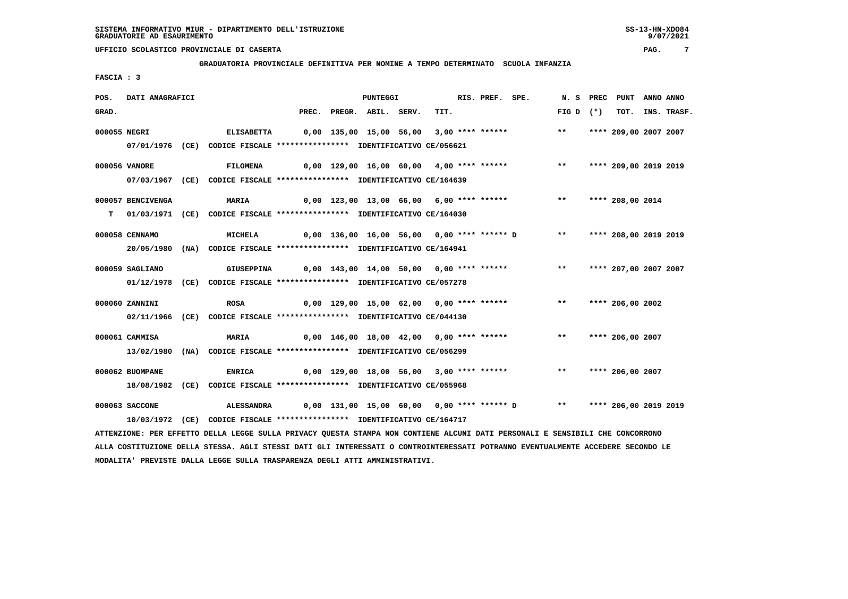**GRADUATORIA PROVINCIALE DEFINITIVA PER NOMINE A TEMPO DETERMINATO SCUOLA INFANZIA**

 **FASCIA : 3**

| POS.         | DATI ANAGRAFICI   |                                                                                                                               |       | <b>PUNTEGGI</b>    |                                                                     | RIS. PREF. SPE. | N. S PREC   | PUNT                  | ANNO ANNO |             |
|--------------|-------------------|-------------------------------------------------------------------------------------------------------------------------------|-------|--------------------|---------------------------------------------------------------------|-----------------|-------------|-----------------------|-----------|-------------|
| GRAD.        |                   |                                                                                                                               | PREC. | PREGR. ABIL. SERV. | TIT.                                                                |                 | FIG D $(*)$ | тот.                  |           | INS. TRASF. |
| 000055 NEGRI |                   | <b>ELISABETTA</b>                                                                                                             |       |                    | 0,00 135,00 15,00 56,00 3,00 **** ******                            |                 | $***$       | **** 209,00 2007 2007 |           |             |
|              |                   | 07/01/1976 (CE) CODICE FISCALE *************** IDENTIFICATIVO CE/056621                                                       |       |                    |                                                                     |                 |             |                       |           |             |
|              |                   |                                                                                                                               |       |                    |                                                                     |                 |             |                       |           |             |
|              | 000056 VANORE     | <b>FILOMENA</b>                                                                                                               |       |                    | 0,00 129,00 16,00 60,00 4,00 **** ****** *** **** 209,00 2019 2019  |                 |             |                       |           |             |
|              |                   | 07/03/1967 (CE) CODICE FISCALE *************** IDENTIFICATIVO CE/164639                                                       |       |                    |                                                                     |                 |             |                       |           |             |
|              | 000057 BENCIVENGA | MARIA                                                                                                                         |       |                    | 0,00 123,00 13,00 66,00 6,00 **** ******                            |                 |             | ** **** 208,00 2014   |           |             |
|              |                   | T 01/03/1971 (CE) CODICE FISCALE **************** IDENTIFICATIVO CE/164030                                                    |       |                    |                                                                     |                 |             |                       |           |             |
|              | 000058 CENNAMO    | MICHELA                                                                                                                       |       |                    | 0,00 136,00 16,00 56,00 0,00 **** ****** D ** **** 208,00 2019 2019 |                 |             |                       |           |             |
|              |                   | 20/05/1980 (NA) CODICE FISCALE *************** IDENTIFICATIVO CE/164941                                                       |       |                    |                                                                     |                 |             |                       |           |             |
|              |                   |                                                                                                                               |       |                    |                                                                     |                 |             |                       |           |             |
|              | 000059 SAGLIANO   | <b>GIUSEPPINA</b>                                                                                                             |       |                    | 0,00 143,00 14,00 50,00 0,00 **** ****** *** **                     |                 |             | **** 207,00 2007 2007 |           |             |
|              |                   | 01/12/1978 (CE) CODICE FISCALE *************** IDENTIFICATIVO CE/057278                                                       |       |                    |                                                                     |                 |             |                       |           |             |
|              | 000060 ZANNINI    | <b>ROSA</b>                                                                                                                   |       |                    | 0,00 129,00 15,00 62,00 0,00 **** ******                            |                 | $***$       | **** 206,00 2002      |           |             |
|              |                   | 02/11/1966 (CE) CODICE FISCALE *************** IDENTIFICATIVO CE/044130                                                       |       |                    |                                                                     |                 |             |                       |           |             |
|              |                   |                                                                                                                               |       |                    |                                                                     |                 |             |                       |           |             |
|              | 000061 CAMMISA    | <b>MARIA</b>                                                                                                                  |       |                    | 0,00 146,00 18,00 42,00 0,00 **** ******                            |                 | $***$       | **** 206,00 2007      |           |             |
|              |                   | 13/02/1980 (NA) CODICE FISCALE *************** IDENTIFICATIVO CE/056299                                                       |       |                    |                                                                     |                 |             |                       |           |             |
|              | 000062 BUOMPANE   | <b>ENRICA</b>                                                                                                                 |       |                    | 0,00 129,00 18,00 56,00 3,00 **** ****** *** **** 206,00 2007       |                 |             |                       |           |             |
|              |                   | 18/08/1982 (CE) CODICE FISCALE *************** IDENTIFICATIVO CE/055968                                                       |       |                    |                                                                     |                 |             |                       |           |             |
|              |                   |                                                                                                                               |       |                    |                                                                     |                 |             |                       |           |             |
|              | 000063 SACCONE    | <b>ALESSANDRA</b>                                                                                                             |       |                    | 0,00 131,00 15,00 60,00 0,00 **** ****** D ** **** 206,00 2019 2019 |                 |             |                       |           |             |
|              |                   | 10/03/1972 (CE) CODICE FISCALE **************** IDENTIFICATIVO CE/164717                                                      |       |                    |                                                                     |                 |             |                       |           |             |
|              |                   | ATTENZIONE: PER EFFETTO DELLA LEGGE SULLA PRIVACY QUESTA STAMPA NON CONTIENE ALCUNI DATI PERSONALI E SENSIBILI CHE CONCORRONO |       |                    |                                                                     |                 |             |                       |           |             |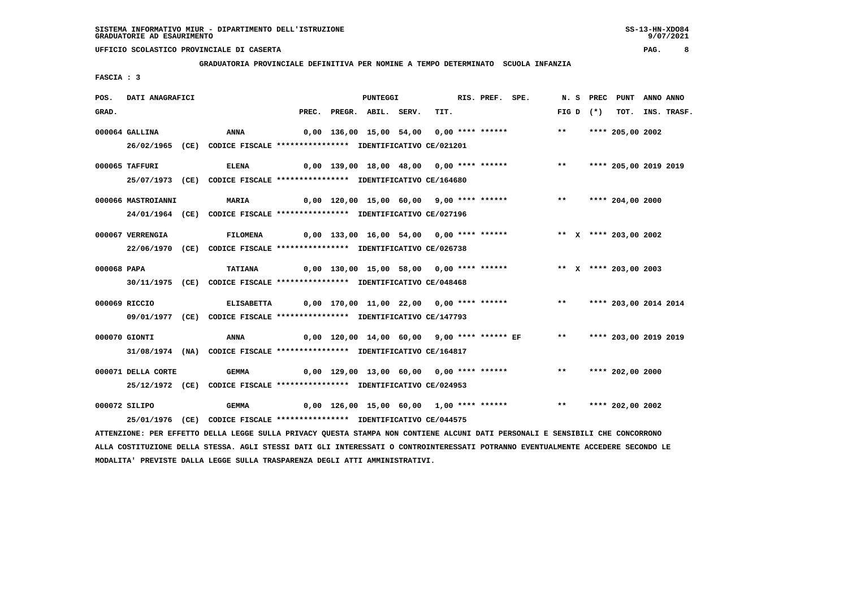**GRADUATORIA PROVINCIALE DEFINITIVA PER NOMINE A TEMPO DETERMINATO SCUOLA INFANZIA**

 **FASCIA : 3**

| POS.        | DATI ANAGRAFICI    |                                                                                                                               |                                                                           | <b>PUNTEGGI</b>    |  | RIS. PREF. SPE. |                                                                         |             | N. S PREC PUNT ANNO ANNO |                  |
|-------------|--------------------|-------------------------------------------------------------------------------------------------------------------------------|---------------------------------------------------------------------------|--------------------|--|-----------------|-------------------------------------------------------------------------|-------------|--------------------------|------------------|
| GRAD.       |                    |                                                                                                                               | PREC.                                                                     | PREGR. ABIL. SERV. |  | TIT.            |                                                                         | FIG D $(*)$ |                          | TOT. INS. TRASF. |
|             | 000064 GALLINA     | ANNA                                                                                                                          |                                                                           |                    |  |                 | 0,00 136,00 15,00 54,00 0,00 **** ****** *** **                         |             | **** 205,00 2002         |                  |
|             |                    | 26/02/1965 (CE) CODICE FISCALE *************** IDENTIFICATIVO CE/021201                                                       |                                                                           |                    |  |                 |                                                                         |             |                          |                  |
|             | 000065 TAFFURI     | <b>ELENA</b>                                                                                                                  |                                                                           |                    |  |                 | 0,00 139,00 18,00 48,00 0,00 **** ****** *** **** **** 205,00 2019 2019 |             |                          |                  |
|             |                    | 25/07/1973 (CE) CODICE FISCALE *************** IDENTIFICATIVO CE/164680                                                       |                                                                           |                    |  |                 |                                                                         |             |                          |                  |
|             | 000066 MASTROIANNI | <b>MARIA</b>                                                                                                                  |                                                                           |                    |  |                 | 0,00 120,00 15,00 60,00 9,00 **** ****** *** *** **** 204,00 2000       |             |                          |                  |
|             |                    | 24/01/1964 (CE) CODICE FISCALE *************** IDENTIFICATIVO CE/027196                                                       |                                                                           |                    |  |                 |                                                                         |             |                          |                  |
|             | 000067 VERRENGIA   | <b>FILOMENA</b>                                                                                                               | 0,00 133,00 16,00 54,00  0,00 **** ******      **    **** 203,00 2002     |                    |  |                 |                                                                         |             |                          |                  |
|             |                    | 22/06/1970 (CE) CODICE FISCALE *************** IDENTIFICATIVO CE/026738                                                       |                                                                           |                    |  |                 |                                                                         |             |                          |                  |
|             |                    |                                                                                                                               |                                                                           |                    |  |                 |                                                                         |             |                          |                  |
| 000068 PAPA |                    | <b>TATIANA</b><br>30/11/1975 (CE) CODICE FISCALE *************** IDENTIFICATIVO CE/048468                                     |                                                                           |                    |  |                 | 0,00 130,00 15,00 58,00 0,00 **** ****** * *** * **** 203,00 2003       |             |                          |                  |
|             |                    |                                                                                                                               |                                                                           |                    |  |                 |                                                                         |             |                          |                  |
|             | 000069 RICCIO      | <b>ELISABETTA</b>                                                                                                             | 0,00 170,00 11,00 22,00  0,00 **** ******      **   **** 203,00 2014 2014 |                    |  |                 |                                                                         |             |                          |                  |
|             |                    | 09/01/1977 (CE) CODICE FISCALE *************** IDENTIFICATIVO CE/147793                                                       |                                                                           |                    |  |                 |                                                                         |             |                          |                  |
|             | 000070 GIONTI      | ANNA                                                                                                                          |                                                                           |                    |  |                 | 0,00 120,00 14,00 60,00 9,00 **** ****** EF ** **** 203,00 2019 2019    |             |                          |                  |
|             |                    | 31/08/1974 (NA) CODICE FISCALE **************** IDENTIFICATIVO CE/164817                                                      |                                                                           |                    |  |                 |                                                                         |             |                          |                  |
|             | 000071 DELLA CORTE | GEMMA                                                                                                                         |                                                                           |                    |  |                 | 0,00 129,00 13,00 60,00 0,00 **** ****** *** *** **** 202,00 2000       |             |                          |                  |
|             |                    | 25/12/1972 (CE) CODICE FISCALE *************** IDENTIFICATIVO CE/024953                                                       |                                                                           |                    |  |                 |                                                                         |             |                          |                  |
|             | 000072 SILIPO      | <b>GEMMA</b>                                                                                                                  |                                                                           |                    |  |                 | 0,00 126,00 15,00 60,00 1,00 **** ****** *** **** **** 202,00 2002      |             |                          |                  |
|             |                    | 25/01/1976 (CE) CODICE FISCALE *************** IDENTIFICATIVO CE/044575                                                       |                                                                           |                    |  |                 |                                                                         |             |                          |                  |
|             |                    | ATTENZIONE: PER EFFETTO DELLA LEGGE SULLA PRIVACY QUESTA STAMPA NON CONTIENE ALCUNI DATI PERSONALI E SENSIBILI CHE CONCORRONO |                                                                           |                    |  |                 |                                                                         |             |                          |                  |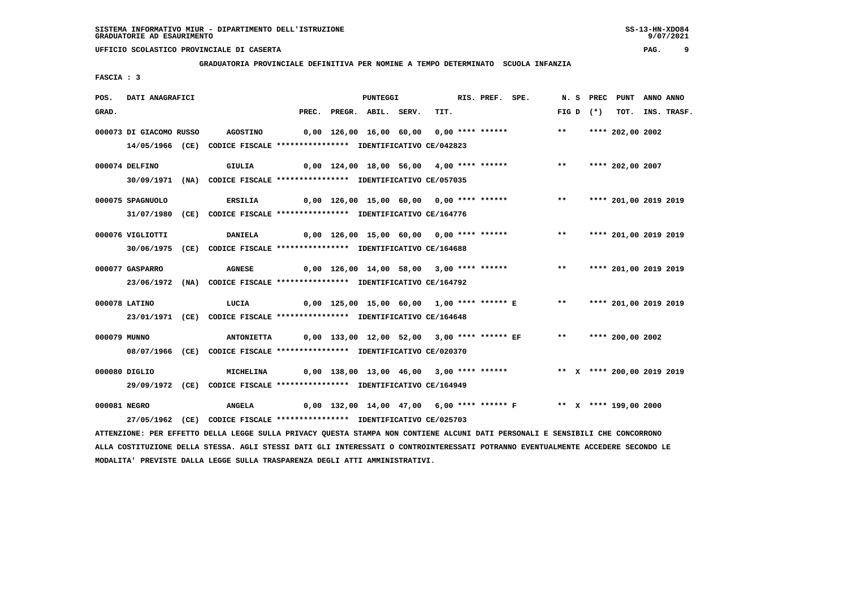**GRADUATORIA PROVINCIALE DEFINITIVA PER NOMINE A TEMPO DETERMINATO SCUOLA INFANZIA**

 **FASCIA : 3**

| POS.  | DATI ANAGRAFICI         |                                                                                                                               |  | PUNTEGGI                 |                                                                        | RIS. PREF. SPE. |  |       | N.S PREC    | PUNT                       | ANNO ANNO |                  |
|-------|-------------------------|-------------------------------------------------------------------------------------------------------------------------------|--|--------------------------|------------------------------------------------------------------------|-----------------|--|-------|-------------|----------------------------|-----------|------------------|
| GRAD. |                         |                                                                                                                               |  | PREC. PREGR. ABIL. SERV. | TIT.                                                                   |                 |  |       | FIG D $(*)$ |                            |           | TOT. INS. TRASF. |
|       | 000073 DI GIACOMO RUSSO | <b>AGOSTINO</b>                                                                                                               |  |                          | 0,00 126,00 16,00 60,00 0,00 **** ******                               |                 |  | $***$ |             | **** 202,00 2002           |           |                  |
|       |                         | 14/05/1966 (CE) CODICE FISCALE *************** IDENTIFICATIVO CE/042823                                                       |  |                          |                                                                        |                 |  |       |             |                            |           |                  |
|       | 000074 DELFINO          | <b>GIULIA</b>                                                                                                                 |  |                          | 0,00 124,00 18,00 56,00 4,00 **** ******                               |                 |  |       |             | ** **** 202,00 2007        |           |                  |
|       |                         | 30/09/1971 (NA) CODICE FISCALE *************** IDENTIFICATIVO CE/057035                                                       |  |                          |                                                                        |                 |  |       |             |                            |           |                  |
|       | 000075 SPAGNUOLO        | <b>ERSILIA</b>                                                                                                                |  |                          | 0,00 126,00 15,00 60,00 0,00 **** ****** *** **                        |                 |  |       |             | **** 201,00 2019 2019      |           |                  |
|       |                         | 31/07/1980 (CE) CODICE FISCALE *************** IDENTIFICATIVO CE/164776                                                       |  |                          |                                                                        |                 |  |       |             |                            |           |                  |
|       | 000076 VIGLIOTTI        | <b>DANIELA</b>                                                                                                                |  |                          | 0,00 126,00 15,00 60,00 0,00 **** ****** *** **                        |                 |  |       |             | **** 201,00 2019 2019      |           |                  |
|       |                         | 30/06/1975 (CE) CODICE FISCALE *************** IDENTIFICATIVO CE/164688                                                       |  |                          |                                                                        |                 |  |       |             |                            |           |                  |
|       |                         |                                                                                                                               |  |                          |                                                                        |                 |  |       |             |                            |           |                  |
|       | 000077 GASPARRO         | <b>AGNESE</b>                                                                                                                 |  |                          | 0,00 126,00 14,00 58,00 3,00 **** ******                               |                 |  |       |             | ** **** 201,00 2019 2019   |           |                  |
|       |                         | 23/06/1972 (NA) CODICE FISCALE *************** IDENTIFICATIVO CE/164792                                                       |  |                          |                                                                        |                 |  |       |             |                            |           |                  |
|       | 000078 LATINO           | LUCIA                                                                                                                         |  |                          | 0,00 125,00 15,00 60,00 1,00 **** ****** E ** **** 201,00 2019 2019    |                 |  |       |             |                            |           |                  |
|       |                         | 23/01/1971 (CE) CODICE FISCALE *************** IDENTIFICATIVO CE/164648                                                       |  |                          |                                                                        |                 |  |       |             |                            |           |                  |
|       | 000079 MUNNO            | <b>ANTONIETTA</b>                                                                                                             |  |                          | 0,00 133,00 12,00 52,00 3,00 **** ****** EF                            |                 |  |       |             | ** **** 200,00 2002        |           |                  |
|       |                         | 08/07/1966 (CE) CODICE FISCALE *************** IDENTIFICATIVO CE/020370                                                       |  |                          |                                                                        |                 |  |       |             |                            |           |                  |
|       |                         |                                                                                                                               |  |                          |                                                                        |                 |  |       |             |                            |           |                  |
|       | 000080 DIGLIO           | MICHELINA                                                                                                                     |  |                          | 0,00 138,00 13,00 46,00 3,00 **** ******                               |                 |  |       |             | ** X **** 200,00 2019 2019 |           |                  |
|       |                         | 29/09/1972 (CE) CODICE FISCALE *************** IDENTIFICATIVO CE/164949                                                       |  |                          |                                                                        |                 |  |       |             |                            |           |                  |
|       | 000081 NEGRO            | <b>ANGELA</b>                                                                                                                 |  |                          | 0,00 132,00 14,00 47,00  6,00 **** ****** F     **  X **** 199,00 2000 |                 |  |       |             |                            |           |                  |
|       |                         | 27/05/1962 (CE) CODICE FISCALE *************** IDENTIFICATIVO CE/025703                                                       |  |                          |                                                                        |                 |  |       |             |                            |           |                  |
|       |                         | ATTENZIONE: PER EFFETTO DELLA LEGGE SULLA PRIVACY QUESTA STAMPA NON CONTIENE ALCUNI DATI PERSONALI E SENSIBILI CHE CONCORRONO |  |                          |                                                                        |                 |  |       |             |                            |           |                  |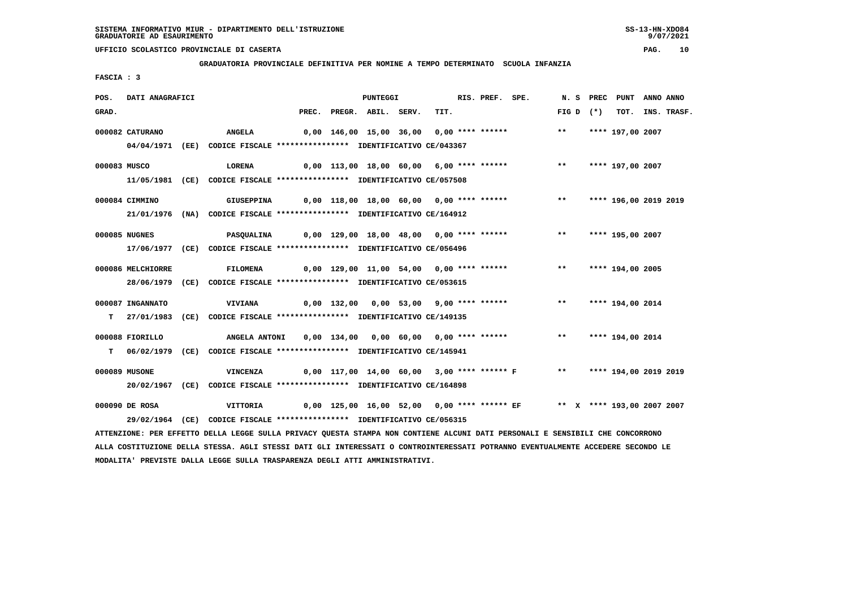**GRADUATORIA PROVINCIALE DEFINITIVA PER NOMINE A TEMPO DETERMINATO SCUOLA INFANZIA**

 **FASCIA : 3**

| POS.  | DATI ANAGRAFICI   |                                                                                                                               |  | PUNTEGGI                 |                                                                        | RIS. PREF. SPE. |       |             | N. S PREC PUNT ANNO ANNO |                  |
|-------|-------------------|-------------------------------------------------------------------------------------------------------------------------------|--|--------------------------|------------------------------------------------------------------------|-----------------|-------|-------------|--------------------------|------------------|
| GRAD. |                   |                                                                                                                               |  | PREC. PREGR. ABIL. SERV. | TIT.                                                                   |                 |       | FIG D $(*)$ |                          | TOT. INS. TRASF. |
|       | 000082 CATURANO   | <b>ANGELA</b>                                                                                                                 |  |                          | 0,00 146,00 15,00 36,00 0,00 **** ******                               |                 | $***$ |             | **** 197,00 2007         |                  |
|       |                   | 04/04/1971 (EE) CODICE FISCALE *************** IDENTIFICATIVO CE/043367                                                       |  |                          |                                                                        |                 |       |             |                          |                  |
|       |                   |                                                                                                                               |  |                          |                                                                        |                 |       |             |                          |                  |
|       | 000083 MUSCO      | <b>LORENA</b>                                                                                                                 |  |                          | 0,00 113,00 18,00 60,00 6,00 **** ****** *** *** **** 197,00 2007      |                 |       |             |                          |                  |
|       |                   | 11/05/1981 (CE) CODICE FISCALE *************** IDENTIFICATIVO CE/057508                                                       |  |                          |                                                                        |                 |       |             |                          |                  |
|       | 000084 CIMMINO    | <b>GIUSEPPINA</b>                                                                                                             |  |                          | 0,00 118,00 18,00 60,00 0,00 **** ******                               |                 | $***$ |             | **** 196,00 2019 2019    |                  |
|       |                   | 21/01/1976 (NA) CODICE FISCALE *************** IDENTIFICATIVO CE/164912                                                       |  |                          |                                                                        |                 |       |             |                          |                  |
|       | 000085 NUGNES     |                                                                                                                               |  |                          | 0,00 129,00 18,00 48,00 0,00 **** ******                               |                 | $***$ |             | **** 195,00 2007         |                  |
|       |                   | <b>PASQUALINA</b>                                                                                                             |  |                          |                                                                        |                 |       |             |                          |                  |
|       |                   | 17/06/1977 (CE) CODICE FISCALE *************** IDENTIFICATIVO CE/056496                                                       |  |                          |                                                                        |                 |       |             |                          |                  |
|       | 000086 MELCHIORRE | <b>FILOMENA</b>                                                                                                               |  |                          | 0,00 129,00 11,00 54,00 0,00 **** ****** *** **                        |                 |       |             | **** 194,00 2005         |                  |
|       |                   | 28/06/1979 (CE) CODICE FISCALE *************** IDENTIFICATIVO CE/053615                                                       |  |                          |                                                                        |                 |       |             |                          |                  |
|       |                   |                                                                                                                               |  |                          |                                                                        |                 |       |             |                          |                  |
|       | 000087 INGANNATO  | VIVIANA                                                                                                                       |  |                          | 0,00 132,00 0,00 53,00 9,00 **** ******                                |                 | $***$ |             | **** 194,00 2014         |                  |
|       |                   | T 27/01/1983 (CE) CODICE FISCALE *************** IDENTIFICATIVO CE/149135                                                     |  |                          |                                                                        |                 |       |             |                          |                  |
|       | 000088 FIORILLO   | <b>ANGELA ANTONI</b>                                                                                                          |  |                          | 0,00 134,00 0,00 60,00 0,00 **** ******                                |                 | $***$ |             | **** 194,00 2014         |                  |
|       |                   | T 06/02/1979 (CE) CODICE FISCALE **************** IDENTIFICATIVO CE/145941                                                    |  |                          |                                                                        |                 |       |             |                          |                  |
|       |                   |                                                                                                                               |  |                          |                                                                        |                 |       |             |                          |                  |
|       | 000089 MUSONE     | <b>VINCENZA</b>                                                                                                               |  |                          | 0,00 117,00 14,00 60,00 3,00 **** ****** F *** **** 194,00 2019 2019   |                 |       |             |                          |                  |
|       |                   | 20/02/1967 (CE) CODICE FISCALE *************** IDENTIFICATIVO CE/164898                                                       |  |                          |                                                                        |                 |       |             |                          |                  |
|       | 000090 DE ROSA    | <b>VITTORIA</b>                                                                                                               |  |                          | 0,00 125,00 16,00 52,00 0,00 **** ****** EF ** X **** 193,00 2007 2007 |                 |       |             |                          |                  |
|       |                   | 29/02/1964 (CE) CODICE FISCALE *************** IDENTIFICATIVO CE/056315                                                       |  |                          |                                                                        |                 |       |             |                          |                  |
|       |                   | ATTENZIONE: PER EFFETTO DELLA LEGGE SULLA PRIVACY QUESTA STAMPA NON CONTIENE ALCUNI DATI PERSONALI E SENSIBILI CHE CONCORRONO |  |                          |                                                                        |                 |       |             |                          |                  |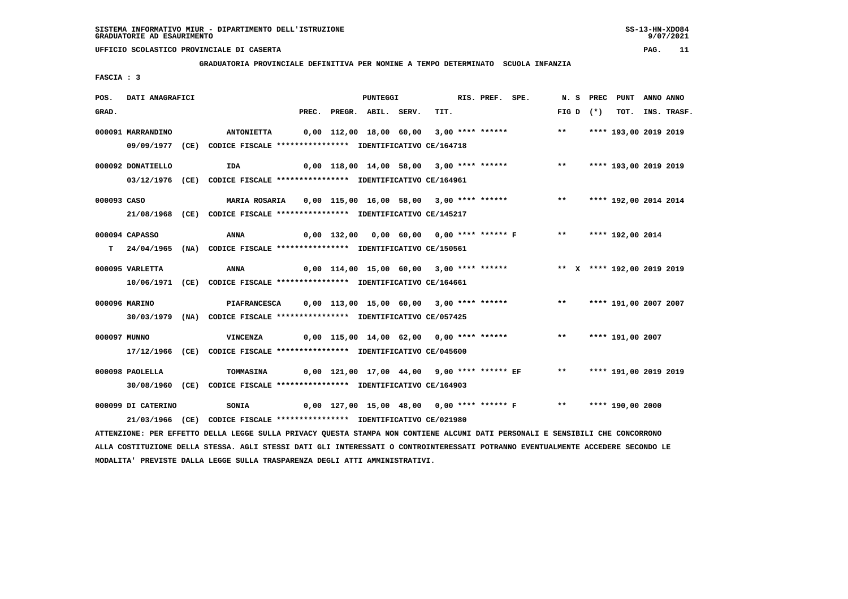**GRADUATORIA PROVINCIALE DEFINITIVA PER NOMINE A TEMPO DETERMINATO SCUOLA INFANZIA**

 **FASCIA : 3**

| POS.        | DATI ANAGRAFICI    |                                                                                                                                 |       | <b>PUNTEGGI</b>    |                                          | RIS. PREF. SPE. |                                                                          | N. S PREC |           | PUNT                  | ANNO ANNO |                  |
|-------------|--------------------|---------------------------------------------------------------------------------------------------------------------------------|-------|--------------------|------------------------------------------|-----------------|--------------------------------------------------------------------------|-----------|-----------|-----------------------|-----------|------------------|
| GRAD.       |                    |                                                                                                                                 | PREC. | PREGR. ABIL. SERV. | TIT.                                     |                 |                                                                          | FIG D     | $(\star)$ |                       |           | TOT. INS. TRASF. |
|             | 000091 MARRANDINO  | <b>ANTONIETTA</b>                                                                                                               |       |                    | 0,00 112,00 18,00 60,00 3,00 **** ****** |                 |                                                                          | $***$     |           | **** 193,00 2019 2019 |           |                  |
|             |                    | 09/09/1977 (CE) CODICE FISCALE *************** IDENTIFICATIVO CE/164718                                                         |       |                    |                                          |                 |                                                                          |           |           |                       |           |                  |
|             |                    |                                                                                                                                 |       |                    |                                          |                 |                                                                          |           |           |                       |           |                  |
|             | 000092 DONATIELLO  | IDA                                                                                                                             |       |                    |                                          |                 | $0,00$ 118,00 14,00 58,00 3,00 **** ****** *** **                        |           |           | **** 193,00 2019 2019 |           |                  |
|             |                    | 03/12/1976 (CE) CODICE FISCALE *************** IDENTIFICATIVO CE/164961                                                         |       |                    |                                          |                 |                                                                          |           |           |                       |           |                  |
| 000093 CASO |                    | <b>MARIA ROSARIA</b>                                                                                                            |       |                    | 0,00 115,00 16,00 58,00 3,00 **** ****** |                 |                                                                          | $***$     |           | **** 192,00 2014 2014 |           |                  |
|             |                    | 21/08/1968 (CE) CODICE FISCALE *************** IDENTIFICATIVO CE/145217                                                         |       |                    |                                          |                 |                                                                          |           |           |                       |           |                  |
|             |                    |                                                                                                                                 |       |                    |                                          |                 |                                                                          |           |           |                       |           |                  |
|             | 000094 CAPASSO     | ANNA                                                                                                                            |       |                    |                                          |                 | 0,00 132,00 0,00 60,00 0,00 **** ****** F ** **** 192,00 2014            |           |           |                       |           |                  |
| T.          |                    | 24/04/1965 (NA) CODICE FISCALE **************** IDENTIFICATIVO CE/150561                                                        |       |                    |                                          |                 |                                                                          |           |           |                       |           |                  |
|             | 000095 VARLETTA    | ANNA                                                                                                                            |       |                    |                                          |                 | 0,00 114,00 15,00 60,00 3,00 **** ****** *** ** ** **** 192,00 2019 2019 |           |           |                       |           |                  |
|             |                    | 10/06/1971 (CE) CODICE FISCALE **************** IDENTIFICATIVO CE/164661                                                        |       |                    |                                          |                 |                                                                          |           |           |                       |           |                  |
|             |                    |                                                                                                                                 |       |                    |                                          |                 |                                                                          |           |           |                       |           |                  |
|             | 000096 MARINO      | PIAFRANCESCA                                                                                                                    |       |                    |                                          |                 | 0,00 113,00 15,00 60,00 3,00 **** ****** *** **** **** 191,00 2007 2007  |           |           |                       |           |                  |
|             |                    | 30/03/1979 (NA) CODICE FISCALE *************** IDENTIFICATIVO CE/057425                                                         |       |                    |                                          |                 |                                                                          |           |           |                       |           |                  |
|             | 000097 MUNNO       | VINCENZA                                                                                                                        |       |                    |                                          |                 | 0,00 115,00 14,00 62,00 0,00 **** ******                                 | $***$     |           | **** 191,00 2007      |           |                  |
|             |                    | 17/12/1966 (CE) CODICE FISCALE **************** IDENTIFICATIVO CE/045600                                                        |       |                    |                                          |                 |                                                                          |           |           |                       |           |                  |
|             |                    |                                                                                                                                 |       |                    |                                          |                 |                                                                          |           |           |                       |           |                  |
|             | 000098 PAOLELLA    | TOMMASINA                                                                                                                       |       |                    |                                          |                 | 0,00 121,00 17,00 44,00 9,00 **** ****** EF ** **** 191,00 2019 2019     |           |           |                       |           |                  |
|             |                    | 30/08/1960 (CE) CODICE FISCALE *************** IDENTIFICATIVO CE/164903                                                         |       |                    |                                          |                 |                                                                          |           |           |                       |           |                  |
|             | 000099 DI CATERINO | <b>SONIA</b>                                                                                                                    |       |                    |                                          |                 | 0,00 127,00 15,00 48,00 0,00 **** ****** F ** **** 190,00 2000           |           |           |                       |           |                  |
|             |                    | 21/03/1966 (CE) CODICE FISCALE *************** IDENTIFICATIVO CE/021980                                                         |       |                    |                                          |                 |                                                                          |           |           |                       |           |                  |
|             |                    | ATTENZIONE: PER EFFETTO DELLA LEGGE SULLA PRIVACY QUESTA STAMPA NON CONTIENE ALCUNI DATI PERSONALI E SENSIBILI CHE CONCORRONO   |       |                    |                                          |                 |                                                                          |           |           |                       |           |                  |
|             |                    | ALLA COSTITUZIONE DELLA STESSA. AGLI STESSI DATI GLI INTERESSATI O CONTROINTERESSATI POTRANNO EVENTUALMENTE ACCEDERE SECONDO LE |       |                    |                                          |                 |                                                                          |           |           |                       |           |                  |

 **MODALITA' PREVISTE DALLA LEGGE SULLA TRASPARENZA DEGLI ATTI AMMINISTRATIVI.**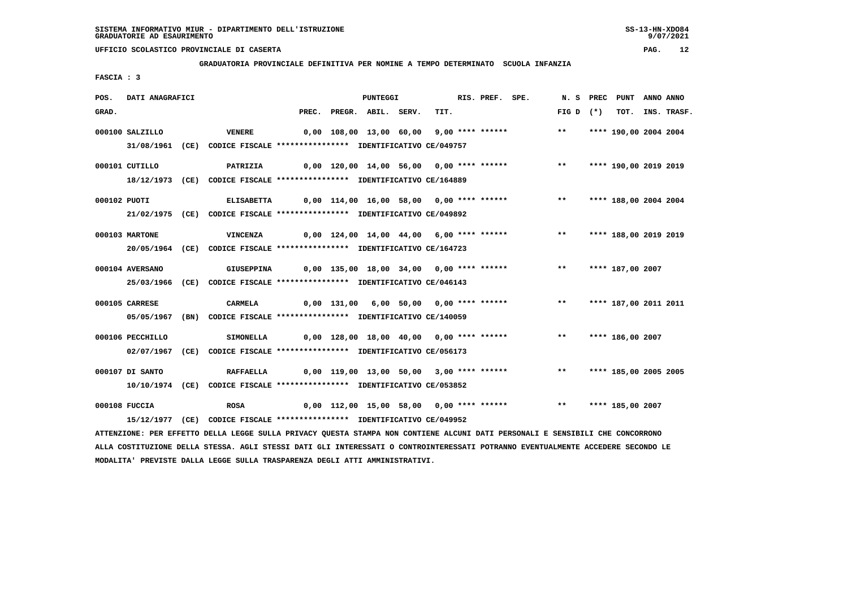**GRADUATORIA PROVINCIALE DEFINITIVA PER NOMINE A TEMPO DETERMINATO SCUOLA INFANZIA**

 **FASCIA : 3**

| POS.         | DATI ANAGRAFICI  |                                                                                                                               |                                                                   | PUNTEGGI                                 |      | RIS. PREF. SPE. |                                                                        |                          | N. S PREC PUNT ANNO ANNO |                  |
|--------------|------------------|-------------------------------------------------------------------------------------------------------------------------------|-------------------------------------------------------------------|------------------------------------------|------|-----------------|------------------------------------------------------------------------|--------------------------|--------------------------|------------------|
| GRAD.        |                  |                                                                                                                               | PREC.                                                             | PREGR. ABIL. SERV.                       | TIT. |                 |                                                                        | FIG D $(*)$              |                          | TOT. INS. TRASF. |
|              | 000100 SALZILLO  | <b>VENERE</b>                                                                                                                 |                                                                   | 0,00 108,00 13,00 60,00 9,00 **** ****** |      |                 |                                                                        | $***$                    | **** 190,00 2004 2004    |                  |
|              |                  | 31/08/1961 (CE) CODICE FISCALE *************** IDENTIFICATIVO CE/049757                                                       |                                                                   |                                          |      |                 |                                                                        |                          |                          |                  |
|              |                  |                                                                                                                               |                                                                   |                                          |      |                 |                                                                        |                          |                          |                  |
|              | 000101 CUTILLO   | <b>PATRIZIA</b>                                                                                                               |                                                                   |                                          |      |                 | 0,00 120,00 14,00 56,00 0,00 **** ****** *** *** **** 190,00 2019 2019 |                          |                          |                  |
|              |                  | 18/12/1973 (CE) CODICE FISCALE *************** IDENTIFICATIVO CE/164889                                                       |                                                                   |                                          |      |                 |                                                                        |                          |                          |                  |
| 000102 PUOTI |                  | <b>ELISABETTA</b>                                                                                                             |                                                                   |                                          |      |                 | 0,00 114,00 16,00 58,00 0,00 **** ******                               | $***$                    | **** 188,00 2004 2004    |                  |
|              |                  | 21/02/1975 (CE) CODICE FISCALE *************** IDENTIFICATIVO CE/049892                                                       |                                                                   |                                          |      |                 |                                                                        |                          |                          |                  |
|              |                  |                                                                                                                               |                                                                   |                                          |      |                 |                                                                        |                          |                          |                  |
|              | 000103 MARTONE   | VINCENZA                                                                                                                      |                                                                   | 0,00 124,00 14,00 44,00 6,00 **** ****** |      |                 |                                                                        | ** **** 188,00 2019 2019 |                          |                  |
|              |                  | 20/05/1964 (CE) CODICE FISCALE *************** IDENTIFICATIVO CE/164723                                                       |                                                                   |                                          |      |                 |                                                                        |                          |                          |                  |
|              | 000104 AVERSANO  | <b>GIUSEPPINA</b>                                                                                                             | 0,00 135,00 18,00 34,00 0,00 **** ****** *** *** **** 187,00 2007 |                                          |      |                 |                                                                        |                          |                          |                  |
|              |                  | 25/03/1966 (CE) CODICE FISCALE *************** IDENTIFICATIVO CE/046143                                                       |                                                                   |                                          |      |                 |                                                                        |                          |                          |                  |
|              |                  |                                                                                                                               |                                                                   |                                          |      |                 |                                                                        |                          |                          |                  |
|              | 000105 CARRESE   | CARMELA                                                                                                                       |                                                                   |                                          |      |                 | 0,00 131,00 6,00 50,00 0,00 **** ******                                | $***$                    | **** 187,00 2011 2011    |                  |
|              |                  | 05/05/1967 (BN) CODICE FISCALE *************** IDENTIFICATIVO CE/140059                                                       |                                                                   |                                          |      |                 |                                                                        |                          |                          |                  |
|              | 000106 PECCHILLO | <b>SIMONELLA</b>                                                                                                              |                                                                   | 0,00 128,00 18,00 40,00 0,00 **** ****** |      |                 |                                                                        | $***$                    | **** 186,00 2007         |                  |
|              |                  | 02/07/1967 (CE) CODICE FISCALE *************** IDENTIFICATIVO CE/056173                                                       |                                                                   |                                          |      |                 |                                                                        |                          |                          |                  |
|              |                  |                                                                                                                               |                                                                   |                                          |      |                 |                                                                        |                          |                          |                  |
|              | 000107 DI SANTO  | RAFFAELLA 0,00 119,00 13,00 50,00 3,00 **** ****** *** *** **** 185,00 2005 2005                                              |                                                                   |                                          |      |                 |                                                                        |                          |                          |                  |
|              |                  | 10/10/1974 (CE) CODICE FISCALE *************** IDENTIFICATIVO CE/053852                                                       |                                                                   |                                          |      |                 |                                                                        |                          |                          |                  |
|              | 000108 FUCCIA    | <b>ROSA</b>                                                                                                                   |                                                                   |                                          |      |                 | 0,00 112,00 15,00 58,00 0,00 **** ******                               | $***$                    | **** 185,00 2007         |                  |
|              |                  | 15/12/1977 (CE) CODICE FISCALE *************** IDENTIFICATIVO CE/049952                                                       |                                                                   |                                          |      |                 |                                                                        |                          |                          |                  |
|              |                  |                                                                                                                               |                                                                   |                                          |      |                 |                                                                        |                          |                          |                  |
|              |                  | ATTENZIONE: PER EFFETTO DELLA LEGGE SULLA PRIVACY QUESTA STAMPA NON CONTIENE ALCUNI DATI PERSONALI E SENSIBILI CHE CONCORRONO |                                                                   |                                          |      |                 |                                                                        |                          |                          |                  |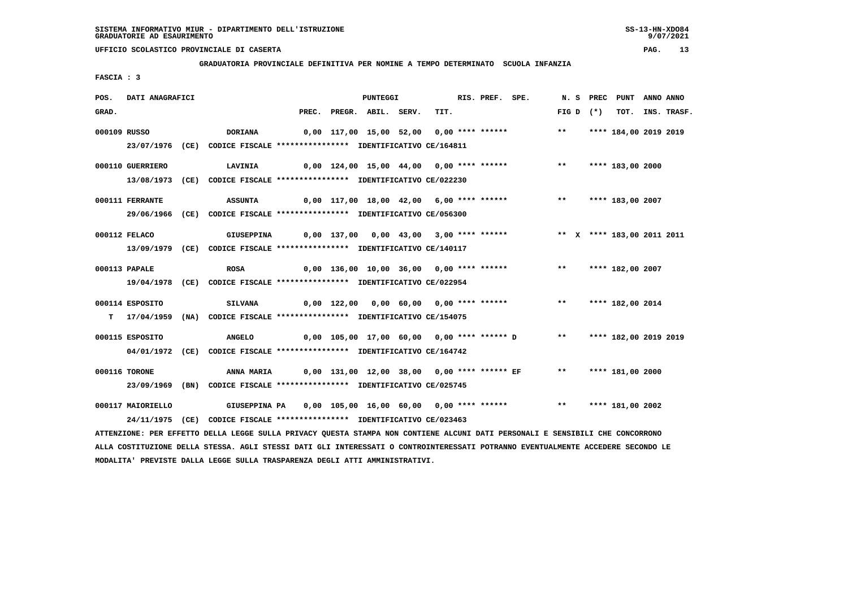**GRADUATORIA PROVINCIALE DEFINITIVA PER NOMINE A TEMPO DETERMINATO SCUOLA INFANZIA**

 **FASCIA : 3**

| POS.  | DATI ANAGRAFICI   |                                                                                                                                 |       | <b>PUNTEGGI</b>    |                                          | RIS. PREF. SPE. |                                                                     |               |             | N. S PREC PUNT ANNO ANNO   |                  |
|-------|-------------------|---------------------------------------------------------------------------------------------------------------------------------|-------|--------------------|------------------------------------------|-----------------|---------------------------------------------------------------------|---------------|-------------|----------------------------|------------------|
| GRAD. |                   |                                                                                                                                 | PREC. | PREGR. ABIL. SERV. | TIT.                                     |                 |                                                                     |               | FIG D $(*)$ |                            | TOT. INS. TRASF. |
|       | 000109 RUSSO      | DORIANA                                                                                                                         |       |                    | 0,00 117,00 15,00 52,00 0,00 **** ****** |                 |                                                                     |               |             | ** **** 184,00 2019 2019   |                  |
|       |                   | 23/07/1976 (CE) CODICE FISCALE *************** IDENTIFICATIVO CE/164811                                                         |       |                    |                                          |                 |                                                                     |               |             |                            |                  |
|       | 000110 GUERRIERO  | <b>LAVINIA</b>                                                                                                                  |       |                    | 0,00 124,00 15,00 44,00 0,00 **** ****** |                 |                                                                     | $\star \star$ |             | **** 183,00 2000           |                  |
|       |                   | 13/08/1973 (CE) CODICE FISCALE *************** IDENTIFICATIVO CE/022230                                                         |       |                    |                                          |                 |                                                                     |               |             |                            |                  |
|       |                   |                                                                                                                                 |       |                    |                                          |                 |                                                                     |               |             |                            |                  |
|       | 000111 FERRANTE   | <b>ASSUNTA</b>                                                                                                                  |       |                    | 0,00 117,00 18,00 42,00 6,00 **** ****** |                 |                                                                     |               |             | ** **** 183,00 2007        |                  |
|       |                   | 29/06/1966 (CE) CODICE FISCALE *************** IDENTIFICATIVO CE/056300                                                         |       |                    |                                          |                 |                                                                     |               |             |                            |                  |
|       |                   |                                                                                                                                 |       |                    |                                          |                 |                                                                     |               |             |                            |                  |
|       | 000112 FELACO     | GIUSEPPINA                                                                                                                      |       |                    |                                          |                 |                                                                     |               |             | ** X **** 183,00 2011 2011 |                  |
|       |                   | 13/09/1979 (CE) CODICE FISCALE *************** IDENTIFICATIVO CE/140117                                                         |       |                    |                                          |                 |                                                                     |               |             |                            |                  |
|       | 000113 PAPALE     | <b>ROSA</b>                                                                                                                     |       |                    |                                          |                 | 0,00 136,00 10,00 36,00 0,00 **** ****** *** *** **** 182,00 2007   |               |             |                            |                  |
|       |                   | 19/04/1978 (CE) CODICE FISCALE *************** IDENTIFICATIVO CE/022954                                                         |       |                    |                                          |                 |                                                                     |               |             |                            |                  |
|       |                   |                                                                                                                                 |       |                    |                                          |                 |                                                                     |               |             |                            |                  |
|       | 000114 ESPOSITO   | <b>SILVANA</b>                                                                                                                  |       |                    | 0,00 122,00 0,00 60,00 0,00 **** ******  |                 |                                                                     |               |             | ** **** 182,00 2014        |                  |
|       |                   | T 17/04/1959 (NA) CODICE FISCALE **************** IDENTIFICATIVO CE/154075                                                      |       |                    |                                          |                 |                                                                     |               |             |                            |                  |
|       | 000115 ESPOSITO   | <b>ANGELO</b>                                                                                                                   |       |                    |                                          |                 | 0,00 105,00 17,00 60,00 0,00 **** ****** D ** **** 182,00 2019 2019 |               |             |                            |                  |
|       |                   | 04/01/1972 (CE) CODICE FISCALE *************** IDENTIFICATIVO CE/164742                                                         |       |                    |                                          |                 |                                                                     |               |             |                            |                  |
|       |                   |                                                                                                                                 |       |                    |                                          |                 |                                                                     |               |             |                            |                  |
|       | 000116 TORONE     | ANNA MARIA                                                                                                                      |       |                    |                                          |                 |                                                                     |               |             | ** **** 181,00 2000        |                  |
|       |                   | 23/09/1969 (BN) CODICE FISCALE *************** IDENTIFICATIVO CE/025745                                                         |       |                    |                                          |                 |                                                                     |               |             |                            |                  |
|       | 000117 MAIORIELLO | GIUSEPPINA PA                                                                                                                   |       |                    |                                          |                 | 0,00 105,00 16,00 60,00 0,00 **** ******                            |               |             | ** **** 181,00 2002        |                  |
|       |                   | 24/11/1975 (CE) CODICE FISCALE *************** IDENTIFICATIVO CE/023463                                                         |       |                    |                                          |                 |                                                                     |               |             |                            |                  |
|       |                   | ATTENZIONE: PER EFFETTO DELLA LEGGE SULLA PRIVACY QUESTA STAMPA NON CONTIENE ALCUNI DATI PERSONALI E SENSIBILI CHE CONCORRONO   |       |                    |                                          |                 |                                                                     |               |             |                            |                  |
|       |                   | ALLA COSTITUZIONE DELLA STESSA. AGLI STESSI DATI GLI INTERESSATI O CONTROINTERESSATI POTRANNO EVENTUALMENTE ACCEDERE SECONDO LE |       |                    |                                          |                 |                                                                     |               |             |                            |                  |

 **MODALITA' PREVISTE DALLA LEGGE SULLA TRASPARENZA DEGLI ATTI AMMINISTRATIVI.**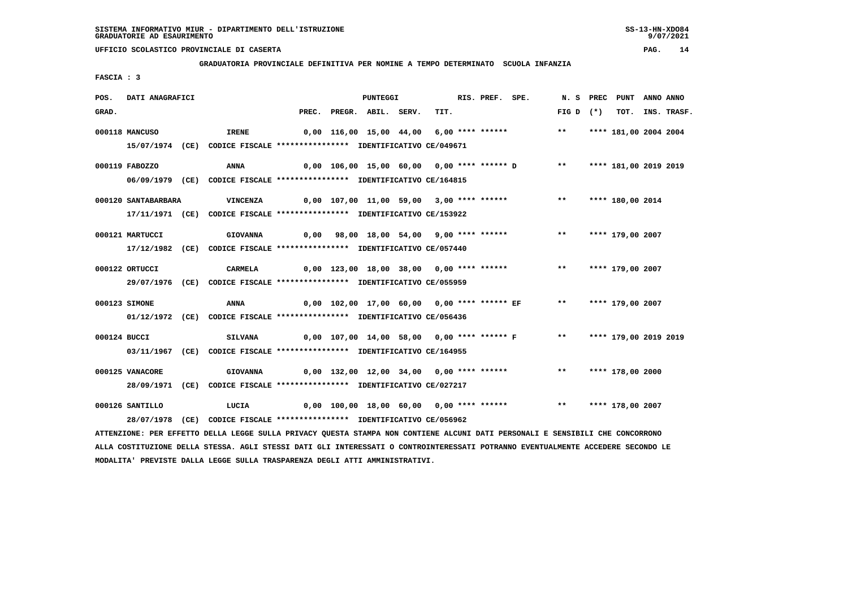#### **GRADUATORIA PROVINCIALE DEFINITIVA PER NOMINE A TEMPO DETERMINATO SCUOLA INFANZIA**

 **FASCIA : 3**

| POS.  | DATI ANAGRAFICI     |                                                                                                                               |       | <b>PUNTEGGI</b>    |                                                                      |  | RIS. PREF. SPE. |             | N. S PREC PUNT ANNO ANNO |                  |
|-------|---------------------|-------------------------------------------------------------------------------------------------------------------------------|-------|--------------------|----------------------------------------------------------------------|--|-----------------|-------------|--------------------------|------------------|
| GRAD. |                     |                                                                                                                               | PREC. | PREGR. ABIL. SERV. | TIT.                                                                 |  |                 | $FIG D (*)$ |                          | TOT. INS. TRASF. |
|       | 000118 MANCUSO      | IRENE                                                                                                                         |       |                    | 0,00 116,00 15,00 44,00 6,00 **** ****** *** ***                     |  |                 |             | **** 181,00 2004 2004    |                  |
|       |                     | 15/07/1974 (CE) CODICE FISCALE *************** IDENTIFICATIVO CE/049671                                                       |       |                    |                                                                      |  |                 |             |                          |                  |
|       | 000119 FABOZZO      | <b>ANNA</b>                                                                                                                   |       |                    | 0,00 106,00 15,00 60,00 0,00 **** ****** D ** **** 181,00 2019 2019  |  |                 |             |                          |                  |
|       |                     | 06/09/1979 (CE) CODICE FISCALE *************** IDENTIFICATIVO CE/164815                                                       |       |                    |                                                                      |  |                 |             |                          |                  |
|       | 000120 SANTABARBARA | <b>VINCENZA</b>                                                                                                               |       |                    | 0,00 107,00 11,00 59,00 3,00 **** ******                             |  |                 |             | ** **** 180,00 2014      |                  |
|       |                     | 17/11/1971 (CE) CODICE FISCALE *************** IDENTIFICATIVO CE/153922                                                       |       |                    |                                                                      |  |                 |             |                          |                  |
|       | 000121 MARTUCCI     | <b>GIOVANNA</b>                                                                                                               |       |                    | 0,00 98,00 18,00 54,00 9,00 **** ******      **   **** 179,00 2007   |  |                 |             |                          |                  |
|       |                     | 17/12/1982 (CE) CODICE FISCALE *************** IDENTIFICATIVO CE/057440                                                       |       |                    |                                                                      |  |                 |             |                          |                  |
|       | 000122 ORTUCCI      | CARMELA                                                                                                                       |       |                    | 0,00 123,00 18,00 38,00 0,00 **** ****** *** **** **** 179,00 2007   |  |                 |             |                          |                  |
|       |                     | 29/07/1976 (CE) CODICE FISCALE *************** IDENTIFICATIVO CE/055959                                                       |       |                    |                                                                      |  |                 |             |                          |                  |
|       | 000123 SIMONE       | ANNA                                                                                                                          |       |                    | 0,00 102,00 17,00 60,00 0,00 **** ****** EF *** **** 179,00 2007     |  |                 |             |                          |                  |
|       |                     | 01/12/1972 (CE) CODICE FISCALE *************** IDENTIFICATIVO CE/056436                                                       |       |                    |                                                                      |  |                 |             |                          |                  |
|       | 000124 BUCCI        | <b>SILVANA</b>                                                                                                                |       |                    | 0,00 107,00 14,00 58,00 0,00 **** ****** F *** **** 179,00 2019 2019 |  |                 |             |                          |                  |
|       |                     | 03/11/1967 (CE) CODICE FISCALE *************** IDENTIFICATIVO CE/164955                                                       |       |                    |                                                                      |  |                 |             |                          |                  |
|       | 000125 VANACORE     | <b>GIOVANNA</b>                                                                                                               |       |                    | 0,00 132,00 12,00 34,00 0,00 **** ****** *** **** **** 178,00 2000   |  |                 |             |                          |                  |
|       |                     | 28/09/1971 (CE) CODICE FISCALE *************** IDENTIFICATIVO CE/027217                                                       |       |                    |                                                                      |  |                 |             |                          |                  |
|       |                     |                                                                                                                               |       |                    |                                                                      |  |                 |             |                          |                  |
|       | 000126 SANTILLO     | LUCIA 6,00 100,00 18,00 60,00 0,00 **** ****** **** **** 178,00 2007                                                          |       |                    |                                                                      |  |                 |             |                          |                  |
|       |                     | 28/07/1978 (CE) CODICE FISCALE *************** IDENTIFICATIVO CE/056962                                                       |       |                    |                                                                      |  |                 |             |                          |                  |
|       |                     | ATTENZIONE: PER EFFETTO DELLA LEGGE SULLA PRIVACY QUESTA STAMPA NON CONTIENE ALCUNI DATI PERSONALI E SENSIBILI CHE CONCORRONO |       |                    |                                                                      |  |                 |             |                          |                  |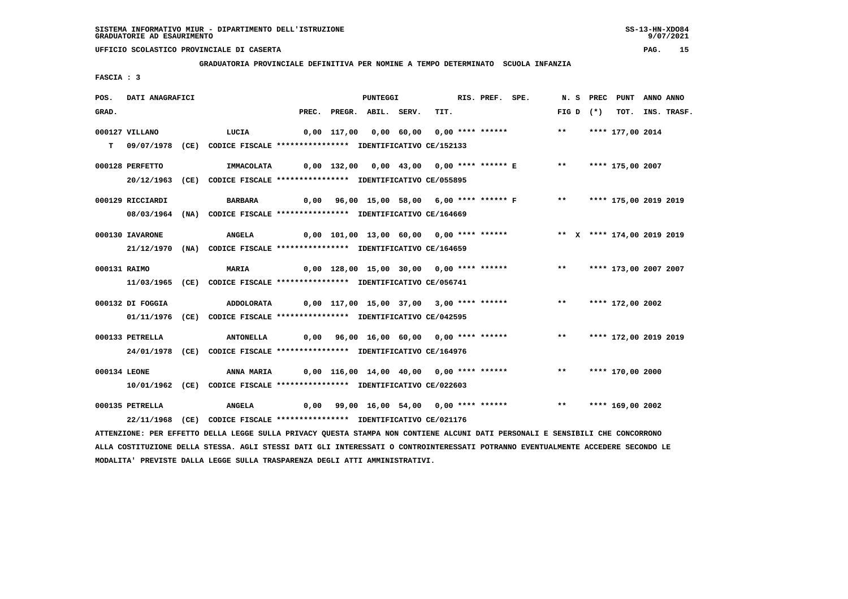**GRADUATORIA PROVINCIALE DEFINITIVA PER NOMINE A TEMPO DETERMINATO SCUOLA INFANZIA**

 **FASCIA : 3**

| POS.         | DATI ANAGRAFICI  |                                                                                                                               |                                                                       | PUNTEGGI                 |                                                                          | RIS. PREF. SPE. |               | N. S PREC PUNT   | ANNO ANNO |                  |
|--------------|------------------|-------------------------------------------------------------------------------------------------------------------------------|-----------------------------------------------------------------------|--------------------------|--------------------------------------------------------------------------|-----------------|---------------|------------------|-----------|------------------|
| GRAD.        |                  |                                                                                                                               |                                                                       | PREC. PREGR. ABIL. SERV. | TIT.                                                                     |                 | $FIG D (*)$   |                  |           | TOT. INS. TRASF. |
|              | 000127 VILLANO   | LUCIA                                                                                                                         |                                                                       |                          | 0,00 117,00 0,00 60,00 0,00 **** ****** *** *** **** 177,00 2014         |                 |               |                  |           |                  |
|              |                  | T 09/07/1978 (CE) CODICE FISCALE *************** IDENTIFICATIVO CE/152133                                                     |                                                                       |                          |                                                                          |                 |               |                  |           |                  |
|              | 000128 PERFETTO  | IMMACOLATA                                                                                                                    | 0,00 132,00  0,00 43,00  0,00 **** ****** E     **   **** 175,00 2007 |                          |                                                                          |                 |               |                  |           |                  |
|              |                  | 20/12/1963 (CE) CODICE FISCALE *************** IDENTIFICATIVO CE/055895                                                       |                                                                       |                          |                                                                          |                 |               |                  |           |                  |
|              | 000129 RICCIARDI | BARBARA                                                                                                                       |                                                                       |                          | 0,00 96,00 15,00 58,00 6,00 **** ****** F ** **** 175,00 2019 2019       |                 |               |                  |           |                  |
|              |                  | 08/03/1964 (NA) CODICE FISCALE *************** IDENTIFICATIVO CE/164669                                                       |                                                                       |                          |                                                                          |                 |               |                  |           |                  |
|              | 000130 IAVARONE  | ANGELA                                                                                                                        |                                                                       |                          | 0,00 101,00 13,00 60,00 0,00 **** ****** *** ** ** **** 174,00 2019 2019 |                 |               |                  |           |                  |
|              |                  | 21/12/1970 (NA) CODICE FISCALE *************** IDENTIFICATIVO CE/164659                                                       |                                                                       |                          |                                                                          |                 |               |                  |           |                  |
| 000131 RAIMO |                  | <b>MARIA</b>                                                                                                                  |                                                                       |                          | 0,00 128,00 15,00 30,00 0,00 **** ****** **** *** **** 173,00 2007 2007  |                 |               |                  |           |                  |
|              |                  | 11/03/1965 (CE) CODICE FISCALE *************** IDENTIFICATIVO CE/056741                                                       |                                                                       |                          |                                                                          |                 |               |                  |           |                  |
|              | 000132 DI FOGGIA | <b>ADDOLORATA</b>                                                                                                             | 0,00 117,00 15,00 37,00 3,00 **** ****** *** **** **** 172,00 2002    |                          |                                                                          |                 |               |                  |           |                  |
|              |                  | 01/11/1976 (CE) CODICE FISCALE *************** IDENTIFICATIVO CE/042595                                                       |                                                                       |                          |                                                                          |                 |               |                  |           |                  |
|              | 000133 PETRELLA  | <b>ANTONELLA</b>                                                                                                              |                                                                       |                          | 0,00 96,00 16,00 60,00 0,00 **** ****** *** *** **** 172,00 2019 2019    |                 |               |                  |           |                  |
|              |                  | 24/01/1978 (CE) CODICE FISCALE *************** IDENTIFICATIVO CE/164976                                                       |                                                                       |                          |                                                                          |                 |               |                  |           |                  |
| 000134 LEONE |                  | <b>ANNA MARIA</b>                                                                                                             |                                                                       |                          | 0,00 116,00 14,00 40,00 0,00 **** ******                                 |                 | $\star \star$ | **** 170,00 2000 |           |                  |
|              |                  | 10/01/1962 (CE) CODICE FISCALE *************** IDENTIFICATIVO CE/022603                                                       |                                                                       |                          |                                                                          |                 |               |                  |           |                  |
|              | 000135 PETRELLA  | <b>ANGELA</b>                                                                                                                 | 0,00 99,00 16,00 54,00 0,00 **** ******     **   **** 169,00 2002     |                          |                                                                          |                 |               |                  |           |                  |
|              |                  | 22/11/1968 (CE) CODICE FISCALE *************** IDENTIFICATIVO CE/021176                                                       |                                                                       |                          |                                                                          |                 |               |                  |           |                  |
|              |                  | ATTENZIONE: PER EFFETTO DELLA LEGGE SULLA PRIVACY QUESTA STAMPA NON CONTIENE ALCUNI DATI PERSONALI E SENSIBILI CHE CONCORRONO |                                                                       |                          |                                                                          |                 |               |                  |           |                  |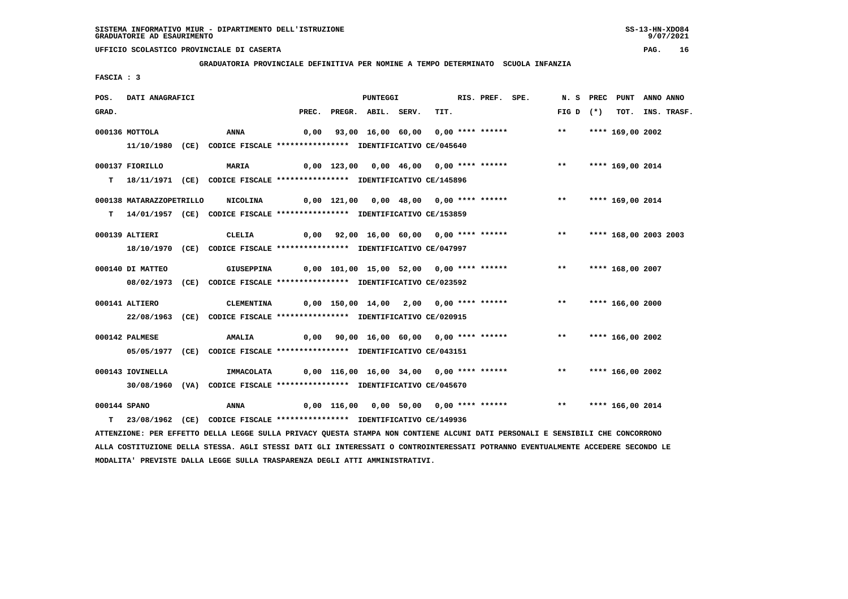**GRADUATORIA PROVINCIALE DEFINITIVA PER NOMINE A TEMPO DETERMINATO SCUOLA INFANZIA**

 **FASCIA : 3**

| POS.                                                                         | DATI ANAGRAFICI          |                                                                         |                                                        | <b>PUNTEGGI</b>    |                                                         | RIS. PREF. | SPE. | N. S        | PREC | PUNT                  | ANNO ANNO |             |
|------------------------------------------------------------------------------|--------------------------|-------------------------------------------------------------------------|--------------------------------------------------------|--------------------|---------------------------------------------------------|------------|------|-------------|------|-----------------------|-----------|-------------|
| GRAD.                                                                        |                          |                                                                         | PREC.                                                  | PREGR. ABIL. SERV. | TIT.                                                    |            |      | FIG D $(*)$ |      | тот.                  |           | INS. TRASF. |
|                                                                              | 000136 MOTTOLA           | <b>ANNA</b>                                                             | 0,00                                                   |                    | 93,00 16,00 60,00 0,00 **** ****** *** **               |            |      |             |      | **** 169,00 2002      |           |             |
|                                                                              |                          | 11/10/1980 (CE) CODICE FISCALE *************** IDENTIFICATIVO CE/045640 |                                                        |                    |                                                         |            |      |             |      |                       |           |             |
|                                                                              | 000137 FIORILLO          | MARIA                                                                   |                                                        |                    | 0,00 123,00 0,00 46,00 0,00 **** ****** *** **          |            |      |             |      | **** 169,00 2014      |           |             |
| т                                                                            |                          | 18/11/1971 (CE) CODICE FISCALE *************** IDENTIFICATIVO CE/145896 |                                                        |                    |                                                         |            |      |             |      |                       |           |             |
|                                                                              | 000138 MATARAZZOPETRILLO | <b>NICOLINA</b>                                                         | 0,00 121,00 0,00 48,00 0,00 **** ******             ** |                    |                                                         |            |      |             |      | **** 169,00 2014      |           |             |
| т                                                                            |                          | 14/01/1957 (CE) CODICE FISCALE *************** IDENTIFICATIVO CE/153859 |                                                        |                    |                                                         |            |      |             |      |                       |           |             |
|                                                                              |                          |                                                                         |                                                        |                    |                                                         |            |      |             |      |                       |           |             |
|                                                                              | 000139 ALTIERI           | CLELIA                                                                  |                                                        |                    | 0,00 92,00 16,00 60,00 0,00 **** ******                 |            |      | $***$       |      | **** 168,00 2003 2003 |           |             |
|                                                                              |                          | 18/10/1970 (CE) CODICE FISCALE *************** IDENTIFICATIVO CE/047997 |                                                        |                    |                                                         |            |      |             |      |                       |           |             |
|                                                                              | 000140 DI MATTEO         | GIUSEPPINA                                                              |                                                        |                    | 0,00 101,00 15,00 52,00 0,00 **** ******             ** |            |      |             |      | **** 168,00 2007      |           |             |
|                                                                              |                          | 08/02/1973 (CE) CODICE FISCALE *************** IDENTIFICATIVO CE/023592 |                                                        |                    |                                                         |            |      |             |      |                       |           |             |
|                                                                              | 000141 ALTIERO           | CLEMENTINA                                                              |                                                        |                    | 0,00 150,00 14,00 2,00 0,00 **** ******           **    |            |      |             |      | **** 166,00 2000      |           |             |
|                                                                              |                          |                                                                         |                                                        |                    |                                                         |            |      |             |      |                       |           |             |
|                                                                              |                          | 22/08/1963 (CE) CODICE FISCALE *************** IDENTIFICATIVO CE/020915 |                                                        |                    |                                                         |            |      |             |      |                       |           |             |
|                                                                              | 000142 PALMESE           | <b>AMALIA</b>                                                           | 0,00 90,00 16,00 60,00 0,00 **** ****** *** **         |                    |                                                         |            |      |             |      | **** 166,00 2002      |           |             |
|                                                                              |                          | 05/05/1977 (CE) CODICE FISCALE *************** IDENTIFICATIVO CE/043151 |                                                        |                    |                                                         |            |      |             |      |                       |           |             |
|                                                                              | 000143 IOVINELLA         |                                                                         |                                                        |                    |                                                         |            |      | $***$       |      | **** 166,00 2002      |           |             |
|                                                                              |                          | IMMACOLATA                                                              |                                                        |                    | $0,00$ 116,00 16,00 34,00 0,00 **** ******              |            |      |             |      |                       |           |             |
|                                                                              |                          | 30/08/1960 (VA) CODICE FISCALE *************** IDENTIFICATIVO CE/045670 |                                                        |                    |                                                         |            |      |             |      |                       |           |             |
| 000144 SPANO                                                                 |                          | <b>ANNA</b>                                                             |                                                        |                    | 0,00 116,00 0,00 50,00 0,00 **** ****** *** **          |            |      |             |      | **** 166,00 2014      |           |             |
| 23/08/1962 (CE) CODICE FISCALE *************** IDENTIFICATIVO CE/149936<br>т |                          |                                                                         |                                                        |                    |                                                         |            |      |             |      |                       |           |             |

 **ATTENZIONE: PER EFFETTO DELLA LEGGE SULLA PRIVACY QUESTA STAMPA NON CONTIENE ALCUNI DATI PERSONALI E SENSIBILI CHE CONCORRONO ALLA COSTITUZIONE DELLA STESSA. AGLI STESSI DATI GLI INTERESSATI O CONTROINTERESSATI POTRANNO EVENTUALMENTE ACCEDERE SECONDO LE MODALITA' PREVISTE DALLA LEGGE SULLA TRASPARENZA DEGLI ATTI AMMINISTRATIVI.**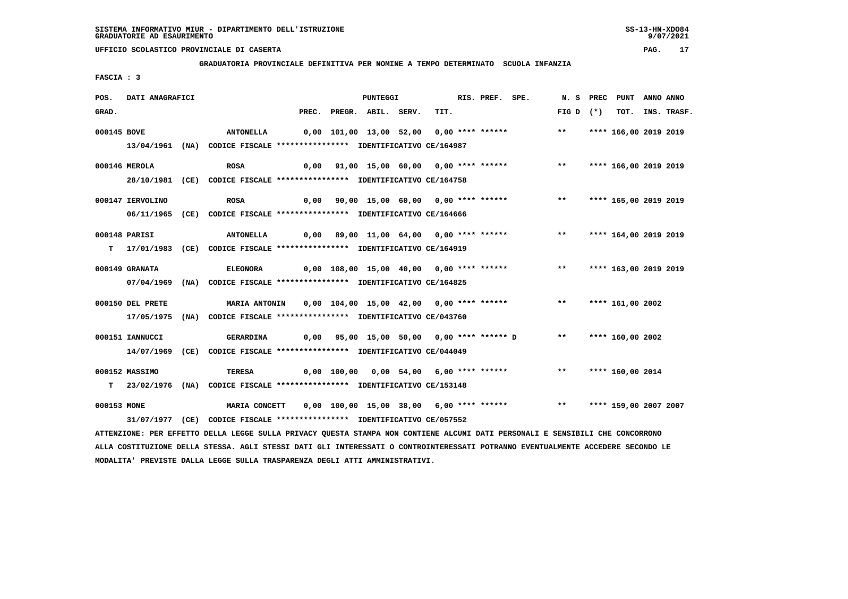**GRADUATORIA PROVINCIALE DEFINITIVA PER NOMINE A TEMPO DETERMINATO SCUOLA INFANZIA**

 **FASCIA : 3**

| POS.        | DATI ANAGRAFICI  |                                                                                                                               |  | <b>PUNTEGGI</b>          |                                                               | RIS. PREF. SPE. | N. S                     | PREC      | PUNT                  | ANNO ANNO |                  |
|-------------|------------------|-------------------------------------------------------------------------------------------------------------------------------|--|--------------------------|---------------------------------------------------------------|-----------------|--------------------------|-----------|-----------------------|-----------|------------------|
| GRAD.       |                  |                                                                                                                               |  | PREC. PREGR. ABIL. SERV. | TIT.                                                          |                 | FIG D                    | $(\star)$ |                       |           | TOT. INS. TRASF. |
| 000145 BOVE |                  | <b>ANTONELLA</b>                                                                                                              |  |                          | 0,00 101,00 13,00 52,00 0,00 **** ******                      |                 | $***$                    |           | **** 166,00 2019 2019 |           |                  |
|             |                  | 13/04/1961 (NA) CODICE FISCALE **************** IDENTIFICATIVO CE/164987                                                      |  |                          |                                                               |                 |                          |           |                       |           |                  |
|             | 000146 MEROLA    | <b>ROSA</b>                                                                                                                   |  |                          | 0,00 91,00 15,00 60,00 0,00 **** ****** *** **                |                 |                          |           | **** 166,00 2019 2019 |           |                  |
|             |                  | 28/10/1981 (CE) CODICE FISCALE *************** IDENTIFICATIVO CE/164758                                                       |  |                          |                                                               |                 |                          |           |                       |           |                  |
|             | 000147 IERVOLINO | <b>ROSA</b>                                                                                                                   |  |                          | 0,00 90,00 15,00 60,00 0,00 **** ******                       |                 | $***$                    |           | **** 165,00 2019 2019 |           |                  |
|             |                  | 06/11/1965 (CE) CODICE FISCALE *************** IDENTIFICATIVO CE/164666                                                       |  |                          |                                                               |                 |                          |           |                       |           |                  |
|             | 000148 PARISI    | <b>ANTONELLA</b>                                                                                                              |  |                          | 0,00 89,00 11,00 64,00 0,00 **** ******                       |                 | ** **** 164,00 2019 2019 |           |                       |           |                  |
|             |                  | T 17/01/1983 (CE) CODICE FISCALE *************** IDENTIFICATIVO CE/164919                                                     |  |                          |                                                               |                 |                          |           |                       |           |                  |
|             | 000149 GRANATA   | <b>ELEONORA</b>                                                                                                               |  |                          | $0,00$ 108,00 15,00 40,00 0,00 **** ****** *** **             |                 |                          |           | **** 163,00 2019 2019 |           |                  |
|             |                  | 07/04/1969 (NA) CODICE FISCALE *************** IDENTIFICATIVO CE/164825                                                       |  |                          |                                                               |                 |                          |           |                       |           |                  |
|             | 000150 DEL PRETE | MARIA ANTONIN                                                                                                                 |  |                          | 0,00 104,00 15,00 42,00 0,00 **** ******                      |                 | $***$                    |           | **** 161,00 2002      |           |                  |
|             |                  | 17/05/1975 (NA) CODICE FISCALE *************** IDENTIFICATIVO CE/043760                                                       |  |                          |                                                               |                 |                          |           |                       |           |                  |
|             | 000151 IANNUCCI  | <b>GERARDINA</b>                                                                                                              |  |                          | 0,00 95,00 15,00 50,00 0,00 **** ****** D ** **** 160,00 2002 |                 |                          |           |                       |           |                  |
|             |                  | 14/07/1969 (CE) CODICE FISCALE **************** IDENTIFICATIVO CE/044049                                                      |  |                          |                                                               |                 |                          |           |                       |           |                  |
|             | 000152 MASSIMO   | TERESA                                                                                                                        |  |                          | 0,00 100,00 0,00 54,00 6,00 **** ******                       |                 | $***$                    |           | **** 160,00 2014      |           |                  |
|             |                  | T 23/02/1976 (NA) CODICE FISCALE *************** IDENTIFICATIVO CE/153148                                                     |  |                          |                                                               |                 |                          |           |                       |           |                  |
| 000153 MONE |                  | <b>MARIA CONCETT</b>                                                                                                          |  |                          | 0,00 100,00 15,00 38,00 6,00 **** ******                      |                 | $\star \star$            |           | **** 159,00 2007 2007 |           |                  |
|             |                  | 31/07/1977 (CE) CODICE FISCALE *************** IDENTIFICATIVO CE/057552                                                       |  |                          |                                                               |                 |                          |           |                       |           |                  |
|             |                  | ATTENZIONE: PER EFFETTO DELLA LEGGE SULLA PRIVACY QUESTA STAMPA NON CONTIENE ALCUNI DATI PERSONALI E SENSIBILI CHE CONCORRONO |  |                          |                                                               |                 |                          |           |                       |           |                  |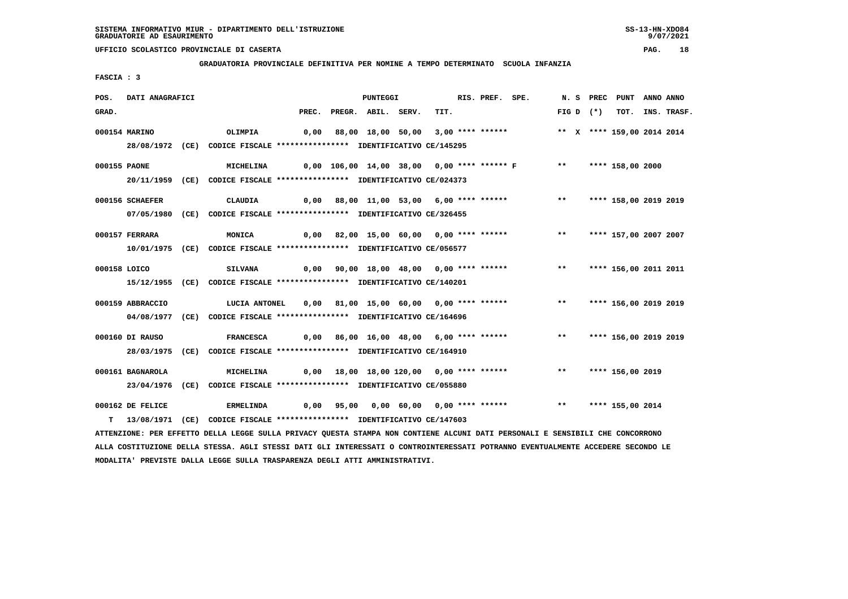#### **GRADUATORIA PROVINCIALE DEFINITIVA PER NOMINE A TEMPO DETERMINATO SCUOLA INFANZIA**

 **FASCIA : 3**

| POS.         | DATI ANAGRAFICI  |                                                                         |                                                | PUNTEGGI           |                                         | RIS. PREF. SPE. |                                                                |       | N.S PREC    | PUNT                       | ANNO ANNO |                  |
|--------------|------------------|-------------------------------------------------------------------------|------------------------------------------------|--------------------|-----------------------------------------|-----------------|----------------------------------------------------------------|-------|-------------|----------------------------|-----------|------------------|
| GRAD.        |                  |                                                                         | PREC.                                          | PREGR. ABIL. SERV. | TIT.                                    |                 |                                                                |       | FIG D $(*)$ |                            |           | TOT. INS. TRASF. |
|              | 000154 MARINO    | <b>OLIMPIA</b>                                                          | 0,00                                           |                    |                                         |                 | 88,00 18,00 50,00 3,00 **** ******                             |       |             | ** X **** 159,00 2014 2014 |           |                  |
|              |                  | 28/08/1972 (CE) CODICE FISCALE *************** IDENTIFICATIVO CE/145295 |                                                |                    |                                         |                 |                                                                |       |             |                            |           |                  |
| 000155 PAONE |                  | MICHELINA                                                               |                                                |                    |                                         |                 | 0,00 106,00 14,00 38,00 0,00 **** ****** F ** **** 158,00 2000 |       |             |                            |           |                  |
|              |                  | 20/11/1959 (CE) CODICE FISCALE *************** IDENTIFICATIVO CE/024373 |                                                |                    |                                         |                 |                                                                |       |             |                            |           |                  |
|              | 000156 SCHAEFER  | CLAUDIA                                                                 |                                                |                    |                                         |                 | 0,00 88,00 11,00 53,00 6,00 **** ****** *** **                 |       |             | **** 158,00 2019 2019      |           |                  |
|              |                  | 07/05/1980 (CE) CODICE FISCALE *************** IDENTIFICATIVO CE/326455 |                                                |                    |                                         |                 |                                                                |       |             |                            |           |                  |
|              | 000157 FERRARA   | <b>MONICA</b>                                                           |                                                |                    |                                         |                 | 0,00 82,00 15,00 60,00 0,00 **** ****** *** **                 |       |             | **** 157,00 2007 2007      |           |                  |
|              |                  | 10/01/1975 (CE) CODICE FISCALE *************** IDENTIFICATIVO CE/056577 |                                                |                    |                                         |                 |                                                                |       |             |                            |           |                  |
| 000158 LOICO |                  | <b>SILVANA</b>                                                          |                                                |                    |                                         |                 | 0,00 90,00 18,00 48,00 0,00 **** ****** *** **                 |       |             | **** 156,00 2011 2011      |           |                  |
|              | 15/12/1955 (CE)  | CODICE FISCALE **************** IDENTIFICATIVO CE/140201                |                                                |                    |                                         |                 |                                                                |       |             |                            |           |                  |
|              | 000159 ABBRACCIO | LUCIA ANTONEL                                                           |                                                |                    | 0,00 81,00 15,00 60,00 0,00 **** ****** |                 |                                                                | $***$ |             | **** 156,00 2019 2019      |           |                  |
|              |                  | 04/08/1977 (CE) CODICE FISCALE *************** IDENTIFICATIVO CE/164696 |                                                |                    |                                         |                 |                                                                |       |             |                            |           |                  |
|              | 000160 DI RAUSO  | <b>FRANCESCA</b>                                                        | 0,00 86,00 16,00 48,00 6,00 **** ****** *** ** |                    |                                         |                 |                                                                |       |             | **** 156,00 2019 2019      |           |                  |
|              |                  | 28/03/1975 (CE) CODICE FISCALE *************** IDENTIFICATIVO CE/164910 |                                                |                    |                                         |                 |                                                                |       |             |                            |           |                  |
|              | 000161 BAGNAROLA | <b>MICHELINA</b>                                                        |                                                |                    |                                         |                 | 0,00 18,00 18,00 120,00 0,00 **** ****** *** **                |       |             | **** 156,00 2019           |           |                  |
|              |                  | 23/04/1976 (CE) CODICE FISCALE *************** IDENTIFICATIVO CE/055880 |                                                |                    |                                         |                 |                                                                |       |             |                            |           |                  |
|              | 000162 DE FELICE | <b>ERMELINDA</b>                                                        | 0,00                                           |                    |                                         |                 |                                                                | $***$ |             | **** 155,00 2014           |           |                  |
|              |                  | 13/08/1971 (CE) CODICE FISCALE *************** IDENTIFICATIVO CE/147603 |                                                |                    |                                         |                 |                                                                |       |             |                            |           |                  |

 **ATTENZIONE: PER EFFETTO DELLA LEGGE SULLA PRIVACY QUESTA STAMPA NON CONTIENE ALCUNI DATI PERSONALI E SENSIBILI CHE CONCORRONO ALLA COSTITUZIONE DELLA STESSA. AGLI STESSI DATI GLI INTERESSATI O CONTROINTERESSATI POTRANNO EVENTUALMENTE ACCEDERE SECONDO LE MODALITA' PREVISTE DALLA LEGGE SULLA TRASPARENZA DEGLI ATTI AMMINISTRATIVI.**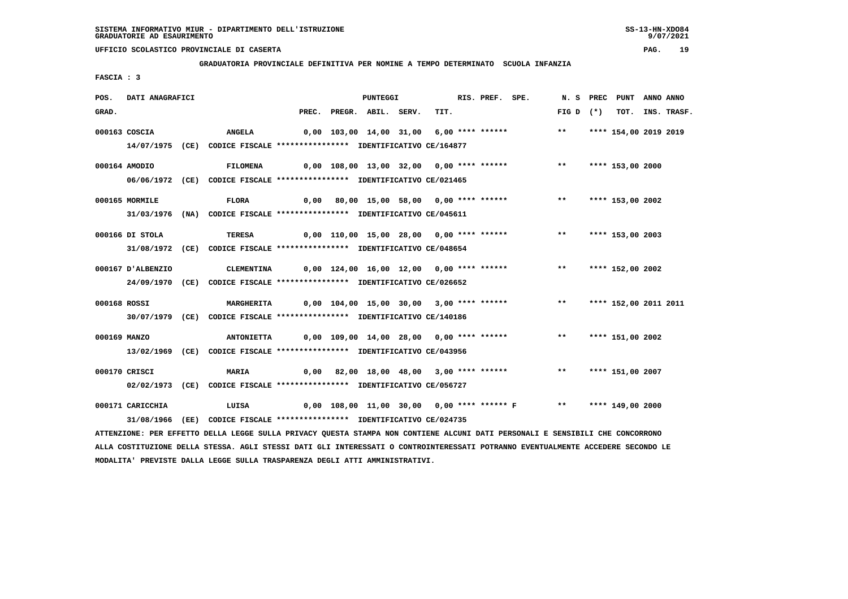**GRADUATORIA PROVINCIALE DEFINITIVA PER NOMINE A TEMPO DETERMINATO SCUOLA INFANZIA**

 **FASCIA : 3**

| POS.  | DATI ANAGRAFICI   |                                                                                                                               |  | <b>PUNTEGGI</b>          |                                                                    | RIS. PREF. SPE. |             | N. S PREC PUNT ANNO ANNO |                  |
|-------|-------------------|-------------------------------------------------------------------------------------------------------------------------------|--|--------------------------|--------------------------------------------------------------------|-----------------|-------------|--------------------------|------------------|
| GRAD. |                   |                                                                                                                               |  | PREC. PREGR. ABIL. SERV. | TIT.                                                               |                 | FIG D $(*)$ |                          | TOT. INS. TRASF. |
|       | 000163 COSCIA     | <b>ANGELA</b>                                                                                                                 |  |                          | 0,00 103,00 14,00 31,00 6,00 **** ****** *** **                    |                 |             | **** 154,00 2019 2019    |                  |
|       |                   | 14/07/1975 (CE) CODICE FISCALE *************** IDENTIFICATIVO CE/164877                                                       |  |                          |                                                                    |                 |             |                          |                  |
|       | 000164 AMODIO     | FILOMENA 0,00 108,00 13,00 32,00 0,00 **** ****** *** *** **** 153,00 2000                                                    |  |                          |                                                                    |                 |             |                          |                  |
|       |                   | 06/06/1972 (CE) CODICE FISCALE *************** IDENTIFICATIVO CE/021465                                                       |  |                          |                                                                    |                 |             |                          |                  |
|       | 000165 MORMILE    | <b>FLORA</b>                                                                                                                  |  |                          | 0,00 80,00 15,00 58,00 0,00 **** ****** *** **                     |                 |             | **** 153,00 2002         |                  |
|       |                   | 31/03/1976 (NA) CODICE FISCALE *************** IDENTIFICATIVO CE/045611                                                       |  |                          |                                                                    |                 |             |                          |                  |
|       | 000166 DI STOLA   | TERESA                                                                                                                        |  |                          | 0,00 110,00 15,00 28,00 0,00 **** ****** *** **** **** 153,00 2003 |                 |             |                          |                  |
|       |                   | 31/08/1972 (CE) CODICE FISCALE *************** IDENTIFICATIVO CE/048654                                                       |  |                          |                                                                    |                 |             |                          |                  |
|       | 000167 D'ALBENZIO | CLEMENTINA 0,00 124,00 16,00 12,00 0,00 **** ****** *** *** **** 152,00 2002                                                  |  |                          |                                                                    |                 |             |                          |                  |
|       |                   | 24/09/1970 (CE) CODICE FISCALE *************** IDENTIFICATIVO CE/026652                                                       |  |                          |                                                                    |                 |             |                          |                  |
|       | 000168 ROSSI      | MARGHERITA        0,00 104,00 15,00 30,00  3,00 **** ******            **    **** 152,00 2011 2011                            |  |                          |                                                                    |                 |             |                          |                  |
|       |                   | 30/07/1979 (CE) CODICE FISCALE *************** IDENTIFICATIVO CE/140186                                                       |  |                          |                                                                    |                 |             |                          |                  |
|       | 000169 MANZO      | <b>ANTONIETTA</b>                                                                                                             |  |                          | 0,00 109,00 14,00 28,00 0,00 **** ****** *** *** **** 151,00 2002  |                 |             |                          |                  |
|       |                   | 13/02/1969 (CE) CODICE FISCALE *************** IDENTIFICATIVO CE/043956                                                       |  |                          |                                                                    |                 |             |                          |                  |
|       | 000170 CRISCI     | <b>MARIA</b>                                                                                                                  |  |                          | 0,00 82,00 18,00 48,00 3,00 **** ******                            |                 | $***$       | **** 151,00 2007         |                  |
|       |                   | 02/02/1973 (CE) CODICE FISCALE *************** IDENTIFICATIVO CE/056727                                                       |  |                          |                                                                    |                 |             |                          |                  |
|       | 000171 CARICCHIA  | LUISA 6,00 108,00 11,00 30,00 0,00 **** ****** F *** **** 149,00 2000                                                         |  |                          |                                                                    |                 |             |                          |                  |
|       |                   | 31/08/1966 (EE) CODICE FISCALE *************** IDENTIFICATIVO CE/024735                                                       |  |                          |                                                                    |                 |             |                          |                  |
|       |                   | ATTENZIONE: PER EFFETTO DELLA LEGGE SULLA PRIVACY QUESTA STAMPA NON CONTIENE ALCUNI DATI PERSONALI E SENSIBILI CHE CONCORRONO |  |                          |                                                                    |                 |             |                          |                  |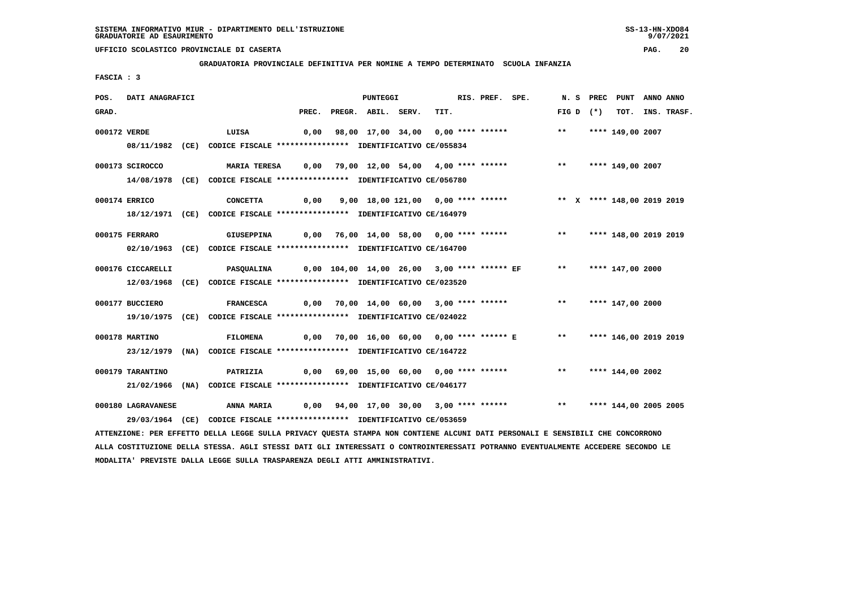**MODALITA' PREVISTE DALLA LEGGE SULLA TRASPARENZA DEGLI ATTI AMMINISTRATIVI.**

## **UFFICIO SCOLASTICO PROVINCIALE DI CASERTA PAG. 20**

 **GRADUATORIA PROVINCIALE DEFINITIVA PER NOMINE A TEMPO DETERMINATO SCUOLA INFANZIA**

 **FASCIA : 3**

| POS.         | DATI ANAGRAFICI    |                                                                                                                                 |  | PUNTEGGI                 |                                         | RIS. PREF. SPE. |                                                                          |             | N. S PREC PUNT ANNO ANNO   |                  |
|--------------|--------------------|---------------------------------------------------------------------------------------------------------------------------------|--|--------------------------|-----------------------------------------|-----------------|--------------------------------------------------------------------------|-------------|----------------------------|------------------|
| GRAD.        |                    |                                                                                                                                 |  | PREC. PREGR. ABIL. SERV. | TIT.                                    |                 |                                                                          | FIG D $(*)$ |                            | TOT. INS. TRASF. |
| 000172 VERDE |                    | LUISA                                                                                                                           |  |                          |                                         |                 | 0,00 98,00 17,00 34,00 0,00 **** ******                                  |             | ** **** 149,00 2007        |                  |
|              |                    | 08/11/1982 (CE) CODICE FISCALE *************** IDENTIFICATIVO CE/055834                                                         |  |                          |                                         |                 |                                                                          |             |                            |                  |
|              |                    |                                                                                                                                 |  |                          |                                         |                 |                                                                          |             |                            |                  |
|              | 000173 SCIROCCO    | <b>MARIA TERESA</b>                                                                                                             |  |                          | 0,00 79,00 12,00 54,00 4,00 **** ****** |                 |                                                                          |             | ** **** 149,00 2007        |                  |
|              |                    | 14/08/1978 (CE) CODICE FISCALE *************** IDENTIFICATIVO CE/056780                                                         |  |                          |                                         |                 |                                                                          |             |                            |                  |
|              | 000174 ERRICO      | <b>CONCETTA</b>                                                                                                                 |  |                          | 0,00 9,00 18,00 121,00 0,00 **** ****** |                 |                                                                          |             | ** X **** 148,00 2019 2019 |                  |
|              |                    | 18/12/1971 (CE) CODICE FISCALE *************** IDENTIFICATIVO CE/164979                                                         |  |                          |                                         |                 |                                                                          |             |                            |                  |
|              |                    |                                                                                                                                 |  |                          |                                         |                 |                                                                          |             |                            |                  |
|              | 000175 FERRARO     | <b>GIUSEPPINA</b>                                                                                                               |  |                          |                                         |                 | 0,00 76,00 14,00 58,00  0,00 **** ******      **   **** 148,00 2019 2019 |             |                            |                  |
|              |                    | 02/10/1963 (CE) CODICE FISCALE **************** IDENTIFICATIVO CE/164700                                                        |  |                          |                                         |                 |                                                                          |             |                            |                  |
|              | 000176 CICCARELLI  | <b>PASQUALINA</b>                                                                                                               |  |                          |                                         |                 | 0,00 104,00 14,00 26,00  3,00 **** ****** EF      **    **** 147,00 2000 |             |                            |                  |
|              |                    | 12/03/1968 (CE) CODICE FISCALE *************** IDENTIFICATIVO CE/023520                                                         |  |                          |                                         |                 |                                                                          |             |                            |                  |
|              |                    |                                                                                                                                 |  |                          |                                         |                 |                                                                          |             |                            |                  |
|              | 000177 BUCCIERO    | FRANCESCA 0,00 70,00 14,00 60,00 3,00 **** ****** **** **** 147,00 2000                                                         |  |                          |                                         |                 |                                                                          |             |                            |                  |
|              |                    | 19/10/1975 (CE) CODICE FISCALE *************** IDENTIFICATIVO CE/024022                                                         |  |                          |                                         |                 |                                                                          |             |                            |                  |
|              | 000178 MARTINO     | <b>FILOMENA</b>                                                                                                                 |  |                          |                                         |                 | 0,00 70,00 16,00 60,00 0,00 **** ****** E                                |             | ** **** 146,00 2019 2019   |                  |
|              |                    | 23/12/1979 (NA) CODICE FISCALE **************** IDENTIFICATIVO CE/164722                                                        |  |                          |                                         |                 |                                                                          |             |                            |                  |
|              |                    |                                                                                                                                 |  |                          |                                         |                 |                                                                          |             |                            |                  |
|              | 000179 TARANTINO   | PATRIZIA                                                                                                                        |  |                          |                                         |                 |                                                                          |             |                            |                  |
|              |                    | 21/02/1966 (NA) CODICE FISCALE *************** IDENTIFICATIVO CE/046177                                                         |  |                          |                                         |                 |                                                                          |             |                            |                  |
|              | 000180 LAGRAVANESE | ANNA MARIA          0,00     94,00    17,00    30,00    3,00    ****    *****    ****    ****    144,00    2005    2005         |  |                          |                                         |                 |                                                                          |             |                            |                  |
|              |                    | 29/03/1964 (CE) CODICE FISCALE *************** IDENTIFICATIVO CE/053659                                                         |  |                          |                                         |                 |                                                                          |             |                            |                  |
|              |                    | ATTENZIONE: PER EFFETTO DELLA LEGGE SULLA PRIVACY QUESTA STAMPA NON CONTIENE ALCUNI DATI PERSONALI E SENSIBILI CHE CONCORRONO   |  |                          |                                         |                 |                                                                          |             |                            |                  |
|              |                    | ALLA COSTITUZIONE DELLA STESSA. AGLI STESSI DATI GLI INTERESSATI O CONTROINTERESSATI POTRANNO EVENTUALMENTE ACCEDERE SECONDO LE |  |                          |                                         |                 |                                                                          |             |                            |                  |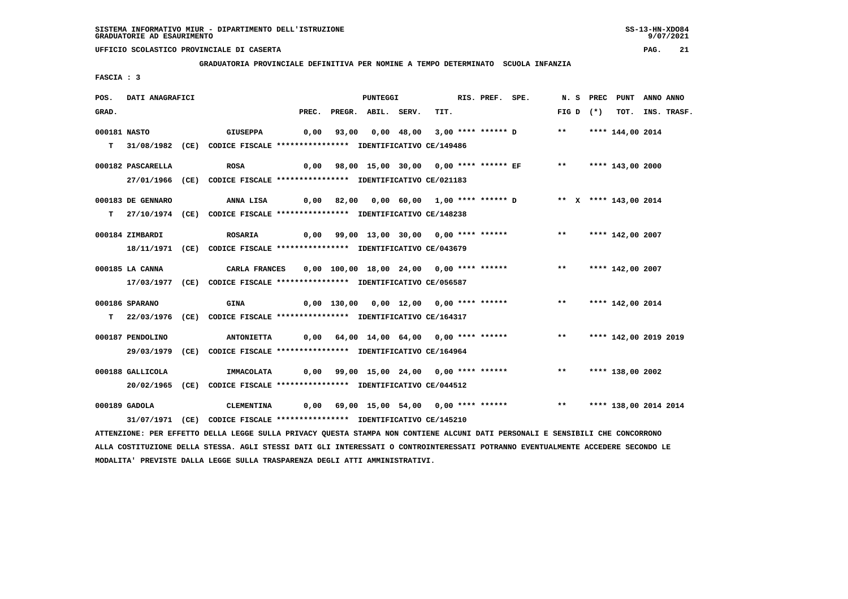**MODALITA' PREVISTE DALLA LEGGE SULLA TRASPARENZA DEGLI ATTI AMMINISTRATIVI.**

## **UFFICIO SCOLASTICO PROVINCIALE DI CASERTA PAG. 21**

 **GRADUATORIA PROVINCIALE DEFINITIVA PER NOMINE A TEMPO DETERMINATO SCUOLA INFANZIA**

 **FASCIA : 3**

| POS.  | DATI ANAGRAFICI   |                                                                                                                                 |       | PUNTEGGI           |                                          | RIS. PREF. SPE. |                                                                       |       |             | N. S PREC PUNT ANNO ANNO |                  |
|-------|-------------------|---------------------------------------------------------------------------------------------------------------------------------|-------|--------------------|------------------------------------------|-----------------|-----------------------------------------------------------------------|-------|-------------|--------------------------|------------------|
| GRAD. |                   |                                                                                                                                 | PREC. | PREGR. ABIL. SERV. | TIT.                                     |                 |                                                                       |       | FIG D $(*)$ |                          | TOT. INS. TRASF. |
|       | 000181 NASTO      | GIUSEPPA                                                                                                                        |       |                    | 0,00 93,00 0,00 48,00 3,00 **** ****** D |                 |                                                                       |       |             | ** **** 144,00 2014      |                  |
|       |                   |                                                                                                                                 |       |                    |                                          |                 |                                                                       |       |             |                          |                  |
|       |                   | T 31/08/1982 (CE) CODICE FISCALE *************** IDENTIFICATIVO CE/149486                                                       |       |                    |                                          |                 |                                                                       |       |             |                          |                  |
|       | 000182 PASCARELLA | <b>ROSA</b>                                                                                                                     |       |                    |                                          |                 | 0,00 98,00 15,00 30,00 0,00 **** ****** EF                            |       |             | ** **** 143,00 2000      |                  |
|       |                   | 27/01/1966 (CE) CODICE FISCALE *************** IDENTIFICATIVO CE/021183                                                         |       |                    |                                          |                 |                                                                       |       |             |                          |                  |
|       |                   |                                                                                                                                 |       |                    |                                          |                 |                                                                       |       |             |                          |                  |
|       | 000183 DE GENNARO | ANNA LISA 60,00 82,00 0,00 60,00 1,00 **** ****** D *** X **** 143,00 2014                                                      |       |                    |                                          |                 |                                                                       |       |             |                          |                  |
|       |                   | T 27/10/1974 (CE) CODICE FISCALE *************** IDENTIFICATIVO CE/148238                                                       |       |                    |                                          |                 |                                                                       |       |             |                          |                  |
|       | 000184 ZIMBARDI   | <b>ROSARIA</b>                                                                                                                  |       |                    |                                          |                 | 0,00 99,00 13,00 30,00 0,00 **** ****** *** *** **** 142,00 2007      |       |             |                          |                  |
|       |                   |                                                                                                                                 |       |                    |                                          |                 |                                                                       |       |             |                          |                  |
|       |                   | 18/11/1971 (CE) CODICE FISCALE *************** IDENTIFICATIVO CE/043679                                                         |       |                    |                                          |                 |                                                                       |       |             |                          |                  |
|       | 000185 LA CANNA   | <b>CARLA FRANCES</b>                                                                                                            |       |                    | 0,00 100,00 18,00 24,00 0,00 **** ****** |                 |                                                                       | $***$ |             | **** 142,00 2007         |                  |
|       |                   | 17/03/1977 (CE) CODICE FISCALE *************** IDENTIFICATIVO CE/056587                                                         |       |                    |                                          |                 |                                                                       |       |             |                          |                  |
|       |                   |                                                                                                                                 |       |                    |                                          |                 |                                                                       |       |             |                          |                  |
|       | 000186 SPARANO    | GINA                                                                                                                            |       |                    |                                          |                 | 0,00 130,00 0,00 12,00 0,00 **** ****** *** **** **** 142,00 2014     |       |             |                          |                  |
|       |                   | T 22/03/1976 (CE) CODICE FISCALE **************** IDENTIFICATIVO CE/164317                                                      |       |                    |                                          |                 |                                                                       |       |             |                          |                  |
|       | 000187 PENDOLINO  | <b>ANTONIETTA</b>                                                                                                               |       |                    |                                          |                 | 0,00 64,00 14,00 64,00 0,00 **** ****** *** **                        |       |             | **** 142,00 2019 2019    |                  |
|       |                   |                                                                                                                                 |       |                    |                                          |                 |                                                                       |       |             |                          |                  |
|       |                   | 29/03/1979 (CE) CODICE FISCALE *************** IDENTIFICATIVO CE/164964                                                         |       |                    |                                          |                 |                                                                       |       |             |                          |                  |
|       | 000188 GALLICOLA  | IMMACOLATA                                                                                                                      |       |                    |                                          |                 | 0,00 99,00 15,00 24,00 0,00 **** ****** *** *** **** 138,00 2002      |       |             |                          |                  |
|       |                   | 20/02/1965 (CE) CODICE FISCALE *************** IDENTIFICATIVO CE/044512                                                         |       |                    |                                          |                 |                                                                       |       |             |                          |                  |
|       |                   |                                                                                                                                 |       |                    |                                          |                 |                                                                       |       |             |                          |                  |
|       | $000189$ GADOLA   | CLEMENTINA                                                                                                                      |       |                    |                                          |                 | 0,00 69,00 15,00 54,00 0,00 **** ****** *** *** **** 138,00 2014 2014 |       |             |                          |                  |
|       |                   | 31/07/1971 (CE) CODICE FISCALE *************** IDENTIFICATIVO CE/145210                                                         |       |                    |                                          |                 |                                                                       |       |             |                          |                  |
|       |                   | ATTENZIONE: PER EFFETTO DELLA LEGGE SULLA PRIVACY QUESTA STAMPA NON CONTIENE ALCUNI DATI PERSONALI E SENSIBILI CHE CONCORRONO   |       |                    |                                          |                 |                                                                       |       |             |                          |                  |
|       |                   | ALLA COSTITUZIONE DELLA STESSA. AGLI STESSI DATI GLI INTERESSATI O CONTROINTERESSATI POTRANNO EVENTUALMENTE ACCEDERE SECONDO LE |       |                    |                                          |                 |                                                                       |       |             |                          |                  |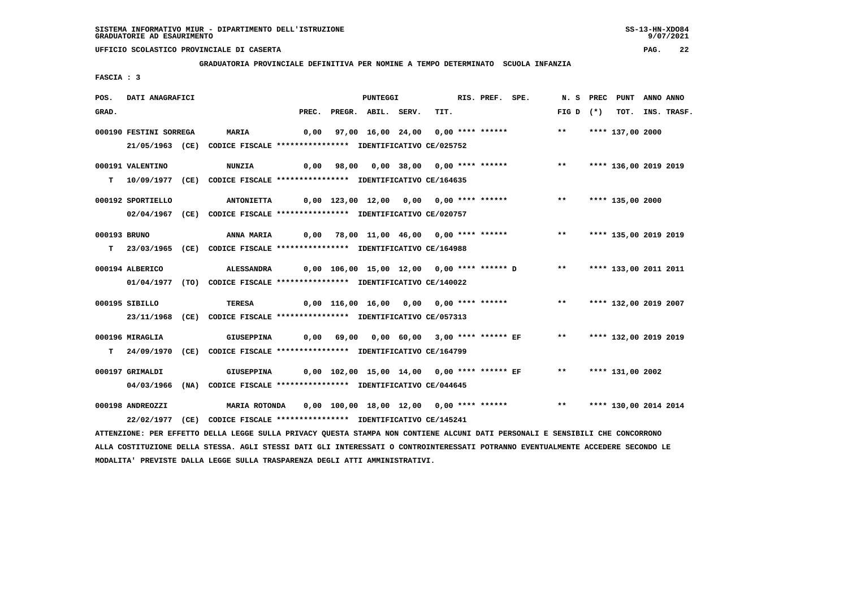**GRADUATORIA PROVINCIALE DEFINITIVA PER NOMINE A TEMPO DETERMINATO SCUOLA INFANZIA**

 **FASCIA : 3**

| POS.         | DATI ANAGRAFICI        |                                                                                                                               |       | PUNTEGGI           |                                         | RIS. PREF. SPE. |                                                                       |            | N. S PREC PUNT ANNO ANNO |                  |
|--------------|------------------------|-------------------------------------------------------------------------------------------------------------------------------|-------|--------------------|-----------------------------------------|-----------------|-----------------------------------------------------------------------|------------|--------------------------|------------------|
| GRAD.        |                        |                                                                                                                               | PREC. | PREGR. ABIL. SERV. | TIT.                                    |                 |                                                                       | $FIGD (*)$ |                          | TOT. INS. TRASF. |
|              | 000190 FESTINI SORREGA | <b>MARIA</b>                                                                                                                  | 0,00  |                    |                                         |                 | 97,00 16,00 24,00 0,00 **** ******                                    | $***$      | **** 137,00 2000         |                  |
|              |                        | 21/05/1963 (CE) CODICE FISCALE *************** IDENTIFICATIVO CE/025752                                                       |       |                    |                                         |                 |                                                                       |            |                          |                  |
|              |                        |                                                                                                                               |       |                    |                                         |                 |                                                                       |            |                          |                  |
|              | 000191 VALENTINO       | <b>NUNZIA</b>                                                                                                                 |       |                    |                                         |                 | 0,00 98,00 0,00 38,00 0,00 **** ****** **** *** **** 136,00 2019 2019 |            |                          |                  |
|              |                        | T  10/09/1977 (CE) CODICE FISCALE *************** IDENTIFICATIVO CE/164635                                                    |       |                    |                                         |                 |                                                                       |            |                          |                  |
|              | 000192 SPORTIELLO      | <b>ANTONIETTA</b>                                                                                                             |       |                    | 0,00 123,00 12,00 0,00 0,00 **** ****** |                 |                                                                       | $***$      | **** 135,00 2000         |                  |
|              |                        | 02/04/1967 (CE) CODICE FISCALE *************** IDENTIFICATIVO CE/020757                                                       |       |                    |                                         |                 |                                                                       |            |                          |                  |
|              |                        |                                                                                                                               |       |                    |                                         |                 |                                                                       |            |                          |                  |
| 000193 BRUNO |                        | ANNA MARIA                                                                                                                    |       |                    |                                         |                 | 0,00 78,00 11,00 46,00 0,00 **** ******           **                  |            | **** 135,00 2019 2019    |                  |
|              |                        | T 23/03/1965 (CE) CODICE FISCALE *************** IDENTIFICATIVO CE/164988                                                     |       |                    |                                         |                 |                                                                       |            |                          |                  |
|              | 000194 ALBERICO        | <b>ALESSANDRA</b>                                                                                                             |       |                    |                                         |                 | 0,00 106,00 15,00 12,00 0,00 **** ****** D ** **** 133,00 2011 2011   |            |                          |                  |
|              |                        | 01/04/1977 (TO) CODICE FISCALE *************** IDENTIFICATIVO CE/140022                                                       |       |                    |                                         |                 |                                                                       |            |                          |                  |
|              | 000195 SIBILLO         |                                                                                                                               |       |                    |                                         |                 | 0,00 116,00 16,00 0,00 0,00 **** ******                               | $***$      | **** 132,00 2019 2007    |                  |
|              |                        | TERESA                                                                                                                        |       |                    |                                         |                 |                                                                       |            |                          |                  |
|              |                        | 23/11/1968 (CE) CODICE FISCALE *************** IDENTIFICATIVO CE/057313                                                       |       |                    |                                         |                 |                                                                       |            |                          |                  |
|              | 000196 MIRAGLIA        | GIUSEPPINA                                                                                                                    |       |                    |                                         |                 | 0,00 69,00 0,00 60,00 3,00 **** ****** EF **                          |            | **** 132,00 2019 2019    |                  |
|              |                        | T 24/09/1970 (CE) CODICE FISCALE *************** IDENTIFICATIVO CE/164799                                                     |       |                    |                                         |                 |                                                                       |            |                          |                  |
|              | 000197 GRIMALDI        | GIUSEPPINA                                                                                                                    |       |                    |                                         |                 | 0,00 102,00 15,00 14,00 0,00 **** ****** EF ** **** 131,00 2002       |            |                          |                  |
|              |                        |                                                                                                                               |       |                    |                                         |                 |                                                                       |            |                          |                  |
|              |                        | 04/03/1966 (NA) CODICE FISCALE *************** IDENTIFICATIVO CE/044645                                                       |       |                    |                                         |                 |                                                                       |            |                          |                  |
|              | 000198 ANDREOZZI       | MARIA ROTONDA 0,00 100,00 18,00 12,00 0,00 **** ****** **** **** **** 130,00 2014 2014                                        |       |                    |                                         |                 |                                                                       |            |                          |                  |
|              |                        | 22/02/1977 (CE) CODICE FISCALE *************** IDENTIFICATIVO CE/145241                                                       |       |                    |                                         |                 |                                                                       |            |                          |                  |
|              |                        | ATTENZIONE: PER EFFETTO DELLA LEGGE SULLA PRIVACY QUESTA STAMPA NON CONTIENE ALCUNI DATI PERSONALI E SENSIBILI CHE CONCORRONO |       |                    |                                         |                 |                                                                       |            |                          |                  |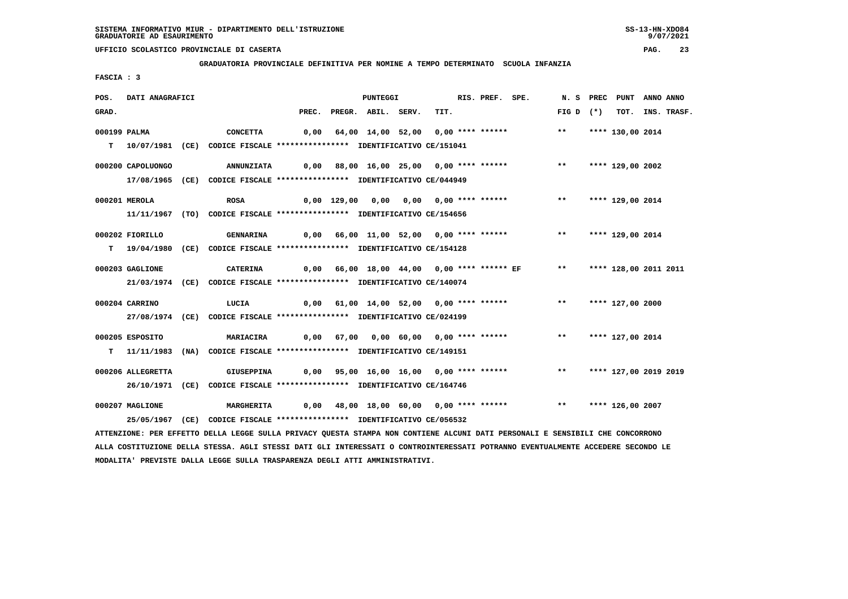**GRADUATORIA PROVINCIALE DEFINITIVA PER NOMINE A TEMPO DETERMINATO SCUOLA INFANZIA**

 **FASCIA : 3**

| POS.         | DATI ANAGRAFICI   |                                                                                                                               |                                                                                  | <b>PUNTEGGI</b>          |                                                                                | RIS. PREF. SPE. |                     | N. S PREC PUNT   | ANNO ANNO |                  |
|--------------|-------------------|-------------------------------------------------------------------------------------------------------------------------------|----------------------------------------------------------------------------------|--------------------------|--------------------------------------------------------------------------------|-----------------|---------------------|------------------|-----------|------------------|
| GRAD.        |                   |                                                                                                                               |                                                                                  | PREC. PREGR. ABIL. SERV. | TIT.                                                                           |                 | FIG D $(*)$         |                  |           | TOT. INS. TRASF. |
| 000199 PALMA |                   | CONCETTA                                                                                                                      |                                                                                  |                          | 0,00 64,00 14,00 52,00 0,00 **** ****** *** **                                 |                 |                     | **** 130,00 2014 |           |                  |
|              |                   | T 10/07/1981 (CE) CODICE FISCALE *************** IDENTIFICATIVO CE/151041                                                     |                                                                                  |                          |                                                                                |                 |                     |                  |           |                  |
|              | 000200 CAPOLUONGO | <b>ANNUNZIATA</b>                                                                                                             |                                                                                  |                          | 0,00 88,00 16,00 25,00 0,00 **** ******           **                           |                 |                     | **** 129,00 2002 |           |                  |
|              |                   | 17/08/1965 (CE) CODICE FISCALE *************** IDENTIFICATIVO CE/044949                                                       |                                                                                  |                          |                                                                                |                 |                     |                  |           |                  |
|              | 000201 MEROLA     | <b>ROSA</b>                                                                                                                   |                                                                                  |                          |                                                                                |                 |                     |                  |           |                  |
|              |                   | 11/11/1967 (TO) CODICE FISCALE *************** IDENTIFICATIVO CE/154656                                                       |                                                                                  |                          |                                                                                |                 |                     |                  |           |                  |
|              | 000202 FIORILLO   | GENNARINA                                                                                                                     |                                                                                  |                          | 0,00 66,00 11,00 52,00 0,00 **** ******                                        |                 | ** **** 129,00 2014 |                  |           |                  |
|              |                   | T 19/04/1980 (CE) CODICE FISCALE *************** IDENTIFICATIVO CE/154128                                                     |                                                                                  |                          |                                                                                |                 |                     |                  |           |                  |
|              | 000203 GAGLIONE   | CATERINA                                                                                                                      | 0,00 66,00 18,00 44,00  0,00 **** ****** EF        **      **** 128,00 2011 2011 |                          |                                                                                |                 |                     |                  |           |                  |
|              |                   | 21/03/1974 (CE) CODICE FISCALE *************** IDENTIFICATIVO CE/140074                                                       |                                                                                  |                          |                                                                                |                 |                     |                  |           |                  |
|              | 000204 CARRINO    | LUCIA                                                                                                                         |                                                                                  |                          | 0,00 61,00 14,00 52,00 0,00 **** ****** *** **                                 |                 |                     | **** 127,00 2000 |           |                  |
|              |                   | 27/08/1974 (CE) CODICE FISCALE *************** IDENTIFICATIVO CE/024199                                                       |                                                                                  |                          |                                                                                |                 |                     |                  |           |                  |
|              | 000205 ESPOSITO   | <b>MARIACIRA</b>                                                                                                              |                                                                                  |                          | 0,00 67,00 0,00 60,00 0,00 **** ******                                         |                 | $\star\star$        | **** 127,00 2014 |           |                  |
|              |                   | T 11/11/1983 (NA) CODICE FISCALE **************** IDENTIFICATIVO CE/149151                                                    |                                                                                  |                          |                                                                                |                 |                     |                  |           |                  |
|              | 000206 ALLEGRETTA | <b>GIUSEPPINA</b>                                                                                                             |                                                                                  |                          | 0,00 95,00 16,00 16,00 0,00 **** ******           **     **** 127,00 2019 2019 |                 |                     |                  |           |                  |
|              |                   | 26/10/1971 (CE) CODICE FISCALE *************** IDENTIFICATIVO CE/164746                                                       |                                                                                  |                          |                                                                                |                 |                     |                  |           |                  |
|              | 000207 MAGLIONE   | <b>MARGHERITA</b>                                                                                                             |                                                                                  |                          | 0,00 48,00 18,00 60,00 0,00 **** ******           **                           |                 |                     | **** 126,00 2007 |           |                  |
|              |                   | 25/05/1967 (CE) CODICE FISCALE *************** IDENTIFICATIVO CE/056532                                                       |                                                                                  |                          |                                                                                |                 |                     |                  |           |                  |
|              |                   | ATTENZIONE: PER EFFETTO DELLA LEGGE SULLA PRIVACY QUESTA STAMPA NON CONTIENE ALCUNI DATI PERSONALI E SENSIBILI CHE CONCORRONO |                                                                                  |                          |                                                                                |                 |                     |                  |           |                  |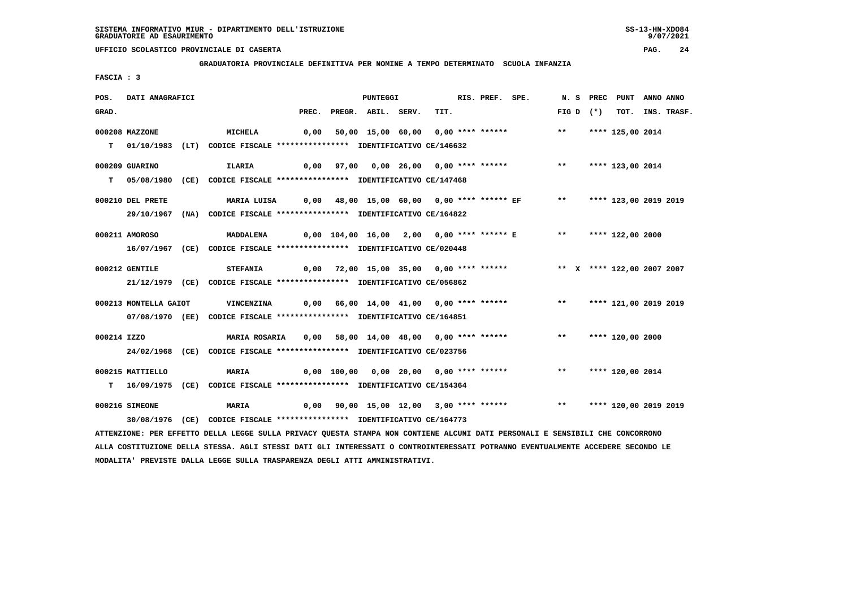**GRADUATORIA PROVINCIALE DEFINITIVA PER NOMINE A TEMPO DETERMINATO SCUOLA INFANZIA**

 **FASCIA : 3**

| POS.        | DATI ANAGRAFICI       |                                                                                                                               |       | PUNTEGGI           |                                                                              | RIS. PREF. SPE. |               | N. S PREC PUNT        | ANNO ANNO |                  |
|-------------|-----------------------|-------------------------------------------------------------------------------------------------------------------------------|-------|--------------------|------------------------------------------------------------------------------|-----------------|---------------|-----------------------|-----------|------------------|
| GRAD.       |                       |                                                                                                                               | PREC. | PREGR. ABIL. SERV. | TIT.                                                                         |                 | FIG D $(*)$   |                       |           | TOT. INS. TRASF. |
|             | 000208 MAZZONE        | MICHELA                                                                                                                       |       |                    | 0,00 50,00 15,00 60,00 0,00 **** ******                                      |                 | $\star \star$ | **** 125,00 2014      |           |                  |
|             |                       |                                                                                                                               |       |                    |                                                                              |                 |               |                       |           |                  |
|             |                       | T 01/10/1983 (LT) CODICE FISCALE **************** IDENTIFICATIVO CE/146632                                                    |       |                    |                                                                              |                 |               |                       |           |                  |
|             | 000209 GUARINO        | ILARIA                                                                                                                        |       |                    | 0,00 97,00 0,00 26,00 0,00 **** ****** *** **                                |                 |               | **** 123,00 2014      |           |                  |
|             |                       | T 05/08/1980 (CE) CODICE FISCALE *************** IDENTIFICATIVO CE/147468                                                     |       |                    |                                                                              |                 |               |                       |           |                  |
|             | 000210 DEL PRETE      |                                                                                                                               |       |                    | 0,00  48,00 15,00 60,00  0,00 **** ****** EF     **    **** 123,00 2019 2019 |                 |               |                       |           |                  |
|             |                       | MARIA LUISA                                                                                                                   |       |                    |                                                                              |                 |               |                       |           |                  |
|             |                       | 29/10/1967 (NA) CODICE FISCALE **************** IDENTIFICATIVO CE/164822                                                      |       |                    |                                                                              |                 |               |                       |           |                  |
|             | 000211 AMOROSO        | <b>MADDALENA</b>                                                                                                              |       |                    | 0,00 104,00 16,00 2,00 0,00 **** ****** E ** **** 122,00 2000                |                 |               |                       |           |                  |
|             |                       | 16/07/1967 (CE) CODICE FISCALE *************** IDENTIFICATIVO CE/020448                                                       |       |                    |                                                                              |                 |               |                       |           |                  |
|             |                       |                                                                                                                               |       |                    |                                                                              |                 |               |                       |           |                  |
|             | 000212 GENTILE        | <b>STEFANIA</b>                                                                                                               |       |                    | 0,00 72,00 15,00 35,00 0,00 **** ****** *** ** ** **** 122,00 2007 2007      |                 |               |                       |           |                  |
|             |                       | 21/12/1979 (CE) CODICE FISCALE *************** IDENTIFICATIVO CE/056862                                                       |       |                    |                                                                              |                 |               |                       |           |                  |
|             |                       |                                                                                                                               |       |                    |                                                                              |                 |               |                       |           |                  |
|             | 000213 MONTELLA GAIOT | <b>VINCENZINA</b>                                                                                                             |       |                    | 0,00 66,00 14,00 41,00 0,00 **** ****** *** *** **** 121,00 2019 2019        |                 |               |                       |           |                  |
|             |                       | 07/08/1970 (EE) CODICE FISCALE *************** IDENTIFICATIVO CE/164851                                                       |       |                    |                                                                              |                 |               |                       |           |                  |
| 000214 IZZO |                       | <b>MARIA ROSARIA</b>                                                                                                          |       |                    | 0,00 58,00 14,00 48,00 0,00 **** ****** *** **** **** 120,00 2000            |                 |               |                       |           |                  |
|             |                       | 24/02/1968 (CE) CODICE FISCALE **************** IDENTIFICATIVO CE/023756                                                      |       |                    |                                                                              |                 |               |                       |           |                  |
|             |                       |                                                                                                                               |       |                    |                                                                              |                 |               |                       |           |                  |
|             | 000215 MATTIELLO      | <b>MARIA</b>                                                                                                                  |       |                    | 0,00 100,00 0,00 20,00 0,00 **** ******                                      |                 | $\star \star$ | **** 120,00 2014      |           |                  |
|             |                       | T 16/09/1975 (CE) CODICE FISCALE **************** IDENTIFICATIVO CE/154364                                                    |       |                    |                                                                              |                 |               |                       |           |                  |
|             |                       |                                                                                                                               |       |                    |                                                                              |                 |               |                       |           |                  |
|             | 000216 SIMEONE        | <b>MARIA</b>                                                                                                                  |       |                    | $0,00$ $90,00$ $15,00$ $12,00$ $3,00$ **** ****** *** **                     |                 |               | **** 120,00 2019 2019 |           |                  |
|             |                       | 30/08/1976 (CE) CODICE FISCALE *************** IDENTIFICATIVO CE/164773                                                       |       |                    |                                                                              |                 |               |                       |           |                  |
|             |                       | ATTENZIONE: PER EFFETTO DELLA LEGGE SULLA PRIVACY QUESTA STAMPA NON CONTIENE ALCUNI DATI PERSONALI E SENSIBILI CHE CONCORRONO |       |                    |                                                                              |                 |               |                       |           |                  |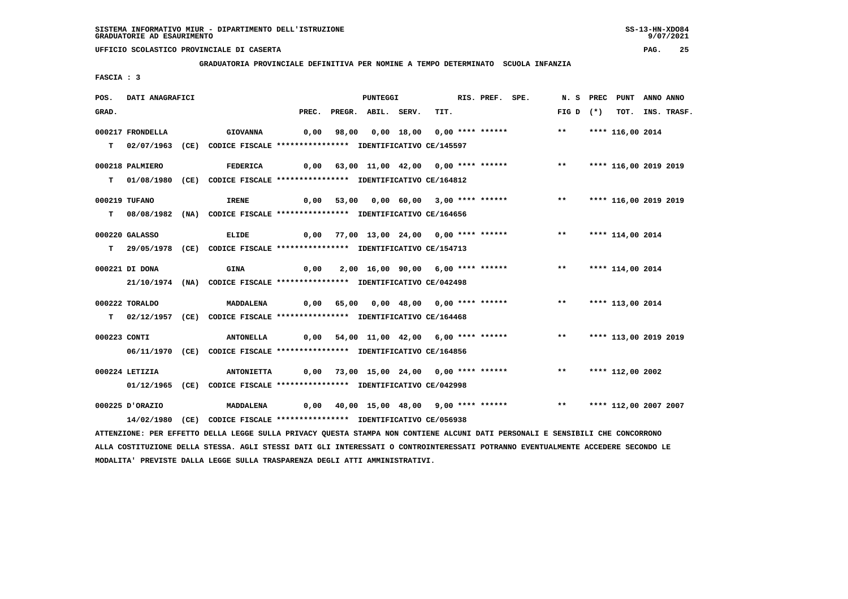**GRADUATORIA PROVINCIALE DEFINITIVA PER NOMINE A TEMPO DETERMINATO SCUOLA INFANZIA**

 **FASCIA : 3**

| POS.         | DATI ANAGRAFICI  |                                                                                                                                 |                                                                   | <b>PUNTEGGI</b>                          |      | RIS. PREF. SPE. |                                                                   |                          | N. S PREC PUNT ANNO ANNO |                  |
|--------------|------------------|---------------------------------------------------------------------------------------------------------------------------------|-------------------------------------------------------------------|------------------------------------------|------|-----------------|-------------------------------------------------------------------|--------------------------|--------------------------|------------------|
| GRAD.        |                  |                                                                                                                                 |                                                                   | PREC. PREGR. ABIL. SERV.                 | TIT. |                 |                                                                   | $FIG D (*)$              |                          | TOT. INS. TRASF. |
|              | 000217 FRONDELLA | <b>GIOVANNA</b>                                                                                                                 |                                                                   |                                          |      |                 | 0,00 98,00 0,00 18,00 0,00 **** ****** *** **** 116,00 2014       |                          |                          |                  |
|              |                  |                                                                                                                                 |                                                                   |                                          |      |                 |                                                                   |                          |                          |                  |
|              |                  | T 02/07/1963 (CE) CODICE FISCALE **************** IDENTIFICATIVO CE/145597                                                      |                                                                   |                                          |      |                 |                                                                   |                          |                          |                  |
|              | 000218 PALMIERO  | <b>FEDERICA</b>                                                                                                                 |                                                                   |                                          |      |                 | 0,00 63,00 11,00 42,00 0,00 **** ******                           | $***$                    | **** 116,00 2019 2019    |                  |
|              |                  | T 01/08/1980 (CE) CODICE FISCALE **************** IDENTIFICATIVO CE/164812                                                      |                                                                   |                                          |      |                 |                                                                   |                          |                          |                  |
|              |                  |                                                                                                                                 |                                                                   |                                          |      |                 |                                                                   |                          |                          |                  |
|              | 000219 TUFANO    | IRENE                                                                                                                           |                                                                   | 0,00 53,00 0,00 60,00 3,00 **** ******   |      |                 |                                                                   | ** **** 116,00 2019 2019 |                          |                  |
|              |                  | T 08/08/1982 (NA) CODICE FISCALE **************** IDENTIFICATIVO CE/164656                                                      |                                                                   |                                          |      |                 |                                                                   |                          |                          |                  |
|              | 000220 GALASSO   | ELIDE                                                                                                                           |                                                                   | 0,00 77,00 13,00 24,00 0,00 **** ******  |      |                 |                                                                   | $***$                    | **** 114,00 2014         |                  |
|              |                  | T 29/05/1978 (CE) CODICE FISCALE **************** IDENTIFICATIVO CE/154713                                                      |                                                                   |                                          |      |                 |                                                                   |                          |                          |                  |
|              |                  |                                                                                                                                 |                                                                   |                                          |      |                 |                                                                   |                          |                          |                  |
|              | 000221 DI DONA   | <b>GINA</b>                                                                                                                     |                                                                   | $0,00$ 2,00 16,00 90,00 6,00 **** ****** |      |                 |                                                                   | ** **** 114,00 2014      |                          |                  |
|              |                  | 21/10/1974 (NA) CODICE FISCALE *************** IDENTIFICATIVO CE/042498                                                         |                                                                   |                                          |      |                 |                                                                   |                          |                          |                  |
|              |                  |                                                                                                                                 |                                                                   |                                          |      |                 |                                                                   |                          |                          |                  |
|              | 000222 TORALDO   | <b>MADDALENA</b>                                                                                                                |                                                                   |                                          |      |                 | 0,00 65,00 0,00 48,00 0,00 **** ****** *** **** 113,00 2014       |                          |                          |                  |
|              |                  | T 02/12/1957 (CE) CODICE FISCALE *************** IDENTIFICATIVO CE/164468                                                       |                                                                   |                                          |      |                 |                                                                   |                          |                          |                  |
| 000223 CONTI |                  | <b>ANTONELLA</b>                                                                                                                |                                                                   |                                          |      |                 | 0,00 54,00 11,00 42,00 6,00 **** ****** *** **                    |                          | **** 113,00 2019 2019    |                  |
|              |                  | 06/11/1970 (CE) CODICE FISCALE *************** IDENTIFICATIVO CE/164856                                                         |                                                                   |                                          |      |                 |                                                                   |                          |                          |                  |
|              |                  |                                                                                                                                 |                                                                   |                                          |      |                 |                                                                   |                          |                          |                  |
|              | 000224 LETIZIA   | <b>ANTONIETTA</b>                                                                                                               | 0,00 73,00 15,00 24,00 0,00 **** ****** *** **** **** 112,00 2002 |                                          |      |                 |                                                                   |                          |                          |                  |
|              |                  | 01/12/1965 (CE) CODICE FISCALE *************** IDENTIFICATIVO CE/042998                                                         |                                                                   |                                          |      |                 |                                                                   |                          |                          |                  |
|              | 000225 D'ORAZIO  | <b>MADDALENA</b>                                                                                                                |                                                                   |                                          |      |                 | 0,00 40,00 15,00 48,00 9,00 **** ****** *** **** 112,00 2007 2007 |                          |                          |                  |
|              |                  | 14/02/1980 (CE) CODICE FISCALE *************** IDENTIFICATIVO CE/056938                                                         |                                                                   |                                          |      |                 |                                                                   |                          |                          |                  |
|              |                  | ATTENZIONE: PER EFFETTO DELLA LEGGE SULLA PRIVACY OUESTA STAMPA NON CONTIENE ALCUNI DATI PERSONALI E SENSIBILI CHE CONCORRONO   |                                                                   |                                          |      |                 |                                                                   |                          |                          |                  |
|              |                  |                                                                                                                                 |                                                                   |                                          |      |                 |                                                                   |                          |                          |                  |
|              |                  | ALLA COSTITUZIONE DELLA STESSA. AGLI STESSI DATI GLI INTERESSATI O CONTROINTERESSATI POTRANNO EVENTUALMENTE ACCEDERE SECONDO LE |                                                                   |                                          |      |                 |                                                                   |                          |                          |                  |

 **MODALITA' PREVISTE DALLA LEGGE SULLA TRASPARENZA DEGLI ATTI AMMINISTRATIVI.**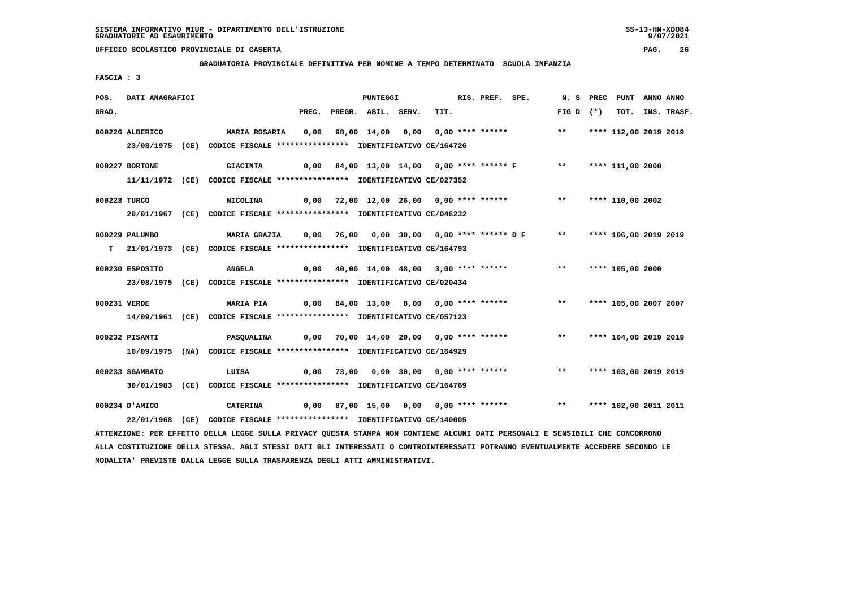**GRADUATORIA PROVINCIALE DEFINITIVA PER NOMINE A TEMPO DETERMINATO SCUOLA INFANZIA**

 **FASCIA : 3**

| POS.         | DATI ANAGRAFICI |                                                                                                                               |       | PUNTEGGI           |                                         | RIS. PREF. SPE. |                                                                      |             | N. S PREC PUNT ANNO ANNO |                  |
|--------------|-----------------|-------------------------------------------------------------------------------------------------------------------------------|-------|--------------------|-----------------------------------------|-----------------|----------------------------------------------------------------------|-------------|--------------------------|------------------|
| GRAD.        |                 |                                                                                                                               | PREC. | PREGR. ABIL. SERV. | TIT.                                    |                 |                                                                      | FIG D $(*)$ |                          | TOT. INS. TRASF. |
|              | 000226 ALBERICO | MARIA ROSARIA                                                                                                                 | 0,00  |                    | 98,00 14,00 0,00 0,00 **** ******       |                 |                                                                      | $***$       | **** 112,00 2019 2019    |                  |
|              |                 | 23/08/1975 (CE) CODICE FISCALE *************** IDENTIFICATIVO CE/164726                                                       |       |                    |                                         |                 |                                                                      |             |                          |                  |
|              |                 |                                                                                                                               |       |                    |                                         |                 |                                                                      |             |                          |                  |
|              | 000227 BORTONE  | <b>GIACINTA</b>                                                                                                               |       |                    |                                         |                 | 0,00 84,00 13,00 14,00 0,00 **** ****** F *** **** 111,00 2000       |             |                          |                  |
|              |                 | 11/11/1972 (CE) CODICE FISCALE *************** IDENTIFICATIVO CE/027352                                                       |       |                    |                                         |                 |                                                                      |             |                          |                  |
| 000228 TURCO |                 | <b>NICOLINA</b>                                                                                                               |       |                    |                                         |                 | 0,00 72,00 12,00 26,00 0,00 **** ******                              | $***$       | **** 110,00 2002         |                  |
|              |                 | 20/01/1967 (CE) CODICE FISCALE *************** IDENTIFICATIVO CE/046232                                                       |       |                    |                                         |                 |                                                                      |             |                          |                  |
|              | 000229 PALUMBO  | MARIA GRAZIA 0,00 76,00 0,00 30,00 0,00 **** ****** D F ** ***** 106,00 2019 2019                                             |       |                    |                                         |                 |                                                                      |             |                          |                  |
|              |                 |                                                                                                                               |       |                    |                                         |                 |                                                                      |             |                          |                  |
|              |                 | T 21/01/1973 (CE) CODICE FISCALE *************** IDENTIFICATIVO CE/164793                                                     |       |                    |                                         |                 |                                                                      |             |                          |                  |
|              | 000230 ESPOSITO | <b>ANGELA</b>                                                                                                                 | 0,00  |                    |                                         |                 | 40,00 14,00 48,00 3,00 **** ****** *** **                            |             | **** 105,00 2000         |                  |
|              |                 | 23/08/1975 (CE) CODICE FISCALE *************** IDENTIFICATIVO CE/020434                                                       |       |                    |                                         |                 |                                                                      |             |                          |                  |
|              |                 |                                                                                                                               |       |                    |                                         |                 |                                                                      |             |                          |                  |
| 000231 VERDE |                 | <b>MARIA PIA</b>                                                                                                              |       |                    |                                         |                 | $0,00$ 84,00 13,00 8,00 0,00 **** ******                             |             | ** **** 105,00 2007 2007 |                  |
|              |                 | 14/09/1961 (CE) CODICE FISCALE *************** IDENTIFICATIVO CE/057123                                                       |       |                    |                                         |                 |                                                                      |             |                          |                  |
|              | 000232 PISANTI  | <b>PASQUALINA</b>                                                                                                             |       |                    | 0,00 70,00 14,00 20,00 0,00 **** ****** |                 |                                                                      | $***$       | **** 104,00 2019 2019    |                  |
|              |                 | 10/09/1975 (NA) CODICE FISCALE *************** IDENTIFICATIVO CE/164929                                                       |       |                    |                                         |                 |                                                                      |             |                          |                  |
|              |                 |                                                                                                                               |       |                    |                                         |                 |                                                                      |             |                          |                  |
|              | 000233 SGAMBATO | LUISA                                                                                                                         | 0,00  |                    |                                         |                 | 73,00 0,00 30,00 0,00 **** ****** *** **                             |             | **** 103,00 2019 2019    |                  |
|              |                 | 30/01/1983 (CE) CODICE FISCALE *************** IDENTIFICATIVO CE/164769                                                       |       |                    |                                         |                 |                                                                      |             |                          |                  |
|              | 000234 D'AMICO  | <b>CATERINA</b>                                                                                                               |       |                    |                                         |                 | 0,00 87,00 15,00 0,00 0,00 **** ****** *** *** **** 102,00 2011 2011 |             |                          |                  |
|              |                 | 22/01/1968 (CE) CODICE FISCALE *************** IDENTIFICATIVO CE/140005                                                       |       |                    |                                         |                 |                                                                      |             |                          |                  |
|              |                 | ATTENZIONE: PER EFFETTO DELLA LEGGE SULLA PRIVACY QUESTA STAMPA NON CONTIENE ALCUNI DATI PERSONALI E SENSIBILI CHE CONCORRONO |       |                    |                                         |                 |                                                                      |             |                          |                  |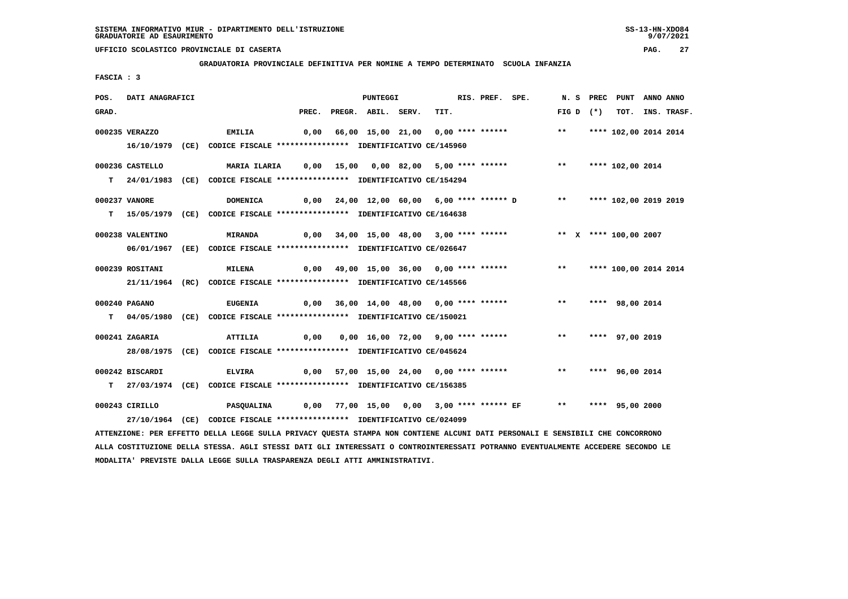**GRADUATORIA PROVINCIALE DEFINITIVA PER NOMINE A TEMPO DETERMINATO SCUOLA INFANZIA**

 **FASCIA : 3**

| POS.  | DATI ANAGRAFICI  |                                                                                                                               |      | PUNTEGGI                 |                                                                          | RIS. PREF. SPE. |               | N. S PREC PUNT  | ANNO ANNO |                  |
|-------|------------------|-------------------------------------------------------------------------------------------------------------------------------|------|--------------------------|--------------------------------------------------------------------------|-----------------|---------------|-----------------|-----------|------------------|
| GRAD. |                  |                                                                                                                               |      | PREC. PREGR. ABIL. SERV. | TIT.                                                                     |                 | FIG D $(*)$   |                 |           | TOT. INS. TRASF. |
|       | 000235 VERAZZO   | EMILIA                                                                                                                        |      |                          | 0,00 66,00 15,00 21,00 0,00 **** ****** **** *** **** 102,00 2014 2014   |                 |               |                 |           |                  |
|       |                  | 16/10/1979 (CE) CODICE FISCALE *************** IDENTIFICATIVO CE/145960                                                       |      |                          |                                                                          |                 |               |                 |           |                  |
|       | 000236 CASTELLO  | MARIA ILARIA 0,00 15,00 0,00 82,00 5,00 **** ****** *** **** 102,00 2014                                                      |      |                          |                                                                          |                 |               |                 |           |                  |
|       |                  | T 24/01/1983 (CE) CODICE FISCALE **************** IDENTIFICATIVO CE/154294                                                    |      |                          |                                                                          |                 |               |                 |           |                  |
|       | 000237 VANORE    | <b>DOMENICA</b>                                                                                                               |      |                          | 0,00 24,00 12,00 60,00 6,00 **** ****** D ** **** 102,00 2019 2019       |                 |               |                 |           |                  |
|       |                  | T 15/05/1979 (CE) CODICE FISCALE **************** IDENTIFICATIVO CE/164638                                                    |      |                          |                                                                          |                 |               |                 |           |                  |
|       | 000238 VALENTINO | <b>MIRANDA</b>                                                                                                                |      |                          | 0,00 34,00 15,00 48,00 3,00 **** ******           ** x **** 100,00 2007  |                 |               |                 |           |                  |
|       |                  | 06/01/1967 (EE) CODICE FISCALE *************** IDENTIFICATIVO CE/026647                                                       |      |                          |                                                                          |                 |               |                 |           |                  |
|       | 000239 ROSITANI  | <b>MILENA</b>                                                                                                                 |      |                          | 0,00 49,00 15,00 36,00  0,00 **** ******      **   **** 100,00 2014 2014 |                 |               |                 |           |                  |
|       |                  | 21/11/1964 (RC) CODICE FISCALE *************** IDENTIFICATIVO CE/145566                                                       |      |                          |                                                                          |                 |               |                 |           |                  |
|       | 000240 PAGANO    | <b>EUGENIA</b>                                                                                                                |      |                          | 0,00 36,00 14,00 48,00 0,00 **** ******                                  |                 | $***$         | **** 98,00 2014 |           |                  |
|       |                  | T 04/05/1980 (CE) CODICE FISCALE **************** IDENTIFICATIVO CE/150021                                                    |      |                          |                                                                          |                 |               |                 |           |                  |
|       | 000241 ZAGARIA   | ATTILIA                                                                                                                       | 0,00 |                          | 0,00 16,00 72,00 9,00 **** ******                                        |                 | $\star \star$ | **** 97,00 2019 |           |                  |
|       |                  | 28/08/1975 (CE) CODICE FISCALE *************** IDENTIFICATIVO CE/045624                                                       |      |                          |                                                                          |                 |               |                 |           |                  |
|       | 000242 BISCARDI  | <b>ELVIRA</b>                                                                                                                 |      |                          | 0,00 57,00 15,00 24,00 0,00 **** ****** *** *** **** 96,00 2014          |                 |               |                 |           |                  |
|       |                  | T 27/03/1974 (CE) CODICE FISCALE *************** IDENTIFICATIVO CE/156385                                                     |      |                          |                                                                          |                 |               |                 |           |                  |
|       | 000243 CIRILLO   | PASQUALINA                0,00 77,00 15,00 0,00 3,00 **** ***** EF *** **** 95,00 2000                                        |      |                          |                                                                          |                 |               |                 |           |                  |
|       |                  | 27/10/1964 (CE) CODICE FISCALE *************** IDENTIFICATIVO CE/024099                                                       |      |                          |                                                                          |                 |               |                 |           |                  |
|       |                  | ATTENZIONE: PER EFFETTO DELLA LEGGE SULLA PRIVACY QUESTA STAMPA NON CONTIENE ALCUNI DATI PERSONALI E SENSIBILI CHE CONCORRONO |      |                          |                                                                          |                 |               |                 |           |                  |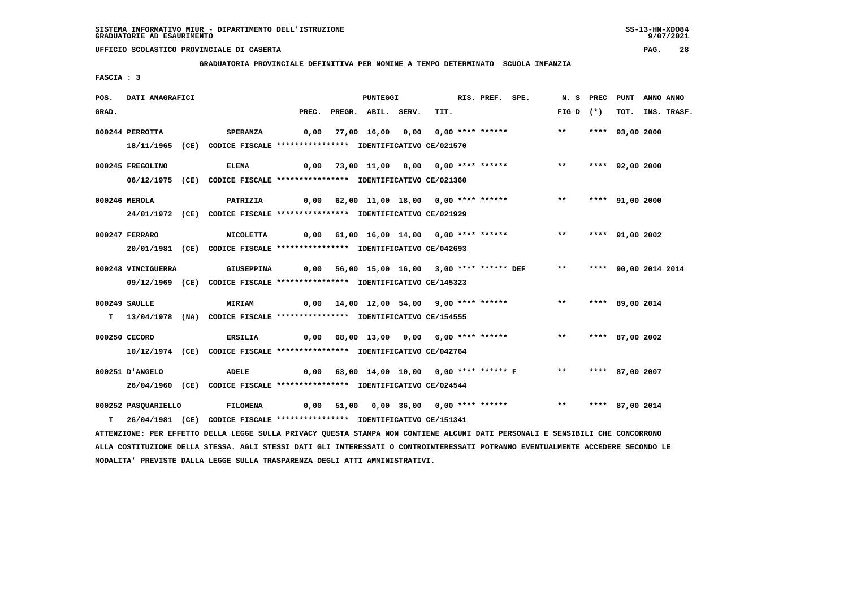**GRADUATORIA PROVINCIALE DEFINITIVA PER NOMINE A TEMPO DETERMINATO SCUOLA INFANZIA**

 **FASCIA : 3**

| POS.  | DATI ANAGRAFICI     |                                                                            |                                                         | PUNTEGGI                               |      | RIS. PREF. SPE. |                                                | N.S PREC           | PUNT                 | ANNO ANNO |                  |
|-------|---------------------|----------------------------------------------------------------------------|---------------------------------------------------------|----------------------------------------|------|-----------------|------------------------------------------------|--------------------|----------------------|-----------|------------------|
| GRAD. |                     |                                                                            |                                                         | PREC. PREGR. ABIL. SERV.               | TIT. |                 |                                                | FIG D $(*)$        |                      |           | TOT. INS. TRASF. |
|       | 000244 PERROTTA     | <b>SPERANZA</b>                                                            |                                                         |                                        |      |                 | 0,00 77,00 16,00 0,00 0,00 **** ****** *** **  |                    | **** 93,00 2000      |           |                  |
|       |                     | 18/11/1965 (CE) CODICE FISCALE *************** IDENTIFICATIVO CE/021570    |                                                         |                                        |      |                 |                                                |                    |                      |           |                  |
|       | 000245 FREGOLINO    | <b>ELENA</b>                                                               |                                                         | 0,00 73,00 11,00 8,00 0,00 **** ****** |      |                 |                                                | ** **** 92,00 2000 |                      |           |                  |
|       |                     | 06/12/1975 (CE) CODICE FISCALE *************** IDENTIFICATIVO CE/021360    |                                                         |                                        |      |                 |                                                |                    |                      |           |                  |
|       | 000246 MEROLA       |                                                                            | PATRIZIA 0,00 62,00 11,00 18,00 0,00 **** ****** *** ** |                                        |      |                 |                                                |                    | **** 91,00 2000      |           |                  |
|       |                     | 24/01/1972 (CE) CODICE FISCALE *************** IDENTIFICATIVO CE/021929    |                                                         |                                        |      |                 |                                                |                    |                      |           |                  |
|       | 000247 FERRARO      |                                                                            |                                                         |                                        |      |                 |                                                |                    | **** 91,00 2002      |           |                  |
|       |                     | 20/01/1981 (CE) CODICE FISCALE *************** IDENTIFICATIVO CE/042693    |                                                         |                                        |      |                 |                                                |                    |                      |           |                  |
|       | 000248 VINCIGUERRA  | <b>GIUSEPPINA</b>                                                          |                                                         |                                        |      |                 | 0,00 56,00 15,00 16,00 3,00 **** ****** DEF ** |                    | **** 90,00 2014 2014 |           |                  |
|       |                     | 09/12/1969 (CE) CODICE FISCALE *************** IDENTIFICATIVO CE/145323    |                                                         |                                        |      |                 |                                                |                    |                      |           |                  |
|       |                     |                                                                            |                                                         |                                        |      |                 |                                                |                    |                      |           |                  |
|       | $000249$ SAULLE     | <b>MIRIAM</b>                                                              |                                                         |                                        |      |                 | 0,00 14,00 12,00 54,00 9,00 **** ******        | ** **** 89,00 2014 |                      |           |                  |
|       |                     | T 13/04/1978 (NA) CODICE FISCALE **************** IDENTIFICATIVO CE/154555 |                                                         |                                        |      |                 |                                                |                    |                      |           |                  |
|       | 000250 CECORO       | ERSILIA                                                                    |                                                         |                                        |      |                 | 0,00 68,00 13,00 0,00 6,00 **** ****** *** **  |                    | **** 87,00 2002      |           |                  |
|       |                     | 10/12/1974 (CE) CODICE FISCALE *************** IDENTIFICATIVO CE/042764    |                                                         |                                        |      |                 |                                                |                    |                      |           |                  |
|       |                     |                                                                            |                                                         |                                        |      |                 |                                                |                    |                      |           |                  |
|       | 000251 D'ANGELO     | <b>ADELE</b>                                                               |                                                         |                                        |      |                 | $0,00$ 63,00 14,00 10,00 0,00 **** ****** F ** |                    | **** 87,00 2007      |           |                  |
|       |                     | 26/04/1960 (CE) CODICE FISCALE *************** IDENTIFICATIVO CE/024544    |                                                         |                                        |      |                 |                                                |                    |                      |           |                  |
|       | 000252 PASQUARIELLO | <b>FILOMENA</b>                                                            |                                                         | 0,00 51,00 0,00 36,00 0,00 **** ****** |      |                 |                                                | $***$              | **** 87,00 2014      |           |                  |
|       |                     | T 26/04/1981 (CE) CODICE FISCALE **************** IDENTIFICATIVO CE/151341 |                                                         |                                        |      |                 |                                                |                    |                      |           |                  |

 **ATTENZIONE: PER EFFETTO DELLA LEGGE SULLA PRIVACY QUESTA STAMPA NON CONTIENE ALCUNI DATI PERSONALI E SENSIBILI CHE CONCORRONO ALLA COSTITUZIONE DELLA STESSA. AGLI STESSI DATI GLI INTERESSATI O CONTROINTERESSATI POTRANNO EVENTUALMENTE ACCEDERE SECONDO LE MODALITA' PREVISTE DALLA LEGGE SULLA TRASPARENZA DEGLI ATTI AMMINISTRATIVI.**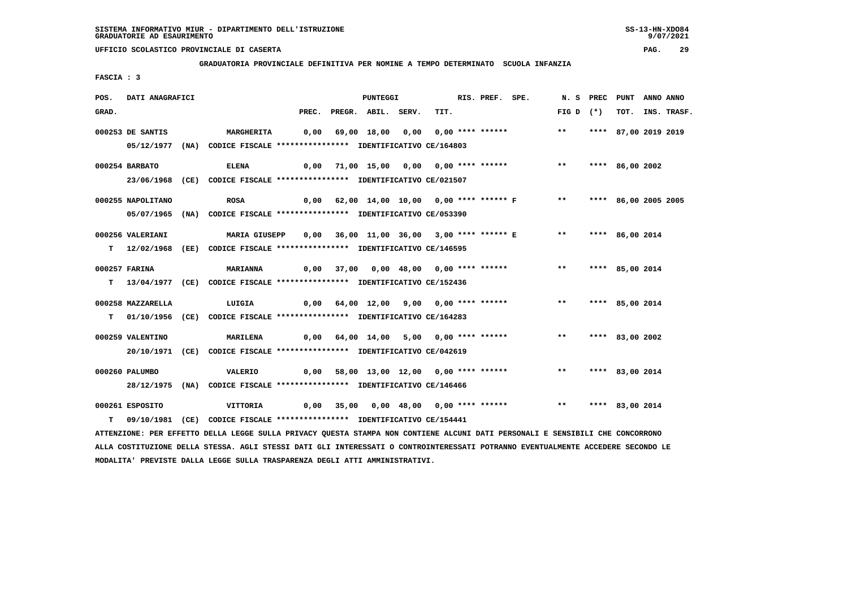**GRADUATORIA PROVINCIALE DEFINITIVA PER NOMINE A TEMPO DETERMINATO SCUOLA INFANZIA**

 **FASCIA : 3**

| POS.  | DATI ANAGRAFICI   |                                                                           |       | PUNTEGGI           |                                              | RIS. PREF. SPE. |               | N. S PREC   | PUNT                 | ANNO ANNO |                  |
|-------|-------------------|---------------------------------------------------------------------------|-------|--------------------|----------------------------------------------|-----------------|---------------|-------------|----------------------|-----------|------------------|
| GRAD. |                   |                                                                           | PREC. | PREGR. ABIL. SERV. | TIT.                                         |                 |               | FIG D $(*)$ |                      |           | TOT. INS. TRASF. |
|       | 000253 DE SANTIS  | <b>MARGHERITA</b>                                                         | 0,00  |                    | 69,00 18,00 0,00 0,00 **** ****** *** **     |                 |               |             | **** 87,00 2019 2019 |           |                  |
|       |                   | 05/12/1977 (NA) CODICE FISCALE *************** IDENTIFICATIVO CE/164803   |       |                    |                                              |                 |               |             |                      |           |                  |
|       | 000254 BARBATO    | <b>ELENA</b>                                                              |       |                    | 0,00 71,00 15,00 0,00 0,00 **** ******       |                 | $\star \star$ |             | **** 86,00 2002      |           |                  |
|       |                   | 23/06/1968 (CE) CODICE FISCALE *************** IDENTIFICATIVO CE/021507   |       |                    |                                              |                 |               |             |                      |           |                  |
|       | 000255 NAPOLITANO | <b>ROSA</b>                                                               | 0,00  |                    | 62,00 14,00 10,00 0,00 **** ****** F ** **   |                 |               |             | **** 86,00 2005 2005 |           |                  |
|       |                   | 05/07/1965 (NA) CODICE FISCALE *************** IDENTIFICATIVO CE/053390   |       |                    |                                              |                 |               |             |                      |           |                  |
|       | 000256 VALERIANI  | <b>MARIA GIUSEPP</b>                                                      |       |                    | 0,00 36,00 11,00 36,00 3,00 **** ****** E ** |                 |               |             | **** 86,00 2014      |           |                  |
|       |                   | T 12/02/1968 (EE) CODICE FISCALE *************** IDENTIFICATIVO CE/146595 |       |                    |                                              |                 |               |             |                      |           |                  |
|       | 000257 FARINA     | <b>MARIANNA</b>                                                           | 0,00  |                    | 37,00 0,00 48,00 0,00 **** ****** *** **     |                 |               |             | **** 85,00 2014      |           |                  |
|       |                   | T 13/04/1977 (CE) CODICE FISCALE *************** IDENTIFICATIVO CE/152436 |       |                    |                                              |                 |               |             |                      |           |                  |
|       | 000258 MAZZARELLA | LUIGIA                                                                    |       |                    | 0,00 64,00 12,00 9,00 0,00 **** ******       |                 | $***$         |             | **** 85,00 2014      |           |                  |
|       |                   | T 01/10/1956 (CE) CODICE FISCALE *************** IDENTIFICATIVO CE/164283 |       |                    |                                              |                 |               |             |                      |           |                  |
|       | 000259 VALENTINO  | <b>MARILENA</b>                                                           |       |                    |                                              |                 | $***$         |             | **** 83,00 2002      |           |                  |
|       |                   | 20/10/1971 (CE) CODICE FISCALE *************** IDENTIFICATIVO CE/042619   |       |                    |                                              |                 |               |             |                      |           |                  |
|       | 000260 PALUMBO    | <b>VALERIO</b>                                                            |       |                    | 0,00 58,00 13,00 12,00 0,00 **** ******      |                 | $***$         |             | **** 83,00 2014      |           |                  |
|       |                   | 28/12/1975 (NA) CODICE FISCALE *************** IDENTIFICATIVO CE/146466   |       |                    |                                              |                 |               |             |                      |           |                  |
|       | 000261 ESPOSITO   | VITTORIA                                                                  | 0,00  |                    |                                              |                 | $***$         |             | **** 83,00 2014      |           |                  |
|       |                   | 09/10/1981 (CE) CODICE FISCALE *************** IDENTIFICATIVO CE/154441   |       |                    |                                              |                 |               |             |                      |           |                  |

 **ATTENZIONE: PER EFFETTO DELLA LEGGE SULLA PRIVACY QUESTA STAMPA NON CONTIENE ALCUNI DATI PERSONALI E SENSIBILI CHE CONCORRONO ALLA COSTITUZIONE DELLA STESSA. AGLI STESSI DATI GLI INTERESSATI O CONTROINTERESSATI POTRANNO EVENTUALMENTE ACCEDERE SECONDO LE MODALITA' PREVISTE DALLA LEGGE SULLA TRASPARENZA DEGLI ATTI AMMINISTRATIVI.**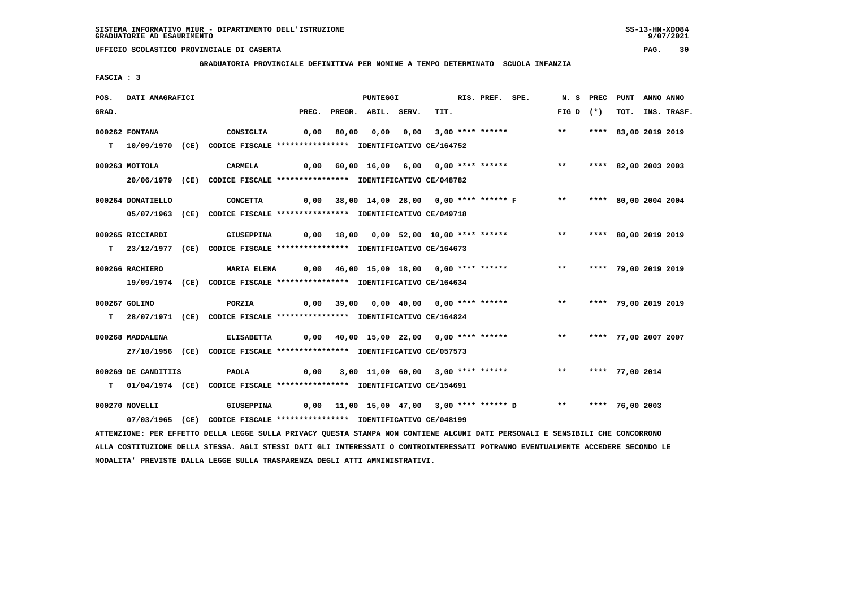**GRADUATORIA PROVINCIALE DEFINITIVA PER NOMINE A TEMPO DETERMINATO SCUOLA INFANZIA**

 **FASCIA : 3**

| POS.  | DATI ANAGRAFICI     |                                                                                                                               |       |       | <b>PUNTEGGI</b>    |      |                                        | RIS. PREF. SPE. |                                                       |             | N. S PREC PUNT |                      | ANNO ANNO |                  |
|-------|---------------------|-------------------------------------------------------------------------------------------------------------------------------|-------|-------|--------------------|------|----------------------------------------|-----------------|-------------------------------------------------------|-------------|----------------|----------------------|-----------|------------------|
| GRAD. |                     |                                                                                                                               | PREC. |       | PREGR. ABIL. SERV. |      | TIT.                                   |                 |                                                       | $FIG D (*)$ |                |                      |           | TOT. INS. TRASF. |
|       | 000262 FONTANA      | CONSIGLIA                                                                                                                     | 0,00  | 80,00 | 0,00               | 0,00 | $3.00$ **** ******                     |                 |                                                       | $***$       |                | **** 83,00 2019 2019 |           |                  |
|       |                     | T  10/09/1970 (CE) CODICE FISCALE **************** IDENTIFICATIVO CE/164752                                                   |       |       |                    |      |                                        |                 |                                                       |             |                |                      |           |                  |
|       |                     |                                                                                                                               |       |       |                    |      |                                        |                 |                                                       |             |                |                      |           |                  |
|       | 000263 MOTTOLA      | <b>CARMELA</b>                                                                                                                |       |       |                    |      |                                        |                 | 0,00 60,00 16,00 6,00 0,00 **** ****** *** **         |             |                | **** 82,00 2003 2003 |           |                  |
|       |                     | 20/06/1979 (CE) CODICE FISCALE *************** IDENTIFICATIVO CE/048782                                                       |       |       |                    |      |                                        |                 |                                                       |             |                |                      |           |                  |
|       | 000264 DONATIELLO   | <b>CONCETTA</b>                                                                                                               |       |       |                    |      |                                        |                 | $0,00$ 38,00 14,00 28,00 0,00 **** ****** F **        |             |                | **** 80,00 2004 2004 |           |                  |
|       |                     | 05/07/1963 (CE) CODICE FISCALE *************** IDENTIFICATIVO CE/049718                                                       |       |       |                    |      |                                        |                 |                                                       |             |                |                      |           |                  |
|       |                     |                                                                                                                               |       |       |                    |      |                                        |                 |                                                       |             |                |                      |           |                  |
|       | 000265 RICCIARDI    | GIUSEPPINA                                                                                                                    | 0,00  |       |                    |      |                                        |                 | 18,00 0,00 52,00 10,00 **** ****** *** **             |             |                | **** 80,00 2019 2019 |           |                  |
|       |                     | T 23/12/1977 (CE) CODICE FISCALE **************** IDENTIFICATIVO CE/164673                                                    |       |       |                    |      |                                        |                 |                                                       |             |                |                      |           |                  |
|       | 000266 RACHIERO     | <b>MARIA ELENA</b>                                                                                                            |       |       |                    |      |                                        |                 | $0,00$ 46,00 15,00 18,00 0,00 **** ****** *** **      |             |                | **** 79,00 2019 2019 |           |                  |
|       |                     | 19/09/1974 (CE) CODICE FISCALE *************** IDENTIFICATIVO CE/164634                                                       |       |       |                    |      |                                        |                 |                                                       |             |                |                      |           |                  |
|       |                     |                                                                                                                               |       |       |                    |      |                                        |                 |                                                       |             |                |                      |           |                  |
|       | 000267 GOLINO       | <b>PORZIA</b>                                                                                                                 |       |       |                    |      | 0,00 39,00 0,00 40,00 0,00 **** ****** |                 |                                                       | $***$       |                | **** 79,00 2019 2019 |           |                  |
|       |                     | T 28/07/1971 (CE) CODICE FISCALE *************** IDENTIFICATIVO CE/164824                                                     |       |       |                    |      |                                        |                 |                                                       |             |                |                      |           |                  |
|       | 000268 MADDALENA    | <b>ELISABETTA</b>                                                                                                             | 0,00  |       |                    |      | 40,00 15,00 22,00 0,00 **** ******     |                 |                                                       | $***$       |                | **** 77,00 2007 2007 |           |                  |
|       |                     | 27/10/1956 (CE) CODICE FISCALE *************** IDENTIFICATIVO CE/057573                                                       |       |       |                    |      |                                        |                 |                                                       |             |                |                      |           |                  |
|       |                     |                                                                                                                               |       |       |                    |      |                                        |                 |                                                       |             |                |                      |           |                  |
|       | 000269 DE CANDITIIS | PAOLA                                                                                                                         | 0,00  |       |                    |      |                                        |                 | 3,00 11,00 60,00 3,00 **** ****** *** **** 77,00 2014 |             |                |                      |           |                  |
| т     |                     | 01/04/1974 (CE) CODICE FISCALE **************** IDENTIFICATIVO CE/154691                                                      |       |       |                    |      |                                        |                 |                                                       |             |                |                      |           |                  |
|       | 000270 NOVELLI      | <b>GIUSEPPINA</b>                                                                                                             |       |       |                    |      |                                        |                 | 0,00 11,00 15,00 47,00 3,00 **** ****** D **          |             |                | **** 76,00 2003      |           |                  |
|       |                     | 07/03/1965 (CE) CODICE FISCALE *************** IDENTIFICATIVO CE/048199                                                       |       |       |                    |      |                                        |                 |                                                       |             |                |                      |           |                  |
|       |                     | ATTENZIONE: PER EFFETTO DELLA LEGGE SULLA PRIVACY QUESTA STAMPA NON CONTIENE ALCUNI DATI PERSONALI E SENSIBILI CHE CONCORRONO |       |       |                    |      |                                        |                 |                                                       |             |                |                      |           |                  |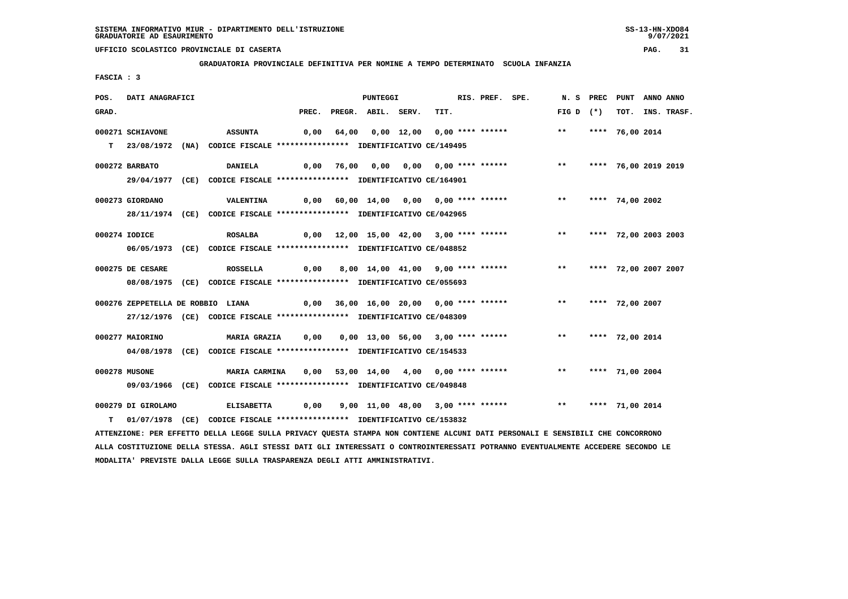**GRADUATORIA PROVINCIALE DEFINITIVA PER NOMINE A TEMPO DETERMINATO SCUOLA INFANZIA**

 **FASCIA : 3**

| POS.  | DATI ANAGRAFICI    |                                                                                                                                             |  | PUNTEGGI                 |  | RIS. PREF. SPE. |                                                                     |                    | N. S PREC PUNT |                      | ANNO ANNO        |
|-------|--------------------|---------------------------------------------------------------------------------------------------------------------------------------------|--|--------------------------|--|-----------------|---------------------------------------------------------------------|--------------------|----------------|----------------------|------------------|
| GRAD. |                    |                                                                                                                                             |  | PREC. PREGR. ABIL. SERV. |  | TIT.            |                                                                     | FIG D $(*)$        |                |                      | TOT. INS. TRASF. |
|       | 000271 SCHIAVONE   | ASSUNTA                                                                                                                                     |  |                          |  |                 | 0,00 64,00 0,00 12,00 0,00 **** ****** *** **                       |                    |                | **** 76,00 2014      |                  |
|       |                    | T 23/08/1972 (NA) CODICE FISCALE **************** IDENTIFICATIVO CE/149495                                                                  |  |                          |  |                 |                                                                     |                    |                |                      |                  |
|       | 000272 BARBATO     | <b>DANIELA</b>                                                                                                                              |  |                          |  |                 | 0,00 76,00 0,00 0,00 0,00 **** ******     **   **** 76,00 2019 2019 |                    |                |                      |                  |
|       |                    | 29/04/1977 (CE) CODICE FISCALE *************** IDENTIFICATIVO CE/164901                                                                     |  |                          |  |                 |                                                                     |                    |                |                      |                  |
|       | 000273 GIORDANO    | VALENTINA 0,00 60,00 14,00 0,00 0,00 **** ****** * *** **** 74,00 2002                                                                      |  |                          |  |                 |                                                                     |                    |                |                      |                  |
|       |                    | 28/11/1974 (CE) CODICE FISCALE *************** IDENTIFICATIVO CE/042965                                                                     |  |                          |  |                 |                                                                     |                    |                |                      |                  |
|       | 000274 IODICE      | <b>ROSALBA</b>                                                                                                                              |  |                          |  |                 | $0,00$ $12,00$ $15,00$ $42,00$ $3,00$ **** ****** *** ***           |                    |                | **** 72,00 2003 2003 |                  |
|       |                    | 06/05/1973 (CE) CODICE FISCALE *************** IDENTIFICATIVO CE/048852                                                                     |  |                          |  |                 |                                                                     |                    |                |                      |                  |
|       | 000275 DE CESARE   | <b>ROSSELLA</b>                                                                                                                             |  |                          |  |                 | 0,00 8,00 14,00 41,00 9,00 **** ****** *** **                       |                    |                | **** 72,00 2007 2007 |                  |
|       |                    | 08/08/1975 (CE) CODICE FISCALE *************** IDENTIFICATIVO CE/055693                                                                     |  |                          |  |                 |                                                                     |                    |                |                      |                  |
|       |                    | 000276 ZEPPETELLA DE ROBBIO LIANA $\begin{array}{cccccc} 0,00 & 36,00 & 16,00 & 20,00 & 0,00 & **** & **** & **** & **** & *** \end{array}$ |  |                          |  |                 |                                                                     |                    |                | **** 72,00 2007      |                  |
|       |                    | 27/12/1976 (CE) CODICE FISCALE *************** IDENTIFICATIVO CE/048309                                                                     |  |                          |  |                 |                                                                     |                    |                |                      |                  |
|       | 000277 MAIORINO    | MARIA GRAZIA      0,00     0,00   13,00   56,00   3,00  ****  ******                                                                        |  |                          |  |                 |                                                                     | ** **** 72,00 2014 |                |                      |                  |
|       |                    | 04/08/1978 (CE) CODICE FISCALE *************** IDENTIFICATIVO CE/154533                                                                     |  |                          |  |                 |                                                                     |                    |                |                      |                  |
|       | 000278 MUSONE      | <b>MARIA CARMINA</b>                                                                                                                        |  |                          |  |                 | 0,00 53,00 14,00 4,00 0,00 **** ****** *** *** **** 71,00 2004      |                    |                |                      |                  |
|       |                    | 09/03/1966 (CE) CODICE FISCALE *************** IDENTIFICATIVO CE/049848                                                                     |  |                          |  |                 |                                                                     |                    |                |                      |                  |
|       | 000279 DI GIROLAMO |                                                                                                                                             |  |                          |  |                 |                                                                     |                    |                |                      |                  |
|       |                    | T 01/07/1978 (CE) CODICE FISCALE *************** IDENTIFICATIVO CE/153832                                                                   |  |                          |  |                 |                                                                     |                    |                |                      |                  |

 **ATTENZIONE: PER EFFETTO DELLA LEGGE SULLA PRIVACY QUESTA STAMPA NON CONTIENE ALCUNI DATI PERSONALI E SENSIBILI CHE CONCORRONO ALLA COSTITUZIONE DELLA STESSA. AGLI STESSI DATI GLI INTERESSATI O CONTROINTERESSATI POTRANNO EVENTUALMENTE ACCEDERE SECONDO LE MODALITA' PREVISTE DALLA LEGGE SULLA TRASPARENZA DEGLI ATTI AMMINISTRATIVI.**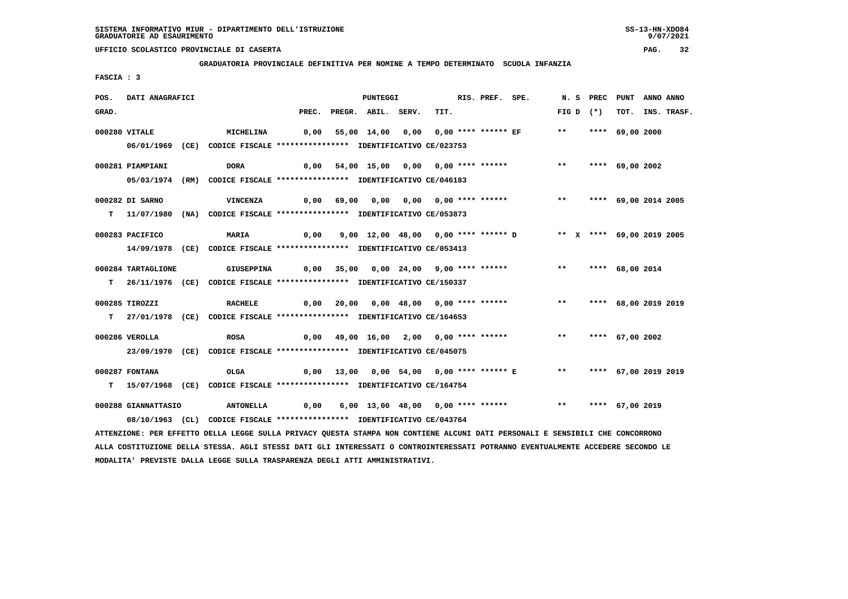**GRADUATORIA PROVINCIALE DEFINITIVA PER NOMINE A TEMPO DETERMINATO SCUOLA INFANZIA**

 **FASCIA : 3**

| POS.  | DATI ANAGRAFICI     |                                                                                                                               |       | PUNTEGGI           |                                        | RIS. PREF. SPE. |                                                               |              | N.S PREC    | PUNT                    | ANNO ANNO |             |
|-------|---------------------|-------------------------------------------------------------------------------------------------------------------------------|-------|--------------------|----------------------------------------|-----------------|---------------------------------------------------------------|--------------|-------------|-------------------------|-----------|-------------|
| GRAD. |                     |                                                                                                                               | PREC. | PREGR. ABIL. SERV. | TIT.                                   |                 |                                                               |              | FIG D $(*)$ | TOT.                    |           | INS. TRASF. |
|       | 000280 VITALE       | <b>MICHELINA</b>                                                                                                              | 0,00  |                    |                                        |                 |                                                               | $***$        |             | **** 69,00 2000         |           |             |
|       |                     |                                                                                                                               |       |                    |                                        |                 |                                                               |              |             |                         |           |             |
|       |                     | 06/01/1969 (CE) CODICE FISCALE *************** IDENTIFICATIVO CE/023753                                                       |       |                    |                                        |                 |                                                               |              |             |                         |           |             |
|       | 000281 PIAMPIANI    | <b>DORA</b>                                                                                                                   | 0,00  |                    | 54,00 15,00 0,00 0,00 **** ******      |                 |                                                               | $***$        |             | **** 69,00 2002         |           |             |
|       |                     | 05/03/1974 (RM) CODICE FISCALE *************** IDENTIFICATIVO CE/046183                                                       |       |                    |                                        |                 |                                                               |              |             |                         |           |             |
|       |                     |                                                                                                                               |       |                    |                                        |                 |                                                               |              |             |                         |           |             |
|       | 000282 DI SARNO     | <b>VINCENZA</b>                                                                                                               |       |                    | 0,00 69,00 0,00 0,00 0,00 **** ******  |                 |                                                               |              |             | ** **** 69,00 2014 2005 |           |             |
|       |                     | T 11/07/1980 (NA) CODICE FISCALE *************** IDENTIFICATIVO CE/053873                                                     |       |                    |                                        |                 |                                                               |              |             |                         |           |             |
|       |                     |                                                                                                                               |       |                    |                                        |                 |                                                               |              |             |                         |           |             |
|       | 000283 PACIFICO     | <b>MARIA</b>                                                                                                                  | 0,00  |                    |                                        |                 | 9,00 12,00 48,00 0,00 **** ****** D ** X **** 69,00 2019 2005 |              |             |                         |           |             |
|       |                     | 14/09/1978 (CE) CODICE FISCALE *************** IDENTIFICATIVO CE/053413                                                       |       |                    |                                        |                 |                                                               |              |             |                         |           |             |
|       | 000284 TARTAGLIONE  | <b>GIUSEPPINA</b>                                                                                                             |       |                    | 0,00 35,00 0,00 24,00 9,00 **** ****** |                 |                                                               | $***$        |             | **** 68,00 2014         |           |             |
|       |                     | T 26/11/1976 (CE) CODICE FISCALE **************** IDENTIFICATIVO CE/150337                                                    |       |                    |                                        |                 |                                                               |              |             |                         |           |             |
|       |                     |                                                                                                                               |       |                    |                                        |                 |                                                               |              |             |                         |           |             |
|       | 000285 TIROZZI      | <b>RACHELE</b>                                                                                                                |       |                    | 0,00 20,00 0,00 48,00 0,00 **** ****** |                 |                                                               | $***$        |             | **** 68,00 2019 2019    |           |             |
|       |                     | T 27/01/1978 (CE) CODICE FISCALE *************** IDENTIFICATIVO CE/164653                                                     |       |                    |                                        |                 |                                                               |              |             |                         |           |             |
|       |                     |                                                                                                                               |       |                    |                                        |                 |                                                               |              |             |                         |           |             |
|       | 000286 VEROLLA      | <b>ROSA</b>                                                                                                                   |       |                    | 0,00 49,00 16,00 2,00 0,00 **** ****** |                 |                                                               | $\star\star$ |             | **** 67,00 2002         |           |             |
|       |                     | 23/09/1970 (CE) CODICE FISCALE *************** IDENTIFICATIVO CE/045075                                                       |       |                    |                                        |                 |                                                               |              |             |                         |           |             |
|       |                     |                                                                                                                               |       |                    |                                        |                 |                                                               |              |             |                         |           |             |
|       | 000287 FONTANA      | OLGA                                                                                                                          |       |                    |                                        |                 | 0,00 13,00 0,00 54,00 0,00 **** ****** E                      | $***$        |             | **** 67,00 2019 2019    |           |             |
| т     |                     | 15/07/1968 (CE) CODICE FISCALE **************** IDENTIFICATIVO CE/164754                                                      |       |                    |                                        |                 |                                                               |              |             |                         |           |             |
|       | 000288 GIANNATTASIO | <b>ANTONELLA</b>                                                                                                              | 0,00  |                    | 6,00 13,00 48,00 0,00 **** ******      |                 |                                                               | $***$        |             | **** 67,00 2019         |           |             |
|       |                     | 08/10/1963 (CL) CODICE FISCALE *************** IDENTIFICATIVO CE/043764                                                       |       |                    |                                        |                 |                                                               |              |             |                         |           |             |
|       |                     | ATTENZIONE: PER EFFETTO DELLA LEGGE SULLA PRIVACY QUESTA STAMPA NON CONTIENE ALCUNI DATI PERSONALI E SENSIBILI CHE CONCORRONO |       |                    |                                        |                 |                                                               |              |             |                         |           |             |
|       |                     |                                                                                                                               |       |                    |                                        |                 |                                                               |              |             |                         |           |             |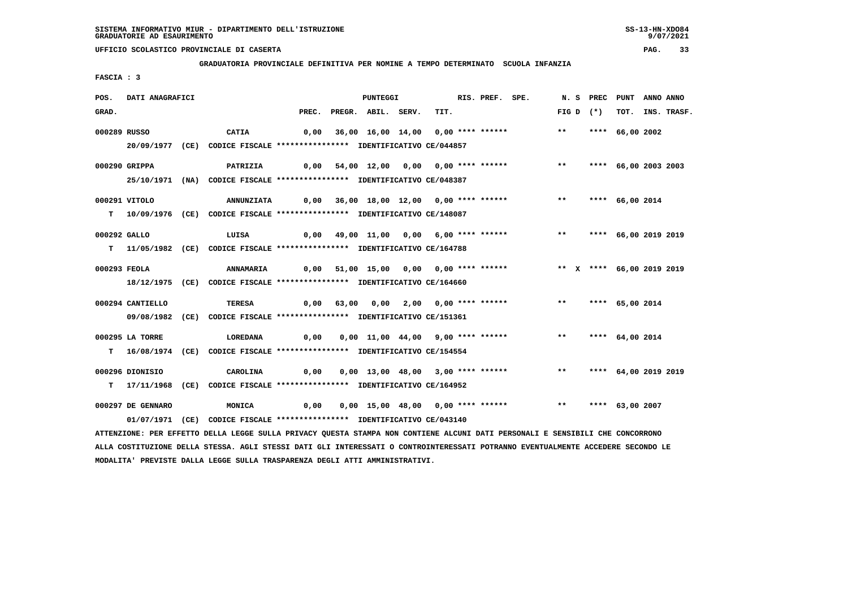**GRADUATORIA PROVINCIALE DEFINITIVA PER NOMINE A TEMPO DETERMINATO SCUOLA INFANZIA**

 **FASCIA : 3**

| POS.  | DATI ANAGRAFICI   |                                                                                                                                 |       | PUNTEGGI           |                                         | RIS. PREF. SPE. | N. S PREC                 | PUNT                 | ANNO ANNO |             |
|-------|-------------------|---------------------------------------------------------------------------------------------------------------------------------|-------|--------------------|-----------------------------------------|-----------------|---------------------------|----------------------|-----------|-------------|
| GRAD. |                   |                                                                                                                                 | PREC. | PREGR. ABIL. SERV. | TIT.                                    |                 | FIG D $(*)$               | тот.                 |           | INS. TRASF. |
|       | 000289 RUSSO      | <b>CATIA</b>                                                                                                                    | 0,00  |                    | 36,00 16,00 14,00 0,00 **** ******      |                 | $***$                     | **** 66,00 2002      |           |             |
|       |                   | 20/09/1977 (CE) CODICE FISCALE *************** IDENTIFICATIVO CE/044857                                                         |       |                    |                                         |                 |                           |                      |           |             |
|       |                   |                                                                                                                                 |       |                    |                                         |                 |                           |                      |           |             |
|       | 000290 GRIPPA     | PATRIZIA                                                                                                                        |       |                    | 0,00 54,00 12,00 0,00 0,00 **** ******  |                 | $***$                     | **** 66,00 2003 2003 |           |             |
|       |                   | 25/10/1971 (NA) CODICE FISCALE *************** IDENTIFICATIVO CE/048387                                                         |       |                    |                                         |                 |                           |                      |           |             |
|       | 000291 VITOLO     | <b>ANNUNZIATA</b>                                                                                                               |       |                    | 0,00 36,00 18,00 12,00 0,00 **** ****** |                 | $***$                     | **** 66,00 2014      |           |             |
|       |                   | T 10/09/1976 (CE) CODICE FISCALE **************** IDENTIFICATIVO CE/148087                                                      |       |                    |                                         |                 |                           |                      |           |             |
|       |                   |                                                                                                                                 |       |                    |                                         |                 |                           |                      |           |             |
|       | 000292 GALLO      | LUISA                                                                                                                           | 0,00  |                    | 49,00 11,00 0,00 6,00 **** ******       |                 | $***$                     | **** 66,00 2019 2019 |           |             |
|       |                   | T 11/05/1982 (CE) CODICE FISCALE *************** IDENTIFICATIVO CE/164788                                                       |       |                    |                                         |                 |                           |                      |           |             |
|       | 000293 FEOLA      | <b>ANNAMARIA</b>                                                                                                                |       |                    | 0,00 51,00 15,00 0,00 0,00 **** ******  |                 | ** X **** 66,00 2019 2019 |                      |           |             |
|       |                   | 18/12/1975 (CE) CODICE FISCALE *************** IDENTIFICATIVO CE/164660                                                         |       |                    |                                         |                 |                           |                      |           |             |
|       |                   |                                                                                                                                 |       |                    |                                         |                 |                           |                      |           |             |
|       | 000294 CANTIELLO  | <b>TERESA</b>                                                                                                                   |       |                    | $0,00$ 63,00 0,00 2,00 0,00 **** ****** |                 | $***$                     | **** 65,00 2014      |           |             |
|       |                   | 09/08/1982 (CE) CODICE FISCALE *************** IDENTIFICATIVO CE/151361                                                         |       |                    |                                         |                 |                           |                      |           |             |
|       | 000295 LA TORRE   | <b>LOREDANA</b>                                                                                                                 | 0,00  |                    | 0,00 11,00 44,00 9,00 **** ******       |                 | $***$                     | **** 64,00 2014      |           |             |
|       |                   | T 16/08/1974 (CE) CODICE FISCALE *************** IDENTIFICATIVO CE/154554                                                       |       |                    |                                         |                 |                           |                      |           |             |
|       |                   |                                                                                                                                 |       |                    |                                         |                 |                           |                      |           |             |
|       | 000296 DIONISIO   | CAROLINA                                                                                                                        | 0,00  |                    | 0,00 13,00 48,00 3,00 **** ******       |                 | $***$                     | **** 64,00 2019 2019 |           |             |
|       |                   | T 17/11/1968 (CE) CODICE FISCALE **************** IDENTIFICATIVO CE/164952                                                      |       |                    |                                         |                 |                           |                      |           |             |
|       | 000297 DE GENNARO | <b>MONICA</b>                                                                                                                   | 0,00  |                    | 0,00 15,00 48,00 0,00 **** ******       |                 | $***$                     | **** 63,00 2007      |           |             |
|       |                   | 01/07/1971 (CE) CODICE FISCALE *************** IDENTIFICATIVO CE/043140                                                         |       |                    |                                         |                 |                           |                      |           |             |
|       |                   | ATTENZIONE: PER EFFETTO DELLA LEGGE SULLA PRIVACY QUESTA STAMPA NON CONTIENE ALCUNI DATI PERSONALI E SENSIBILI CHE CONCORRONO   |       |                    |                                         |                 |                           |                      |           |             |
|       |                   | ALLA COSTITUZIONE DELLA STESSA. AGLI STESSI DATI GLI INTERESSATI O CONTROINTERESSATI POTRANNO EVENTUALMENTE ACCEDERE SECONDO LE |       |                    |                                         |                 |                           |                      |           |             |

 **MODALITA' PREVISTE DALLA LEGGE SULLA TRASPARENZA DEGLI ATTI AMMINISTRATIVI.**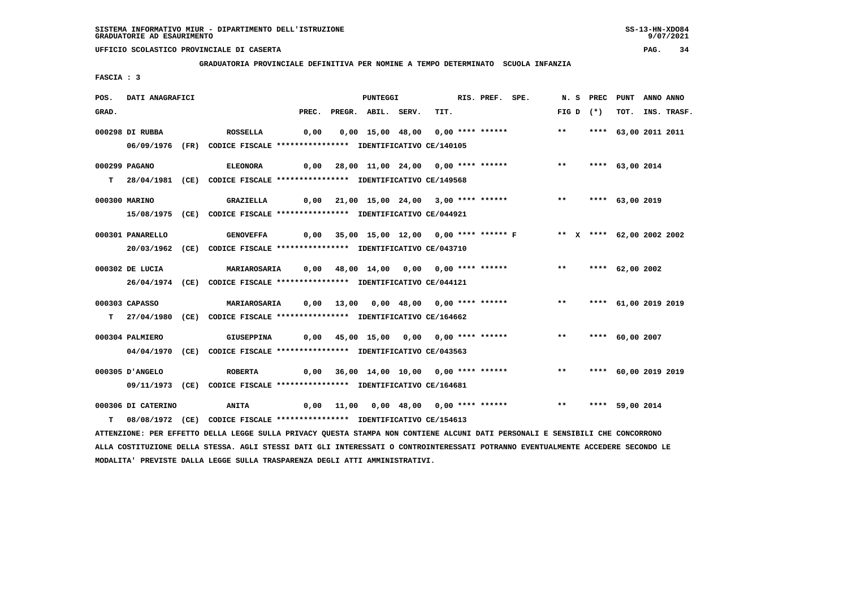**GRADUATORIA PROVINCIALE DEFINITIVA PER NOMINE A TEMPO DETERMINATO SCUOLA INFANZIA**

 **FASCIA : 3**

| POS.  | DATI ANAGRAFICI    |                                                                                                                               |       | PUNTEGGI           |                                           | RIS. PREF. SPE. |                                                                     |             | N. S PREC PUNT |                      | ANNO ANNO |                  |
|-------|--------------------|-------------------------------------------------------------------------------------------------------------------------------|-------|--------------------|-------------------------------------------|-----------------|---------------------------------------------------------------------|-------------|----------------|----------------------|-----------|------------------|
| GRAD. |                    |                                                                                                                               | PREC. | PREGR. ABIL. SERV. | TIT.                                      |                 |                                                                     | FIG D $(*)$ |                |                      |           | TOT. INS. TRASF. |
|       | 000298 DI RUBBA    | <b>ROSSELLA</b>                                                                                                               | 0,00  |                    | 0,00 15,00 48,00 0,00 **** ******         |                 |                                                                     | $***$       |                | **** 63,00 2011 2011 |           |                  |
|       |                    | 06/09/1976 (FR) CODICE FISCALE *************** IDENTIFICATIVO CE/140105                                                       |       |                    |                                           |                 |                                                                     |             |                |                      |           |                  |
|       |                    |                                                                                                                               |       |                    |                                           |                 |                                                                     |             |                |                      |           |                  |
|       | 000299 PAGANO      | <b>ELEONORA</b>                                                                                                               |       |                    | 0,00 28,00 11,00 24,00 0,00 **** ******   |                 |                                                                     |             |                | ** **** 63,00 2014   |           |                  |
|       |                    | T 28/04/1981 (CE) CODICE FISCALE **************** IDENTIFICATIVO CE/149568                                                    |       |                    |                                           |                 |                                                                     |             |                |                      |           |                  |
|       | 000300 MARINO      | GRAZIELLA                                                                                                                     |       |                    |                                           |                 |                                                                     | $***$       |                | **** 63,00 2019      |           |                  |
|       |                    | 15/08/1975 (CE) CODICE FISCALE *************** IDENTIFICATIVO CE/044921                                                       |       |                    |                                           |                 |                                                                     |             |                |                      |           |                  |
|       |                    |                                                                                                                               |       |                    |                                           |                 |                                                                     |             |                |                      |           |                  |
|       | 000301 PANARELLO   | <b>GENOVEFFA</b>                                                                                                              |       |                    |                                           |                 | 0,00 35,00 15,00 12,00 0,00 **** ****** F ** * **** 62,00 2002 2002 |             |                |                      |           |                  |
|       |                    | 20/03/1962 (CE) CODICE FISCALE *************** IDENTIFICATIVO CE/043710                                                       |       |                    |                                           |                 |                                                                     |             |                |                      |           |                  |
|       | 000302 DE LUCIA    | MARIAROSARIA        0,00     48,00    14,00     0,00    0,00  ****  ******                                                    |       |                    |                                           |                 |                                                                     |             |                | ** **** 62,00 2002   |           |                  |
|       |                    | 26/04/1974 (CE) CODICE FISCALE *************** IDENTIFICATIVO CE/044121                                                       |       |                    |                                           |                 |                                                                     |             |                |                      |           |                  |
|       |                    |                                                                                                                               |       |                    |                                           |                 |                                                                     |             |                |                      |           |                  |
|       | 000303 CAPASSO     | MARIAROSARIA        0,00    13,00     0,00   48,00     0,00  ****  ******                                                     |       |                    |                                           |                 |                                                                     | $***$       |                | **** 61,00 2019 2019 |           |                  |
|       |                    | T 27/04/1980 (CE) CODICE FISCALE **************** IDENTIFICATIVO CE/164662                                                    |       |                    |                                           |                 |                                                                     |             |                |                      |           |                  |
|       | 000304 PALMIERO    | <b>GIUSEPPINA</b>                                                                                                             |       |                    |                                           |                 | 0,00 45,00 15,00 0,00 0,00 **** ******             **               |             |                | **** 60,00 2007      |           |                  |
|       |                    | 04/04/1970 (CE) CODICE FISCALE *************** IDENTIFICATIVO CE/043563                                                       |       |                    |                                           |                 |                                                                     |             |                |                      |           |                  |
|       |                    |                                                                                                                               |       |                    |                                           |                 |                                                                     |             |                |                      |           |                  |
|       | 000305 D'ANGELO    | <b>ROBERTA</b>                                                                                                                |       |                    | $0,00$ 36,00 14,00 10,00 0,00 **** ****** |                 |                                                                     | $***$       |                | **** 60,00 2019 2019 |           |                  |
|       |                    | 09/11/1973 (CE) CODICE FISCALE *************** IDENTIFICATIVO CE/164681                                                       |       |                    |                                           |                 |                                                                     |             |                |                      |           |                  |
|       | 000306 DI CATERINO | <b>ANITA</b>                                                                                                                  |       |                    | 0,00 11,00 0,00 48,00 0,00 **** ******    |                 |                                                                     |             |                | ** **** 59,00 2014   |           |                  |
|       |                    | T 08/08/1972 (CE) CODICE FISCALE *************** IDENTIFICATIVO CE/154613                                                     |       |                    |                                           |                 |                                                                     |             |                |                      |           |                  |
|       |                    | ATTENZIONE: PER EFFETTO DELLA LEGGE SULLA PRIVACY QUESTA STAMPA NON CONTIENE ALCUNI DATI PERSONALI E SENSIBILI CHE CONCORRONO |       |                    |                                           |                 |                                                                     |             |                |                      |           |                  |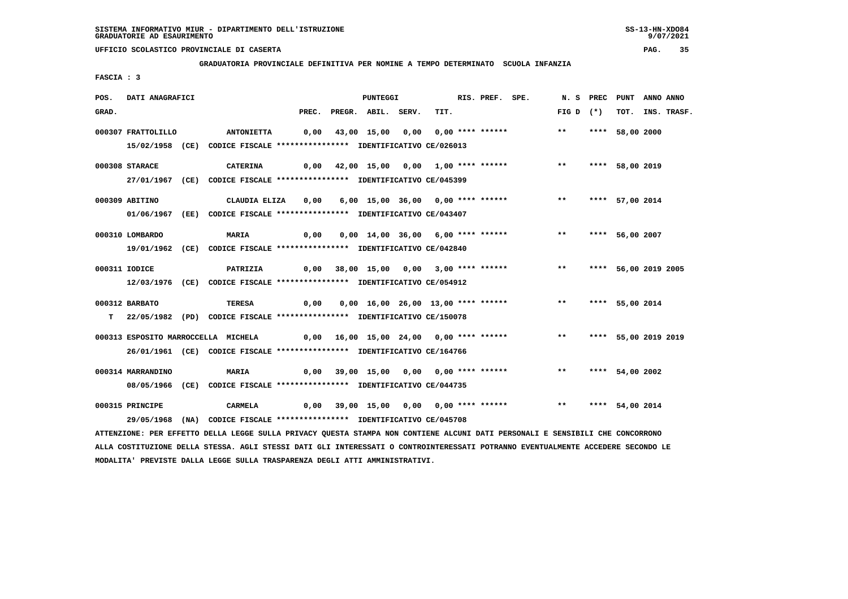**GRADUATORIA PROVINCIALE DEFINITIVA PER NOMINE A TEMPO DETERMINATO SCUOLA INFANZIA**

 **FASCIA : 3**

| POS.  | DATI ANAGRAFICI    |                                                                                                                               |                                                | <b>PUNTEGGI</b>    |                                          | RIS. PREF. SPE. |                    | N.S PREC | PUNT                 | ANNO ANNO |             |
|-------|--------------------|-------------------------------------------------------------------------------------------------------------------------------|------------------------------------------------|--------------------|------------------------------------------|-----------------|--------------------|----------|----------------------|-----------|-------------|
| GRAD. |                    |                                                                                                                               | PREC.                                          | PREGR. ABIL. SERV. | TIT.                                     |                 | FIG D $(*)$        |          | тот.                 |           | INS. TRASF. |
|       | 000307 FRATTOLILLO | <b>ANTONIETTA</b>                                                                                                             |                                                |                    | $0,00$ 43,00 15,00 0,00 0,00 **** ****** |                 | $***$              |          | **** 58,00 2000      |           |             |
|       |                    | 15/02/1958 (CE) CODICE FISCALE *************** IDENTIFICATIVO CE/026013                                                       |                                                |                    |                                          |                 |                    |          |                      |           |             |
|       |                    |                                                                                                                               |                                                |                    |                                          |                 |                    |          |                      |           |             |
|       | 000308 STARACE     | <b>CATERINA</b>                                                                                                               |                                                |                    | 0,00 42,00 15,00 0,00 1,00 **** ******   |                 | $***$              |          | **** 58,00 2019      |           |             |
|       |                    | 27/01/1967 (CE) CODICE FISCALE *************** IDENTIFICATIVO CE/045399                                                       |                                                |                    |                                          |                 |                    |          |                      |           |             |
|       | 000309 ABITINO     | CLAUDIA ELIZA                                                                                                                 | 0,00                                           |                    | 6,00 15,00 36,00 0,00 **** ******        |                 | $***$              |          | **** 57,00 2014      |           |             |
|       |                    | 01/06/1967 (EE) CODICE FISCALE *************** IDENTIFICATIVO CE/043407                                                       |                                                |                    |                                          |                 |                    |          |                      |           |             |
|       |                    |                                                                                                                               |                                                |                    |                                          |                 |                    |          |                      |           |             |
|       | 000310 LOMBARDO    | <b>MARIA</b>                                                                                                                  | 0,00                                           |                    | 0,00 14,00 36,00 6,00 **** ******        |                 | ** **** 56,00 2007 |          |                      |           |             |
|       |                    | 19/01/1962 (CE) CODICE FISCALE *************** IDENTIFICATIVO CE/042840                                                       |                                                |                    |                                          |                 |                    |          |                      |           |             |
|       | 000311 IODICE      | <b>PATRIZIA</b>                                                                                                               |                                                |                    | 0,00 38,00 15,00 0,00 3,00 **** ******   |                 | $***$              |          | **** 56,00 2019 2005 |           |             |
|       |                    | 12/03/1976 (CE) CODICE FISCALE *************** IDENTIFICATIVO CE/054912                                                       |                                                |                    |                                          |                 |                    |          |                      |           |             |
|       |                    |                                                                                                                               |                                                |                    |                                          |                 |                    |          |                      |           |             |
|       | 000312 BARBATO     | TERESA                                                                                                                        | 0,00                                           |                    | 0,00 16,00 26,00 13,00 **** ******       |                 | $***$              |          | **** 55,00 2014      |           |             |
|       |                    | T 22/05/1982 (PD) CODICE FISCALE **************** IDENTIFICATIVO CE/150078                                                    |                                                |                    |                                          |                 |                    |          |                      |           |             |
|       |                    | 000313 ESPOSITO MARROCCELLA MICHELA                                                                                           | 0,00 16,00 15,00 24,00 0,00 **** ****** *** ** |                    |                                          |                 |                    |          | **** 55,00 2019 2019 |           |             |
|       |                    | 26/01/1961 (CE) CODICE FISCALE *************** IDENTIFICATIVO CE/164766                                                       |                                                |                    |                                          |                 |                    |          |                      |           |             |
|       |                    |                                                                                                                               |                                                |                    |                                          |                 |                    |          |                      |           |             |
|       | 000314 MARRANDINO  | <b>MARIA</b>                                                                                                                  |                                                |                    | 0,00 39,00 15,00 0,00 0,00 **** ******   |                 | $***$              |          | **** 54,00 2002      |           |             |
|       |                    | 08/05/1966 (CE) CODICE FISCALE *************** IDENTIFICATIVO CE/044735                                                       |                                                |                    |                                          |                 |                    |          |                      |           |             |
|       | 000315 PRINCIPE    | <b>CARMELA</b>                                                                                                                |                                                |                    | 0,00 39,00 15,00 0,00 0,00 **** ******   |                 | $\star\star$       |          | **** 54,00 2014      |           |             |
|       |                    | 29/05/1968 (NA) CODICE FISCALE *************** IDENTIFICATIVO CE/045708                                                       |                                                |                    |                                          |                 |                    |          |                      |           |             |
|       |                    | ATTENZIONE: PER EFFETTO DELLA LEGGE SULLA PRIVACY QUESTA STAMPA NON CONTIENE ALCUNI DATI PERSONALI E SENSIBILI CHE CONCORRONO |                                                |                    |                                          |                 |                    |          |                      |           |             |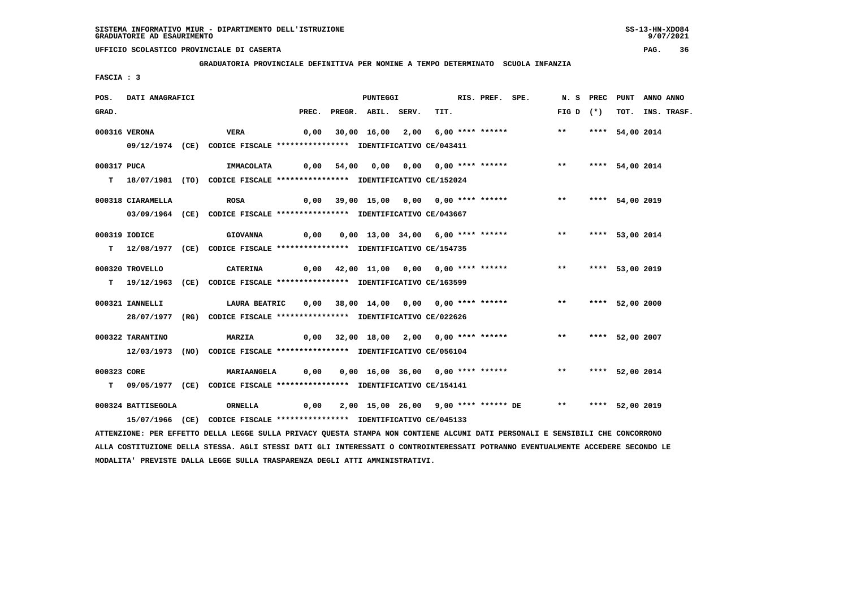**GRADUATORIA PROVINCIALE DEFINITIVA PER NOMINE A TEMPO DETERMINATO SCUOLA INFANZIA**

 **FASCIA : 3**

| POS.        | DATI ANAGRAFICI    |                                                                                                                               |      | <b>PUNTEGGI</b>          |                                                              | RIS. PREF. SPE. |                    | N.S PREC | PUNT            | ANNO ANNO |                  |
|-------------|--------------------|-------------------------------------------------------------------------------------------------------------------------------|------|--------------------------|--------------------------------------------------------------|-----------------|--------------------|----------|-----------------|-----------|------------------|
| GRAD.       |                    |                                                                                                                               |      | PREC. PREGR. ABIL. SERV. | TIT.                                                         |                 | FIG D $(*)$        |          |                 |           | TOT. INS. TRASF. |
|             | 000316 VERONA      | VERA                                                                                                                          |      |                          | 0,00 30,00 16,00 2,00 6,00 **** ******                       |                 | $***$              |          | **** 54,00 2014 |           |                  |
|             |                    | 09/12/1974 (CE) CODICE FISCALE *************** IDENTIFICATIVO CE/043411                                                       |      |                          |                                                              |                 |                    |          |                 |           |                  |
|             |                    |                                                                                                                               |      |                          |                                                              |                 |                    |          |                 |           |                  |
| 000317 PUCA |                    | IMMACOLATA                                                                                                                    | 0,00 |                          |                                                              |                 | $***$              |          | **** 54,00 2014 |           |                  |
|             |                    | T 18/07/1981 (TO) CODICE FISCALE *************** IDENTIFICATIVO CE/152024                                                     |      |                          |                                                              |                 |                    |          |                 |           |                  |
|             | 000318 CIARAMELLA  | <b>ROSA</b>                                                                                                                   |      |                          | 0,00 39,00 15,00 0,00 0,00 **** ******                       |                 | $***$              |          | **** 54,00 2019 |           |                  |
|             |                    | 03/09/1964 (CE) CODICE FISCALE *************** IDENTIFICATIVO CE/043667                                                       |      |                          |                                                              |                 |                    |          |                 |           |                  |
|             |                    |                                                                                                                               |      |                          |                                                              |                 |                    |          |                 |           |                  |
|             | 000319 IODICE      | <b>GIOVANNA</b>                                                                                                               |      |                          | $0,00$ $0,00$ $13,00$ $34,00$ $6,00$ **** ******             |                 | ** **** 53,00 2014 |          |                 |           |                  |
|             |                    | T 12/08/1977 (CE) CODICE FISCALE *************** IDENTIFICATIVO CE/154735                                                     |      |                          |                                                              |                 |                    |          |                 |           |                  |
|             | 000320 TROVELLO    | <b>CATERINA</b>                                                                                                               |      |                          | 0,00 42,00 11,00 0,00 0,00 **** ******                       |                 | ** **** 53,00 2019 |          |                 |           |                  |
|             |                    | T 19/12/1963 (CE) CODICE FISCALE *************** IDENTIFICATIVO CE/163599                                                     |      |                          |                                                              |                 |                    |          |                 |           |                  |
|             |                    |                                                                                                                               |      |                          |                                                              |                 |                    |          |                 |           |                  |
|             | 000321 IANNELLI    | <b>LAURA BEATRIC</b>                                                                                                          |      |                          | 0,00 38,00 14,00 0,00 0,00 **** ******                       |                 | $***$              |          | **** 52,00 2000 |           |                  |
|             |                    | 28/07/1977 (RG) CODICE FISCALE *************** IDENTIFICATIVO CE/022626                                                       |      |                          |                                                              |                 |                    |          |                 |           |                  |
|             |                    |                                                                                                                               |      |                          |                                                              |                 |                    |          |                 |           |                  |
|             | 000322 TARANTINO   | <b>MARZIA</b>                                                                                                                 |      |                          | 0,00 32,00 18,00 2,00 0,00 **** ******                       |                 | ** **** 52,00 2007 |          |                 |           |                  |
|             |                    | 12/03/1973 (NO) CODICE FISCALE *************** IDENTIFICATIVO CE/056104                                                       |      |                          |                                                              |                 |                    |          |                 |           |                  |
| 000323 CORE |                    | <b>MARIAANGELA</b>                                                                                                            |      |                          | 0,00  0,00  16,00  36,00  0,00  ****  ******                 |                 | ** **** 52,00 2014 |          |                 |           |                  |
|             |                    | T 09/05/1977 (CE) CODICE FISCALE *************** IDENTIFICATIVO CE/154141                                                     |      |                          |                                                              |                 |                    |          |                 |           |                  |
|             |                    |                                                                                                                               |      |                          |                                                              |                 |                    |          |                 |           |                  |
|             | 000324 BATTISEGOLA | ORNELLA                                                                                                                       |      |                          | 0,00 2,00 15,00 26,00 9,00 **** ****** DE ** **** 52,00 2019 |                 |                    |          |                 |           |                  |
|             |                    | 15/07/1966 (CE) CODICE FISCALE *************** IDENTIFICATIVO CE/045133                                                       |      |                          |                                                              |                 |                    |          |                 |           |                  |
|             |                    | ATTENZIONE: PER EFFETTO DELLA LEGGE SULLA PRIVACY QUESTA STAMPA NON CONTIENE ALCUNI DATI PERSONALI E SENSIBILI CHE CONCORRONO |      |                          |                                                              |                 |                    |          |                 |           |                  |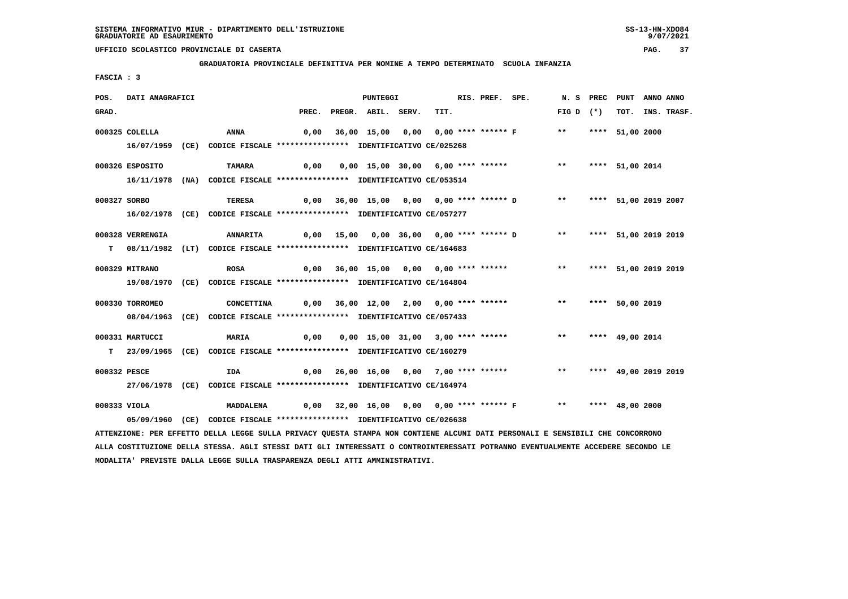**GRADUATORIA PROVINCIALE DEFINITIVA PER NOMINE A TEMPO DETERMINATO SCUOLA INFANZIA**

 **FASCIA : 3**

| POS.         | DATI ANAGRAFICI  |                                                                                                                               |                                                                  | <b>PUNTEGGI</b>          |                                          | RIS. PREF. SPE. |                                                                  | N.S PREC                | PUNT                 | ANNO ANNO |                  |
|--------------|------------------|-------------------------------------------------------------------------------------------------------------------------------|------------------------------------------------------------------|--------------------------|------------------------------------------|-----------------|------------------------------------------------------------------|-------------------------|----------------------|-----------|------------------|
| GRAD.        |                  |                                                                                                                               |                                                                  | PREC. PREGR. ABIL. SERV. | TIT.                                     |                 |                                                                  | FIG D $(*)$             |                      |           | TOT. INS. TRASF. |
|              | 000325 COLELLA   | ANNA                                                                                                                          | 0,00                                                             |                          |                                          |                 | 36,00 15,00 0,00 0,00 **** ****** F ** **                        |                         | **** 51,00 2000      |           |                  |
|              |                  |                                                                                                                               |                                                                  |                          |                                          |                 |                                                                  |                         |                      |           |                  |
|              |                  | 16/07/1959 (CE) CODICE FISCALE *************** IDENTIFICATIVO CE/025268                                                       |                                                                  |                          |                                          |                 |                                                                  |                         |                      |           |                  |
|              | 000326 ESPOSITO  | <b>TAMARA</b>                                                                                                                 | 0,00                                                             |                          | 0,00 15,00 30,00 6,00 **** ******        |                 |                                                                  | $***$                   | **** 51,00 2014      |           |                  |
|              |                  | 16/11/1978 (NA) CODICE FISCALE *************** IDENTIFICATIVO CE/053514                                                       |                                                                  |                          |                                          |                 |                                                                  |                         |                      |           |                  |
|              |                  |                                                                                                                               |                                                                  |                          |                                          |                 |                                                                  |                         |                      |           |                  |
| 000327 SORBO |                  | TERESA                                                                                                                        |                                                                  |                          |                                          |                 | 0,00 36,00 15,00 0,00 0,00 **** ****** D ** **** 51,00 2019 2007 |                         |                      |           |                  |
|              |                  | 16/02/1978 (CE) CODICE FISCALE *************** IDENTIFICATIVO CE/057277                                                       |                                                                  |                          |                                          |                 |                                                                  |                         |                      |           |                  |
|              |                  |                                                                                                                               |                                                                  |                          |                                          |                 |                                                                  |                         |                      |           |                  |
|              | 000328 VERRENGIA | <b>ANNARITA</b>                                                                                                               |                                                                  |                          |                                          |                 | 0,00 15,00 0,00 36,00 0,00 **** ****** D **                      |                         | **** 51,00 2019 2019 |           |                  |
|              |                  | T 08/11/1982 (LT) CODICE FISCALE **************** IDENTIFICATIVO CE/164683                                                    |                                                                  |                          |                                          |                 |                                                                  |                         |                      |           |                  |
|              | 000329 MITRANO   | <b>ROSA</b>                                                                                                                   |                                                                  |                          | 0,00 36,00 15,00 0,00 0,00 **** ******   |                 |                                                                  | ** **** 51,00 2019 2019 |                      |           |                  |
|              |                  | 19/08/1970 (CE) CODICE FISCALE *************** IDENTIFICATIVO CE/164804                                                       |                                                                  |                          |                                          |                 |                                                                  |                         |                      |           |                  |
|              |                  |                                                                                                                               |                                                                  |                          |                                          |                 |                                                                  |                         |                      |           |                  |
|              | 000330 TORROMEO  | CONCETTINA                                                                                                                    | 0,00 36,00 12,00 2,00 0,00 **** ******                           |                          |                                          |                 |                                                                  | $***$                   | **** 50,00 2019      |           |                  |
|              |                  | 08/04/1963 (CE) CODICE FISCALE *************** IDENTIFICATIVO CE/057433                                                       |                                                                  |                          |                                          |                 |                                                                  |                         |                      |           |                  |
|              |                  |                                                                                                                               |                                                                  |                          |                                          |                 |                                                                  |                         |                      |           |                  |
|              | 000331 MARTUCCI  | <b>MARIA</b>                                                                                                                  | 0,00                                                             |                          |                                          |                 | 0,00 15,00 31,00 3,00 **** ******               **               |                         | **** 49,00 2014      |           |                  |
|              |                  | T 23/09/1965 (CE) CODICE FISCALE *************** IDENTIFICATIVO CE/160279                                                     |                                                                  |                          |                                          |                 |                                                                  |                         |                      |           |                  |
| 000332 PESCE |                  | <b>IDA</b>                                                                                                                    |                                                                  |                          | $0,00$ 26,00 16,00 0,00 7,00 **** ****** |                 |                                                                  | $***$                   | **** 49,00 2019 2019 |           |                  |
|              |                  | 27/06/1978 (CE) CODICE FISCALE *************** IDENTIFICATIVO CE/164974                                                       |                                                                  |                          |                                          |                 |                                                                  |                         |                      |           |                  |
|              |                  |                                                                                                                               |                                                                  |                          |                                          |                 |                                                                  |                         |                      |           |                  |
| 000333 VIOLA |                  | <b>MADDALENA</b>                                                                                                              | 0,00 32,00 16,00 0,00 0,00 **** ****** F    **   **** 48,00 2000 |                          |                                          |                 |                                                                  |                         |                      |           |                  |
|              |                  | 05/09/1960 (CE) CODICE FISCALE *************** IDENTIFICATIVO CE/026638                                                       |                                                                  |                          |                                          |                 |                                                                  |                         |                      |           |                  |
|              |                  | ATTENZIONE: PER EFFETTO DELLA LEGGE SULLA PRIVACY QUESTA STAMPA NON CONTIENE ALCUNI DATI PERSONALI E SENSIBILI CHE CONCORRONO |                                                                  |                          |                                          |                 |                                                                  |                         |                      |           |                  |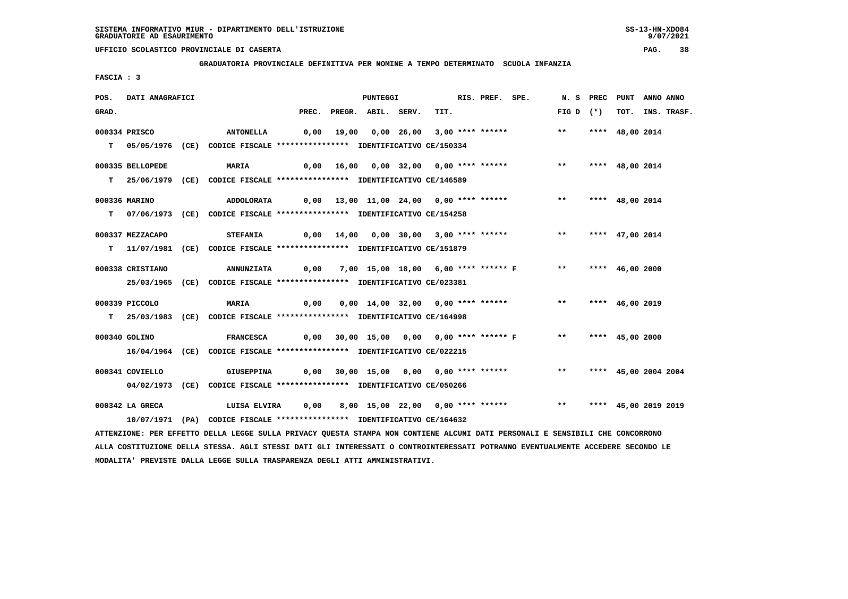**GRADUATORIA PROVINCIALE DEFINITIVA PER NOMINE A TEMPO DETERMINATO SCUOLA INFANZIA**

 **FASCIA : 3**

| POS.  | DATI ANAGRAFICI  |                                                                                                                                 |      | PUNTEGGI                 |                                        | RIS. PREF. SPE. |                                                                     |                    | N. S PREC PUNT ANNO ANNO |                  |
|-------|------------------|---------------------------------------------------------------------------------------------------------------------------------|------|--------------------------|----------------------------------------|-----------------|---------------------------------------------------------------------|--------------------|--------------------------|------------------|
| GRAD. |                  |                                                                                                                                 |      | PREC. PREGR. ABIL. SERV. | TIT.                                   |                 |                                                                     | FIG D $(*)$        |                          | TOT. INS. TRASF. |
|       | 000334 PRISCO    | <b>ANTONELLA</b>                                                                                                                |      |                          | 0,00 19,00 0,00 26,00 3,00 **** ****** |                 |                                                                     | $***$              | **** 48,00 2014          |                  |
|       |                  |                                                                                                                                 |      |                          |                                        |                 |                                                                     |                    |                          |                  |
|       |                  | T 05/05/1976 (CE) CODICE FISCALE **************** IDENTIFICATIVO CE/150334                                                      |      |                          |                                        |                 |                                                                     |                    |                          |                  |
|       | 000335 BELLOPEDE | <b>MARIA</b>                                                                                                                    |      |                          | 0,00 16,00 0,00 32,00 0,00 **** ****** |                 |                                                                     | $***$              | **** 48,00 2014          |                  |
|       |                  | T 25/06/1979 (CE) CODICE FISCALE **************** IDENTIFICATIVO CE/146589                                                      |      |                          |                                        |                 |                                                                     |                    |                          |                  |
|       |                  |                                                                                                                                 |      |                          |                                        |                 |                                                                     |                    |                          |                  |
|       | 000336 MARINO    | ADDOLORATA                                                                                                                      |      |                          |                                        |                 |                                                                     | ** **** 48,00 2014 |                          |                  |
|       |                  | T 07/06/1973 (CE) CODICE FISCALE *************** IDENTIFICATIVO CE/154258                                                       |      |                          |                                        |                 |                                                                     |                    |                          |                  |
|       | 000337 MEZZACAPO | <b>STEFANIA</b>                                                                                                                 |      |                          |                                        |                 | $0,00$ $14,00$ $0,00$ $30,00$ $3,00$ **** ****** *** ***            |                    | **** 47,00 2014          |                  |
|       |                  | T 11/07/1981 (CE) CODICE FISCALE *************** IDENTIFICATIVO CE/151879                                                       |      |                          |                                        |                 |                                                                     |                    |                          |                  |
|       |                  |                                                                                                                                 |      |                          |                                        |                 |                                                                     |                    |                          |                  |
|       | 000338 CRISTIANO | <b>ANNUNZIATA</b>                                                                                                               | 0,00 |                          |                                        |                 | 7,00 15,00 18,00 6,00 **** ****** F ** **** 46,00 2000              |                    |                          |                  |
|       |                  | 25/03/1965 (CE) CODICE FISCALE *************** IDENTIFICATIVO CE/023381                                                         |      |                          |                                        |                 |                                                                     |                    |                          |                  |
|       |                  |                                                                                                                                 |      |                          |                                        |                 |                                                                     |                    |                          |                  |
|       | 000339 PICCOLO   | <b>MARIA</b><br>$\sim$ 0,00                                                                                                     |      |                          |                                        |                 | 0,00 14,00 32,00 0,00 **** ****** *** *** **** 46,00 2019           |                    |                          |                  |
|       |                  | T 25/03/1983 (CE) CODICE FISCALE *************** IDENTIFICATIVO CE/164998                                                       |      |                          |                                        |                 |                                                                     |                    |                          |                  |
|       | 000340 GOLINO    | <b>FRANCESCA</b>                                                                                                                |      |                          |                                        |                 | 0,00 30,00 15,00 0,00 0,00 **** ****** F ** **** 45,00 2000         |                    |                          |                  |
|       |                  | 16/04/1964 (CE) CODICE FISCALE *************** IDENTIFICATIVO CE/022215                                                         |      |                          |                                        |                 |                                                                     |                    |                          |                  |
|       |                  |                                                                                                                                 |      |                          |                                        |                 |                                                                     |                    |                          |                  |
|       | 000341 COVIELLO  | <b>GIUSEPPINA</b>                                                                                                               |      |                          |                                        |                 | 0,00 30,00 15,00 0,00 0,00 **** ****** *** **** 45,00 2004 2004     |                    |                          |                  |
|       |                  | 04/02/1973 (CE) CODICE FISCALE *************** IDENTIFICATIVO CE/050266                                                         |      |                          |                                        |                 |                                                                     |                    |                          |                  |
|       |                  |                                                                                                                                 |      |                          |                                        |                 |                                                                     |                    |                          |                  |
|       | 000342 LA GRECA  | LUISA ELVIRA                                                                                                                    |      |                          |                                        |                 | 0,00 8,00 15,00 22,00 0,00 **** ****** *** *** **** 45,00 2019 2019 |                    |                          |                  |
|       |                  | 10/07/1971 (PA) CODICE FISCALE *************** IDENTIFICATIVO CE/164632                                                         |      |                          |                                        |                 |                                                                     |                    |                          |                  |
|       |                  | ATTENZIONE: PER EFFETTO DELLA LEGGE SULLA PRIVACY QUESTA STAMPA NON CONTIENE ALCUNI DATI PERSONALI E SENSIBILI CHE CONCORRONO   |      |                          |                                        |                 |                                                                     |                    |                          |                  |
|       |                  | ALLA COSTITUZIONE DELLA STESSA. AGLI STESSI DATI GLI INTERESSATI O CONTROINTERESSATI POTRANNO EVENTUALMENTE ACCEDERE SECONDO LE |      |                          |                                        |                 |                                                                     |                    |                          |                  |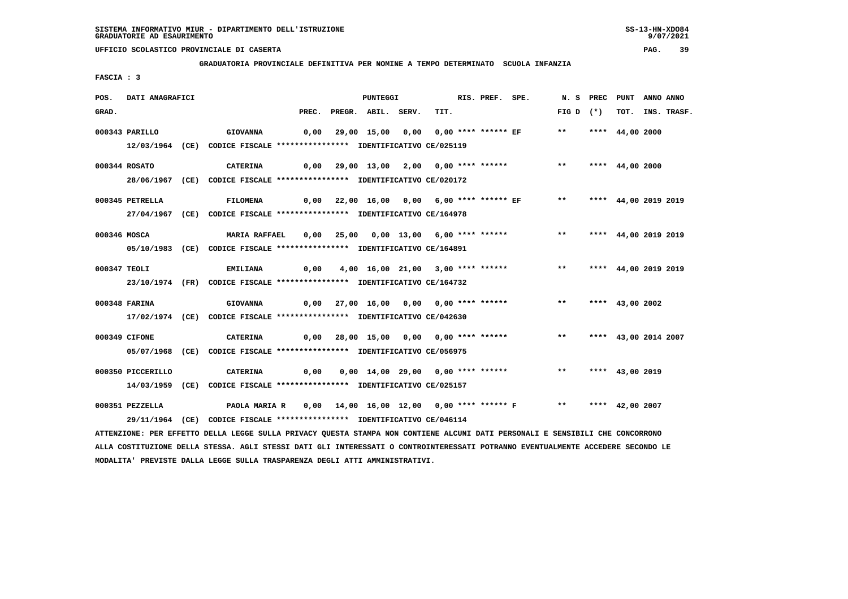#### **GRADUATORIA PROVINCIALE DEFINITIVA PER NOMINE A TEMPO DETERMINATO SCUOLA INFANZIA**

 **FASCIA : 3**

| POS.  | DATI ANAGRAFICI   |                                                                                                                               |  | PUNTEGGI                 |  | RIS. PREF. SPE. |                                                                     |             | N. S PREC PUNT ANNO ANNO |                  |
|-------|-------------------|-------------------------------------------------------------------------------------------------------------------------------|--|--------------------------|--|-----------------|---------------------------------------------------------------------|-------------|--------------------------|------------------|
| GRAD. |                   |                                                                                                                               |  | PREC. PREGR. ABIL. SERV. |  | TIT.            |                                                                     | $FIG D (*)$ |                          | TOT. INS. TRASF. |
|       | 000343 PARILLO    | <b>GIOVANNA</b>                                                                                                               |  |                          |  |                 | 0,00  29,00 15,00  0,00  0,00 **** ****** EF     **                 |             | **** 44,00 2000          |                  |
|       |                   | 12/03/1964 (CE) CODICE FISCALE **************** IDENTIFICATIVO CE/025119                                                      |  |                          |  |                 |                                                                     |             |                          |                  |
|       | 000344 ROSATO     | CATERINA                                                                                                                      |  |                          |  |                 | 0,00 29,00 13,00 2,00 0,00 **** ******     **   **** 44,00 2000     |             |                          |                  |
|       |                   | 28/06/1967 (CE) CODICE FISCALE *************** IDENTIFICATIVO CE/020172                                                       |  |                          |  |                 |                                                                     |             |                          |                  |
|       | 000345 PETRELLA   | <b>FILOMENA</b>                                                                                                               |  |                          |  |                 | 0,00 22,00 16,00 0,00 6,00 **** ****** EF ** **** 44,00 2019 2019   |             |                          |                  |
|       |                   | 27/04/1967 (CE) CODICE FISCALE *************** IDENTIFICATIVO CE/164978                                                       |  |                          |  |                 |                                                                     |             |                          |                  |
|       |                   |                                                                                                                               |  |                          |  |                 |                                                                     |             |                          |                  |
|       | 000346 MOSCA      | <b>MARIA RAFFAEL</b>                                                                                                          |  |                          |  |                 | 0,00 25,00 0,00 13,00 6,00 **** ****** *** *** **** 44,00 2019 2019 |             |                          |                  |
|       |                   | 05/10/1983 (CE) CODICE FISCALE *************** IDENTIFICATIVO CE/164891                                                       |  |                          |  |                 |                                                                     |             |                          |                  |
|       | 000347 TEOLI      | <b>EMILIANA</b>                                                                                                               |  |                          |  |                 | 0,00 4,00 16,00 21,00 3,00 **** ****** *** *** **** 44,00 2019 2019 |             |                          |                  |
|       |                   | 23/10/1974 (FR) CODICE FISCALE *************** IDENTIFICATIVO CE/164732                                                       |  |                          |  |                 |                                                                     |             |                          |                  |
|       |                   |                                                                                                                               |  |                          |  |                 |                                                                     |             |                          |                  |
|       | 000348 FARINA     | GIOVANNA 0,00 27,00 16,00 0,00 0,00 **** ****** *** *** **** 43,00 2002                                                       |  |                          |  |                 |                                                                     |             |                          |                  |
|       |                   | 17/02/1974 (CE) CODICE FISCALE *************** IDENTIFICATIVO CE/042630                                                       |  |                          |  |                 |                                                                     |             |                          |                  |
|       | 000349 CIFONE     | <b>CATERINA</b>                                                                                                               |  |                          |  |                 | 0,00 28,00 15,00 0,00 0,00 **** ****** *** *** **** 43,00 2014 2007 |             |                          |                  |
|       |                   | 05/07/1968 (CE) CODICE FISCALE *************** IDENTIFICATIVO CE/056975                                                       |  |                          |  |                 |                                                                     |             |                          |                  |
|       | 000350 PICCERILLO | CATERINA                                                                                                                      |  |                          |  |                 | 0,00 0,00 14,00 29,00 0,00 **** ****** *** *** **** 43,00 2019      |             |                          |                  |
|       |                   | 14/03/1959 (CE) CODICE FISCALE *************** IDENTIFICATIVO CE/025157                                                       |  |                          |  |                 |                                                                     |             |                          |                  |
|       |                   |                                                                                                                               |  |                          |  |                 |                                                                     |             |                          |                  |
|       | 000351 PEZZELLA   | PAOLA MARIA R    0,00   14,00  16,00  12,00   0,00 **** ****** F           **    ****   42,00 2007                            |  |                          |  |                 |                                                                     |             |                          |                  |
|       |                   | 29/11/1964 (CE) CODICE FISCALE *************** IDENTIFICATIVO CE/046114                                                       |  |                          |  |                 |                                                                     |             |                          |                  |
|       |                   | ATTENZIONE: PER EFFETTO DELLA LEGGE SULLA PRIVACY QUESTA STAMPA NON CONTIENE ALCUNI DATI PERSONALI E SENSIBILI CHE CONCORRONO |  |                          |  |                 |                                                                     |             |                          |                  |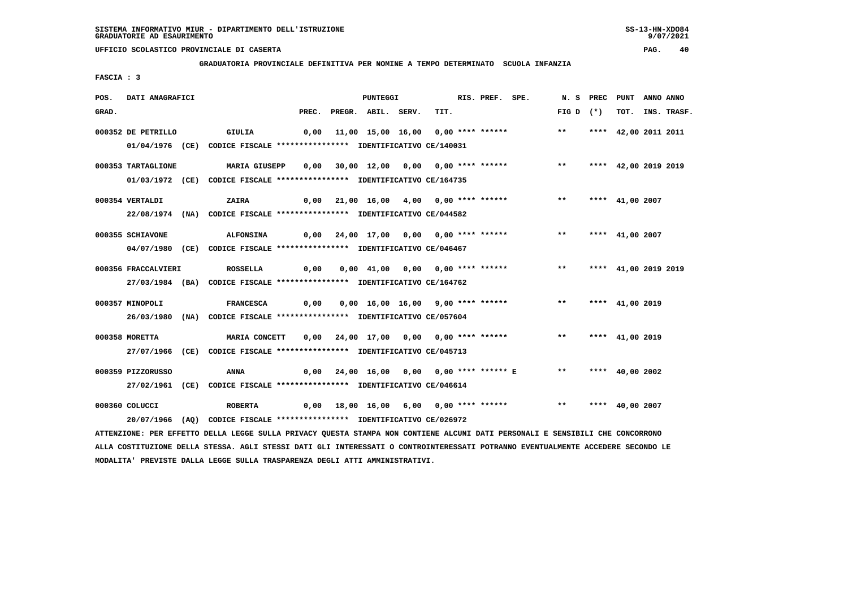**GRADUATORIA PROVINCIALE DEFINITIVA PER NOMINE A TEMPO DETERMINATO SCUOLA INFANZIA**

 **FASCIA : 3**

| POS.  | DATI ANAGRAFICI     |                                                                         |       | <b>PUNTEGGI</b>    |                                        | RIS. PREF. SPE. |                                        | N. S        | PREC | PUNT                 | ANNO ANNO |                  |
|-------|---------------------|-------------------------------------------------------------------------|-------|--------------------|----------------------------------------|-----------------|----------------------------------------|-------------|------|----------------------|-----------|------------------|
| GRAD. |                     |                                                                         | PREC. | PREGR. ABIL. SERV. | TIT.                                   |                 |                                        | FIG D $(*)$ |      |                      |           | TOT. INS. TRASF. |
|       | 000352 DE PETRILLO  | GIULIA                                                                  | 0,00  |                    |                                        |                 | 11,00 15,00 16,00 0,00 **** ******     | $***$       |      | **** 42,00 2011 2011 |           |                  |
|       |                     | 01/04/1976 (CE) CODICE FISCALE *************** IDENTIFICATIVO CE/140031 |       |                    |                                        |                 |                                        |             |      |                      |           |                  |
|       | 000353 TARTAGLIONE  | MARIA GIUSEPP                                                           |       |                    | 0,00 30,00 12,00 0,00 0,00 **** ****** |                 |                                        | $***$       |      | **** 42,00 2019 2019 |           |                  |
|       |                     | 01/03/1972 (CE) CODICE FISCALE *************** IDENTIFICATIVO CE/164735 |       |                    |                                        |                 |                                        |             |      |                      |           |                  |
|       | 000354 VERTALDI     | ZAIRA                                                                   |       |                    | 0,00 21,00 16,00 4,00 0,00 **** ****** |                 |                                        | $***$       |      | **** $41,00$ 2007    |           |                  |
|       |                     | 22/08/1974 (NA) CODICE FISCALE *************** IDENTIFICATIVO CE/044582 |       |                    |                                        |                 |                                        |             |      |                      |           |                  |
|       | 000355 SCHIAVONE    | <b>ALFONSINA</b>                                                        |       |                    | 0,00 24,00 17,00 0,00 0,00 **** ****** |                 |                                        | $***$       |      | **** 41,00 2007      |           |                  |
|       |                     | 04/07/1980 (CE) CODICE FISCALE *************** IDENTIFICATIVO CE/046467 |       |                    |                                        |                 |                                        |             |      |                      |           |                  |
|       | 000356 FRACCALVIERI | <b>ROSSELLA</b>                                                         | 0,00  |                    |                                        |                 | 0,00 41,00 0,00 0,00 **** ****** ** ** |             |      | **** 41,00 2019 2019 |           |                  |
|       |                     | 27/03/1984 (BA) CODICE FISCALE *************** IDENTIFICATIVO CE/164762 |       |                    |                                        |                 |                                        |             |      |                      |           |                  |
|       | 000357 MINOPOLI     | <b>FRANCESCA</b>                                                        | 0,00  |                    | 0,00 16,00 16,00 9,00 **** ******      |                 |                                        | $***$       |      | **** 41,00 2019      |           |                  |
|       |                     | 26/03/1980 (NA) CODICE FISCALE *************** IDENTIFICATIVO CE/057604 |       |                    |                                        |                 |                                        |             |      |                      |           |                  |
|       | 000358 MORETTA      | <b>MARIA CONCETT</b>                                                    |       |                    | 0,00 24,00 17,00 0,00 0,00 **** ****** |                 |                                        | $***$       |      | **** 41,00 2019      |           |                  |
|       |                     | 27/07/1966 (CE) CODICE FISCALE *************** IDENTIFICATIVO CE/045713 |       |                    |                                        |                 |                                        |             |      |                      |           |                  |
|       | 000359 PIZZORUSSO   | ANNA                                                                    | 0,00  |                    |                                        |                 | 24,00 16,00 0,00 0,00 **** ****** E ** |             |      | **** $40.002002$     |           |                  |
|       |                     | 27/02/1961 (CE) CODICE FISCALE *************** IDENTIFICATIVO CE/046614 |       |                    |                                        |                 |                                        |             |      |                      |           |                  |
|       | 000360 COLUCCI      | <b>ROBERTA</b>                                                          | 0,00  |                    |                                        |                 | 18,00 16,00 6,00 0,00 **** ******      | $***$       |      | **** $40,00$ 2007    |           |                  |
|       |                     | 20/07/1966 (AQ) CODICE FISCALE *************** IDENTIFICATIVO CE/026972 |       |                    |                                        |                 |                                        |             |      |                      |           |                  |

 **ATTENZIONE: PER EFFETTO DELLA LEGGE SULLA PRIVACY QUESTA STAMPA NON CONTIENE ALCUNI DATI PERSONALI E SENSIBILI CHE CONCORRONO ALLA COSTITUZIONE DELLA STESSA. AGLI STESSI DATI GLI INTERESSATI O CONTROINTERESSATI POTRANNO EVENTUALMENTE ACCEDERE SECONDO LE MODALITA' PREVISTE DALLA LEGGE SULLA TRASPARENZA DEGLI ATTI AMMINISTRATIVI.**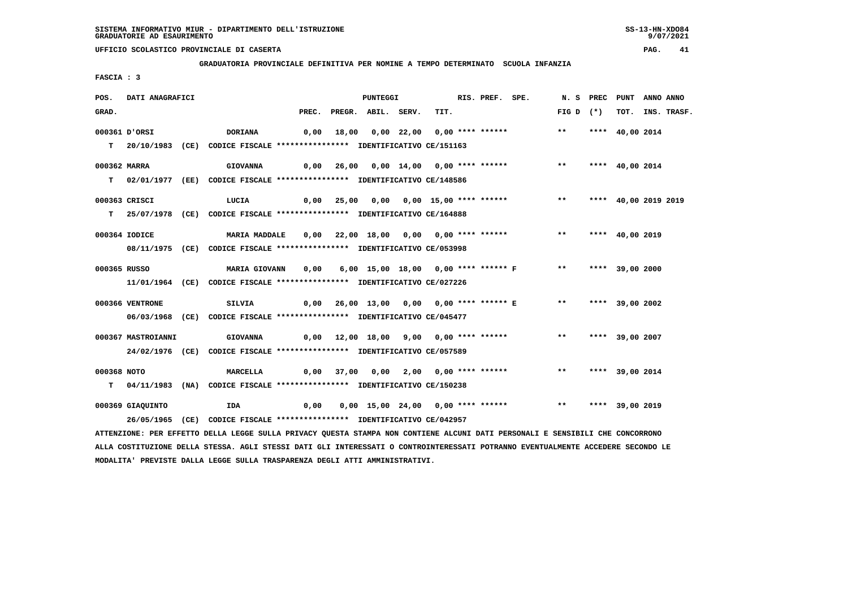**GRADUATORIA PROVINCIALE DEFINITIVA PER NOMINE A TEMPO DETERMINATO SCUOLA INFANZIA**

 **FASCIA : 3**

| POS.        | DATI ANAGRAFICI    |                                                                                                                               |      | PUNTEGGI                 |                                                                              | RIS. PREF. SPE. |                    | N. S PREC PUNT ANNO ANNO |                  |
|-------------|--------------------|-------------------------------------------------------------------------------------------------------------------------------|------|--------------------------|------------------------------------------------------------------------------|-----------------|--------------------|--------------------------|------------------|
| GRAD.       |                    |                                                                                                                               |      | PREC. PREGR. ABIL. SERV. | TIT.                                                                         |                 | $FIG D (*)$        |                          | TOT. INS. TRASF. |
|             | 000361 D'ORSI      | DORIANA                                                                                                                       |      |                          | 0,00 18,00 0,00 22,00 0,00 **** ******                                       |                 | $***$              | **** 40,00 2014          |                  |
|             |                    | T  20/10/1983 (CE) CODICE FISCALE **************** IDENTIFICATIVO CE/151163                                                   |      |                          |                                                                              |                 |                    |                          |                  |
|             |                    |                                                                                                                               |      |                          |                                                                              |                 |                    |                          |                  |
|             | 000362 MARRA       | <b>GIOVANNA</b>                                                                                                               |      |                          | 0,00 26,00 0,00 14,00 0,00 **** ******                                       |                 | $***$              | **** 40,00 2014          |                  |
|             |                    | T 02/01/1977 (EE) CODICE FISCALE *************** IDENTIFICATIVO CE/148586                                                     |      |                          |                                                                              |                 |                    |                          |                  |
|             |                    |                                                                                                                               |      |                          |                                                                              |                 |                    |                          |                  |
|             | 000363 CRISCI      | LUCIA                                                                                                                         |      |                          | 0,00 25,00 0,00 0,00 15,00 **** ******           **     **** 40,00 2019 2019 |                 |                    |                          |                  |
|             |                    | T 25/07/1978 (CE) CODICE FISCALE *************** IDENTIFICATIVO CE/164888                                                     |      |                          |                                                                              |                 |                    |                          |                  |
|             | 000364 IODICE      | <b>MARIA MADDALE</b>                                                                                                          |      |                          | 0,00 22,00 18,00 0,00 0,00 **** ******                                       |                 | ** **** 40,00 2019 |                          |                  |
|             |                    |                                                                                                                               |      |                          |                                                                              |                 |                    |                          |                  |
|             |                    | 08/11/1975 (CE) CODICE FISCALE *************** IDENTIFICATIVO CE/053998                                                       |      |                          |                                                                              |                 |                    |                          |                  |
|             | 000365 RUSSO       | <b>MARIA GIOVANN</b>                                                                                                          | 0,00 |                          | 6,00 15,00 18,00 0,00 **** ****** F ** **** 39,00 2000                       |                 |                    |                          |                  |
|             |                    | 11/01/1964 (CE) CODICE FISCALE *************** IDENTIFICATIVO CE/027226                                                       |      |                          |                                                                              |                 |                    |                          |                  |
|             |                    |                                                                                                                               |      |                          |                                                                              |                 |                    |                          |                  |
|             | 000366 VENTRONE    | SILVIA                                                                                                                        |      |                          | 0,00  26,00  13,00  0,00  0,00  ****  ******  E  **  ****  39,00  2002       |                 |                    |                          |                  |
|             |                    | 06/03/1968 (CE) CODICE FISCALE *************** IDENTIFICATIVO CE/045477                                                       |      |                          |                                                                              |                 |                    |                          |                  |
|             |                    |                                                                                                                               |      |                          |                                                                              |                 |                    |                          |                  |
|             | 000367 MASTROIANNI | <b>GIOVANNA</b>                                                                                                               |      |                          | 0,00 12,00 18,00 9,00 0,00 **** ******                                       |                 | ** **** 39,00 2007 |                          |                  |
|             |                    | 24/02/1976 (CE) CODICE FISCALE *************** IDENTIFICATIVO CE/057589                                                       |      |                          |                                                                              |                 |                    |                          |                  |
| 000368 NOTO |                    | <b>MARCELLA</b>                                                                                                               |      |                          | 0,00 37,00 0,00 2,00 0,00 **** ****** **** *** **** 39,00 2014               |                 |                    |                          |                  |
|             |                    | T 04/11/1983 (NA) CODICE FISCALE **************** IDENTIFICATIVO CE/150238                                                    |      |                          |                                                                              |                 |                    |                          |                  |
|             |                    |                                                                                                                               |      |                          |                                                                              |                 |                    |                          |                  |
|             | 000369 GIAQUINTO   | IDA                                                                                                                           | 0,00 |                          | 0,00 15,00 24,00 0,00 **** ****** *** *** **** 39,00 2019                    |                 |                    |                          |                  |
|             |                    | 26/05/1965 (CE) CODICE FISCALE *************** IDENTIFICATIVO CE/042957                                                       |      |                          |                                                                              |                 |                    |                          |                  |
|             |                    | ATTENZIONE: PER EFFETTO DELLA LEGGE SULLA PRIVACY QUESTA STAMPA NON CONTIENE ALCUNI DATI PERSONALI E SENSIBILI CHE CONCORRONO |      |                          |                                                                              |                 |                    |                          |                  |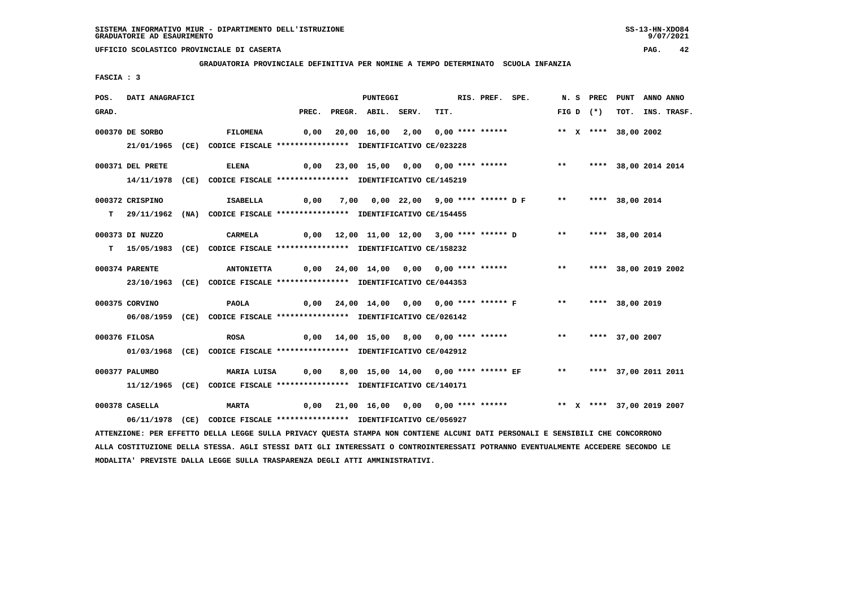**GRADUATORIA PROVINCIALE DEFINITIVA PER NOMINE A TEMPO DETERMINATO SCUOLA INFANZIA**

 **FASCIA : 3**

| POS.  | DATI ANAGRAFICI  |                                                                                                                                 |       | <b>PUNTEGGI</b>    |                                             | RIS. PREF. SPE. |                                                                     |       | N. S PREC PUNT |                      | ANNO ANNO |             |
|-------|------------------|---------------------------------------------------------------------------------------------------------------------------------|-------|--------------------|---------------------------------------------|-----------------|---------------------------------------------------------------------|-------|----------------|----------------------|-----------|-------------|
| GRAD. |                  |                                                                                                                                 | PREC. | PREGR. ABIL. SERV. | TIT.                                        |                 |                                                                     |       | FIG D $(*)$    | тот.                 |           | INS. TRASF. |
|       | 000370 DE SORBO  | <b>FILOMENA</b>                                                                                                                 | 0,00  |                    | 20,00 16,00 2,00 0,00 **** ******           |                 |                                                                     |       |                | ** X **** 38,00 2002 |           |             |
|       |                  | 21/01/1965 (CE) CODICE FISCALE *************** IDENTIFICATIVO CE/023228                                                         |       |                    |                                             |                 |                                                                     |       |                |                      |           |             |
|       |                  |                                                                                                                                 |       |                    |                                             |                 |                                                                     |       |                |                      |           |             |
|       | 000371 DEL PRETE | ELENA                                                                                                                           | 0,00  |                    | 23,00 15,00 0,00 0,00 **** ******           |                 |                                                                     | $***$ |                | **** 38,00 2014 2014 |           |             |
|       |                  | 14/11/1978 (CE) CODICE FISCALE *************** IDENTIFICATIVO CE/145219                                                         |       |                    |                                             |                 |                                                                     |       |                |                      |           |             |
|       | 000372 CRISPINO  | <b>ISABELLA</b>                                                                                                                 | 0,00  |                    |                                             |                 |                                                                     |       |                | ** **** 38,00 2014   |           |             |
|       |                  |                                                                                                                                 |       |                    |                                             |                 |                                                                     |       |                |                      |           |             |
|       |                  | T 29/11/1962 (NA) CODICE FISCALE **************** IDENTIFICATIVO CE/154455                                                      |       |                    |                                             |                 |                                                                     |       |                |                      |           |             |
|       | 000373 DI NUZZO  | CARMELA                                                                                                                         |       |                    | $0,00$ 12,00 11,00 12,00 3,00 **** ****** D |                 |                                                                     | $***$ |                | **** 38,00 2014      |           |             |
|       |                  | T 15/05/1983 (CE) CODICE FISCALE *************** IDENTIFICATIVO CE/158232                                                       |       |                    |                                             |                 |                                                                     |       |                |                      |           |             |
|       |                  |                                                                                                                                 |       |                    |                                             |                 |                                                                     |       |                |                      |           |             |
|       | 000374 PARENTE   | <b>ANTONIETTA</b>                                                                                                               |       |                    | 0,00 24,00 14,00 0,00 0,00 **** ******      |                 |                                                                     | $***$ |                | **** 38,00 2019 2002 |           |             |
|       |                  | 23/10/1963 (CE) CODICE FISCALE *************** IDENTIFICATIVO CE/044353                                                         |       |                    |                                             |                 |                                                                     |       |                |                      |           |             |
|       | 000375 CORVINO   | PAOLA                                                                                                                           | 0,00  |                    | 24,00 14,00 0,00 0,00 **** ****** F         |                 |                                                                     | $***$ |                | **** 38,00 2019      |           |             |
|       |                  | 06/08/1959 (CE) CODICE FISCALE *************** IDENTIFICATIVO CE/026142                                                         |       |                    |                                             |                 |                                                                     |       |                |                      |           |             |
|       |                  |                                                                                                                                 |       |                    |                                             |                 |                                                                     |       |                |                      |           |             |
|       | 000376 FILOSA    | <b>ROSA</b>                                                                                                                     |       |                    | 0,00 14,00 15,00 8,00 0,00 **** ******      |                 |                                                                     | $***$ |                | **** 37,00 2007      |           |             |
|       |                  | 01/03/1968 (CE) CODICE FISCALE *************** IDENTIFICATIVO CE/042912                                                         |       |                    |                                             |                 |                                                                     |       |                |                      |           |             |
|       | 000377 PALUMBO   |                                                                                                                                 |       |                    |                                             |                 | 8,00 15,00 14,00 0,00 **** ****** EF ** **** 37,00 2011 2011        |       |                |                      |           |             |
|       |                  | MARIA LUISA                                                                                                                     | 0,00  |                    |                                             |                 |                                                                     |       |                |                      |           |             |
|       |                  | 11/12/1965 (CE) CODICE FISCALE *************** IDENTIFICATIVO CE/140171                                                         |       |                    |                                             |                 |                                                                     |       |                |                      |           |             |
|       | 000378 CASELLA   | <b>MARTA</b>                                                                                                                    |       |                    |                                             |                 | 0,00 21,00 16,00 0,00 0,00 **** ****** *** ** ** ** 37,00 2019 2007 |       |                |                      |           |             |
|       |                  | 06/11/1978 (CE) CODICE FISCALE *************** IDENTIFICATIVO CE/056927                                                         |       |                    |                                             |                 |                                                                     |       |                |                      |           |             |
|       |                  | ATTENZIONE: PER EFFETTO DELLA LEGGE SULLA PRIVACY QUESTA STAMPA NON CONTIENE ALCUNI DATI PERSONALI E SENSIBILI CHE CONCORRONO   |       |                    |                                             |                 |                                                                     |       |                |                      |           |             |
|       |                  | ALLA COSTITUZIONE DELLA STESSA. AGLI STESSI DATI GLI INTERESSATI O CONTROINTERESSATI POTRANNO EVENTUALMENTE ACCEDERE SECONDO LE |       |                    |                                             |                 |                                                                     |       |                |                      |           |             |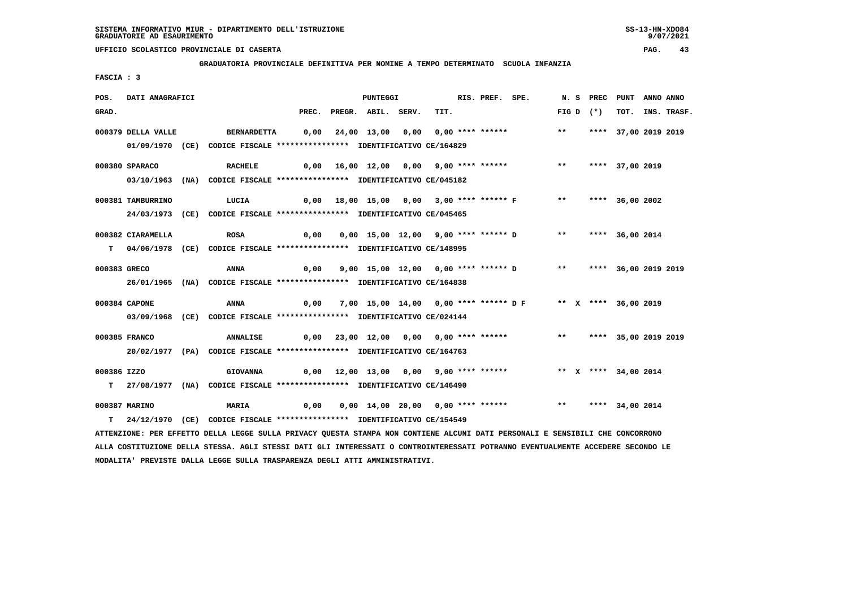**GRADUATORIA PROVINCIALE DEFINITIVA PER NOMINE A TEMPO DETERMINATO SCUOLA INFANZIA**

 **FASCIA : 3**

| POS.         | DATI ANAGRAFICI    |                                                                                                                                 |       | <b>PUNTEGGI</b>                          |      | RIS. PREF. SPE. |                                                                |       |             | N. S PREC PUNT          | ANNO ANNO |                  |
|--------------|--------------------|---------------------------------------------------------------------------------------------------------------------------------|-------|------------------------------------------|------|-----------------|----------------------------------------------------------------|-------|-------------|-------------------------|-----------|------------------|
| GRAD.        |                    |                                                                                                                                 | PREC. | PREGR. ABIL. SERV.                       | TIT. |                 |                                                                |       | FIG D $(*)$ |                         |           | TOT. INS. TRASF. |
|              | 000379 DELLA VALLE | <b>BERNARDETTA</b>                                                                                                              | 0,00  |                                          |      |                 | 24,00 13,00 0,00 0,00 **** ******                              | $***$ |             | **** 37,00 2019 2019    |           |                  |
|              |                    | 01/09/1970 (CE) CODICE FISCALE *************** IDENTIFICATIVO CE/164829                                                         |       |                                          |      |                 |                                                                |       |             |                         |           |                  |
|              | 000380 SPARACO     | <b>RACHELE</b>                                                                                                                  |       | $0,00$ 16,00 12,00 0,00 9,00 **** ****** |      |                 |                                                                | $***$ |             | **** 37,00 2019         |           |                  |
|              |                    | 03/10/1963 (NA) CODICE FISCALE *************** IDENTIFICATIVO CE/045182                                                         |       |                                          |      |                 |                                                                |       |             |                         |           |                  |
|              | 000381 TAMBURRINO  | LUCIA                                                                                                                           |       | 0,00 18,00 15,00 0,00 3,00 **** ****** F |      |                 |                                                                |       |             | ** **** 36,00 2002      |           |                  |
|              |                    | 24/03/1973 (CE) CODICE FISCALE *************** IDENTIFICATIVO CE/045465                                                         |       |                                          |      |                 |                                                                |       |             |                         |           |                  |
|              |                    |                                                                                                                                 |       |                                          |      |                 |                                                                |       |             |                         |           |                  |
|              | 000382 CIARAMELLA  | <b>ROSA</b>                                                                                                                     | 0,00  |                                          |      |                 | 0,00 15,00 12,00 9,00 **** ****** D                            | $***$ |             | **** 36,00 2014         |           |                  |
|              |                    | T 04/06/1978 (CE) CODICE FISCALE **************** IDENTIFICATIVO CE/148995                                                      |       |                                          |      |                 |                                                                |       |             |                         |           |                  |
|              |                    |                                                                                                                                 |       |                                          |      |                 |                                                                |       |             |                         |           |                  |
| 000383 GRECO |                    | ANNA                                                                                                                            | 0,00  |                                          |      |                 | 9,00 15,00 12,00 0,00 **** ****** D ** **** 36,00 2019 2019    |       |             |                         |           |                  |
|              |                    | 26/01/1965 (NA) CODICE FISCALE *************** IDENTIFICATIVO CE/164838                                                         |       |                                          |      |                 |                                                                |       |             |                         |           |                  |
|              | 000384 CAPONE      | ANNA                                                                                                                            | 0,00  |                                          |      |                 | 7,00 15,00 14,00 0,00 **** ****** D F ** X **** 36,00 2019     |       |             |                         |           |                  |
|              |                    | 03/09/1968 (CE) CODICE FISCALE *************** IDENTIFICATIVO CE/024144                                                         |       |                                          |      |                 |                                                                |       |             |                         |           |                  |
|              | 000385 FRANCO      | <b>ANNALISE</b>                                                                                                                 |       | 0,00 23,00 12,00 0,00 0,00 **** ******   |      |                 |                                                                |       |             | ** **** 35,00 2019 2019 |           |                  |
|              |                    | 20/02/1977 (PA) CODICE FISCALE *************** IDENTIFICATIVO CE/164763                                                         |       |                                          |      |                 |                                                                |       |             |                         |           |                  |
|              |                    |                                                                                                                                 |       |                                          |      |                 |                                                                |       |             |                         |           |                  |
| 000386 IZZO  |                    | <b>GIOVANNA</b>                                                                                                                 |       |                                          |      |                 | 0,00 12,00 13,00 0,00 9,00 **** ****** *** ** ** ** 34,00 2014 |       |             |                         |           |                  |
|              |                    | T 27/08/1977 (NA) CODICE FISCALE **************** IDENTIFICATIVO CE/146490                                                      |       |                                          |      |                 |                                                                |       |             |                         |           |                  |
|              | 000387 MARINO      | <b>MARIA</b>                                                                                                                    | 0,00  |                                          |      |                 | 0,00 14,00 20,00 0,00 **** ******                              |       |             | ** **** 34,00 2014      |           |                  |
| т            |                    | 24/12/1970 (CE) CODICE FISCALE *************** IDENTIFICATIVO CE/154549                                                         |       |                                          |      |                 |                                                                |       |             |                         |           |                  |
|              |                    | ATTENZIONE: PER EFFETTO DELLA LEGGE SULLA PRIVACY QUESTA STAMPA NON CONTIENE ALCUNI DATI PERSONALI E SENSIBILI CHE CONCORRONO   |       |                                          |      |                 |                                                                |       |             |                         |           |                  |
|              |                    | ALLA COSTITUZIONE DELLA STESSA. AGLI STESSI DATI GLI INTERESSATI O CONTROINTERESSATI POTRANNO EVENTUALMENTE ACCEDERE SECONDO LE |       |                                          |      |                 |                                                                |       |             |                         |           |                  |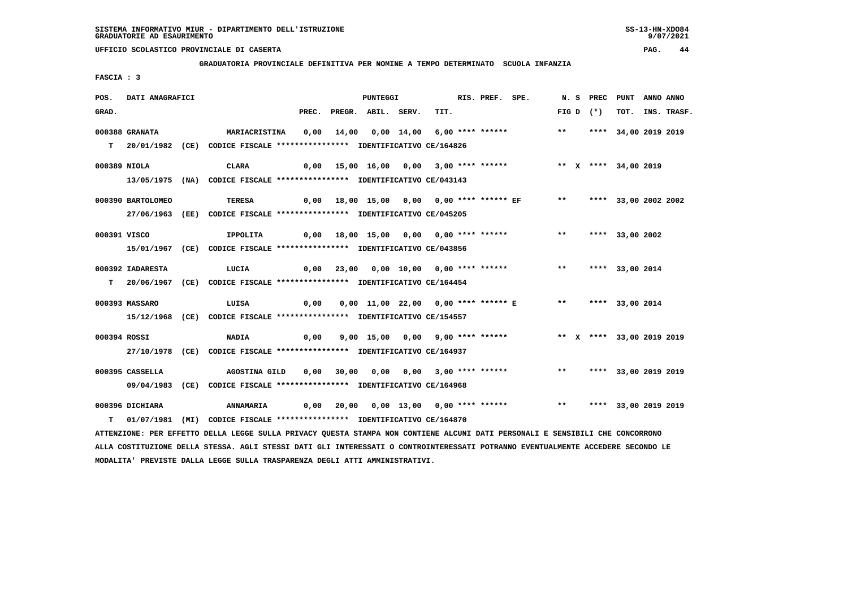**GRADUATORIA PROVINCIALE DEFINITIVA PER NOMINE A TEMPO DETERMINATO SCUOLA INFANZIA**

 **FASCIA : 3**

| POS.  | DATI ANAGRAFICI   |                                                                                                                                 |       | PUNTEGGI           |                                          | RIS. PREF. SPE. |                                                                     |       |             | N. S PREC PUNT ANNO ANNO  |                  |
|-------|-------------------|---------------------------------------------------------------------------------------------------------------------------------|-------|--------------------|------------------------------------------|-----------------|---------------------------------------------------------------------|-------|-------------|---------------------------|------------------|
| GRAD. |                   |                                                                                                                                 | PREC. | PREGR. ABIL. SERV. | TIT.                                     |                 |                                                                     |       | FIG D $(*)$ |                           | TOT. INS. TRASF. |
|       | 000388 GRANATA    | <b>MARIACRISTINA</b>                                                                                                            | 0,00  |                    | 14,00 0,00 14,00 6,00 **** ******        |                 |                                                                     |       |             | ** **** 34,00 2019 2019   |                  |
|       |                   | T 20/01/1982 (CE) CODICE FISCALE *************** IDENTIFICATIVO CE/164826                                                       |       |                    |                                          |                 |                                                                     |       |             |                           |                  |
|       |                   |                                                                                                                                 |       |                    |                                          |                 |                                                                     |       |             |                           |                  |
|       | 000389 NIOLA      | CLARA                                                                                                                           |       |                    | $0,00$ 15,00 16,00 0,00 3,00 **** ****** |                 |                                                                     |       |             | ** X **** 34,00 2019      |                  |
|       |                   | 13/05/1975 (NA) CODICE FISCALE *************** IDENTIFICATIVO CE/043143                                                         |       |                    |                                          |                 |                                                                     |       |             |                           |                  |
|       | 000390 BARTOLOMEO | <b>TERESA</b>                                                                                                                   |       |                    |                                          |                 | 0,00 18,00 15,00 0,00 0,00 **** ****** EF                           |       |             |                           |                  |
|       |                   |                                                                                                                                 |       |                    |                                          |                 |                                                                     |       |             | ** **** 33,00 2002 2002   |                  |
|       |                   | 27/06/1963 (EE) CODICE FISCALE *************** IDENTIFICATIVO CE/045205                                                         |       |                    |                                          |                 |                                                                     |       |             |                           |                  |
|       | 000391 VISCO      | IPPOLITA                                                                                                                        |       |                    | 0,00 18,00 15,00 0,00 0,00 **** ******   |                 |                                                                     | $***$ |             | **** 33,00 2002           |                  |
|       |                   | 15/01/1967 (CE) CODICE FISCALE *************** IDENTIFICATIVO CE/043856                                                         |       |                    |                                          |                 |                                                                     |       |             |                           |                  |
|       |                   |                                                                                                                                 |       |                    |                                          |                 |                                                                     |       |             |                           |                  |
|       | 000392 IADARESTA  | LUCIA                                                                                                                           |       |                    | 0,00 23,00 0,00 10,00 0,00 **** ******   |                 |                                                                     | $***$ |             | **** 33,00 2014           |                  |
|       |                   | T 20/06/1967 (CE) CODICE FISCALE **************** IDENTIFICATIVO CE/164454                                                      |       |                    |                                          |                 |                                                                     |       |             |                           |                  |
|       | 000393 MASSARO    | LUISA                                                                                                                           | 0,00  |                    |                                          |                 | 0,00 11,00 22,00 0,00 **** ****** E ** **** 33,00 2014              |       |             |                           |                  |
|       |                   | 15/12/1968 (CE) CODICE FISCALE *************** IDENTIFICATIVO CE/154557                                                         |       |                    |                                          |                 |                                                                     |       |             |                           |                  |
|       |                   |                                                                                                                                 |       |                    |                                          |                 |                                                                     |       |             |                           |                  |
|       | 000394 ROSSI      | <b>NADIA</b>                                                                                                                    | 0,00  |                    |                                          |                 | 9,00 15,00 0,00 9,00 **** ******                                    |       |             | ** X **** 33,00 2019 2019 |                  |
|       |                   | 27/10/1978 (CE) CODICE FISCALE *************** IDENTIFICATIVO CE/164937                                                         |       |                    |                                          |                 |                                                                     |       |             |                           |                  |
|       |                   |                                                                                                                                 |       |                    |                                          |                 |                                                                     |       |             |                           |                  |
|       | 000395 CASSELLA   | AGOSTINA GILD                                                                                                                   |       |                    | $0,00$ 30,00 0,00 0,00 3,00 **** ******  |                 |                                                                     |       |             | ** **** 33,00 2019 2019   |                  |
|       |                   | 09/04/1983 (CE) CODICE FISCALE *************** IDENTIFICATIVO CE/164968                                                         |       |                    |                                          |                 |                                                                     |       |             |                           |                  |
|       | 000396 DICHIARA   | <b>ANNAMARIA</b>                                                                                                                |       |                    |                                          |                 | 0,00 20,00 0,00 13,00 0,00 **** ****** *** *** **** 33,00 2019 2019 |       |             |                           |                  |
| т     |                   | 01/07/1981 (MI) CODICE FISCALE **************** IDENTIFICATIVO CE/164870                                                        |       |                    |                                          |                 |                                                                     |       |             |                           |                  |
|       |                   | ATTENZIONE: PER EFFETTO DELLA LEGGE SULLA PRIVACY QUESTA STAMPA NON CONTIENE ALCUNI DATI PERSONALI E SENSIBILI CHE CONCORRONO   |       |                    |                                          |                 |                                                                     |       |             |                           |                  |
|       |                   | ALLA COSTITUZIONE DELLA STESSA. AGLI STESSI DATI GLI INTERESSATI O CONTROINTERESSATI POTRANNO EVENTUALMENTE ACCEDERE SECONDO LE |       |                    |                                          |                 |                                                                     |       |             |                           |                  |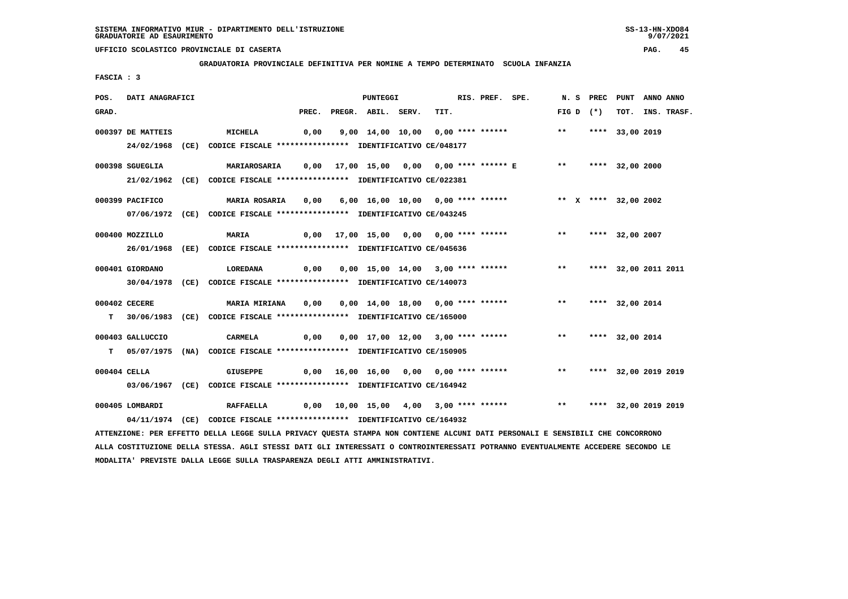**GRADUATORIA PROVINCIALE DEFINITIVA PER NOMINE A TEMPO DETERMINATO SCUOLA INFANZIA**

 **FASCIA : 3**

| POS.  | DATI ANAGRAFICI   |                                                                                                                               |      | PUNTEGGI                 |                                                                | RIS. PREF. SPE. |                         | N. S PREC | PUNT                 | ANNO ANNO |                  |
|-------|-------------------|-------------------------------------------------------------------------------------------------------------------------------|------|--------------------------|----------------------------------------------------------------|-----------------|-------------------------|-----------|----------------------|-----------|------------------|
| GRAD. |                   |                                                                                                                               |      | PREC. PREGR. ABIL. SERV. | TIT.                                                           |                 | FIG D $(*)$             |           |                      |           | TOT. INS. TRASF. |
|       | 000397 DE MATTEIS | <b>MICHELA</b>                                                                                                                | 0,00 |                          | 9,00 14,00 10,00 0,00 **** ******                              |                 | $\star\star$            |           | **** 33,00 2019      |           |                  |
|       |                   | 24/02/1968 (CE) CODICE FISCALE *************** IDENTIFICATIVO CE/048177                                                       |      |                          |                                                                |                 |                         |           |                      |           |                  |
|       | 000398 SGUEGLIA   | <b>MARIAROSARIA</b>                                                                                                           |      |                          | 0,00 17,00 15,00 0,00 0,00 **** ****** E ** ***** 32,00 2000   |                 |                         |           |                      |           |                  |
|       |                   | 21/02/1962 (CE) CODICE FISCALE *************** IDENTIFICATIVO CE/022381                                                       |      |                          |                                                                |                 |                         |           |                      |           |                  |
|       | 000399 PACIFICO   | <b>MARIA ROSARIA</b>                                                                                                          | 0,00 |                          | 6,00 16,00 10,00 0,00 **** ****** * *** X **** 32,00 2002      |                 |                         |           |                      |           |                  |
|       |                   | 07/06/1972 (CE) CODICE FISCALE *************** IDENTIFICATIVO CE/043245                                                       |      |                          |                                                                |                 |                         |           |                      |           |                  |
|       | 000400 MOZZILLO   | <b>MARIA</b>                                                                                                                  |      |                          | 0,00 17,00 15,00 0,00 0,00 **** ******                         |                 | ** **** 32,00 2007      |           |                      |           |                  |
|       |                   | 26/01/1968 (EE) CODICE FISCALE *************** IDENTIFICATIVO CE/045636                                                       |      |                          |                                                                |                 |                         |           |                      |           |                  |
|       | 000401 GIORDANO   | <b>LOREDANA</b>                                                                                                               | 0,00 |                          | 0,00 15,00 14,00 3,00 **** ****** *** **                       |                 |                         |           | **** 32,00 2011 2011 |           |                  |
|       |                   | 30/04/1978 (CE) CODICE FISCALE *************** IDENTIFICATIVO CE/140073                                                       |      |                          |                                                                |                 |                         |           |                      |           |                  |
|       | 000402 CECERE     | <b>MARIA MIRIANA</b>                                                                                                          | 0,00 |                          | 0,00 14,00 18,00 0,00 **** ******                              |                 | $\star \star$           |           | **** 32,00 2014      |           |                  |
|       |                   | T 30/06/1983 (CE) CODICE FISCALE *************** IDENTIFICATIVO CE/165000                                                     |      |                          |                                                                |                 |                         |           |                      |           |                  |
|       | 000403 GALLUCCIO  | CARMELA                                                                                                                       |      |                          | 0,00 0,00 17,00 12,00 3,00 **** ****** *** *** **** 32,00 2014 |                 |                         |           |                      |           |                  |
|       |                   | T 05/07/1975 (NA) CODICE FISCALE *************** IDENTIFICATIVO CE/150905                                                     |      |                          |                                                                |                 |                         |           |                      |           |                  |
|       | 000404 CELLA      | <b>GIUSEPPE</b>                                                                                                               |      |                          | $0,00$ 16,00 16,00 0,00 0,00 **** ******                       |                 | $***$                   |           | **** 32,00 2019 2019 |           |                  |
|       |                   | 03/06/1967 (CE) CODICE FISCALE *************** IDENTIFICATIVO CE/164942                                                       |      |                          |                                                                |                 |                         |           |                      |           |                  |
|       | 000405 LOMBARDI   | <b>RAFFAELLA</b>                                                                                                              |      |                          | 0,00 10,00 15,00 4,00 3,00 **** ******                         |                 | ** **** 32,00 2019 2019 |           |                      |           |                  |
|       |                   | 04/11/1974 (CE) CODICE FISCALE *************** IDENTIFICATIVO CE/164932                                                       |      |                          |                                                                |                 |                         |           |                      |           |                  |
|       |                   | ATTENZIONE: PER EFFETTO DELLA LEGGE SULLA PRIVACY QUESTA STAMPA NON CONTIENE ALCUNI DATI PERSONALI E SENSIBILI CHE CONCORRONO |      |                          |                                                                |                 |                         |           |                      |           |                  |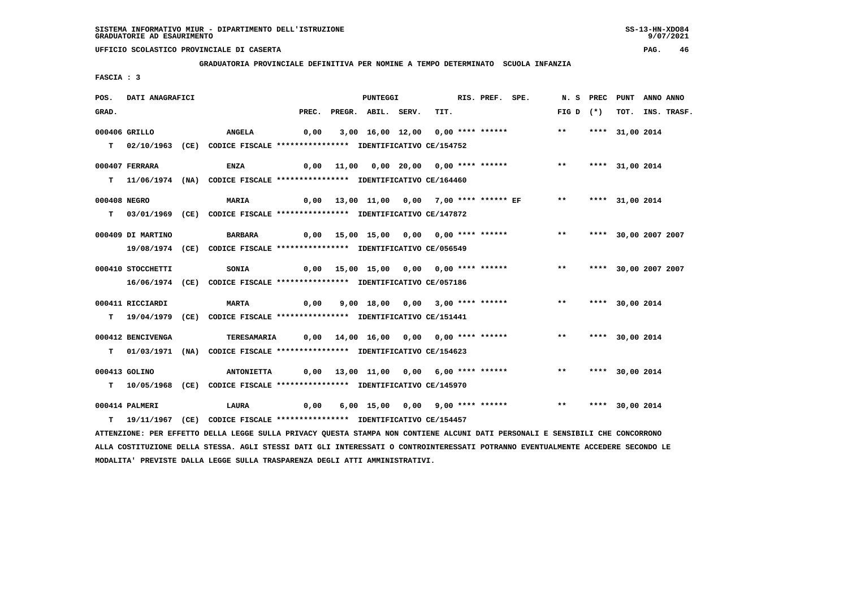**GRADUATORIA PROVINCIALE DEFINITIVA PER NOMINE A TEMPO DETERMINATO SCUOLA INFANZIA**

 **FASCIA : 3**

| POS.         | DATI ANAGRAFICI   |                                                                                                                               |                                        | PUNTEGGI           |                                                        | RIS. PREF. SPE. |                                         | N.S PREC           | PUNT                 | ANNO ANNO |             |
|--------------|-------------------|-------------------------------------------------------------------------------------------------------------------------------|----------------------------------------|--------------------|--------------------------------------------------------|-----------------|-----------------------------------------|--------------------|----------------------|-----------|-------------|
| GRAD.        |                   |                                                                                                                               | PREC.                                  | PREGR. ABIL. SERV. | TIT.                                                   |                 |                                         | FIG D $(*)$        | тот.                 |           | INS. TRASF. |
|              | 000406 GRILLO     | <b>ANGELA</b>                                                                                                                 | 0,00                                   |                    | 3,00 16,00 12,00 0,00 **** ******                      |                 |                                         | $***$              | **** 31,00 2014      |           |             |
|              |                   |                                                                                                                               |                                        |                    |                                                        |                 |                                         |                    |                      |           |             |
|              |                   | T 02/10/1963 (CE) CODICE FISCALE *************** IDENTIFICATIVO CE/154752                                                     |                                        |                    |                                                        |                 |                                         |                    |                      |           |             |
|              | 000407 FERRARA    | ENZA                                                                                                                          | 0,00                                   |                    | 11,00  0,00  20,00  0,00  ****  ******                 |                 |                                         | $***$              | **** 31,00 2014      |           |             |
|              |                   | T 11/06/1974 (NA) CODICE FISCALE **************** IDENTIFICATIVO CE/164460                                                    |                                        |                    |                                                        |                 |                                         |                    |                      |           |             |
|              |                   |                                                                                                                               |                                        |                    |                                                        |                 |                                         |                    |                      |           |             |
| 000408 NEGRO |                   | <b>MARIA</b>                                                                                                                  |                                        |                    |                                                        |                 |                                         | ** **** 31,00 2014 |                      |           |             |
|              |                   | T 03/01/1969 (CE) CODICE FISCALE *************** IDENTIFICATIVO CE/147872                                                     |                                        |                    |                                                        |                 |                                         |                    |                      |           |             |
|              |                   |                                                                                                                               |                                        |                    |                                                        |                 |                                         |                    |                      |           |             |
|              | 000409 DI MARTINO | <b>BARBARA</b>                                                                                                                |                                        |                    | 0,00 15,00 15,00 0,00 0,00 **** ******                 |                 |                                         | $***$              | **** 30,00 2007 2007 |           |             |
|              |                   | 19/08/1974 (CE) CODICE FISCALE *************** IDENTIFICATIVO CE/056549                                                       |                                        |                    |                                                        |                 |                                         |                    |                      |           |             |
|              |                   |                                                                                                                               |                                        |                    |                                                        |                 |                                         |                    |                      |           |             |
|              | 000410 STOCCHETTI | SONIA                                                                                                                         |                                        |                    | 0,00 15,00 15,00 0,00 0,00 **** ******                 |                 |                                         | $***$              | **** 30,00 2007 2007 |           |             |
|              |                   | 16/06/1974 (CE) CODICE FISCALE *************** IDENTIFICATIVO CE/057186                                                       |                                        |                    |                                                        |                 |                                         |                    |                      |           |             |
|              | 000411 RICCIARDI  | <b>MARTA</b>                                                                                                                  | 0,00                                   |                    |                                                        |                 | 9,00 18,00 0,00 3,00 **** ******        | $***$              | **** 30,00 2014      |           |             |
|              |                   | T 19/04/1979 (CE) CODICE FISCALE *************** IDENTIFICATIVO CE/151441                                                     |                                        |                    |                                                        |                 |                                         |                    |                      |           |             |
|              |                   |                                                                                                                               |                                        |                    |                                                        |                 |                                         |                    |                      |           |             |
|              | 000412 BENCIVENGA | <b>TERESAMARIA</b>                                                                                                            |                                        |                    | $0,00$ $14,00$ $16,00$ $0,00$ $0,00$ $***$ **** ****** |                 |                                         | $***$              | **** 30,00 2014      |           |             |
|              |                   | T 01/03/1971 (NA) CODICE FISCALE **************** IDENTIFICATIVO CE/154623                                                    |                                        |                    |                                                        |                 |                                         |                    |                      |           |             |
|              |                   |                                                                                                                               |                                        |                    |                                                        |                 |                                         |                    |                      |           |             |
|              | 000413 GOLINO     | <b>ANTONIETTA</b>                                                                                                             | 0,00 13,00 11,00 0,00 6,00 **** ****** |                    |                                                        |                 |                                         | $\star \star$      | **** 30,00 2014      |           |             |
|              |                   | T 10/05/1968 (CE) CODICE FISCALE **************** IDENTIFICATIVO CE/145970                                                    |                                        |                    |                                                        |                 |                                         |                    |                      |           |             |
|              |                   |                                                                                                                               |                                        |                    |                                                        |                 |                                         |                    |                      |           |             |
|              | 000414 PALMERI    | <b>LAURA</b>                                                                                                                  | 0,00                                   |                    |                                                        |                 | 6,00 15,00 0,00 9,00 **** ****** *** ** |                    | **** 30,00 2014      |           |             |
|              |                   | T  19/11/1967 (CE) CODICE FISCALE *************** IDENTIFICATIVO CE/154457                                                    |                                        |                    |                                                        |                 |                                         |                    |                      |           |             |
|              |                   | ATTENZIONE: PER EFFETTO DELLA LEGGE SULLA PRIVACY QUESTA STAMPA NON CONTIENE ALCUNI DATI PERSONALI E SENSIBILI CHE CONCORRONO |                                        |                    |                                                        |                 |                                         |                    |                      |           |             |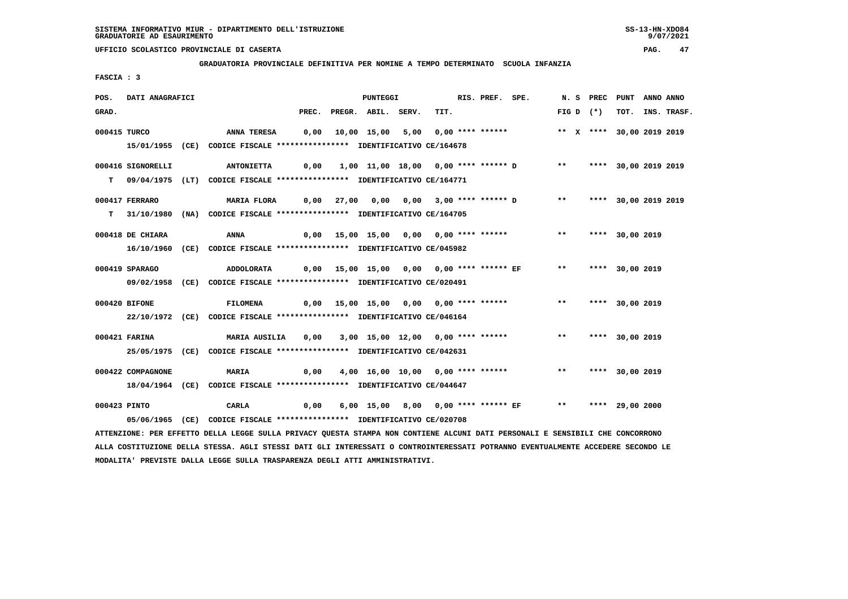**GRADUATORIA PROVINCIALE DEFINITIVA PER NOMINE A TEMPO DETERMINATO SCUOLA INFANZIA**

 **FASCIA : 3**

| POS.  | DATI ANAGRAFICI   |                                                                                                                               |       | PUNTEGGI           |                                                                                           | RIS. PREF. SPE. |                           | N. S PREC | PUNT            | ANNO ANNO |                  |
|-------|-------------------|-------------------------------------------------------------------------------------------------------------------------------|-------|--------------------|-------------------------------------------------------------------------------------------|-----------------|---------------------------|-----------|-----------------|-----------|------------------|
| GRAD. |                   |                                                                                                                               | PREC. | PREGR. ABIL. SERV. | TIT.                                                                                      |                 | FIG D $(*)$               |           |                 |           | TOT. INS. TRASF. |
|       | 000415 TURCO      | <b>ANNA TERESA</b>                                                                                                            |       |                    |                                                                                           |                 | ** X **** 30,00 2019 2019 |           |                 |           |                  |
|       |                   | 15/01/1955 (CE) CODICE FISCALE *************** IDENTIFICATIVO CE/164678                                                       |       |                    |                                                                                           |                 |                           |           |                 |           |                  |
|       | 000416 SIGNORELLI | <b>ANTONIETTA</b>                                                                                                             |       |                    | 0,00   1,00   11,00   18,00   0,00   ****   ******   D   ***   ****   30,00   2019   2019 |                 |                           |           |                 |           |                  |
|       |                   | T 09/04/1975 (LT) CODICE FISCALE **************** IDENTIFICATIVO CE/164771                                                    |       |                    |                                                                                           |                 |                           |           |                 |           |                  |
|       | 000417 FERRARO    | MARIA FLORA                                                                                                                   |       |                    | 0,00 27,00 0,00 0,00 3,00 **** ****** D ** **** 30,00 2019 2019                           |                 |                           |           |                 |           |                  |
|       |                   | T 31/10/1980 (NA) CODICE FISCALE *************** IDENTIFICATIVO CE/164705                                                     |       |                    |                                                                                           |                 |                           |           |                 |           |                  |
|       | 000418 DE CHIARA  | <b>ANNA</b>                                                                                                                   |       |                    | 0,00 15,00 15,00 0,00 0,00 **** ****** *** *** **** 30,00 2019                            |                 |                           |           |                 |           |                  |
|       |                   | 16/10/1960 (CE) CODICE FISCALE *************** IDENTIFICATIVO CE/045982                                                       |       |                    |                                                                                           |                 |                           |           |                 |           |                  |
|       | 000419 SPARAGO    | <b>ADDOLORATA</b>                                                                                                             |       |                    | 0,00 15,00 15,00 0,00 0,00 **** ****** EF           **     **** 30,00 2019                |                 |                           |           |                 |           |                  |
|       |                   | 09/02/1958 (CE) CODICE FISCALE *************** IDENTIFICATIVO CE/020491                                                       |       |                    |                                                                                           |                 |                           |           |                 |           |                  |
|       | 000420 BIFONE     | <b>FILOMENA</b>                                                                                                               |       |                    | 0,00 15,00 15,00 0,00 0,00 **** ******                                                    |                 | $\star\star$              |           | **** 30,00 2019 |           |                  |
|       |                   | 22/10/1972 (CE) CODICE FISCALE *************** IDENTIFICATIVO CE/046164                                                       |       |                    |                                                                                           |                 |                           |           |                 |           |                  |
|       | 000421 FARINA     | MARIA AUSILIA                                                                                                                 |       |                    | 0,00 3,00 15,00 12,00 0,00 **** ****** *** **                                             |                 |                           |           | **** 30,00 2019 |           |                  |
|       |                   | 25/05/1975 (CE) CODICE FISCALE *************** IDENTIFICATIVO CE/042631                                                       |       |                    |                                                                                           |                 |                           |           |                 |           |                  |
|       | 000422 COMPAGNONE | <b>MARIA</b>                                                                                                                  | 0,00  |                    | 4,00 16,00 10,00 0,00 **** ******                                                         |                 | ** **** 30,00 2019        |           |                 |           |                  |
|       |                   | 18/04/1964 (CE) CODICE FISCALE *************** IDENTIFICATIVO CE/044647                                                       |       |                    |                                                                                           |                 |                           |           |                 |           |                  |
|       | 000423 PINTO      | CARLA<br>$\sim$ 0,00                                                                                                          |       |                    |                                                                                           |                 |                           |           |                 |           |                  |
|       |                   | 05/06/1965 (CE) CODICE FISCALE *************** IDENTIFICATIVO CE/020708                                                       |       |                    |                                                                                           |                 |                           |           |                 |           |                  |
|       |                   | ATTENZIONE: PER EFFETTO DELLA LEGGE SULLA PRIVACY QUESTA STAMPA NON CONTIENE ALCUNI DATI PERSONALI E SENSIBILI CHE CONCORRONO |       |                    |                                                                                           |                 |                           |           |                 |           |                  |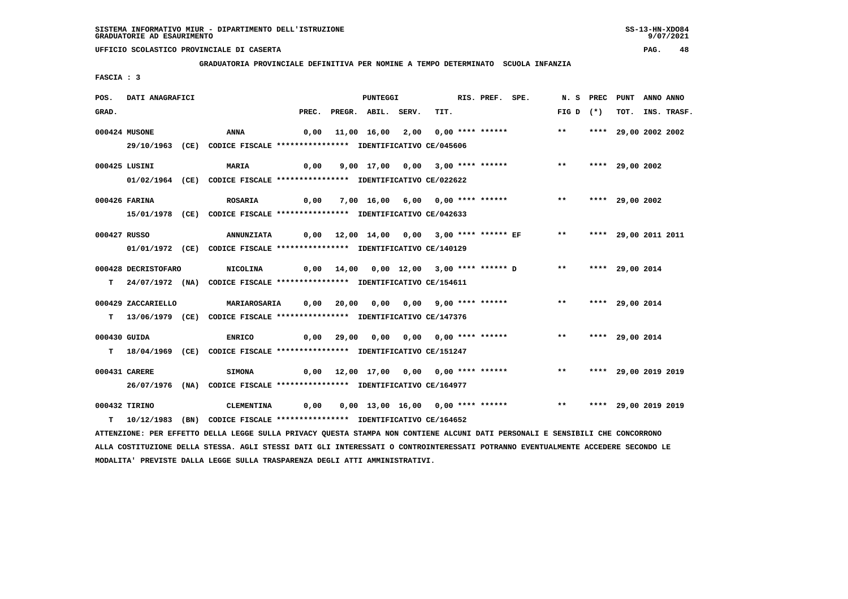**GRADUATORIA PROVINCIALE DEFINITIVA PER NOMINE A TEMPO DETERMINATO SCUOLA INFANZIA**

 **FASCIA : 3**

| POS.         | DATI ANAGRAFICI     |                                                                                                                               |       | PUNTEGGI           |                                          | RIS. PREF. SPE. |                                                                                      | N.S PREC | PUNT                 | ANNO ANNO |                  |
|--------------|---------------------|-------------------------------------------------------------------------------------------------------------------------------|-------|--------------------|------------------------------------------|-----------------|--------------------------------------------------------------------------------------|----------|----------------------|-----------|------------------|
| GRAD.        |                     |                                                                                                                               | PREC. | PREGR. ABIL. SERV. | TIT.                                     |                 | $FIG D (*)$                                                                          |          |                      |           | TOT. INS. TRASF. |
|              | 000424 MUSONE       | <b>ANNA</b>                                                                                                                   | 0,00  |                    | 11,00 16,00 2,00 0,00 **** ******        |                 | $***$                                                                                |          | **** 29,00 2002 2002 |           |                  |
|              |                     | 29/10/1963 (CE) CODICE FISCALE *************** IDENTIFICATIVO CE/045606                                                       |       |                    |                                          |                 |                                                                                      |          |                      |           |                  |
|              |                     |                                                                                                                               |       |                    |                                          |                 |                                                                                      |          |                      |           |                  |
|              | 000425 LUSINI       | <b>MARIA</b>                                                                                                                  | 0,00  |                    | 9,00 17,00 0,00 3,00 **** ******         |                 | $***$                                                                                |          | **** 29,00 2002      |           |                  |
|              |                     | 01/02/1964 (CE) CODICE FISCALE *************** IDENTIFICATIVO CE/022622                                                       |       |                    |                                          |                 |                                                                                      |          |                      |           |                  |
|              | 000426 FARINA       | <b>ROSARIA</b>                                                                                                                | 0,00  |                    | 7,00 16,00 6,00 0,00 **** ******         |                 | $***$                                                                                |          | **** 29,00 2002      |           |                  |
|              |                     | 15/01/1978 (CE) CODICE FISCALE *************** IDENTIFICATIVO CE/042633                                                       |       |                    |                                          |                 |                                                                                      |          |                      |           |                  |
|              |                     |                                                                                                                               |       |                    |                                          |                 |                                                                                      |          |                      |           |                  |
| 000427 RUSSO |                     | <b>ANNUNZIATA</b>                                                                                                             |       |                    |                                          |                 | 0,00 12,00 14,00 0,00 3,00 **** ****** EF            **         **** 29,00 2011 2011 |          |                      |           |                  |
|              |                     | 01/01/1972 (CE) CODICE FISCALE *************** IDENTIFICATIVO CE/140129                                                       |       |                    |                                          |                 |                                                                                      |          |                      |           |                  |
|              | 000428 DECRISTOFARO | <b>NICOLINA</b>                                                                                                               |       |                    | 0,00 14,00 0,00 12,00 3,00 **** ****** D |                 | ** **** 29,00 2014                                                                   |          |                      |           |                  |
|              |                     | T 24/07/1972 (NA) CODICE FISCALE **************** IDENTIFICATIVO CE/154611                                                    |       |                    |                                          |                 |                                                                                      |          |                      |           |                  |
|              |                     |                                                                                                                               |       |                    |                                          |                 |                                                                                      |          |                      |           |                  |
|              | 000429 ZACCARIELLO  | MARIAROSARIA       0,00    20,00    0,00    0,00    9,00  **** ******                                                         |       |                    |                                          |                 | $\star\star$                                                                         |          | **** 29,00 2014      |           |                  |
|              |                     | T 13/06/1979 (CE) CODICE FISCALE *************** IDENTIFICATIVO CE/147376                                                     |       |                    |                                          |                 |                                                                                      |          |                      |           |                  |
| 000430 GUIDA |                     | <b>ENRICO</b>                                                                                                                 |       |                    |                                          |                 |                                                                                      |          |                      |           |                  |
|              |                     | T 18/04/1969 (CE) CODICE FISCALE *************** IDENTIFICATIVO CE/151247                                                     |       |                    |                                          |                 |                                                                                      |          |                      |           |                  |
|              |                     |                                                                                                                               |       |                    |                                          |                 | $***$                                                                                |          |                      |           |                  |
|              | 000431 CARERE       | <b>SIMONA</b>                                                                                                                 |       |                    | $0,00$ 12,00 17,00 0,00 0,00 **** ****** |                 |                                                                                      |          | **** 29,00 2019 2019 |           |                  |
|              |                     | 26/07/1976 (NA) CODICE FISCALE *************** IDENTIFICATIVO CE/164977                                                       |       |                    |                                          |                 |                                                                                      |          |                      |           |                  |
|              | 000432 TIRINO       | <b>CLEMENTINA</b>                                                                                                             | 0,00  |                    | 0,00 13,00 16,00 0,00 **** ******        |                 | ** **** 29,00 2019 2019                                                              |          |                      |           |                  |
|              |                     | T  10/12/1983 (BN)  CODICE FISCALE ***************  IDENTIFICATIVO CE/164652                                                  |       |                    |                                          |                 |                                                                                      |          |                      |           |                  |
|              |                     | ATTENZIONE: PER EFFETTO DELLA LEGGE SULLA PRIVACY QUESTA STAMPA NON CONTIENE ALCUNI DATI PERSONALI E SENSIBILI CHE CONCORRONO |       |                    |                                          |                 |                                                                                      |          |                      |           |                  |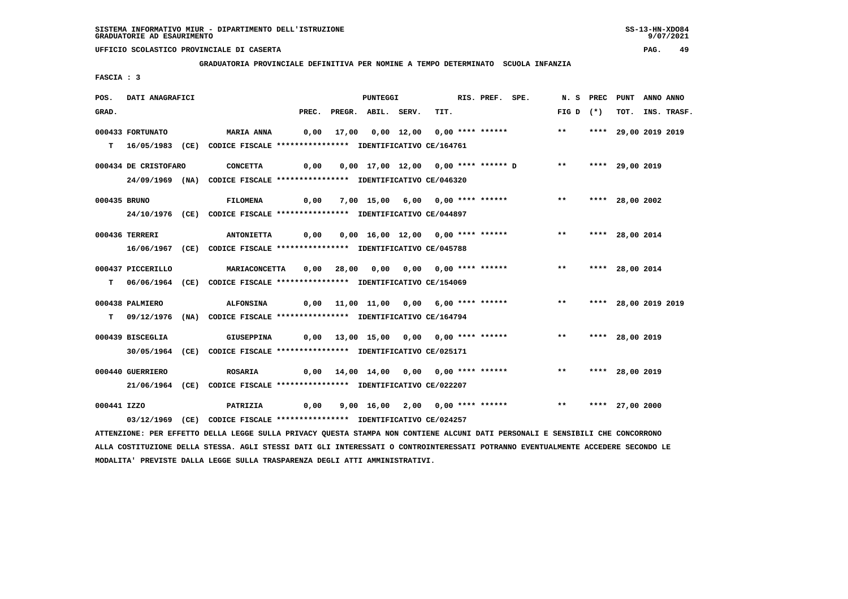**GRADUATORIA PROVINCIALE DEFINITIVA PER NOMINE A TEMPO DETERMINATO SCUOLA INFANZIA**

 **FASCIA : 3**

| POS.         | DATI ANAGRAFICI      |                                                                            |                                                       | PUNTEGGI                                 |      | RIS. PREF. SPE. |                                                              | N.S PREC           | PUNT                 | ANNO ANNO |             |
|--------------|----------------------|----------------------------------------------------------------------------|-------------------------------------------------------|------------------------------------------|------|-----------------|--------------------------------------------------------------|--------------------|----------------------|-----------|-------------|
| GRAD.        |                      |                                                                            |                                                       | PREC. PREGR. ABIL. SERV.                 | TIT. |                 |                                                              | FIG D $(*)$        | тот.                 |           | INS. TRASF. |
|              | 000433 FORTUNATO     | <b>MARIA ANNA</b>                                                          | 0,00 17,00 0,00 12,00 0,00 **** ******             ** |                                          |      |                 |                                                              |                    | **** 29,00 2019 2019 |           |             |
|              |                      | T 16/05/1983 (CE) CODICE FISCALE *************** IDENTIFICATIVO CE/164761  |                                                       |                                          |      |                 |                                                              |                    |                      |           |             |
|              | 000434 DE CRISTOFARO | <b>CONCETTA</b>                                                            |                                                       |                                          |      |                 |                                                              | ** **** 29,00 2019 |                      |           |             |
|              |                      | 24/09/1969 (NA) CODICE FISCALE *************** IDENTIFICATIVO CE/046320    |                                                       |                                          |      |                 |                                                              |                    |                      |           |             |
| 000435 BRUNO |                      | <b>FILOMENA</b>                                                            | 0,00                                                  | 7,00 15,00 6,00 0,00 **** ******         |      |                 |                                                              | $***$              | **** 28,00 2002      |           |             |
|              |                      | 24/10/1976 (CE) CODICE FISCALE *************** IDENTIFICATIVO CE/044897    |                                                       |                                          |      |                 |                                                              |                    |                      |           |             |
|              | 000436 TERRERI       | <b>ANTONIETTA</b>                                                          | 0,00                                                  | 0,00 16,00 12,00 0,00 **** ******        |      |                 |                                                              | $***$              | **** 28,00 2014      |           |             |
|              |                      | 16/06/1967 (CE) CODICE FISCALE *************** IDENTIFICATIVO CE/045788    |                                                       |                                          |      |                 |                                                              |                    |                      |           |             |
|              | 000437 PICCERILLO    | <b>MARIACONCETTA</b>                                                       |                                                       |                                          |      |                 | 0,00 28,00 0,00 0,00 0,00 **** ******                        | $***$              | **** 28,00 2014      |           |             |
|              |                      | T 06/06/1964 (CE) CODICE FISCALE *************** IDENTIFICATIVO CE/154069  |                                                       |                                          |      |                 |                                                              |                    |                      |           |             |
|              | 000438 PALMIERO      | <b>ALFONSINA</b>                                                           |                                                       | 0,00 11,00 11,00 0,00 6,00 **** ******   |      |                 |                                                              | $***$              | **** 28,00 2019 2019 |           |             |
|              |                      | T 09/12/1976 (NA) CODICE FISCALE **************** IDENTIFICATIVO CE/164794 |                                                       |                                          |      |                 |                                                              |                    |                      |           |             |
|              | 000439 BISCEGLIA     | GIUSEPPINA                                                                 |                                                       | $0,00$ 13,00 15,00 0,00 0,00 **** ****** |      |                 |                                                              | $***$              | **** 28,00 2019      |           |             |
|              |                      | 30/05/1964 (CE) CODICE FISCALE *************** IDENTIFICATIVO CE/025171    |                                                       |                                          |      |                 |                                                              |                    |                      |           |             |
|              | 000440 GUERRIERO     | <b>ROSARIA</b>                                                             |                                                       |                                          |      |                 | $0,00$ $14,00$ $14,00$ $0,00$ $0,00$ $***$ **** ****** ** ** |                    | **** 28,00 2019      |           |             |
|              |                      | 21/06/1964 (CE) CODICE FISCALE *************** IDENTIFICATIVO CE/022207    |                                                       |                                          |      |                 |                                                              |                    |                      |           |             |
| 000441 IZZO  |                      | <b>PATRIZIA</b>                                                            | 0,00                                                  |                                          |      |                 | 9,00 16,00 2,00 0,00 **** ******                             | ** **** 27,00 2000 |                      |           |             |
|              |                      | 03/12/1969 (CE) CODICE FISCALE *************** IDENTIFICATIVO CE/024257    |                                                       |                                          |      |                 |                                                              |                    |                      |           |             |

 **ATTENZIONE: PER EFFETTO DELLA LEGGE SULLA PRIVACY QUESTA STAMPA NON CONTIENE ALCUNI DATI PERSONALI E SENSIBILI CHE CONCORRONO ALLA COSTITUZIONE DELLA STESSA. AGLI STESSI DATI GLI INTERESSATI O CONTROINTERESSATI POTRANNO EVENTUALMENTE ACCEDERE SECONDO LE MODALITA' PREVISTE DALLA LEGGE SULLA TRASPARENZA DEGLI ATTI AMMINISTRATIVI.**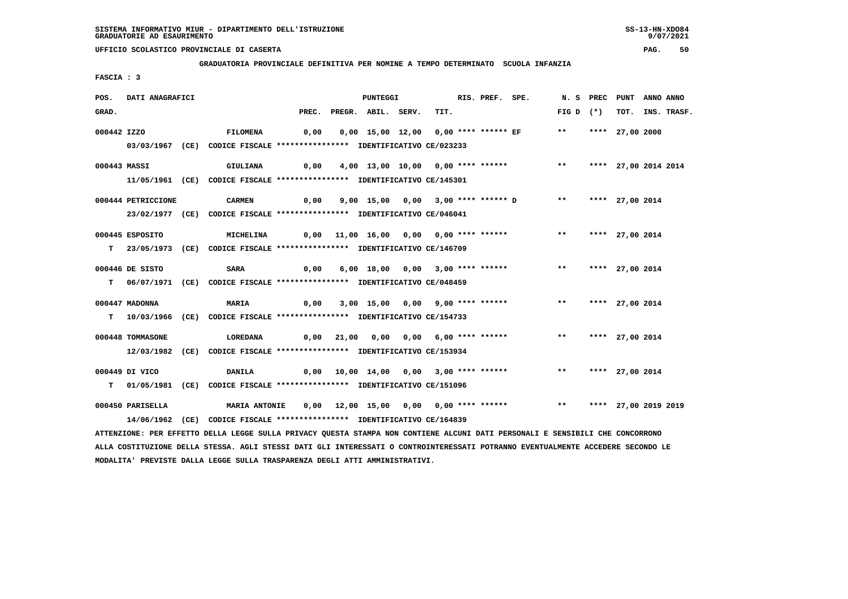**GRADUATORIA PROVINCIALE DEFINITIVA PER NOMINE A TEMPO DETERMINATO SCUOLA INFANZIA**

 **FASCIA : 3**

| POS.         | DATI ANAGRAFICI                                                                                                               |  |                                                                            |      |              | PUNTEGGI                 |  |                                        |  | RIS. PREF. SPE. |                                          |                         | N. S PREC PUNT |                      | ANNO ANNO |             |
|--------------|-------------------------------------------------------------------------------------------------------------------------------|--|----------------------------------------------------------------------------|------|--------------|--------------------------|--|----------------------------------------|--|-----------------|------------------------------------------|-------------------------|----------------|----------------------|-----------|-------------|
| GRAD.        |                                                                                                                               |  |                                                                            |      |              | PREC. PREGR. ABIL. SERV. |  | TIT.                                   |  |                 |                                          | FIG D $(*)$             |                | тот.                 |           | INS. TRASF. |
| 000442 IZZO  |                                                                                                                               |  | FILOMENA                                                                   | 0,00 |              |                          |  | 0,00 15,00 12,00 0,00 **** ****** EF   |  |                 |                                          | $***$                   |                | **** 27,00 2000      |           |             |
|              |                                                                                                                               |  | 03/03/1967 (CE) CODICE FISCALE *************** IDENTIFICATIVO CE/023233    |      |              |                          |  |                                        |  |                 |                                          |                         |                |                      |           |             |
|              |                                                                                                                               |  |                                                                            |      |              |                          |  |                                        |  |                 |                                          |                         |                |                      |           |             |
| 000443 MASSI |                                                                                                                               |  | GIULIANA                                                                   | 0,00 |              |                          |  | 4,00 13,00 10,00 0,00 **** ******      |  |                 |                                          | $***$                   |                | **** 27,00 2014 2014 |           |             |
|              |                                                                                                                               |  | 11/05/1961 (CE) CODICE FISCALE *************** IDENTIFICATIVO CE/145301    |      |              |                          |  |                                        |  |                 |                                          |                         |                |                      |           |             |
|              |                                                                                                                               |  |                                                                            |      |              |                          |  |                                        |  |                 |                                          |                         |                |                      |           |             |
|              | 000444 PETRICCIONE                                                                                                            |  | <b>CARMEN</b>                                                              | 0,00 |              |                          |  |                                        |  |                 | 9,00 15,00 0,00 3,00 **** ****** D **    |                         |                | **** 27,00 2014      |           |             |
|              |                                                                                                                               |  | 23/02/1977 (CE) CODICE FISCALE *************** IDENTIFICATIVO CE/046041    |      |              |                          |  |                                        |  |                 |                                          |                         |                |                      |           |             |
|              |                                                                                                                               |  |                                                                            |      |              |                          |  |                                        |  |                 |                                          |                         |                |                      |           |             |
|              | 000445 ESPOSITO                                                                                                               |  | <b>MICHELINA</b>                                                           |      |              |                          |  | 0,00 11,00 16,00 0,00 0,00 **** ****** |  |                 |                                          | ** **** 27,00 2014      |                |                      |           |             |
|              |                                                                                                                               |  | T 23/05/1973 (CE) CODICE FISCALE *************** IDENTIFICATIVO CE/146709  |      |              |                          |  |                                        |  |                 |                                          |                         |                |                      |           |             |
|              | 000446 DE SISTO                                                                                                               |  | <b>SARA</b>                                                                | 0,00 |              |                          |  | 6,00 18,00 0,00 3,00 **** ******       |  |                 |                                          | $***$                   |                | **** 27,00 2014      |           |             |
|              |                                                                                                                               |  | T 06/07/1971 (CE) CODICE FISCALE *************** IDENTIFICATIVO CE/048459  |      |              |                          |  |                                        |  |                 |                                          |                         |                |                      |           |             |
|              |                                                                                                                               |  |                                                                            |      |              |                          |  |                                        |  |                 |                                          |                         |                |                      |           |             |
|              | 000447 MADONNA                                                                                                                |  | <b>MARIA</b>                                                               | 0,00 |              |                          |  | 3,00 15,00 0,00 9,00 **** ******       |  |                 |                                          | $***$                   |                | **** 27,00 2014      |           |             |
|              |                                                                                                                               |  | T 10/03/1966 (CE) CODICE FISCALE *************** IDENTIFICATIVO CE/154733  |      |              |                          |  |                                        |  |                 |                                          |                         |                |                      |           |             |
|              |                                                                                                                               |  |                                                                            |      |              |                          |  |                                        |  |                 |                                          |                         |                |                      |           |             |
|              | 000448 TOMMASONE                                                                                                              |  | LOREDANA                                                                   |      | $0,00$ 21,00 |                          |  | 0,00 0,00 6,00 **** ******             |  |                 |                                          | ** **** 27,00 2014      |                |                      |           |             |
|              |                                                                                                                               |  | 12/03/1982 (CE) CODICE FISCALE *************** IDENTIFICATIVO CE/153934    |      |              |                          |  |                                        |  |                 |                                          |                         |                |                      |           |             |
|              | 000449 DI VICO                                                                                                                |  | DANILA                                                                     |      |              |                          |  |                                        |  |                 | $0,00$ 10,00 14,00 0,00 3,00 **** ****** | $***$                   |                | **** 27,00 2014      |           |             |
|              |                                                                                                                               |  | T 01/05/1981 (CE) CODICE FISCALE **************** IDENTIFICATIVO CE/151096 |      |              |                          |  |                                        |  |                 |                                          |                         |                |                      |           |             |
|              |                                                                                                                               |  |                                                                            |      |              |                          |  |                                        |  |                 |                                          |                         |                |                      |           |             |
|              | 000450 PARISELLA                                                                                                              |  | <b>MARIA ANTONIE</b>                                                       |      |              |                          |  | 0,00 12,00 15,00 0,00 0,00 **** ****** |  |                 |                                          | ** **** 27,00 2019 2019 |                |                      |           |             |
|              |                                                                                                                               |  | 14/06/1962 (CE) CODICE FISCALE *************** IDENTIFICATIVO CE/164839    |      |              |                          |  |                                        |  |                 |                                          |                         |                |                      |           |             |
|              | ATTENZIONE: PER EFFETTO DELLA LEGGE SULLA PRIVACY QUESTA STAMPA NON CONTIENE ALCUNI DATI PERSONALI E SENSIBILI CHE CONCORRONO |  |                                                                            |      |              |                          |  |                                        |  |                 |                                          |                         |                |                      |           |             |
|              |                                                                                                                               |  |                                                                            |      |              |                          |  |                                        |  |                 |                                          |                         |                |                      |           |             |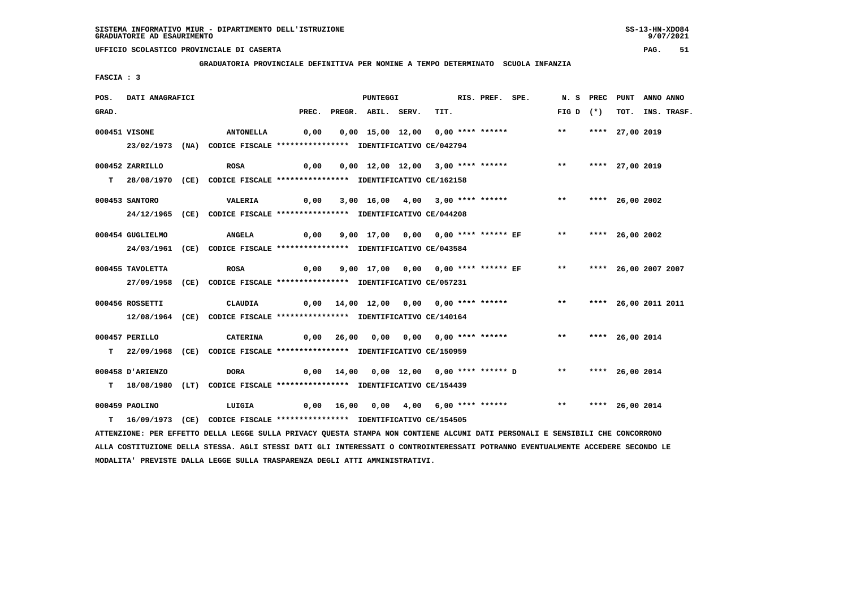**GRADUATORIA PROVINCIALE DEFINITIVA PER NOMINE A TEMPO DETERMINATO SCUOLA INFANZIA**

 **FASCIA : 3**

| POS.  | <b>DATI ANAGRAFICI</b> |                                                                                                                               |      | <b>PUNTEGGI</b>          |                                                                  | RIS. PREF. SPE. |                    | N. S PREC PUNT ANNO ANNO |                  |
|-------|------------------------|-------------------------------------------------------------------------------------------------------------------------------|------|--------------------------|------------------------------------------------------------------|-----------------|--------------------|--------------------------|------------------|
| GRAD. |                        |                                                                                                                               |      | PREC. PREGR. ABIL. SERV. | TIT.                                                             |                 | FIG D $(*)$        |                          | TOT. INS. TRASF. |
|       | 000451 VISONE          | <b>ANTONELLA</b>                                                                                                              |      |                          |                                                                  |                 | $***$              | **** 27,00 2019          |                  |
|       |                        |                                                                                                                               |      |                          |                                                                  |                 |                    |                          |                  |
|       |                        | 23/02/1973 (NA) CODICE FISCALE *************** IDENTIFICATIVO CE/042794                                                       |      |                          |                                                                  |                 |                    |                          |                  |
|       | 000452 ZARRILLO        | <b>ROSA</b>                                                                                                                   |      |                          |                                                                  |                 | $\star \star$      | **** 27,00 2019          |                  |
|       |                        | T 28/08/1970 (CE) CODICE FISCALE *************** IDENTIFICATIVO CE/162158                                                     |      |                          |                                                                  |                 |                    |                          |                  |
|       |                        |                                                                                                                               |      |                          |                                                                  |                 |                    |                          |                  |
|       | 000453 SANTORO         | VALERIA                                                                                                                       | 0,00 |                          | $3,00$ $16,00$ $4,00$ $3,00$ $***$ $***$ $**$ $**$               |                 |                    | **** 26,00 2002          |                  |
|       |                        | 24/12/1965 (CE) CODICE FISCALE *************** IDENTIFICATIVO CE/044208                                                       |      |                          |                                                                  |                 |                    |                          |                  |
|       |                        |                                                                                                                               |      |                          |                                                                  |                 |                    |                          |                  |
|       | 000454 GUGLIELMO       | <b>ANGELA</b>                                                                                                                 | 0,00 |                          | 9,00 17,00 0,00 0,00 **** ****** EF ** **** 26,00 2002           |                 |                    |                          |                  |
|       |                        | 24/03/1961 (CE) CODICE FISCALE *************** IDENTIFICATIVO CE/043584                                                       |      |                          |                                                                  |                 |                    |                          |                  |
|       | 000455 TAVOLETTA       | <b>ROSA</b>                                                                                                                   |      |                          | 0,00 9,00 17,00 0,00 0,00 **** ****** EF ** **** 26,00 2007 2007 |                 |                    |                          |                  |
|       |                        | 27/09/1958 (CE) CODICE FISCALE **************** IDENTIFICATIVO CE/057231                                                      |      |                          |                                                                  |                 |                    |                          |                  |
|       |                        |                                                                                                                               |      |                          |                                                                  |                 |                    |                          |                  |
|       | 000456 ROSSETTI        | CLAUDIA                                                                                                                       |      |                          | 0,00 14,00 12,00 0,00 0,00 **** ******                           |                 | $\star \star$      | **** 26,00 2011 2011     |                  |
|       |                        | 12/08/1964 (CE) CODICE FISCALE *************** IDENTIFICATIVO CE/140164                                                       |      |                          |                                                                  |                 |                    |                          |                  |
|       |                        |                                                                                                                               |      |                          |                                                                  |                 |                    |                          |                  |
|       | 000457 PERILLO         | CATERINA                                                                                                                      |      |                          | 0,00 26,00 0,00 0,00 0,00 **** ******                            |                 | $\star\star$       | **** 26,00 2014          |                  |
|       |                        | T 22/09/1968 (CE) CODICE FISCALE *************** IDENTIFICATIVO CE/150959                                                     |      |                          |                                                                  |                 |                    |                          |                  |
|       | 000458 D'ARIENZO       | DORA                                                                                                                          |      |                          | 0,00 14,00 0,00 12,00 0,00 **** ****** D                         |                 | ** **** 26,00 2014 |                          |                  |
|       |                        | T 18/08/1980 (LT) CODICE FISCALE **************** IDENTIFICATIVO CE/154439                                                    |      |                          |                                                                  |                 |                    |                          |                  |
|       |                        |                                                                                                                               |      |                          |                                                                  |                 |                    |                          |                  |
|       | 000459 PAOLINO         |                                                                                                                               |      |                          |                                                                  |                 |                    |                          |                  |
|       |                        | T 16/09/1973 (CE) CODICE FISCALE *************** IDENTIFICATIVO CE/154505                                                     |      |                          |                                                                  |                 |                    |                          |                  |
|       |                        | ATTENZIONE: PER EFFETTO DELLA LEGGE SULLA PRIVACY QUESTA STAMPA NON CONTIENE ALCUNI DATI PERSONALI E SENSIBILI CHE CONCORRONO |      |                          |                                                                  |                 |                    |                          |                  |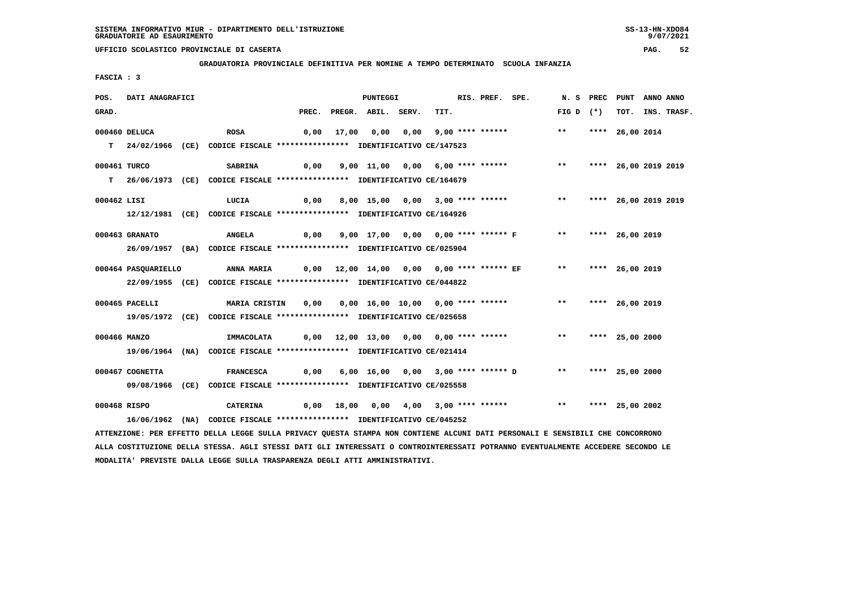**GRADUATORIA PROVINCIALE DEFINITIVA PER NOMINE A TEMPO DETERMINATO SCUOLA INFANZIA**

 **FASCIA : 3**

| POS.         | DATI ANAGRAFICI     |                                                                                                                               |      |                          | PUNTEGGI |                                                                             | RIS. PREF. SPE. | N.S PREC                | PUNT            | ANNO ANNO |                  |
|--------------|---------------------|-------------------------------------------------------------------------------------------------------------------------------|------|--------------------------|----------|-----------------------------------------------------------------------------|-----------------|-------------------------|-----------------|-----------|------------------|
| GRAD.        |                     |                                                                                                                               |      | PREC. PREGR. ABIL. SERV. |          | TIT.                                                                        |                 | FIG D $(*)$             |                 |           | TOT. INS. TRASF. |
|              | 000460 DELUCA       | ROSA                                                                                                                          |      |                          |          | 0,00 17,00 0,00 0,00 9,00 **** ******                                       |                 | $\star \star$           | **** 26,00 2014 |           |                  |
|              |                     | T 24/02/1966 (CE) CODICE FISCALE *************** IDENTIFICATIVO CE/147523                                                     |      |                          |          |                                                                             |                 |                         |                 |           |                  |
| 000461 TURCO |                     | <b>SABRINA</b>                                                                                                                |      |                          |          | 0,00 9,00 11,00 0,00 6,00 **** ******           **     **** 26,00 2019 2019 |                 |                         |                 |           |                  |
|              |                     | T 26/06/1973 (CE) CODICE FISCALE **************** IDENTIFICATIVO CE/164679                                                    |      |                          |          |                                                                             |                 |                         |                 |           |                  |
| 000462 LISI  |                     | LUCIA                                                                                                                         | 0,00 |                          |          | 8,00 15,00 0,00 3,00 **** ******                                            |                 | ** **** 26,00 2019 2019 |                 |           |                  |
|              |                     | 12/12/1981 (CE) CODICE FISCALE *************** IDENTIFICATIVO CE/164926                                                       |      |                          |          |                                                                             |                 |                         |                 |           |                  |
|              | 000463 GRANATO      | <b>ANGELA</b>                                                                                                                 |      |                          |          | 0,00 9,00 17,00 0,00 0,00 **** ****** F ** ***** 26,00 2019                 |                 |                         |                 |           |                  |
|              |                     | 26/09/1957 (BA) CODICE FISCALE *************** IDENTIFICATIVO CE/025904                                                       |      |                          |          |                                                                             |                 |                         |                 |           |                  |
|              | 000464 PASQUARIELLO | <b>ANNA MARIA</b>                                                                                                             |      |                          |          |                                                                             |                 | ** **** 26,00 2019      |                 |           |                  |
|              |                     | 22/09/1955 (CE) CODICE FISCALE *************** IDENTIFICATIVO CE/044822                                                       |      |                          |          |                                                                             |                 |                         |                 |           |                  |
|              | 000465 PACELLI      | MARIA CRISTIN 0,00 0,00 16,00 10,00 0,00 **** ****** *** *** **** 26,00 2019                                                  |      |                          |          |                                                                             |                 |                         |                 |           |                  |
|              |                     | 19/05/1972 (CE) CODICE FISCALE **************** IDENTIFICATIVO CE/025658                                                      |      |                          |          |                                                                             |                 |                         |                 |           |                  |
| 000466 MANZO |                     | IMMACOLATA                                                                                                                    |      |                          |          | 0,00 12,00 13,00 0,00 0,00 **** ****** *** *** **** 25,00 2000              |                 |                         |                 |           |                  |
|              |                     | 19/06/1964 (NA) CODICE FISCALE *************** IDENTIFICATIVO CE/021414                                                       |      |                          |          |                                                                             |                 |                         |                 |           |                  |
|              | 000467 COGNETTA     | <b>FRANCESCA</b>                                                                                                              |      |                          |          | $0,00$ 6,00 16,00 0,00 3,00 **** ****** D                                   |                 | ** **** 25,00 2000      |                 |           |                  |
|              |                     | 09/08/1966 (CE) CODICE FISCALE *************** IDENTIFICATIVO CE/025558                                                       |      |                          |          |                                                                             |                 |                         |                 |           |                  |
|              | 000468 RISPO        | <b>CATERINA</b>                                                                                                               |      |                          |          | 0,00 18,00 0,00 4,00 3,00 **** ******     **   **** 25,00 2002              |                 |                         |                 |           |                  |
|              |                     | 16/06/1962 (NA) CODICE FISCALE *************** IDENTIFICATIVO CE/045252                                                       |      |                          |          |                                                                             |                 |                         |                 |           |                  |
|              |                     | ATTENZIONE: PER EFFETTO DELLA LEGGE SULLA PRIVACY QUESTA STAMPA NON CONTIENE ALCUNI DATI PERSONALI E SENSIBILI CHE CONCORRONO |      |                          |          |                                                                             |                 |                         |                 |           |                  |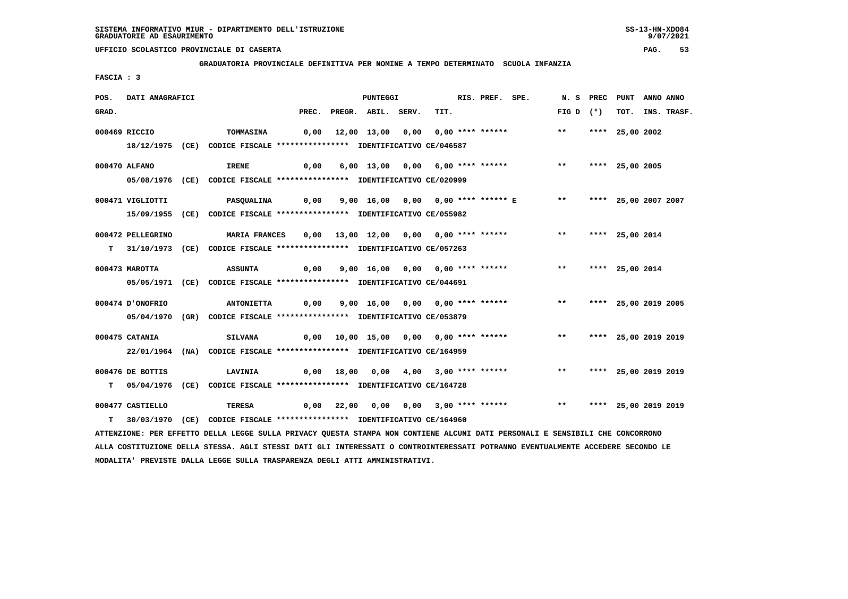**GRADUATORIA PROVINCIALE DEFINITIVA PER NOMINE A TEMPO DETERMINATO SCUOLA INFANZIA**

 **FASCIA : 3**

| POS.  | DATI ANAGRAFICI   |                                                                                                                               |       | PUNTEGGI           |                                         | RIS. PREF. SPE. |                                    |             | N. S PREC | PUNT                 | ANNO ANNO |             |
|-------|-------------------|-------------------------------------------------------------------------------------------------------------------------------|-------|--------------------|-----------------------------------------|-----------------|------------------------------------|-------------|-----------|----------------------|-----------|-------------|
| GRAD. |                   |                                                                                                                               | PREC. | PREGR. ABIL. SERV. | TIT.                                    |                 |                                    | FIG D $(*)$ |           | тот.                 |           | INS. TRASF. |
|       | 000469 RICCIO     | TOMMASINA                                                                                                                     | 0,00  |                    | 12,00 13,00 0,00 0,00 **** ******       |                 |                                    | $* *$       |           | **** 25,00 2002      |           |             |
|       |                   | 18/12/1975 (CE) CODICE FISCALE *************** IDENTIFICATIVO CE/046587                                                       |       |                    |                                         |                 |                                    |             |           |                      |           |             |
|       |                   |                                                                                                                               |       |                    |                                         |                 |                                    |             |           |                      |           |             |
|       | 000470 ALFANO     | <b>IRENE</b>                                                                                                                  | 0,00  |                    | 6,00 13,00 0,00 6,00 **** ******        |                 |                                    | $***$       |           | **** 25,00 2005      |           |             |
|       |                   | 05/08/1976 (CE) CODICE FISCALE *************** IDENTIFICATIVO CE/020999                                                       |       |                    |                                         |                 |                                    |             |           |                      |           |             |
|       |                   |                                                                                                                               |       |                    |                                         |                 |                                    |             |           |                      |           |             |
|       | 000471 VIGLIOTTI  | <b>PASQUALINA</b>                                                                                                             | 0,00  |                    |                                         |                 | 9,00 16,00 0,00 0,00 **** ****** E | $***$       |           | **** 25,00 2007 2007 |           |             |
|       |                   | 15/09/1955 (CE) CODICE FISCALE *************** IDENTIFICATIVO CE/055982                                                       |       |                    |                                         |                 |                                    |             |           |                      |           |             |
|       | 000472 PELLEGRINO | <b>MARIA FRANCES</b>                                                                                                          | 0,00  |                    | 13,00 12,00 0,00 0,00 **** ******       |                 |                                    | $***$       |           | **** 25,00 2014      |           |             |
|       |                   | T 31/10/1973 (CE) CODICE FISCALE *************** IDENTIFICATIVO CE/057263                                                     |       |                    |                                         |                 |                                    |             |           |                      |           |             |
|       |                   |                                                                                                                               |       |                    |                                         |                 |                                    |             |           |                      |           |             |
|       | 000473 MAROTTA    | <b>ASSUNTA</b>                                                                                                                | 0,00  |                    | 9,00 16,00 0,00 0,00 **** ******        |                 |                                    | $***$       |           | **** 25,00 2014      |           |             |
|       |                   | 05/05/1971 (CE) CODICE FISCALE *************** IDENTIFICATIVO CE/044691                                                       |       |                    |                                         |                 |                                    |             |           |                      |           |             |
|       | 000474 D'ONOFRIO  | <b>ANTONIETTA</b>                                                                                                             | 0,00  |                    | 9,00 16,00 0,00 0,00 **** ******        |                 |                                    | $***$       |           | **** 25,00 2019 2005 |           |             |
|       |                   |                                                                                                                               |       |                    |                                         |                 |                                    |             |           |                      |           |             |
|       | 05/04/1970        | (GR) CODICE FISCALE **************** IDENTIFICATIVO CE/053879                                                                 |       |                    |                                         |                 |                                    |             |           |                      |           |             |
|       | 000475 CATANIA    | <b>SILVANA</b>                                                                                                                |       |                    |                                         |                 |                                    | $***$       |           | **** 25,00 2019 2019 |           |             |
|       |                   | 22/01/1964 (NA) CODICE FISCALE *************** IDENTIFICATIVO CE/164959                                                       |       |                    |                                         |                 |                                    |             |           |                      |           |             |
|       |                   |                                                                                                                               |       |                    |                                         |                 |                                    |             |           |                      |           |             |
|       | 000476 DE BOTTIS  | <b>LAVINIA</b>                                                                                                                | 0,00  |                    |                                         |                 |                                    | $***$       |           | **** 25,00 2019 2019 |           |             |
| т     |                   | 05/04/1976 (CE) CODICE FISCALE **************** IDENTIFICATIVO CE/164728                                                      |       |                    |                                         |                 |                                    |             |           |                      |           |             |
|       | 000477 CASTIELLO  | <b>TERESA</b>                                                                                                                 |       |                    | $0,00$ 22,00 0,00 0,00 3,00 **** ****** |                 |                                    | $***$       |           | **** 25,00 2019 2019 |           |             |
| т     | 30/03/1970        | (CE) CODICE FISCALE **************** IDENTIFICATIVO CE/164960                                                                 |       |                    |                                         |                 |                                    |             |           |                      |           |             |
|       |                   |                                                                                                                               |       |                    |                                         |                 |                                    |             |           |                      |           |             |
|       |                   | ATTENZIONE: PER EFFETTO DELLA LEGGE SULLA PRIVACY QUESTA STAMPA NON CONTIENE ALCUNI DATI PERSONALI E SENSIBILI CHE CONCORRONO |       |                    |                                         |                 |                                    |             |           |                      |           |             |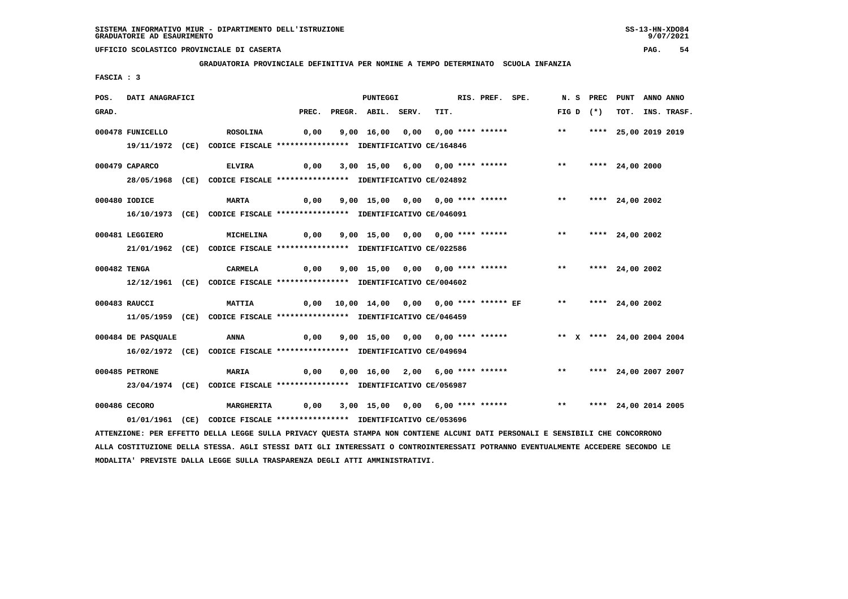**GRADUATORIA PROVINCIALE DEFINITIVA PER NOMINE A TEMPO DETERMINATO SCUOLA INFANZIA**

 **FASCIA : 3**

| POS.  | DATI ANAGRAFICI                                                                                                                 |                 |                   |       | PUNTEGGI                         |      | RIS. PREF. SPE. |                                                                          |       | N.S PREC    | PUNT                    | ANNO ANNO |             |
|-------|---------------------------------------------------------------------------------------------------------------------------------|-----------------|-------------------|-------|----------------------------------|------|-----------------|--------------------------------------------------------------------------|-------|-------------|-------------------------|-----------|-------------|
| GRAD. |                                                                                                                                 |                 |                   | PREC. | PREGR. ABIL. SERV.               | TIT. |                 |                                                                          |       | FIG D $(*)$ | тот.                    |           | INS. TRASF. |
|       | 000478 FUNICELLO                                                                                                                | <b>ROSOLINA</b> |                   | 0,00  | 9,00 16,00 0,00 0,00 **** ****** |      |                 |                                                                          | $***$ |             | **** 25,00 2019 2019    |           |             |
|       | 19/11/1972 (CE) CODICE FISCALE *************** IDENTIFICATIVO CE/164846                                                         |                 |                   |       |                                  |      |                 |                                                                          |       |             |                         |           |             |
|       |                                                                                                                                 |                 |                   |       |                                  |      |                 |                                                                          |       |             |                         |           |             |
|       | 000479 CAPARCO                                                                                                                  | <b>ELVIRA</b>   |                   | 0,00  | 3,00 15,00 6,00 0,00 **** ****** |      |                 |                                                                          | $***$ |             | **** 24,00 2000         |           |             |
|       | 28/05/1968 (CE) CODICE FISCALE *************** IDENTIFICATIVO CE/024892                                                         |                 |                   |       |                                  |      |                 |                                                                          |       |             |                         |           |             |
|       |                                                                                                                                 |                 |                   |       |                                  |      |                 |                                                                          |       |             |                         |           |             |
|       | 000480 IODICE                                                                                                                   | <b>MARTA</b>    |                   | 0,00  | 9,00 15,00 0,00 0,00 **** ****** |      |                 |                                                                          |       |             | ** **** 24,00 2002      |           |             |
|       | 16/10/1973 (CE) CODICE FISCALE *************** IDENTIFICATIVO CE/046091                                                         |                 |                   |       |                                  |      |                 |                                                                          |       |             |                         |           |             |
|       | 000481 LEGGIERO                                                                                                                 |                 | <b>MICHELINA</b>  | 0,00  | 9,00 15,00 0,00 0,00 **** ****** |      |                 |                                                                          | $***$ |             | **** 24,00 2002         |           |             |
|       |                                                                                                                                 |                 |                   |       |                                  |      |                 |                                                                          |       |             |                         |           |             |
|       | 21/01/1962 (CE) CODICE FISCALE *************** IDENTIFICATIVO CE/022586                                                         |                 |                   |       |                                  |      |                 |                                                                          |       |             |                         |           |             |
|       | 000482 TENGA                                                                                                                    |                 | CARMELA           | 0,00  | 9,00 15,00 0,00 0,00 **** ****** |      |                 |                                                                          | $***$ |             | **** 24,00 2002         |           |             |
|       | 12/12/1961 (CE) CODICE FISCALE *************** IDENTIFICATIVO CE/004602                                                         |                 |                   |       |                                  |      |                 |                                                                          |       |             |                         |           |             |
|       |                                                                                                                                 |                 |                   |       |                                  |      |                 |                                                                          |       |             |                         |           |             |
|       | 000483 RAUCCI                                                                                                                   | <b>MATTIA</b>   |                   |       |                                  |      |                 |                                                                          |       |             | ** **** 24,00 2002      |           |             |
|       | 11/05/1959 (CE) CODICE FISCALE *************** IDENTIFICATIVO CE/046459                                                         |                 |                   |       |                                  |      |                 |                                                                          |       |             |                         |           |             |
|       | 000484 DE PASQUALE                                                                                                              | ANNA            |                   | 0,00  |                                  |      |                 | 9,00 15,00 0,00 0,00 **** ******               ** x **** 24,00 2004 2004 |       |             |                         |           |             |
|       |                                                                                                                                 |                 |                   |       |                                  |      |                 |                                                                          |       |             |                         |           |             |
|       | 16/02/1972 (CE) CODICE FISCALE *************** IDENTIFICATIVO CE/049694                                                         |                 |                   |       |                                  |      |                 |                                                                          |       |             |                         |           |             |
|       | 000485 PETRONE                                                                                                                  | MARIA           |                   | 0,00  | 0,00 16,00 2,00 6,00 **** ****** |      |                 |                                                                          |       |             | ** **** 24,00 2007 2007 |           |             |
|       | 23/04/1974 (CE) CODICE FISCALE *************** IDENTIFICATIVO CE/056987                                                         |                 |                   |       |                                  |      |                 |                                                                          |       |             |                         |           |             |
|       |                                                                                                                                 |                 |                   |       |                                  |      |                 |                                                                          |       |             |                         |           |             |
|       | 000486 CECORO                                                                                                                   |                 | <b>MARGHERITA</b> | 0,00  | 3,00 15,00 0,00 6,00 **** ****** |      |                 |                                                                          |       |             | ** **** 24,00 2014 2005 |           |             |
|       | 01/01/1961 (CE) CODICE FISCALE *************** IDENTIFICATIVO CE/053696                                                         |                 |                   |       |                                  |      |                 |                                                                          |       |             |                         |           |             |
|       | ATTENZIONE: PER EFFETTO DELLA LEGGE SULLA PRIVACY QUESTA STAMPA NON CONTIENE ALCUNI DATI PERSONALI E SENSIBILI CHE CONCORRONO   |                 |                   |       |                                  |      |                 |                                                                          |       |             |                         |           |             |
|       | ALLA COSTITUZIONE DELLA STESSA. AGLI STESSI DATI GLI INTERESSATI O CONTROINTERESSATI POTRANNO EVENTUALMENTE ACCEDERE SECONDO LE |                 |                   |       |                                  |      |                 |                                                                          |       |             |                         |           |             |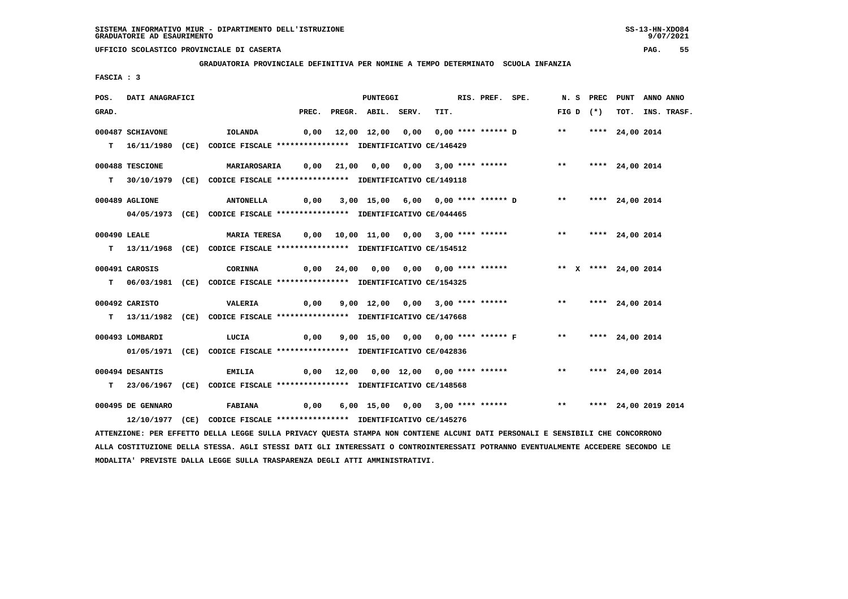**MODALITA' PREVISTE DALLA LEGGE SULLA TRASPARENZA DEGLI ATTI AMMINISTRATIVI.**

# **UFFICIO SCOLASTICO PROVINCIALE DI CASERTA PAG. 55**

 **GRADUATORIA PROVINCIALE DEFINITIVA PER NOMINE A TEMPO DETERMINATO SCUOLA INFANZIA**

 **FASCIA : 3**

| POS.         | <b>DATI ANAGRAFICI</b> |                                                                                                                                 |       | <b>PUNTEGGI</b>    |                                          | RIS. PREF. SPE. |                                    |                         | N. S PREC PUNT  | ANNO ANNO |                  |
|--------------|------------------------|---------------------------------------------------------------------------------------------------------------------------------|-------|--------------------|------------------------------------------|-----------------|------------------------------------|-------------------------|-----------------|-----------|------------------|
| GRAD.        |                        |                                                                                                                                 | PREC. | PREGR. ABIL. SERV. | TIT.                                     |                 |                                    | FIG D $(*)$             |                 |           | TOT. INS. TRASF. |
|              | 000487 SCHIAVONE       | IOLANDA                                                                                                                         |       |                    | 0,00 12,00 12,00 0,00 0,00 **** ****** D |                 |                                    | $***$                   | **** 24,00 2014 |           |                  |
|              |                        |                                                                                                                                 |       |                    |                                          |                 |                                    |                         |                 |           |                  |
|              |                        | T 16/11/1980 (CE) CODICE FISCALE *************** IDENTIFICATIVO CE/146429                                                       |       |                    |                                          |                 |                                    |                         |                 |           |                  |
|              | 000488 TESCIONE        | <b>MARIAROSARIA</b>                                                                                                             |       |                    | 0,00 21,00 0,00 0,00 3,00 **** ******    |                 |                                    | $***$                   | **** 24,00 2014 |           |                  |
|              |                        | T 30/10/1979 (CE) CODICE FISCALE *************** IDENTIFICATIVO CE/149118                                                       |       |                    |                                          |                 |                                    |                         |                 |           |                  |
|              |                        |                                                                                                                                 |       |                    |                                          |                 |                                    |                         |                 |           |                  |
|              | 000489 AGLIONE         | <b>ANTONELLA</b>                                                                                                                |       |                    | 0,00 3,00 15,00 6,00 0,00 **** ****** D  |                 |                                    | ** **** 24,00 2014      |                 |           |                  |
|              |                        | 04/05/1973 (CE) CODICE FISCALE *************** IDENTIFICATIVO CE/044465                                                         |       |                    |                                          |                 |                                    |                         |                 |           |                  |
|              |                        |                                                                                                                                 |       |                    |                                          |                 |                                    |                         |                 |           |                  |
| 000490 LEALE |                        | MARIA TERESA 0,00 10,00 11,00 0,00 3,00 **** ******                                                                             |       |                    |                                          |                 |                                    | ** **** 24,00 2014      |                 |           |                  |
|              |                        | T 13/11/1968 (CE) CODICE FISCALE *************** IDENTIFICATIVO CE/154512                                                       |       |                    |                                          |                 |                                    |                         |                 |           |                  |
|              | 000491 CAROSIS         | CORINNA                                                                                                                         |       |                    | 0,00 24,00 0,00 0,00 0,00 **** ******    |                 |                                    | ** X **** 24,00 2014    |                 |           |                  |
|              |                        | T 06/03/1981 (CE) CODICE FISCALE *************** IDENTIFICATIVO CE/154325                                                       |       |                    |                                          |                 |                                    |                         |                 |           |                  |
|              |                        |                                                                                                                                 |       |                    |                                          |                 |                                    |                         |                 |           |                  |
|              | 000492 CARISTO         | <b>VALERIA</b>                                                                                                                  |       |                    | 0,00 9,00 12,00 0,00 3,00 **** ******    |                 |                                    | ** **** 24,00 2014      |                 |           |                  |
|              |                        | T 13/11/1982 (CE) CODICE FISCALE **************** IDENTIFICATIVO CE/147668                                                      |       |                    |                                          |                 |                                    |                         |                 |           |                  |
|              |                        |                                                                                                                                 |       |                    |                                          |                 |                                    |                         |                 |           |                  |
|              | 000493 LOMBARDI        | LUCIA                                                                                                                           | 0,00  |                    |                                          |                 | 9,00 15,00 0,00 0,00 **** ****** F | ** **** 24,00 2014      |                 |           |                  |
|              |                        | 01/05/1971 (CE) CODICE FISCALE *************** IDENTIFICATIVO CE/042836                                                         |       |                    |                                          |                 |                                    |                         |                 |           |                  |
|              | 000494 DESANTIS        | EMILIA                                                                                                                          |       |                    | $0,00$ 12,00 0,00 12,00 0,00 **** ****** |                 |                                    | ** **** 24,00 2014      |                 |           |                  |
|              |                        | T 23/06/1967 (CE) CODICE FISCALE **************** IDENTIFICATIVO CE/148568                                                      |       |                    |                                          |                 |                                    |                         |                 |           |                  |
|              |                        |                                                                                                                                 |       |                    |                                          |                 |                                    |                         |                 |           |                  |
|              | 000495 DE GENNARO      | <b>FABIANA</b>                                                                                                                  | 0,00  |                    | 6,00 15,00 0,00 3,00 **** ******         |                 |                                    | ** **** 24,00 2019 2014 |                 |           |                  |
|              |                        | 12/10/1977 (CE) CODICE FISCALE *************** IDENTIFICATIVO CE/145276                                                         |       |                    |                                          |                 |                                    |                         |                 |           |                  |
|              |                        | ATTENZIONE: PER EFFETTO DELLA LEGGE SULLA PRIVACY QUESTA STAMPA NON CONTIENE ALCUNI DATI PERSONALI E SENSIBILI CHE CONCORRONO   |       |                    |                                          |                 |                                    |                         |                 |           |                  |
|              |                        | ALLA COSTITUZIONE DELLA STESSA. AGLI STESSI DATI GLI INTERESSATI O CONTROINTERESSATI POTRANNO EVENTUALMENTE ACCEDERE SECONDO LE |       |                    |                                          |                 |                                    |                         |                 |           |                  |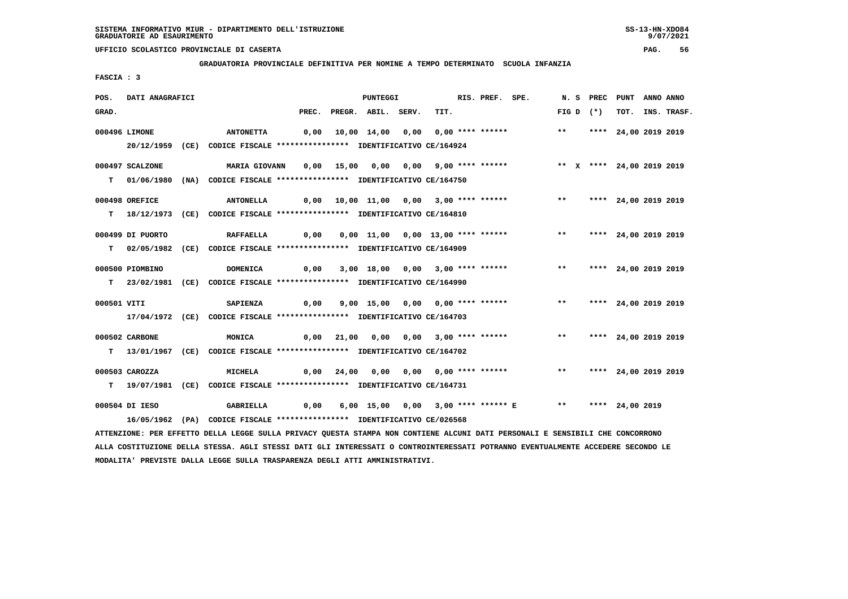**GRADUATORIA PROVINCIALE DEFINITIVA PER NOMINE A TEMPO DETERMINATO SCUOLA INFANZIA**

 **FASCIA : 3**

| POS.        | DATI ANAGRAFICI  |                                                                                                                               |      |            | PUNTEGGI                 |                                                       | RIS. PREF. SPE. |                         | N. S PREC PUNT ANNO ANNO |                  |
|-------------|------------------|-------------------------------------------------------------------------------------------------------------------------------|------|------------|--------------------------|-------------------------------------------------------|-----------------|-------------------------|--------------------------|------------------|
| GRAD.       |                  |                                                                                                                               |      |            | PREC. PREGR. ABIL. SERV. | TIT.                                                  |                 | $FIG D (*)$             |                          | TOT. INS. TRASF. |
|             | 000496 LIMONE    | <b>ANTONETTA</b>                                                                                                              | 0,00 |            |                          | 10,00 14,00 0,00 0,00 **** ******                     |                 | $***$                   | **** 24,00 2019 2019     |                  |
|             |                  | 20/12/1959 (CE) CODICE FISCALE *************** IDENTIFICATIVO CE/164924                                                       |      |            |                          |                                                       |                 |                         |                          |                  |
|             |                  |                                                                                                                               |      |            |                          |                                                       |                 |                         |                          |                  |
|             | 000497 SCALZONE  | MARIA GIOVANN                                                                                                                 | 0,00 |            |                          |                                                       |                 |                         |                          |                  |
|             |                  | T 01/06/1980 (NA) CODICE FISCALE *************** IDENTIFICATIVO CE/164750                                                     |      |            |                          |                                                       |                 |                         |                          |                  |
|             |                  |                                                                                                                               |      |            |                          |                                                       |                 |                         |                          |                  |
|             | 000498 OREFICE   | <b>ANTONELLA</b>                                                                                                              |      |            |                          | 0,00 10,00 11,00 0,00 3,00 **** ******                |                 |                         | ** **** 24,00 2019 2019  |                  |
|             |                  | T 18/12/1973 (CE) CODICE FISCALE *************** IDENTIFICATIVO CE/164810                                                     |      |            |                          |                                                       |                 |                         |                          |                  |
|             | 000499 DI PUORTO | <b>RAFFAELLA</b>                                                                                                              | 0,00 |            |                          | 0,00 11,00 0,00 13,00 **** ******                     |                 | $***$                   | **** 24,00 2019 2019     |                  |
|             |                  |                                                                                                                               |      |            |                          |                                                       |                 |                         |                          |                  |
|             |                  | T 02/05/1982 (CE) CODICE FISCALE **************** IDENTIFICATIVO CE/164909                                                    |      |            |                          |                                                       |                 |                         |                          |                  |
|             | 000500 PIOMBINO  | DOMENICA                                                                                                                      | 0,00 |            |                          | 3,00 18,00 0,00 3,00 **** ******                      |                 | $\star\star$            | **** 24,00 2019 2019     |                  |
|             |                  | T 23/02/1981 (CE) CODICE FISCALE *************** IDENTIFICATIVO CE/164990                                                     |      |            |                          |                                                       |                 |                         |                          |                  |
|             |                  |                                                                                                                               |      |            |                          |                                                       |                 |                         |                          |                  |
| 000501 VITI |                  | SAPIENZA                                                                                                                      | 0,00 |            |                          | 9,00 15,00 0,00 0,00 **** ******                      |                 |                         | ** **** 24,00 2019 2019  |                  |
|             |                  | 17/04/1972 (CE) CODICE FISCALE *************** IDENTIFICATIVO CE/164703                                                       |      |            |                          |                                                       |                 |                         |                          |                  |
|             |                  |                                                                                                                               |      |            |                          |                                                       |                 | $***$                   |                          |                  |
|             | 000502 CARBONE   | MONICA                                                                                                                        |      |            |                          | $0,00$ 21,00 0,00 0,00 3,00 **** ******               |                 |                         | **** 24,00 2019 2019     |                  |
|             |                  | T 13/01/1967 (CE) CODICE FISCALE *************** IDENTIFICATIVO CE/164702                                                     |      |            |                          |                                                       |                 |                         |                          |                  |
|             | 000503 CAROZZA   | <b>MICHELA</b>                                                                                                                |      | 0,00 24,00 |                          |                                                       |                 | ** **** 24,00 2019 2019 |                          |                  |
|             |                  | T 19/07/1981 (CE) CODICE FISCALE *************** IDENTIFICATIVO CE/164731                                                     |      |            |                          |                                                       |                 |                         |                          |                  |
|             |                  |                                                                                                                               |      |            |                          |                                                       |                 |                         |                          |                  |
|             | 000504 DI IESO   | GABRIELLA                                                                                                                     | 0,00 |            |                          | 6,00 15,00 0,00 3,00 **** ****** E ** **** 24,00 2019 |                 |                         |                          |                  |
|             |                  | 16/05/1962 (PA) CODICE FISCALE **************** IDENTIFICATIVO CE/026568                                                      |      |            |                          |                                                       |                 |                         |                          |                  |
|             |                  | ATTENZIONE: PER EFFETTO DELLA LEGGE SULLA PRIVACY QUESTA STAMPA NON CONTIENE ALCUNI DATI PERSONALI E SENSIBILI CHE CONCORRONO |      |            |                          |                                                       |                 |                         |                          |                  |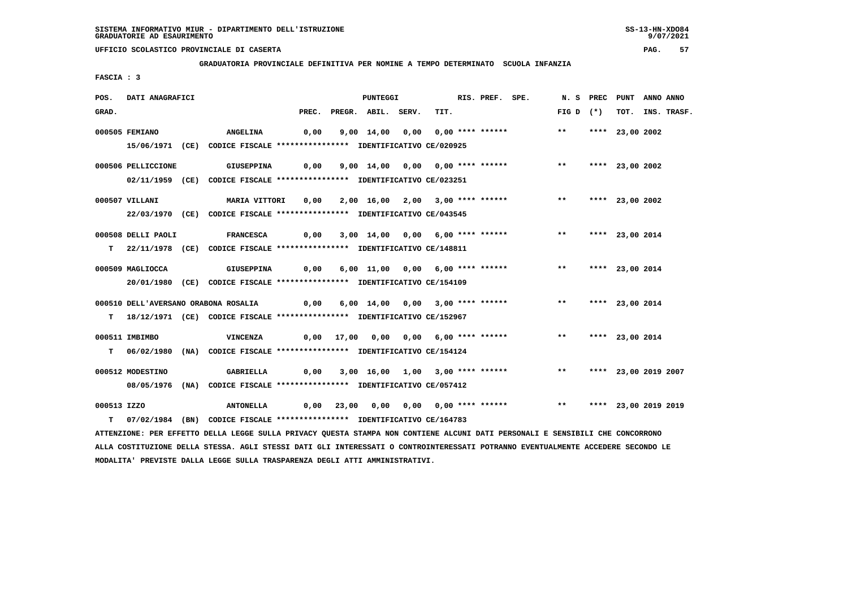**GRADUATORIA PROVINCIALE DEFINITIVA PER NOMINE A TEMPO DETERMINATO SCUOLA INFANZIA**

 **FASCIA : 3**

| POS.        | DATI ANAGRAFICI    |                                                                                                                |      | <b>PUNTEGGI</b>          |                                                                         | RIS. PREF. SPE. | N.S PREC    | PUNT            | ANNO ANNO            |
|-------------|--------------------|----------------------------------------------------------------------------------------------------------------|------|--------------------------|-------------------------------------------------------------------------|-----------------|-------------|-----------------|----------------------|
| GRAD.       |                    |                                                                                                                |      | PREC. PREGR. ABIL. SERV. | TIT.                                                                    |                 | FIG D $(*)$ |                 | TOT. INS. TRASF.     |
|             | 000505 FEMIANO     | <b>ANGELINA</b>                                                                                                | 0,00 |                          | 9,00 14,00 0,00 0,00 **** ****** *** **                                 |                 |             | **** 23,00 2002 |                      |
|             |                    | 15/06/1971 (CE) CODICE FISCALE *************** IDENTIFICATIVO CE/020925                                        |      |                          |                                                                         |                 |             |                 |                      |
|             | 000506 PELLICCIONE | GIUSEPPINA                                                                                                     |      |                          | $0,00$ $9,00$ $14,00$ $0,00$ $0,00$ **** ****** *** *** **** 23,00 2002 |                 |             |                 |                      |
|             |                    | 02/11/1959 (CE) CODICE FISCALE *************** IDENTIFICATIVO CE/023251                                        |      |                          |                                                                         |                 |             |                 |                      |
|             | 000507 VILLANI     | MARIA VITTORI     0,00     2,00   16,00    2,00   3,00 **** ******                  **       ****   23,00 2002 |      |                          |                                                                         |                 |             |                 |                      |
|             |                    | 22/03/1970 (CE) CODICE FISCALE *************** IDENTIFICATIVO CE/043545                                        |      |                          |                                                                         |                 |             |                 |                      |
|             | 000508 DELLI PAOLI | <b>FRANCESCA</b>                                                                                               |      |                          | $0,00$ $3,00$ $14,00$ $0,00$ $6,00$ **** ****** *** **                  |                 |             | **** 23,00 2014 |                      |
|             |                    | T 22/11/1978 (CE) CODICE FISCALE *************** IDENTIFICATIVO CE/148811                                      |      |                          |                                                                         |                 |             |                 |                      |
|             | 000509 MAGLIOCCA   | <b>GIUSEPPINA</b>                                                                                              |      |                          | 0,00 6,00 11,00 0,00 6,00 **** ****** *** *** **** 23,00 2014           |                 |             |                 |                      |
|             |                    | 20/01/1980 (CE) CODICE FISCALE *************** IDENTIFICATIVO CE/154109                                        |      |                          |                                                                         |                 |             |                 |                      |
|             |                    |                                                                                                                |      |                          |                                                                         |                 |             |                 |                      |
|             |                    | T 18/12/1971 (CE) CODICE FISCALE **************** IDENTIFICATIVO CE/152967                                     |      |                          |                                                                         |                 |             |                 |                      |
|             | 000511 IMBIMBO     | VINCENZA                                                                                                       |      |                          | 0,00 17,00 0,00 0,00 6,00 **** ****** *** *** **** 23,00 2014           |                 |             |                 |                      |
|             |                    | T 06/02/1980 (NA) CODICE FISCALE **************** IDENTIFICATIVO CE/154124                                     |      |                          |                                                                         |                 |             |                 |                      |
|             | 000512 MODESTINO   |                                                                                                                |      |                          |                                                                         |                 |             |                 | **** 23,00 2019 2007 |
|             |                    | 08/05/1976 (NA) CODICE FISCALE *************** IDENTIFICATIVO CE/057412                                        |      |                          |                                                                         |                 |             |                 |                      |
| 000513 IZZO |                    | <b>ANTONELLA</b>                                                                                               |      |                          |                                                                         |                 |             |                 |                      |
|             |                    | T 07/02/1984 (BN) CODICE FISCALE **************** IDENTIFICATIVO CE/164783                                     |      |                          |                                                                         |                 |             |                 |                      |

 **ATTENZIONE: PER EFFETTO DELLA LEGGE SULLA PRIVACY QUESTA STAMPA NON CONTIENE ALCUNI DATI PERSONALI E SENSIBILI CHE CONCORRONO ALLA COSTITUZIONE DELLA STESSA. AGLI STESSI DATI GLI INTERESSATI O CONTROINTERESSATI POTRANNO EVENTUALMENTE ACCEDERE SECONDO LE MODALITA' PREVISTE DALLA LEGGE SULLA TRASPARENZA DEGLI ATTI AMMINISTRATIVI.**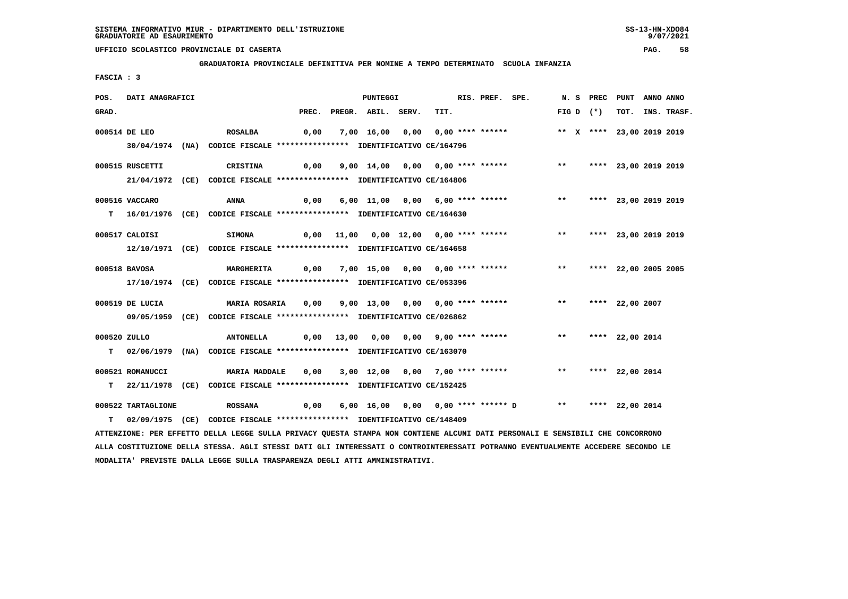**GRADUATORIA PROVINCIALE DEFINITIVA PER NOMINE A TEMPO DETERMINATO SCUOLA INFANZIA**

 **FASCIA : 3**

| POS.         | DATI ANAGRAFICI    |                                                                                                                               |      | PUNTEGGI                 |                                                                     | RIS. PREF. SPE. |       | N. S PREC PUNT |                           | ANNO ANNO |                  |
|--------------|--------------------|-------------------------------------------------------------------------------------------------------------------------------|------|--------------------------|---------------------------------------------------------------------|-----------------|-------|----------------|---------------------------|-----------|------------------|
| GRAD.        |                    |                                                                                                                               |      | PREC. PREGR. ABIL. SERV. | TIT.                                                                |                 |       | $FIG D (*)$    |                           |           | TOT. INS. TRASF. |
|              | 000514 DE LEO      | ROSALBA                                                                                                                       | 0,00 |                          | 7,00 16,00 0,00 0,00 **** ******                                    |                 |       |                | ** X **** 23,00 2019 2019 |           |                  |
|              |                    | 30/04/1974 (NA) CODICE FISCALE *************** IDENTIFICATIVO CE/164796                                                       |      |                          |                                                                     |                 |       |                |                           |           |                  |
|              |                    |                                                                                                                               |      |                          |                                                                     |                 |       |                |                           |           |                  |
|              | 000515 RUSCETTI    | CRISTINA                                                                                                                      |      |                          | 0,00 9,00 14,00 0,00 0,00 **** ****** *** *** **** 23,00 2019 2019  |                 |       |                |                           |           |                  |
|              |                    | 21/04/1972 (CE) CODICE FISCALE *************** IDENTIFICATIVO CE/164806                                                       |      |                          |                                                                     |                 |       |                |                           |           |                  |
|              | 000516 VACCARO     | ANNA                                                                                                                          | 0,00 |                          | 6,00 11,00 0,00 6,00 **** ******                                    |                 | $***$ |                | **** 23,00 2019 2019      |           |                  |
|              |                    | T 16/01/1976 (CE) CODICE FISCALE **************** IDENTIFICATIVO CE/164630                                                    |      |                          |                                                                     |                 |       |                |                           |           |                  |
|              |                    |                                                                                                                               |      |                          |                                                                     |                 |       |                |                           |           |                  |
|              | 000517 CALOISI     | <b>SIMONA</b>                                                                                                                 |      |                          | 0,00 11,00 0,00 12,00 0,00 **** ****** *** *** **** 23,00 2019 2019 |                 |       |                |                           |           |                  |
|              |                    | 12/10/1971 (CE) CODICE FISCALE **************** IDENTIFICATIVO CE/164658                                                      |      |                          |                                                                     |                 |       |                |                           |           |                  |
|              | 000518 BAVOSA      | <b>MARGHERITA</b>                                                                                                             | 0,00 |                          | 7,00 15,00 0,00 0,00 **** ******                                    |                 |       |                | ** **** 22,00 2005 2005   |           |                  |
|              |                    | 17/10/1974 (CE) CODICE FISCALE *************** IDENTIFICATIVO CE/053396                                                       |      |                          |                                                                     |                 |       |                |                           |           |                  |
|              |                    |                                                                                                                               |      |                          |                                                                     |                 |       |                |                           |           |                  |
|              | 000519 DE LUCIA    | <b>MARIA ROSARIA 0,00</b>                                                                                                     |      |                          | 9,00 13,00 0,00 0,00 **** ****** *** **                             |                 |       |                | **** 22,00 2007           |           |                  |
|              |                    | 09/05/1959 (CE) CODICE FISCALE *************** IDENTIFICATIVO CE/026862                                                       |      |                          |                                                                     |                 |       |                |                           |           |                  |
| 000520 ZULLO |                    | <b>ANTONELLA</b>                                                                                                              |      |                          | $0,00$ 13,00 0,00 0,00 9,00 **** ****** *** **                      |                 |       |                | **** 22,00 2014           |           |                  |
|              |                    | T 02/06/1979 (NA) CODICE FISCALE *************** IDENTIFICATIVO CE/163070                                                     |      |                          |                                                                     |                 |       |                |                           |           |                  |
|              |                    |                                                                                                                               |      |                          |                                                                     |                 |       |                |                           |           |                  |
|              | 000521 ROMANUCCI   | <b>MARIA MADDALE</b>                                                                                                          | 0,00 |                          | 3,00 12,00 0,00 7,00 **** ******                                    |                 |       |                | ** **** 22,00 2014        |           |                  |
|              |                    | T 22/11/1978 (CE) CODICE FISCALE *************** IDENTIFICATIVO CE/152425                                                     |      |                          |                                                                     |                 |       |                |                           |           |                  |
|              | 000522 TARTAGLIONE | <b>ROSSANA</b>                                                                                                                | 0,00 |                          | 6,00 16,00 0,00 0,00 **** ****** D ** **** 22,00 2014               |                 |       |                |                           |           |                  |
|              |                    | T 02/09/1975 (CE) CODICE FISCALE *************** IDENTIFICATIVO CE/148409                                                     |      |                          |                                                                     |                 |       |                |                           |           |                  |
|              |                    | ATTENZIONE: PER EFFETTO DELLA LEGGE SULLA PRIVACY QUESTA STAMPA NON CONTIENE ALCUNI DATI PERSONALI E SENSIBILI CHE CONCORRONO |      |                          |                                                                     |                 |       |                |                           |           |                  |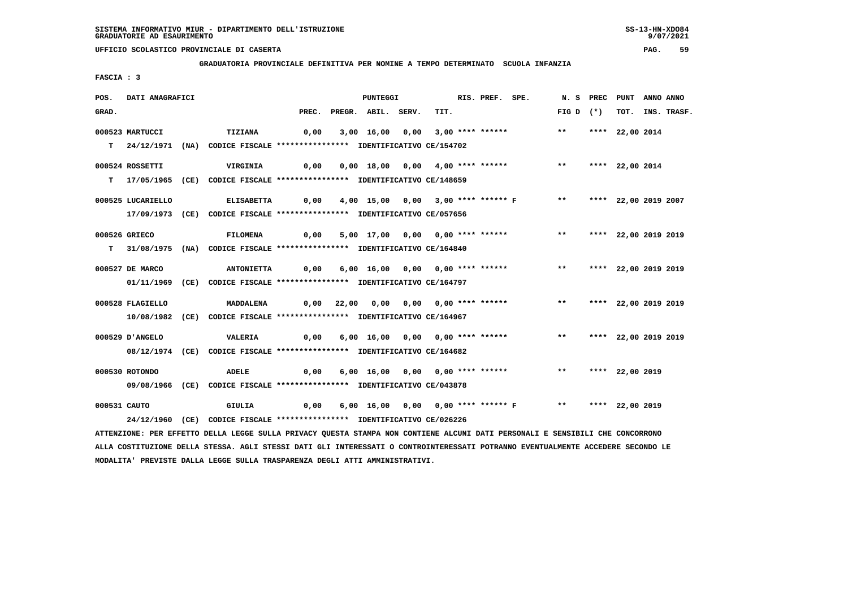**GRADUATORIA PROVINCIALE DEFINITIVA PER NOMINE A TEMPO DETERMINATO SCUOLA INFANZIA**

 **FASCIA : 3**

| POS.         | <b>DATI ANAGRAFICI</b> |                                                                                                                               |                                                                     | <b>PUNTEGGI</b>          |                                       | RIS. PREF. SPE. |                                                            | N.S PREC                | PUNT                 | ANNO ANNO |                  |
|--------------|------------------------|-------------------------------------------------------------------------------------------------------------------------------|---------------------------------------------------------------------|--------------------------|---------------------------------------|-----------------|------------------------------------------------------------|-------------------------|----------------------|-----------|------------------|
| GRAD.        |                        |                                                                                                                               |                                                                     | PREC. PREGR. ABIL. SERV. | TIT.                                  |                 |                                                            | FIG D $(*)$             |                      |           | TOT. INS. TRASF. |
|              | 000523 MARTUCCI        | TIZIANA                                                                                                                       | 0,00                                                                |                          | 3,00 16,00 0,00 3,00 **** ******      |                 |                                                            | $***$                   | **** 22,00 2014      |           |                  |
|              |                        |                                                                                                                               |                                                                     |                          |                                       |                 |                                                            |                         |                      |           |                  |
|              |                        | T 24/12/1971 (NA) CODICE FISCALE **************** IDENTIFICATIVO CE/154702                                                    |                                                                     |                          |                                       |                 |                                                            |                         |                      |           |                  |
|              | 000524 ROSSETTI        | VIRGINIA                                                                                                                      |                                                                     |                          |                                       |                 |                                                            |                         |                      |           |                  |
|              |                        | T 17/05/1965 (CE) CODICE FISCALE *************** IDENTIFICATIVO CE/148659                                                     |                                                                     |                          |                                       |                 |                                                            |                         |                      |           |                  |
|              |                        |                                                                                                                               |                                                                     |                          |                                       |                 |                                                            |                         |                      |           |                  |
|              | 000525 LUCARIELLO      | <b>ELISABETTA</b>                                                                                                             | 0,00                                                                |                          |                                       |                 | 4,00 15,00 0,00 3,00 **** ****** F ** **** 22,00 2019 2007 |                         |                      |           |                  |
|              |                        | 17/09/1973 (CE) CODICE FISCALE *************** IDENTIFICATIVO CE/057656                                                       |                                                                     |                          |                                       |                 |                                                            |                         |                      |           |                  |
|              |                        |                                                                                                                               |                                                                     |                          |                                       |                 |                                                            |                         |                      |           |                  |
|              | 000526 GRIECO          | <b>FILOMENA</b>                                                                                                               | 0,00                                                                |                          |                                       |                 | 5,00 17,00 0,00 0,00 **** ****** *** **                    |                         | **** 22,00 2019 2019 |           |                  |
|              |                        | T 31/08/1975 (NA) CODICE FISCALE **************** IDENTIFICATIVO CE/164840                                                    |                                                                     |                          |                                       |                 |                                                            |                         |                      |           |                  |
|              | 000527 DE MARCO        | <b>ANTONIETTA</b>                                                                                                             |                                                                     |                          | 0,00 6,00 16,00 0,00 0,00 **** ****** |                 |                                                            | ** **** 22,00 2019 2019 |                      |           |                  |
|              |                        | 01/11/1969 (CE) CODICE FISCALE *************** IDENTIFICATIVO CE/164797                                                       |                                                                     |                          |                                       |                 |                                                            |                         |                      |           |                  |
|              |                        |                                                                                                                               |                                                                     |                          |                                       |                 |                                                            |                         |                      |           |                  |
|              | 000528 FLAGIELLO       | MADDALENA                                                                                                                     |                                                                     |                          | 0,00 22,00 0,00 0,00 0,00 **** ****** |                 |                                                            | $\star\star$            | **** 22,00 2019 2019 |           |                  |
|              |                        | 10/08/1982 (CE) CODICE FISCALE *************** IDENTIFICATIVO CE/164967                                                       |                                                                     |                          |                                       |                 |                                                            |                         |                      |           |                  |
|              |                        |                                                                                                                               |                                                                     |                          |                                       |                 |                                                            |                         |                      |           |                  |
|              | 000529 D'ANGELO        | <b>VALERIA</b>                                                                                                                |                                                                     |                          |                                       |                 | 0,00 6,00 16,00 0,00 0,00 **** ****** *** **               |                         | **** 22,00 2019 2019 |           |                  |
|              |                        | 08/12/1974 (CE) CODICE FISCALE *************** IDENTIFICATIVO CE/164682                                                       |                                                                     |                          |                                       |                 |                                                            |                         |                      |           |                  |
|              | 000530 ROTONDO         | ADELE                                                                                                                         | 0,00                                                                |                          | 6,00 16,00 0,00 0,00 **** ******      |                 |                                                            | ** **** 22,00 2019      |                      |           |                  |
|              |                        | 09/08/1966 (CE) CODICE FISCALE *************** IDENTIFICATIVO CE/043878                                                       |                                                                     |                          |                                       |                 |                                                            |                         |                      |           |                  |
|              |                        |                                                                                                                               |                                                                     |                          |                                       |                 |                                                            |                         |                      |           |                  |
| 000531 CAUTO |                        | GIULIA                                                                                                                        | 0,00  6,00 16,00  0,00  0,00 **** ****** F     **   **** 22,00 2019 |                          |                                       |                 |                                                            |                         |                      |           |                  |
|              |                        | 24/12/1960 (CE) CODICE FISCALE *************** IDENTIFICATIVO CE/026226                                                       |                                                                     |                          |                                       |                 |                                                            |                         |                      |           |                  |
|              |                        | ATTENZIONE: PER EFFETTO DELLA LEGGE SULLA PRIVACY QUESTA STAMPA NON CONTIENE ALCUNI DATI PERSONALI E SENSIBILI CHE CONCORRONO |                                                                     |                          |                                       |                 |                                                            |                         |                      |           |                  |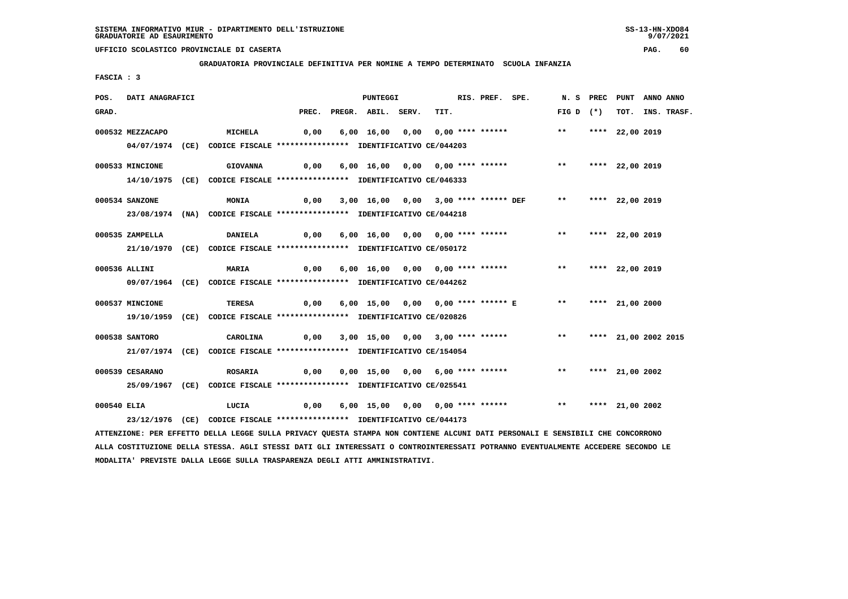**GRADUATORIA PROVINCIALE DEFINITIVA PER NOMINE A TEMPO DETERMINATO SCUOLA INFANZIA**

 **FASCIA : 3**

| POS.        | DATI ANAGRAFICI  |                                                                                                                               |       | PUNTEGGI           |                                                       | RIS. PREF. SPE. |                                                         |                         | N.S PREC | PUNT            | ANNO ANNO |             |
|-------------|------------------|-------------------------------------------------------------------------------------------------------------------------------|-------|--------------------|-------------------------------------------------------|-----------------|---------------------------------------------------------|-------------------------|----------|-----------------|-----------|-------------|
| GRAD.       |                  |                                                                                                                               | PREC. | PREGR. ABIL. SERV. | TIT.                                                  |                 |                                                         | FIG D $(*)$             |          | тот.            |           | INS. TRASF. |
|             | 000532 MEZZACAPO | <b>MICHELA</b>                                                                                                                | 0,00  |                    | 6,00 16,00 0,00 0,00 **** ******                      |                 |                                                         | $***$                   |          | **** 22,00 2019 |           |             |
|             |                  |                                                                                                                               |       |                    |                                                       |                 |                                                         |                         |          |                 |           |             |
|             |                  | 04/07/1974 (CE) CODICE FISCALE *************** IDENTIFICATIVO CE/044203                                                       |       |                    |                                                       |                 |                                                         |                         |          |                 |           |             |
|             | 000533 MINCIONE  | <b>GIOVANNA</b>                                                                                                               | 0,00  |                    | 6,00 16,00 0,00 0,00 **** ******                      |                 |                                                         | $***$                   |          | **** 22,00 2019 |           |             |
|             |                  | 14/10/1975 (CE) CODICE FISCALE *************** IDENTIFICATIVO CE/046333                                                       |       |                    |                                                       |                 |                                                         |                         |          |                 |           |             |
|             |                  |                                                                                                                               |       |                    |                                                       |                 |                                                         |                         |          |                 |           |             |
|             | 000534 SANZONE   | MONIA                                                                                                                         | 0,00  |                    |                                                       |                 | 3,00 16,00 0,00 3,00 **** ****** DEF ** **** 22,00 2019 |                         |          |                 |           |             |
|             |                  | 23/08/1974 (NA) CODICE FISCALE **************** IDENTIFICATIVO CE/044218                                                      |       |                    |                                                       |                 |                                                         |                         |          |                 |           |             |
|             | 000535 ZAMPELLA  | <b>DANIELA</b>                                                                                                                | 0,00  |                    |                                                       |                 | 6,00 16,00 0,00 0,00 **** ******                        | ** **** 22,00 2019      |          |                 |           |             |
|             |                  |                                                                                                                               |       |                    |                                                       |                 |                                                         |                         |          |                 |           |             |
|             |                  | 21/10/1970 (CE) CODICE FISCALE *************** IDENTIFICATIVO CE/050172                                                       |       |                    |                                                       |                 |                                                         |                         |          |                 |           |             |
|             | 000536 ALLINI    | <b>MARIA</b>                                                                                                                  | 0,00  |                    | 6,00 16,00 0,00 0,00 **** ******                      |                 |                                                         | $***$                   |          | **** 22,00 2019 |           |             |
|             |                  | 09/07/1964 (CE) CODICE FISCALE *************** IDENTIFICATIVO CE/044262                                                       |       |                    |                                                       |                 |                                                         |                         |          |                 |           |             |
|             |                  |                                                                                                                               |       |                    |                                                       |                 |                                                         |                         |          |                 |           |             |
|             | 000537 MINCIONE  | <b>TERESA</b>                                                                                                                 | 0,00  |                    |                                                       |                 | 6,00 15,00 0,00 0,00 **** ****** E                      | $***$                   |          | **** 21,00 2000 |           |             |
|             |                  | 19/10/1959 (CE) CODICE FISCALE *************** IDENTIFICATIVO CE/020826                                                       |       |                    |                                                       |                 |                                                         |                         |          |                 |           |             |
|             | 000538 SANTORO   | CAROLINA                                                                                                                      |       |                    | $0,00$ $3,00$ $15,00$ $0,00$ $3,00$ $***$ $***$ $***$ |                 |                                                         | ** **** 21,00 2002 2015 |          |                 |           |             |
|             |                  |                                                                                                                               |       |                    |                                                       |                 |                                                         |                         |          |                 |           |             |
|             |                  | 21/07/1974 (CE) CODICE FISCALE *************** IDENTIFICATIVO CE/154054                                                       |       |                    |                                                       |                 |                                                         |                         |          |                 |           |             |
|             | 000539 CESARANO  | <b>ROSARIA</b>                                                                                                                | 0,00  |                    | 0,00 15,00 0,00 6,00 **** ******                      |                 |                                                         | $***$                   |          | **** 21,00 2002 |           |             |
|             |                  | 25/09/1967 (CE) CODICE FISCALE *************** IDENTIFICATIVO CE/025541                                                       |       |                    |                                                       |                 |                                                         |                         |          |                 |           |             |
|             |                  |                                                                                                                               |       |                    |                                                       |                 |                                                         |                         |          |                 |           |             |
| 000540 ELIA |                  | LUCIA                                                                                                                         | 0,00  |                    |                                                       |                 |                                                         | $\star\star$            |          | **** 21,00 2002 |           |             |
|             |                  | 23/12/1976 (CE) CODICE FISCALE *************** IDENTIFICATIVO CE/044173                                                       |       |                    |                                                       |                 |                                                         |                         |          |                 |           |             |
|             |                  | ATTENZIONE: PER EFFETTO DELLA LEGGE SULLA PRIVACY QUESTA STAMPA NON CONTIENE ALCUNI DATI PERSONALI E SENSIBILI CHE CONCORRONO |       |                    |                                                       |                 |                                                         |                         |          |                 |           |             |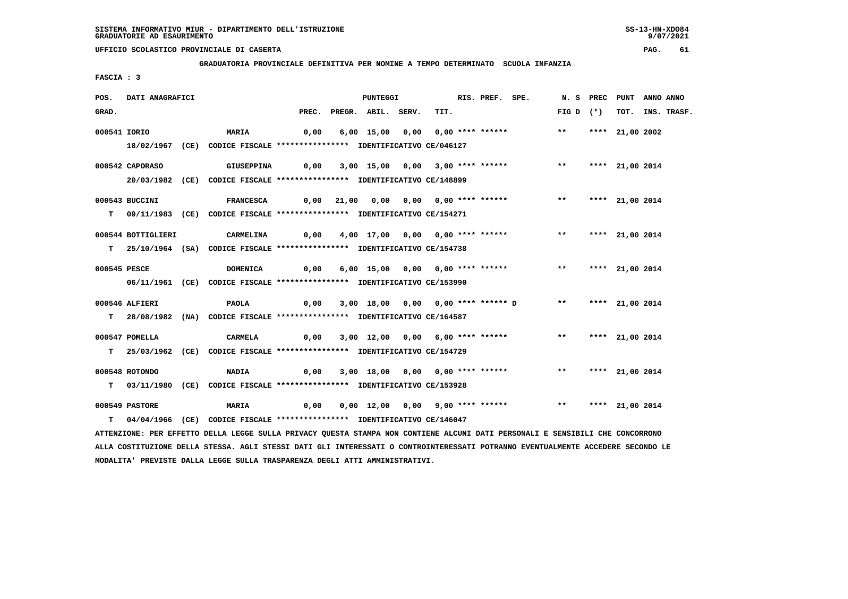**GRADUATORIA PROVINCIALE DEFINITIVA PER NOMINE A TEMPO DETERMINATO SCUOLA INFANZIA**

 **FASCIA : 3**

| POS.  | DATI ANAGRAFICI    |                                                                                                                               |                                       | <b>PUNTEGGI</b>          |                                                               | RIS. PREF. SPE. |                    | N. S PREC PUNT ANNO ANNO |                  |
|-------|--------------------|-------------------------------------------------------------------------------------------------------------------------------|---------------------------------------|--------------------------|---------------------------------------------------------------|-----------------|--------------------|--------------------------|------------------|
| GRAD. |                    |                                                                                                                               |                                       | PREC. PREGR. ABIL. SERV. |                                                               | TIT.            | FIG D $(*)$        |                          | TOT. INS. TRASF. |
|       | 000541 IORIO       | <b>MARIA</b>                                                                                                                  | 0,00                                  |                          | 6,00 15,00 0,00 0,00 **** ******                              |                 | $***$              | **** 21,00 2002          |                  |
|       |                    | 18/02/1967 (CE) CODICE FISCALE *************** IDENTIFICATIVO CE/046127                                                       |                                       |                          |                                                               |                 |                    |                          |                  |
|       |                    |                                                                                                                               |                                       |                          |                                                               |                 |                    |                          |                  |
|       | 000542 CAPORASO    | <b>GIUSEPPINA</b>                                                                                                             |                                       |                          |                                                               |                 |                    |                          |                  |
|       |                    | 20/03/1982 (CE) CODICE FISCALE *************** IDENTIFICATIVO CE/148899                                                       |                                       |                          |                                                               |                 |                    |                          |                  |
|       | 000543 BUCCINI     | <b>FRANCESCA</b>                                                                                                              |                                       |                          | 0,00 21,00 0,00 0,00 0,00 **** ******                         |                 | $***$              | **** 21,00 2014          |                  |
|       |                    | T 09/11/1983 (CE) CODICE FISCALE **************** IDENTIFICATIVO CE/154271                                                    |                                       |                          |                                                               |                 |                    |                          |                  |
|       |                    |                                                                                                                               |                                       |                          |                                                               |                 |                    |                          |                  |
|       | 000544 BOTTIGLIERI | <b>CARMELINA</b>                                                                                                              |                                       |                          | 0,00 4,00 17,00 0,00 0,00 **** ****** *** *** **** 21,00 2014 |                 |                    |                          |                  |
|       |                    | T 25/10/1964 (SA) CODICE FISCALE *************** IDENTIFICATIVO CE/154738                                                     |                                       |                          |                                                               |                 |                    |                          |                  |
|       | 000545 PESCE       | <b>DOMENICA</b>                                                                                                               | 0,00 6,00 15,00 0,00 0,00 **** ****** |                          |                                                               |                 | ** **** 21,00 2014 |                          |                  |
|       |                    | 06/11/1961 (CE) CODICE FISCALE *************** IDENTIFICATIVO CE/153990                                                       |                                       |                          |                                                               |                 |                    |                          |                  |
|       |                    |                                                                                                                               |                                       |                          |                                                               |                 |                    |                          |                  |
|       | 000546 ALFIERI     | PAOLA                                                                                                                         |                                       |                          | 0,00 3,00 18,00 0,00 0,00 **** ****** D ** **** 21,00 2014    |                 |                    |                          |                  |
|       |                    | T 28/08/1982 (NA) CODICE FISCALE *************** IDENTIFICATIVO CE/164587                                                     |                                       |                          |                                                               |                 |                    |                          |                  |
|       | 000547 POMELLA     | <b>CARMELA</b>                                                                                                                |                                       |                          | $0,00$ $3,00$ $12,00$ $0,00$ $6,00$ $***$ **** ******         |                 | $***$              | **** 21,00 2014          |                  |
|       |                    | T 25/03/1962 (CE) CODICE FISCALE *************** IDENTIFICATIVO CE/154729                                                     |                                       |                          |                                                               |                 |                    |                          |                  |
|       |                    |                                                                                                                               |                                       |                          |                                                               |                 |                    |                          |                  |
|       | 000548 ROTONDO     | <b>NADIA</b>                                                                                                                  |                                       |                          | 0,00 3,00 18,00 0,00 0,00 **** ****** *** **** 21,00 2014     |                 |                    |                          |                  |
|       |                    | T 03/11/1980 (CE) CODICE FISCALE **************** IDENTIFICATIVO CE/153928                                                    |                                       |                          |                                                               |                 |                    |                          |                  |
|       | 000549 PASTORE     | <b>MARIA</b>                                                                                                                  | 0,00                                  |                          | 0,00 12,00 0,00 9,00 **** ****** *** *** **** 21,00 2014      |                 |                    |                          |                  |
|       |                    | T 04/04/1966 (CE) CODICE FISCALE **************** IDENTIFICATIVO CE/146047                                                    |                                       |                          |                                                               |                 |                    |                          |                  |
|       |                    | ATTENZIONE: PER EFFETTO DELLA LEGGE SULLA PRIVACY QUESTA STAMPA NON CONTIENE ALCUNI DATI PERSONALI E SENSIBILI CHE CONCORRONO |                                       |                          |                                                               |                 |                    |                          |                  |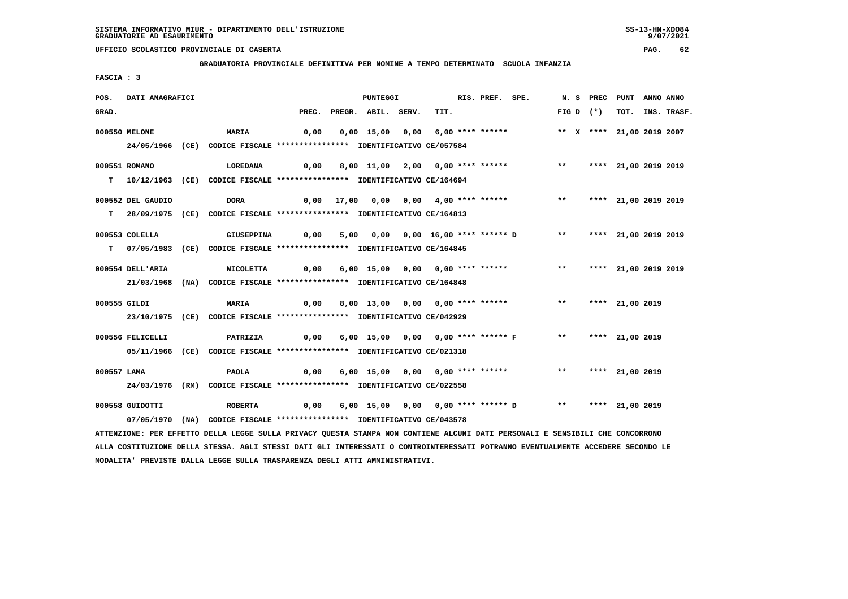**GRADUATORIA PROVINCIALE DEFINITIVA PER NOMINE A TEMPO DETERMINATO SCUOLA INFANZIA**

 **FASCIA : 3**

| POS.         | DATI ANAGRAFICI   |                                                                                                                               |      | PUNTEGGI                 |                                                                                          | RIS. PREF. SPE. |              |             | N. S PREC PUNT ANNO ANNO  |                  |
|--------------|-------------------|-------------------------------------------------------------------------------------------------------------------------------|------|--------------------------|------------------------------------------------------------------------------------------|-----------------|--------------|-------------|---------------------------|------------------|
| GRAD.        |                   |                                                                                                                               |      | PREC. PREGR. ABIL. SERV. | TIT.                                                                                     |                 |              | $FIG D (*)$ |                           | TOT. INS. TRASF. |
|              | 000550 MELONE     | <b>MARIA</b>                                                                                                                  | 0,00 |                          | 0,00 15,00 0,00 6,00 **** ******                                                         |                 |              |             | ** X **** 21,00 2019 2007 |                  |
|              |                   | 24/05/1966 (CE) CODICE FISCALE *************** IDENTIFICATIVO CE/057584                                                       |      |                          |                                                                                          |                 |              |             |                           |                  |
|              |                   |                                                                                                                               |      |                          |                                                                                          |                 |              |             |                           |                  |
|              | 000551 ROMANO     | LOREDANA                                                                                                                      | 0,00 |                          | 8,00 11,00 2,00 0,00 **** ******                                                         |                 | $***$        |             | **** 21,00 2019 2019      |                  |
|              |                   | T 10/12/1963 (CE) CODICE FISCALE *************** IDENTIFICATIVO CE/164694                                                     |      |                          |                                                                                          |                 |              |             |                           |                  |
|              |                   |                                                                                                                               |      |                          |                                                                                          |                 |              |             |                           |                  |
|              | 000552 DEL GAUDIO | <b>DORA</b>                                                                                                                   |      |                          | 0,00 17,00 0,00 0,00 4,00 **** ******                                                    |                 |              |             | ** **** 21,00 2019 2019   |                  |
|              |                   | T 28/09/1975 (CE) CODICE FISCALE *************** IDENTIFICATIVO CE/164813                                                     |      |                          |                                                                                          |                 |              |             |                           |                  |
|              | 000553 COLELLA    | <b>GIUSEPPINA</b>                                                                                                             |      |                          | 5,00  0,00  0,00  16,00 ****  ******    D        **        ****    21,00    2019    2019 |                 |              |             |                           |                  |
|              |                   |                                                                                                                               | 0,00 |                          |                                                                                          |                 |              |             |                           |                  |
|              |                   | T 07/05/1983 (CE) CODICE FISCALE *************** IDENTIFICATIVO CE/164845                                                     |      |                          |                                                                                          |                 |              |             |                           |                  |
|              | 000554 DELL'ARIA  | <b>NICOLETTA</b>                                                                                                              | 0,00 |                          | 6,00 15,00 0,00 0,00 **** ******                                                         |                 | $***$        |             | **** 21,00 2019 2019      |                  |
|              |                   | 21/03/1968 (NA) CODICE FISCALE *************** IDENTIFICATIVO CE/164848                                                       |      |                          |                                                                                          |                 |              |             |                           |                  |
|              |                   |                                                                                                                               |      |                          |                                                                                          |                 |              |             |                           |                  |
| 000555 GILDI |                   | <b>MARIA</b>                                                                                                                  | 0,00 |                          | 8,00 13,00 0,00 0,00 **** ******                                                         |                 | $***$        |             | **** 21,00 2019           |                  |
|              |                   | 23/10/1975 (CE) CODICE FISCALE *************** IDENTIFICATIVO CE/042929                                                       |      |                          |                                                                                          |                 |              |             |                           |                  |
|              |                   |                                                                                                                               |      |                          |                                                                                          |                 |              |             |                           |                  |
|              | 000556 FELICELLI  | PATRIZIA                                                                                                                      | 0,00 |                          | 6,00 15,00 0,00 0,00 **** ****** F                                                       |                 |              |             | ** **** 21,00 2019        |                  |
|              |                   | 05/11/1966 (CE) CODICE FISCALE *************** IDENTIFICATIVO CE/021318                                                       |      |                          |                                                                                          |                 |              |             |                           |                  |
|              |                   |                                                                                                                               |      |                          | 6,00 15,00 0,00 0,00 **** ******                                                         |                 | $\star\star$ |             |                           |                  |
| 000557 LAMA  |                   | PAOLA                                                                                                                         | 0,00 |                          |                                                                                          |                 |              |             | **** 21,00 2019           |                  |
|              |                   | 24/03/1976 (RM) CODICE FISCALE *************** IDENTIFICATIVO CE/022558                                                       |      |                          |                                                                                          |                 |              |             |                           |                  |
|              | 000558 GUIDOTTI   | <b>ROBERTA</b>                                                                                                                | 0,00 |                          | 6,00 15,00 0,00 0,00 **** ****** D ** **** 21,00 2019                                    |                 |              |             |                           |                  |
|              |                   | 07/05/1970 (NA) CODICE FISCALE *************** IDENTIFICATIVO CE/043578                                                       |      |                          |                                                                                          |                 |              |             |                           |                  |
|              |                   | ATTENZIONE: PER EFFETTO DELLA LEGGE SULLA PRIVACY QUESTA STAMPA NON CONTIENE ALCUNI DATI PERSONALI E SENSIBILI CHE CONCORRONO |      |                          |                                                                                          |                 |              |             |                           |                  |
|              |                   |                                                                                                                               |      |                          |                                                                                          |                 |              |             |                           |                  |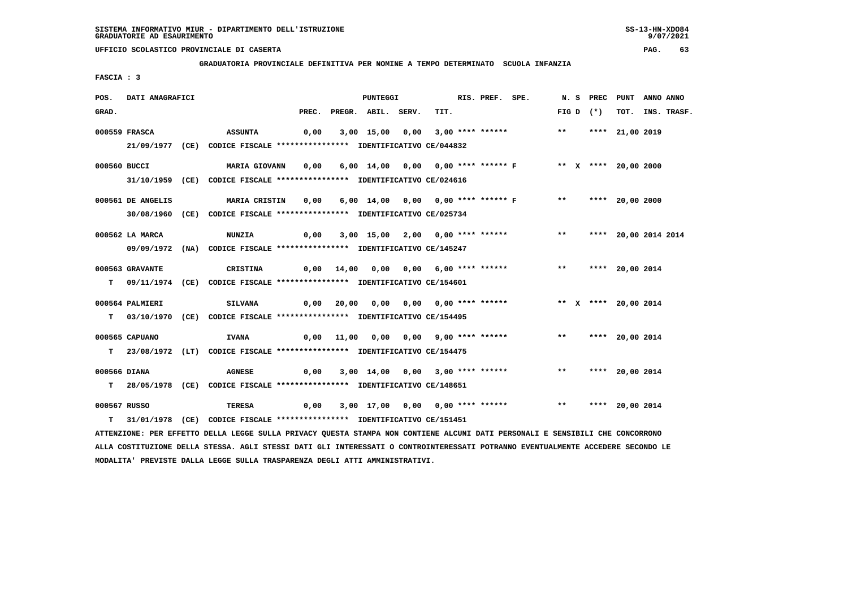**GRADUATORIA PROVINCIALE DEFINITIVA PER NOMINE A TEMPO DETERMINATO SCUOLA INFANZIA**

 **FASCIA : 3**

| POS.         | DATI ANAGRAFICI   |                                                                                                                               |  | PUNTEGGI                 |                                       | RIS. PREF. SPE. |                                                                               |  |             | N. S PREC PUNT     | ANNO ANNO |                  |
|--------------|-------------------|-------------------------------------------------------------------------------------------------------------------------------|--|--------------------------|---------------------------------------|-----------------|-------------------------------------------------------------------------------|--|-------------|--------------------|-----------|------------------|
| GRAD.        |                   |                                                                                                                               |  | PREC. PREGR. ABIL. SERV. |                                       | TIT.            |                                                                               |  | FIG D $(*)$ |                    |           | TOT. INS. TRASF. |
|              | 000559 FRASCA     | <b>ASSUNTA</b>                                                                                                                |  |                          |                                       |                 | 0,00 3,00 15,00 0,00 3,00 **** ******             **     **** 21,00 2019      |  |             |                    |           |                  |
|              |                   | 21/09/1977 (CE) CODICE FISCALE *************** IDENTIFICATIVO CE/044832                                                       |  |                          |                                       |                 |                                                                               |  |             |                    |           |                  |
|              |                   |                                                                                                                               |  |                          |                                       |                 |                                                                               |  |             |                    |           |                  |
| 000560 BUCCI |                   | MARIA GIOVANN 0,00 6,00 14,00 0,00 0,00 **** ****** F ** * **** 20,00 2000                                                    |  |                          |                                       |                 |                                                                               |  |             |                    |           |                  |
|              |                   | 31/10/1959 (CE) CODICE FISCALE *************** IDENTIFICATIVO CE/024616                                                       |  |                          |                                       |                 |                                                                               |  |             |                    |           |                  |
|              |                   |                                                                                                                               |  |                          |                                       |                 |                                                                               |  |             |                    |           |                  |
|              | 000561 DE ANGELIS | MARIA CRISTIN 0,00 6,00 14,00 0,00 0,00 **** ****** F *** ***** 20,00 2000                                                    |  |                          |                                       |                 |                                                                               |  |             |                    |           |                  |
|              |                   | 30/08/1960 (CE) CODICE FISCALE *************** IDENTIFICATIVO CE/025734                                                       |  |                          |                                       |                 |                                                                               |  |             |                    |           |                  |
|              | 000562 LA MARCA   | <b>NUNZIA</b>                                                                                                                 |  |                          |                                       |                 | 0,00 3,00 15,00 2,00 0,00 **** ******             **     **** 20,00 2014 2014 |  |             |                    |           |                  |
|              |                   | 09/09/1972 (NA) CODICE FISCALE *************** IDENTIFICATIVO CE/145247                                                       |  |                          |                                       |                 |                                                                               |  |             |                    |           |                  |
|              |                   |                                                                                                                               |  |                          |                                       |                 |                                                                               |  |             |                    |           |                  |
|              | 000563 GRAVANTE   | CRISTINA                                                                                                                      |  |                          |                                       |                 | 0,00 14,00 0,00 0,00 6,00 **** ******             **       **** 20,00 2014    |  |             |                    |           |                  |
|              |                   | T 09/11/1974 (CE) CODICE FISCALE **************** IDENTIFICATIVO CE/154601                                                    |  |                          |                                       |                 |                                                                               |  |             |                    |           |                  |
|              | 000564 PALMIERI   | <b>SILVANA</b>                                                                                                                |  |                          |                                       |                 |                                                                               |  |             |                    |           |                  |
|              |                   | T 03/10/1970 (CE) CODICE FISCALE *************** IDENTIFICATIVO CE/154495                                                     |  |                          |                                       |                 |                                                                               |  |             |                    |           |                  |
|              |                   |                                                                                                                               |  |                          |                                       |                 |                                                                               |  |             |                    |           |                  |
|              | 000565 CAPUANO    | <b>IVANA</b>                                                                                                                  |  |                          |                                       |                 | 0,00 11,00 0,00 0,00 9,00 **** ******             **     **** 20,00 2014      |  |             |                    |           |                  |
|              |                   | T 23/08/1972 (LT) CODICE FISCALE *************** IDENTIFICATIVO CE/154475                                                     |  |                          |                                       |                 |                                                                               |  |             |                    |           |                  |
|              |                   |                                                                                                                               |  |                          |                                       |                 |                                                                               |  |             |                    |           |                  |
| 000566 DIANA |                   | <b>AGNESE</b>                                                                                                                 |  |                          | 0,00 3,00 14,00 0,00 3,00 **** ****** |                 |                                                                               |  |             | ** **** 20,00 2014 |           |                  |
|              |                   | T 28/05/1978 (CE) CODICE FISCALE **************** IDENTIFICATIVO CE/148651                                                    |  |                          |                                       |                 |                                                                               |  |             |                    |           |                  |
| 000567 RUSSO |                   | TERESA                                                                                                                        |  |                          |                                       |                 | 0,00 3,00 17,00 0,00 0,00 **** ******             **       **** 20,00 2014    |  |             |                    |           |                  |
|              |                   | T 31/01/1978 (CE) CODICE FISCALE **************** IDENTIFICATIVO CE/151451                                                    |  |                          |                                       |                 |                                                                               |  |             |                    |           |                  |
|              |                   | ATTENZIONE: PER EFFETTO DELLA LEGGE SULLA PRIVACY QUESTA STAMPA NON CONTIENE ALCUNI DATI PERSONALI E SENSIBILI CHE CONCORRONO |  |                          |                                       |                 |                                                                               |  |             |                    |           |                  |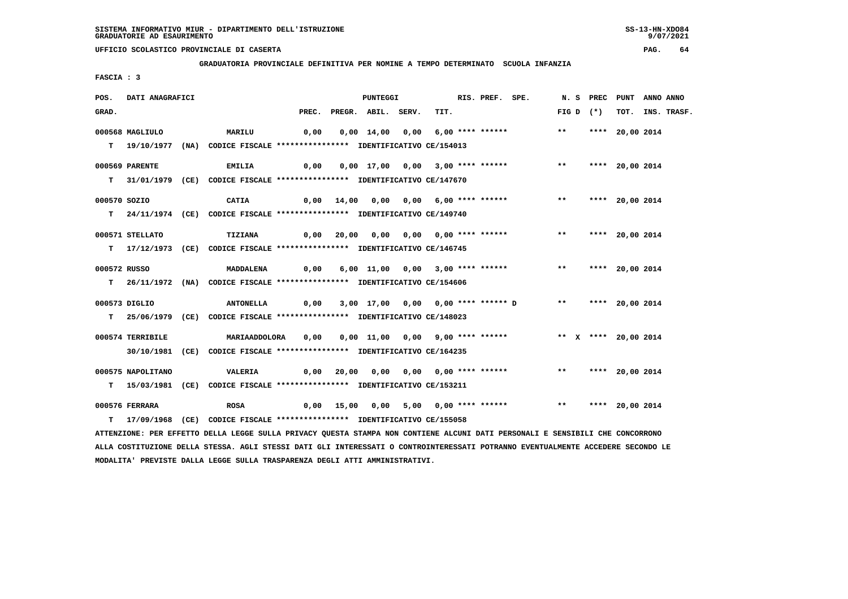**GRADUATORIA PROVINCIALE DEFINITIVA PER NOMINE A TEMPO DETERMINATO SCUOLA INFANZIA**

 **FASCIA : 3**

| POS.  | DATI ANAGRAFICI   |                                                                                                                               |      | <b>PUNTEGGI</b>          |                                                         | RIS. PREF. SPE. |                                                          |              |             | N. S PREC PUNT     | ANNO ANNO |                  |
|-------|-------------------|-------------------------------------------------------------------------------------------------------------------------------|------|--------------------------|---------------------------------------------------------|-----------------|----------------------------------------------------------|--------------|-------------|--------------------|-----------|------------------|
| GRAD. |                   |                                                                                                                               |      | PREC. PREGR. ABIL. SERV. | TIT.                                                    |                 |                                                          |              | $FIG D (*)$ |                    |           | TOT. INS. TRASF. |
|       | 000568 MAGLIULO   | MARILU                                                                                                                        | 0,00 |                          |                                                         |                 | 0,00 14,00 0,00 6,00 **** ****** *** **                  |              |             | **** 20,00 2014    |           |                  |
|       |                   |                                                                                                                               |      |                          |                                                         |                 |                                                          |              |             |                    |           |                  |
|       |                   | T 19/10/1977 (NA) CODICE FISCALE *************** IDENTIFICATIVO CE/154013                                                     |      |                          |                                                         |                 |                                                          |              |             |                    |           |                  |
|       | 000569 PARENTE    | <b>EMILIA</b>                                                                                                                 | 0,00 |                          | 0,00 17,00 0,00 3,00 **** ******                        |                 |                                                          | $***$        |             | **** 20,00 2014    |           |                  |
|       |                   | T 31/01/1979 (CE) CODICE FISCALE *************** IDENTIFICATIVO CE/147670                                                     |      |                          |                                                         |                 |                                                          |              |             |                    |           |                  |
|       |                   |                                                                                                                               |      |                          |                                                         |                 |                                                          |              |             |                    |           |                  |
|       | 000570 SOZIO      | CATIA                                                                                                                         |      |                          | 0,00 14,00 0,00 0,00 6,00 **** ******                   |                 |                                                          | $\star\star$ |             | **** 20,00 2014    |           |                  |
|       |                   | T 24/11/1974 (CE) CODICE FISCALE **************** IDENTIFICATIVO CE/149740                                                    |      |                          |                                                         |                 |                                                          |              |             |                    |           |                  |
|       |                   |                                                                                                                               |      |                          |                                                         |                 |                                                          |              |             |                    |           |                  |
|       | 000571 STELLATO   | TIZIANA                                                                                                                       |      |                          |                                                         |                 |                                                          |              |             | ** **** 20,00 2014 |           |                  |
|       |                   | T 17/12/1973 (CE) CODICE FISCALE *************** IDENTIFICATIVO CE/146745                                                     |      |                          |                                                         |                 |                                                          |              |             |                    |           |                  |
|       | 000572 RUSSO      | <b>MADDALENA</b>                                                                                                              | 0,00 |                          |                                                         |                 | 6,00 11,00 0,00 3,00 **** ******                         | $***$        |             | **** 20,00 2014    |           |                  |
|       |                   |                                                                                                                               |      |                          |                                                         |                 |                                                          |              |             |                    |           |                  |
|       |                   | T 26/11/1972 (NA) CODICE FISCALE **************** IDENTIFICATIVO CE/154606                                                    |      |                          |                                                         |                 |                                                          |              |             |                    |           |                  |
|       | 000573 DIGLIO     | ANTONELLA                                                                                                                     |      |                          | $0,00$ $3,00$ $17,00$ $0,00$ $0,00$ $***$ **** ****** D |                 |                                                          |              |             | ** **** 20,00 2014 |           |                  |
|       |                   | T 25/06/1979 (CE) CODICE FISCALE *************** IDENTIFICATIVO CE/148023                                                     |      |                          |                                                         |                 |                                                          |              |             |                    |           |                  |
|       |                   |                                                                                                                               |      |                          |                                                         |                 |                                                          |              |             |                    |           |                  |
|       | 000574 TERRIBILE  | MARIAADDOLORA 0,00                                                                                                            |      |                          |                                                         |                 | 0,00 11,00 0,00 9,00 **** ****** * *** * **** 20,00 2014 |              |             |                    |           |                  |
|       |                   | 30/10/1981 (CE) CODICE FISCALE *************** IDENTIFICATIVO CE/164235                                                       |      |                          |                                                         |                 |                                                          |              |             |                    |           |                  |
|       |                   |                                                                                                                               |      |                          |                                                         |                 |                                                          |              |             |                    |           |                  |
|       | 000575 NAPOLITANO | VALERIA                                                                                                                       |      |                          |                                                         |                 |                                                          |              |             | ** **** 20,00 2014 |           |                  |
|       |                   | T 15/03/1981 (CE) CODICE FISCALE *************** IDENTIFICATIVO CE/153211                                                     |      |                          |                                                         |                 |                                                          |              |             |                    |           |                  |
|       | 000576 FERRARA    | <b>ROSA</b>                                                                                                                   |      |                          |                                                         |                 |                                                          |              |             |                    |           |                  |
|       |                   |                                                                                                                               |      |                          |                                                         |                 |                                                          |              |             |                    |           |                  |
|       |                   | T 17/09/1968 (CE) CODICE FISCALE *************** IDENTIFICATIVO CE/155058                                                     |      |                          |                                                         |                 |                                                          |              |             |                    |           |                  |
|       |                   | ATTENZIONE: PER EFFETTO DELLA LEGGE SULLA PRIVACY QUESTA STAMPA NON CONTIENE ALCUNI DATI PERSONALI E SENSIBILI CHE CONCORRONO |      |                          |                                                         |                 |                                                          |              |             |                    |           |                  |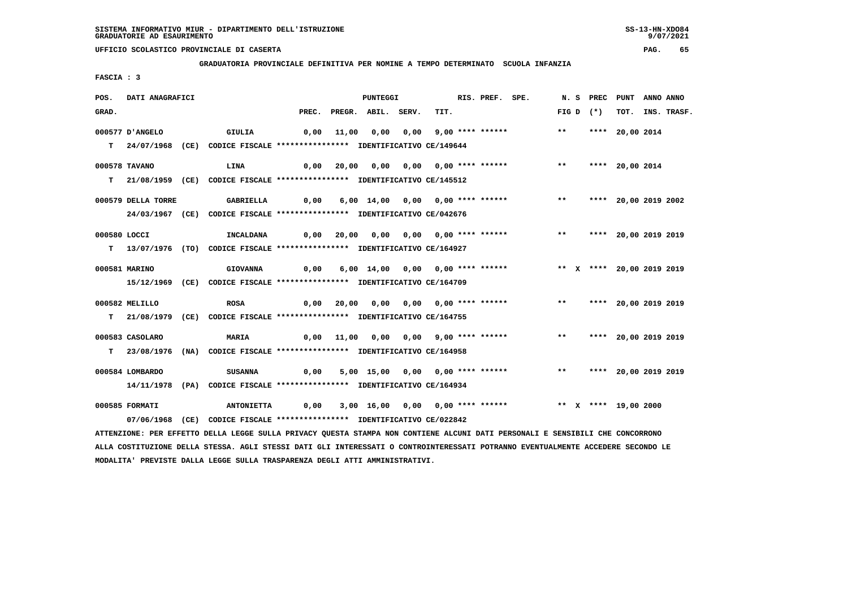**GRADUATORIA PROVINCIALE DEFINITIVA PER NOMINE A TEMPO DETERMINATO SCUOLA INFANZIA**

 **FASCIA : 3**

| POS.         | DATI ANAGRAFICI    |                                                                                                                               |       | PUNTEGGI           |                                                                  | RIS. PREF. SPE. |       | N. S PREC   | PUNT                    | ANNO ANNO |                  |
|--------------|--------------------|-------------------------------------------------------------------------------------------------------------------------------|-------|--------------------|------------------------------------------------------------------|-----------------|-------|-------------|-------------------------|-----------|------------------|
| GRAD.        |                    |                                                                                                                               | PREC. | PREGR. ABIL. SERV. | TIT.                                                             |                 |       | $FIG D (*)$ |                         |           | TOT. INS. TRASF. |
|              | 000577 D'ANGELO    | GIULIA                                                                                                                        | 0,00  |                    |                                                                  |                 | $***$ |             | **** 20,00 2014         |           |                  |
|              |                    | T 24/07/1968 (CE) CODICE FISCALE *************** IDENTIFICATIVO CE/149644                                                     |       |                    |                                                                  |                 |       |             |                         |           |                  |
|              | 000578 TAVANO      | <b>LINA</b>                                                                                                                   |       |                    | 0,00 20,00 0,00 0,00 0,00 **** ******                            |                 | $***$ |             | **** 20,00 2014         |           |                  |
|              |                    | T 21/08/1959 (CE) CODICE FISCALE *************** IDENTIFICATIVO CE/145512                                                     |       |                    |                                                                  |                 |       |             |                         |           |                  |
|              | 000579 DELLA TORRE | <b>GABRIELLA</b>                                                                                                              | 0,00  |                    | 6,00 14,00 0,00 0,00 **** ******                                 |                 | $***$ |             | **** 20,00 2019 2002    |           |                  |
|              |                    | 24/03/1967 (CE) CODICE FISCALE *************** IDENTIFICATIVO CE/042676                                                       |       |                    |                                                                  |                 |       |             |                         |           |                  |
| 000580 LOCCI |                    | <b>INCALDANA</b>                                                                                                              | 0,00  |                    |                                                                  |                 |       |             | ** **** 20,00 2019 2019 |           |                  |
|              |                    | T 13/07/1976 (TO) CODICE FISCALE **************** IDENTIFICATIVO CE/164927                                                    |       |                    |                                                                  |                 |       |             |                         |           |                  |
|              | 000581 MARINO      | <b>GIOVANNA</b>                                                                                                               | 0,00  |                    | 6,00 14,00 0,00 0,00 **** ****** **** *** X **** 20,00 2019 2019 |                 |       |             |                         |           |                  |
|              |                    | 15/12/1969 (CE) CODICE FISCALE *************** IDENTIFICATIVO CE/164709                                                       |       |                    |                                                                  |                 |       |             |                         |           |                  |
|              | 000582 MELILLO     | <b>ROSA</b>                                                                                                                   | 0,00  |                    | 20,00 0,00 0,00 0,00 **** ****** *** **                          |                 |       |             | **** 20,00 2019 2019    |           |                  |
|              |                    | T 21/08/1979 (CE) CODICE FISCALE *************** IDENTIFICATIVO CE/164755                                                     |       |                    |                                                                  |                 |       |             |                         |           |                  |
|              | 000583 CASOLARO    | MARIA                                                                                                                         |       |                    | 0,00 11,00 0,00 0,00 9,00 **** ******                            |                 | $***$ |             | **** 20,00 2019 2019    |           |                  |
|              |                    | T 23/08/1976 (NA) CODICE FISCALE **************** IDENTIFICATIVO CE/164958                                                    |       |                    |                                                                  |                 |       |             |                         |           |                  |
|              | 000584 LOMBARDO    | <b>SUSANNA</b>                                                                                                                | 0,00  |                    | 5,00 15,00 0,00 0,00 **** ******                                 |                 |       |             | ** **** 20,00 2019 2019 |           |                  |
|              |                    | 14/11/1978 (PA) CODICE FISCALE *************** IDENTIFICATIVO CE/164934                                                       |       |                    |                                                                  |                 |       |             |                         |           |                  |
|              | 000585 FORMATI     | <b>ANTONIETTA</b>                                                                                                             | 0,00  |                    | 3,00 16,00 0,00 0,00 **** ****** *** ** ** **** 19,00 2000       |                 |       |             |                         |           |                  |
|              | 07/06/1968         | (CE) CODICE FISCALE **************** IDENTIFICATIVO CE/022842                                                                 |       |                    |                                                                  |                 |       |             |                         |           |                  |
|              |                    | ATTENZIONE: PER EFFETTO DELLA LEGGE SULLA PRIVACY QUESTA STAMPA NON CONTIENE ALCUNI DATI PERSONALI E SENSIBILI CHE CONCORRONO |       |                    |                                                                  |                 |       |             |                         |           |                  |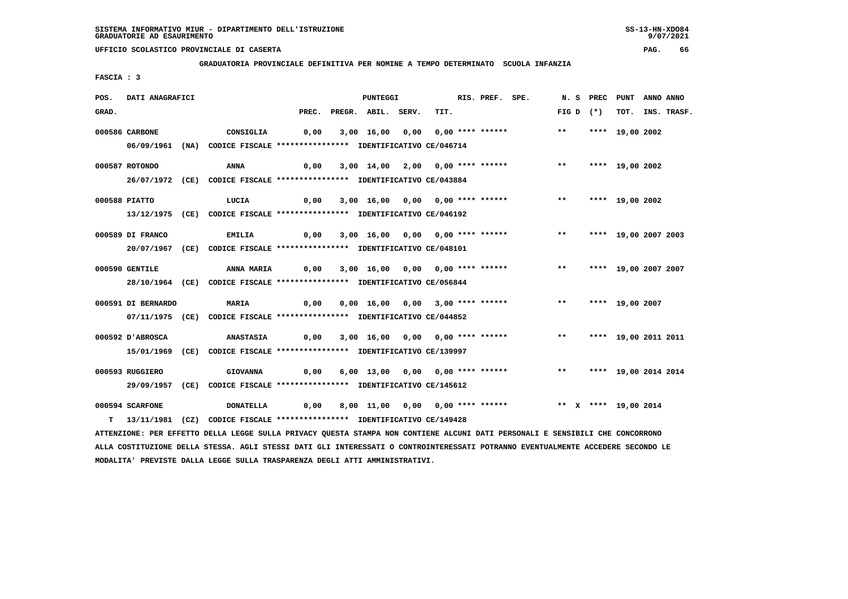**GRADUATORIA PROVINCIALE DEFINITIVA PER NOMINE A TEMPO DETERMINATO SCUOLA INFANZIA**

 **FASCIA : 3**

| POS.  | DATI ANAGRAFICI    |                                                                                                                               |                   | <b>PUNTEGGI</b>          |                                  | RIS. PREF. SPE. |                                                                          |       | N.S PREC    | PUNT ANNO ANNO          |                  |
|-------|--------------------|-------------------------------------------------------------------------------------------------------------------------------|-------------------|--------------------------|----------------------------------|-----------------|--------------------------------------------------------------------------|-------|-------------|-------------------------|------------------|
| GRAD. |                    |                                                                                                                               |                   | PREC. PREGR. ABIL. SERV. | TIT.                             |                 |                                                                          |       | $FIG D (*)$ |                         | TOT. INS. TRASF. |
|       | 000586 CARBONE     | CONSIGLIA                                                                                                                     | 0,00              |                          | 3,00 16,00 0,00 0,00 **** ****** |                 |                                                                          | $***$ |             | **** 19,00 2002         |                  |
|       |                    | 06/09/1961 (NA) CODICE FISCALE *************** IDENTIFICATIVO CE/046714                                                       |                   |                          |                                  |                 |                                                                          |       |             |                         |                  |
|       |                    |                                                                                                                               |                   |                          |                                  |                 |                                                                          |       |             |                         |                  |
|       | 000587 ROTONDO     | ANNA                                                                                                                          | 0,00              |                          | 3,00 14,00 2,00 0,00 **** ****** |                 |                                                                          |       |             | ** **** 19,00 2002      |                  |
|       |                    | 26/07/1972 (CE) CODICE FISCALE *************** IDENTIFICATIVO CE/043884                                                       |                   |                          |                                  |                 |                                                                          |       |             |                         |                  |
|       | 000588 PIATTO      | LUCIA                                                                                                                         | 0,00              |                          | 3,00 16,00 0,00 0,00 **** ****** |                 |                                                                          | $***$ |             | **** 19,00 2002         |                  |
|       |                    | 13/12/1975 (CE) CODICE FISCALE **************** IDENTIFICATIVO CE/046192                                                      |                   |                          |                                  |                 |                                                                          |       |             |                         |                  |
|       |                    |                                                                                                                               |                   |                          |                                  |                 |                                                                          |       |             |                         |                  |
|       | 000589 DI FRANCO   | <b>EMILIA</b>                                                                                                                 | 0,00              |                          |                                  |                 | 3,00 16,00 0,00 0,00 **** ****** *** **                                  |       |             | **** 19,00 2007 2003    |                  |
|       |                    | 20/07/1967 (CE) CODICE FISCALE *************** IDENTIFICATIVO CE/048101                                                       |                   |                          |                                  |                 |                                                                          |       |             |                         |                  |
|       | 000590 GENTILE     | ANNA MARIA                                                                                                                    | 0,00              |                          |                                  |                 | 3,00 16,00 0,00 0,00 **** ******             **     **** 19,00 2007 2007 |       |             |                         |                  |
|       |                    | 28/10/1964 (CE) CODICE FISCALE *************** IDENTIFICATIVO CE/056844                                                       |                   |                          |                                  |                 |                                                                          |       |             |                         |                  |
|       |                    |                                                                                                                               |                   |                          |                                  |                 |                                                                          |       |             |                         |                  |
|       | 000591 DI BERNARDO | <b>MARIA</b>                                                                                                                  | $\overline{0,00}$ |                          |                                  |                 | 0,00 16,00 0,00 3,00 **** ****** *** **                                  |       |             | **** 19,00 2007         |                  |
|       |                    | 07/11/1975 (CE) CODICE FISCALE *************** IDENTIFICATIVO CE/044852                                                       |                   |                          |                                  |                 |                                                                          |       |             |                         |                  |
|       | 000592 D'ABROSCA   | <b>ANASTASIA</b>                                                                                                              | 0,00              |                          |                                  |                 | 3,00 16,00 0,00 0,00 **** ******                                         |       |             | ** **** 19,00 2011 2011 |                  |
|       |                    | 15/01/1969 (CE) CODICE FISCALE *************** IDENTIFICATIVO CE/139997                                                       |                   |                          |                                  |                 |                                                                          |       |             |                         |                  |
|       |                    |                                                                                                                               |                   |                          |                                  |                 |                                                                          |       |             |                         |                  |
|       | 000593 RUGGIERO    | <b>GIOVANNA</b>                                                                                                               | 0,00              |                          | 6,00 13,00 0,00 0,00 **** ****** |                 |                                                                          |       |             | ** **** 19,00 2014 2014 |                  |
|       |                    | 29/09/1957 (CE) CODICE FISCALE *************** IDENTIFICATIVO CE/145612                                                       |                   |                          |                                  |                 |                                                                          |       |             |                         |                  |
|       | 000594 SCARFONE    | DONATELLA 0,00                                                                                                                |                   |                          |                                  |                 |                                                                          |       |             |                         |                  |
|       |                    | T 13/11/1981 (CZ) CODICE FISCALE *************** IDENTIFICATIVO CE/149428                                                     |                   |                          |                                  |                 |                                                                          |       |             |                         |                  |
|       |                    | ATTENZIONE: PER EFFETTO DELLA LEGGE SULLA PRIVACY QUESTA STAMPA NON CONTIENE ALCUNI DATI PERSONALI E SENSIBILI CHE CONCORRONO |                   |                          |                                  |                 |                                                                          |       |             |                         |                  |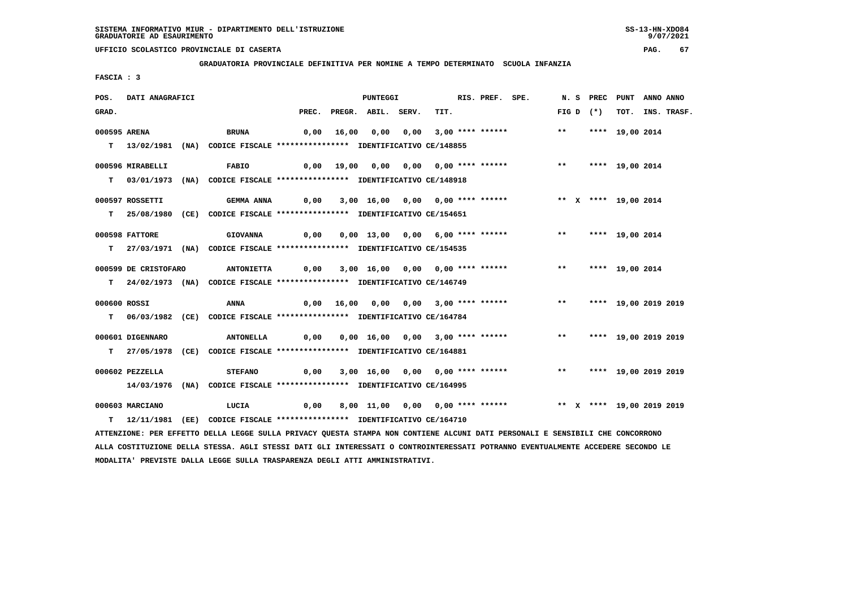**GRADUATORIA PROVINCIALE DEFINITIVA PER NOMINE A TEMPO DETERMINATO SCUOLA INFANZIA**

 **FASCIA : 3**

| POS.         | DATI ANAGRAFICI      |                                                                                                                               |             | <b>PUNTEGGI</b>          |                                                                            | RIS. PREF. SPE. |              | N.S PREC                | PUNT ANNO ANNO       |                  |
|--------------|----------------------|-------------------------------------------------------------------------------------------------------------------------------|-------------|--------------------------|----------------------------------------------------------------------------|-----------------|--------------|-------------------------|----------------------|------------------|
| GRAD.        |                      |                                                                                                                               |             | PREC. PREGR. ABIL. SERV. | TIT.                                                                       |                 |              | $FIG D (*)$             |                      | TOT. INS. TRASF. |
| 000595 ARENA |                      |                                                                                                                               |             |                          | 0,00 16,00 0,00 0,00 3,00 **** ******                                      |                 | $\star\star$ |                         |                      |                  |
|              |                      | <b>BRUNA</b>                                                                                                                  |             |                          |                                                                            |                 |              |                         | **** 19,00 2014      |                  |
|              |                      | T 13/02/1981 (NA) CODICE FISCALE **************** IDENTIFICATIVO CE/148855                                                    |             |                          |                                                                            |                 |              |                         |                      |                  |
|              | 000596 MIRABELLI     | <b>FABIO</b>                                                                                                                  |             |                          | 0,00 19,00 0,00 0,00 1**** ******               **     *** 19,00 2014      |                 |              |                         |                      |                  |
|              |                      | T 03/01/1973 (NA) CODICE FISCALE **************** IDENTIFICATIVO CE/148918                                                    |             |                          |                                                                            |                 |              |                         |                      |                  |
|              |                      |                                                                                                                               |             |                          |                                                                            |                 |              |                         |                      |                  |
|              | 000597 ROSSETTI      | <b>GEMMA ANNA</b>                                                                                                             | 0,00        |                          | 3,00 16,00 0,00 0,00 **** ****** * *** * **** 19,00 2014                   |                 |              |                         |                      |                  |
|              |                      | T 25/08/1980 (CE) CODICE FISCALE **************** IDENTIFICATIVO CE/154651                                                    |             |                          |                                                                            |                 |              |                         |                      |                  |
|              | 000598 FATTORE       | <b>GIOVANNA</b>                                                                                                               | 0,00        |                          | 0,00 13,00 0,00 6,00 **** ****** *** *** **** 19,00 2014                   |                 |              |                         |                      |                  |
|              |                      |                                                                                                                               |             |                          |                                                                            |                 |              |                         |                      |                  |
|              |                      | T 27/03/1971 (NA) CODICE FISCALE **************** IDENTIFICATIVO CE/154535                                                    |             |                          |                                                                            |                 |              |                         |                      |                  |
|              | 000599 DE CRISTOFARO | <b>ANTONIETTA</b>                                                                                                             | 0,00        |                          | 3,00 16,00 0,00 0,00 **** ****** *** *** **** 19,00 2014                   |                 |              |                         |                      |                  |
|              |                      | T 24/02/1973 (NA) CODICE FISCALE **************** IDENTIFICATIVO CE/146749                                                    |             |                          |                                                                            |                 |              |                         |                      |                  |
|              |                      |                                                                                                                               |             |                          |                                                                            |                 |              |                         |                      |                  |
| 000600 ROSSI |                      | ANNA                                                                                                                          |             |                          | 0,00 16,00 0,00 0,00 3,00 **** ****** *** **                               |                 |              |                         | **** 19,00 2019 2019 |                  |
|              |                      | T 06/03/1982 (CE) CODICE FISCALE *************** IDENTIFICATIVO CE/164784                                                     |             |                          |                                                                            |                 |              |                         |                      |                  |
|              | 000601 DIGENNARO     | <b>ANTONELLA</b>                                                                                                              | 0,00        |                          | 0,00 16,00 0,00 3,00 **** ******             **       **** 19,00 2019 2019 |                 |              |                         |                      |                  |
|              |                      |                                                                                                                               |             |                          |                                                                            |                 |              |                         |                      |                  |
|              |                      | T 27/05/1978 (CE) CODICE FISCALE *************** IDENTIFICATIVO CE/164881                                                     |             |                          |                                                                            |                 |              |                         |                      |                  |
|              | 000602 PEZZELLA      | <b>STEFANO</b>                                                                                                                | 0,00        |                          | 3,00 16,00 0,00 0,00 **** ******                                           |                 |              | ** **** 19,00 2019 2019 |                      |                  |
|              |                      | 14/03/1976 (NA) CODICE FISCALE *************** IDENTIFICATIVO CE/164995                                                       |             |                          |                                                                            |                 |              |                         |                      |                  |
|              |                      |                                                                                                                               |             |                          |                                                                            |                 |              |                         |                      |                  |
|              | 000603 MARCIANO      | LUCIA                                                                                                                         | $\sim$ 0,00 |                          |                                                                            |                 |              |                         |                      |                  |
|              |                      | T 12/11/1981 (EE) CODICE FISCALE *************** IDENTIFICATIVO CE/164710                                                     |             |                          |                                                                            |                 |              |                         |                      |                  |
|              |                      | ATTENZIONE: PER EFFETTO DELLA LEGGE SULLA PRIVACY QUESTA STAMPA NON CONTIENE ALCUNI DATI PERSONALI E SENSIBILI CHE CONCORRONO |             |                          |                                                                            |                 |              |                         |                      |                  |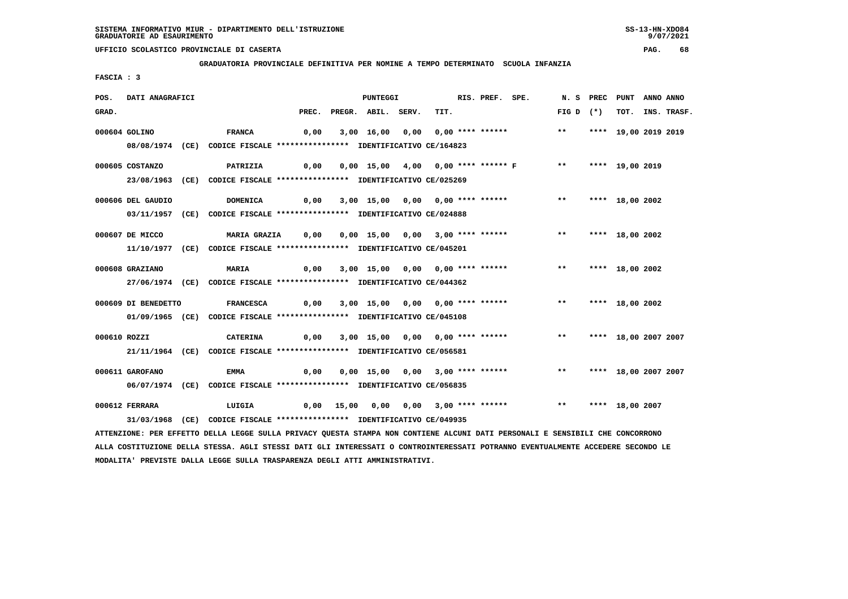**GRADUATORIA PROVINCIALE DEFINITIVA PER NOMINE A TEMPO DETERMINATO SCUOLA INFANZIA**

 **FASCIA : 3**

| POS.         | DATI ANAGRAFICI     |                                                                                                                               |      | <b>PUNTEGGI</b>          |                                                      | RIS. PREF. SPE. |                                                                        | N.S PREC           | <b>PUNT</b>          | ANNO ANNO |                  |
|--------------|---------------------|-------------------------------------------------------------------------------------------------------------------------------|------|--------------------------|------------------------------------------------------|-----------------|------------------------------------------------------------------------|--------------------|----------------------|-----------|------------------|
| GRAD.        |                     |                                                                                                                               |      | PREC. PREGR. ABIL. SERV. | TIT.                                                 |                 |                                                                        | $FIG D (*)$        |                      |           | TOT. INS. TRASF. |
|              | 000604 GOLINO       | <b>FRANCA</b>                                                                                                                 | 0,00 |                          | 3,00 16,00 0,00 0,00 **** ******                     |                 |                                                                        | $***$              | **** 19,00 2019 2019 |           |                  |
|              |                     | 08/08/1974 (CE) CODICE FISCALE *************** IDENTIFICATIVO CE/164823                                                       |      |                          |                                                      |                 |                                                                        |                    |                      |           |                  |
|              | 000605 COSTANZO     | <b>PATRIZIA</b>                                                                                                               |      |                          |                                                      |                 | 0,00  0,00  15,00  4,00  0,00  ****  ******  F  ***  ****  19,00  2019 |                    |                      |           |                  |
|              |                     | 23/08/1963 (CE) CODICE FISCALE *************** IDENTIFICATIVO CE/025269                                                       |      |                          |                                                      |                 |                                                                        |                    |                      |           |                  |
|              | 000606 DEL GAUDIO   | <b>DOMENICA</b>                                                                                                               | 0,00 |                          | 3,00 15,00 0,00 0,00 **** ******                     |                 |                                                                        | $***$              | **** 18,00 2002      |           |                  |
|              |                     | 03/11/1957 (CE) CODICE FISCALE *************** IDENTIFICATIVO CE/024888                                                       |      |                          |                                                      |                 |                                                                        |                    |                      |           |                  |
|              | 000607 DE MICCO     | MARIA GRAZIA 0,00                                                                                                             |      |                          | 0,00 15,00 0,00 3,00 **** ******                     |                 |                                                                        | $\star\star$       | **** 18,00 2002      |           |                  |
|              |                     | 11/10/1977 (CE) CODICE FISCALE *************** IDENTIFICATIVO CE/045201                                                       |      |                          |                                                      |                 |                                                                        |                    |                      |           |                  |
|              | 000608 GRAZIANO     | <b>MARIA</b>                                                                                                                  | 0,00 |                          | 3,00 15,00 0,00 0,00 **** ******                     |                 |                                                                        | ** **** 18,00 2002 |                      |           |                  |
|              |                     | 27/06/1974 (CE) CODICE FISCALE *************** IDENTIFICATIVO CE/044362                                                       |      |                          |                                                      |                 |                                                                        |                    |                      |           |                  |
|              | 000609 DI BENEDETTO | <b>FRANCESCA</b>                                                                                                              |      |                          | $0,00$ $3,00$ $15,00$ $0,00$ $0,00$ $***$ **** ***** |                 |                                                                        | $***$              | **** 18,00 2002      |           |                  |
|              |                     | 01/09/1965 (CE) CODICE FISCALE *************** IDENTIFICATIVO CE/045108                                                       |      |                          |                                                      |                 |                                                                        |                    |                      |           |                  |
| 000610 ROZZI |                     | <b>CATERINA</b>                                                                                                               | 0,00 |                          |                                                      |                 | 3,00 15,00 0,00 0,00 **** ******                                       | $***$              | **** 18,00 2007 2007 |           |                  |
|              |                     | 21/11/1964 (CE) CODICE FISCALE *************** IDENTIFICATIVO CE/056581                                                       |      |                          |                                                      |                 |                                                                        |                    |                      |           |                  |
|              | 000611 GAROFANO     | <b>EMMA</b>                                                                                                                   | 0,00 |                          | 0,00 15,00 0,00 3,00 **** ******                     |                 |                                                                        | $***$              | **** 18,00 2007 2007 |           |                  |
|              |                     | 06/07/1974 (CE) CODICE FISCALE *************** IDENTIFICATIVO CE/056835                                                       |      |                          |                                                      |                 |                                                                        |                    |                      |           |                  |
|              | 000612 FERRARA      | LUIGIA                                                                                                                        |      |                          |                                                      |                 | 0,00 15,00 0,00 0,00 3,00 **** ******           **     **** 18,00 2007 |                    |                      |           |                  |
|              |                     | 31/03/1968 (CE) CODICE FISCALE *************** IDENTIFICATIVO CE/049935                                                       |      |                          |                                                      |                 |                                                                        |                    |                      |           |                  |
|              |                     | ATTENZIONE: PER EFFETTO DELLA LEGGE SULLA PRIVACY QUESTA STAMPA NON CONTIENE ALCUNI DATI PERSONALI E SENSIBILI CHE CONCORRONO |      |                          |                                                      |                 |                                                                        |                    |                      |           |                  |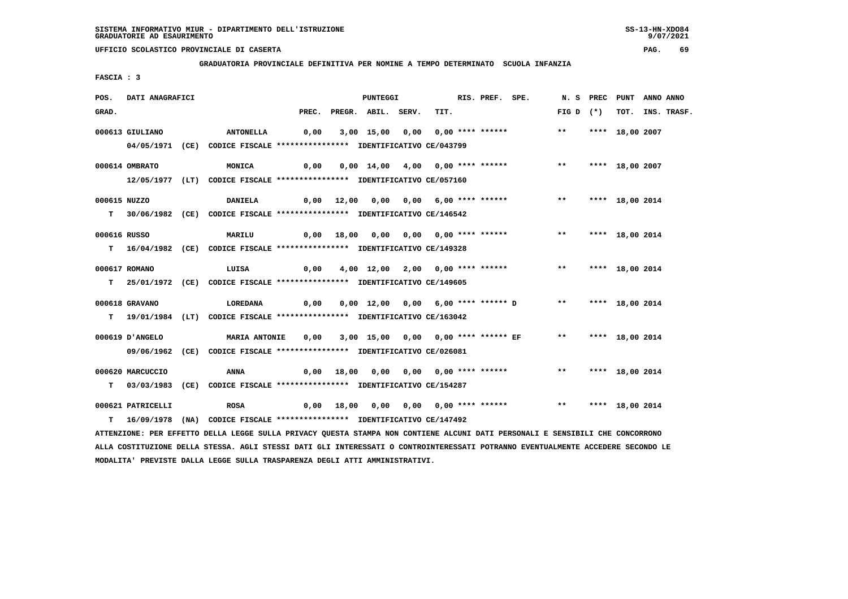**GRADUATORIA PROVINCIALE DEFINITIVA PER NOMINE A TEMPO DETERMINATO SCUOLA INFANZIA**

 **FASCIA : 3**

| POS.         | DATI ANAGRAFICI   |                                                                                                                               |      | PUNTEGGI                 |                                                       | RIS. PREF. SPE. |                    | N. S PREC PUNT ANNO ANNO |                  |
|--------------|-------------------|-------------------------------------------------------------------------------------------------------------------------------|------|--------------------------|-------------------------------------------------------|-----------------|--------------------|--------------------------|------------------|
| GRAD.        |                   |                                                                                                                               |      | PREC. PREGR. ABIL. SERV. | TIT.                                                  |                 | FIG D $(*)$        |                          | TOT. INS. TRASF. |
|              | 000613 GIULIANO   | <b>ANTONELLA</b>                                                                                                              | 0,00 |                          | 3,00 15,00 0,00 0,00 **** ******                      |                 | $***$              | **** 18,00 2007          |                  |
|              |                   |                                                                                                                               |      |                          |                                                       |                 |                    |                          |                  |
|              |                   | 04/05/1971 (CE) CODICE FISCALE *************** IDENTIFICATIVO CE/043799                                                       |      |                          |                                                       |                 |                    |                          |                  |
|              | 000614 OMBRATO    | <b>MONICA</b>                                                                                                                 | 0,00 |                          | 0,00 14,00 4,00 0,00 **** ******                      |                 | $***$              | **** 18,00 2007          |                  |
|              |                   | 12/05/1977 (LT) CODICE FISCALE *************** IDENTIFICATIVO CE/057160                                                       |      |                          |                                                       |                 |                    |                          |                  |
|              |                   |                                                                                                                               |      |                          |                                                       |                 |                    |                          |                  |
|              | 000615 NUZZO      | <b>DANIELA</b>                                                                                                                |      |                          | $0,00$ 12,00 0,00 0,00 6,00 **** ******               |                 | $***$              | **** 18,00 2014          |                  |
|              |                   | T 30/06/1982 (CE) CODICE FISCALE *************** IDENTIFICATIVO CE/146542                                                     |      |                          |                                                       |                 |                    |                          |                  |
| 000616 RUSSO |                   | MARILU                                                                                                                        |      |                          | 0,00 18,00 0,00 0,00 0,00 **** ******                 |                 | ** **** 18,00 2014 |                          |                  |
|              |                   |                                                                                                                               |      |                          |                                                       |                 |                    |                          |                  |
|              |                   | T 16/04/1982 (CE) CODICE FISCALE **************** IDENTIFICATIVO CE/149328                                                    |      |                          |                                                       |                 |                    |                          |                  |
|              | 000617 ROMANO     | LUISA                                                                                                                         | 0,00 |                          | 4,00 12,00 2,00 0,00 **** ******                      |                 | ** **** 18,00 2014 |                          |                  |
|              |                   | T 25/01/1972 (CE) CODICE FISCALE *************** IDENTIFICATIVO CE/149605                                                     |      |                          |                                                       |                 |                    |                          |                  |
|              |                   |                                                                                                                               |      |                          |                                                       |                 |                    |                          |                  |
|              | 000618 GRAVANO    | <b>LOREDANA</b>                                                                                                               | 0,00 |                          | 0,00 12,00 0,00 6,00 **** ****** D ** **** 18,00 2014 |                 |                    |                          |                  |
|              |                   | T 19/01/1984 (LT) CODICE FISCALE *************** IDENTIFICATIVO CE/163042                                                     |      |                          |                                                       |                 |                    |                          |                  |
|              |                   |                                                                                                                               |      |                          |                                                       |                 |                    |                          |                  |
|              | 000619 J'ANGELO   | <b>MARIA ANTONIE</b>                                                                                                          | 0,00 |                          | 3,00 15,00 0,00 0,00 **** ****** EF                   |                 | ** **** 18,00 2014 |                          |                  |
|              |                   | 09/06/1962 (CE) CODICE FISCALE *************** IDENTIFICATIVO CE/026081                                                       |      |                          |                                                       |                 |                    |                          |                  |
|              | 000620 MARCUCCIO  | ANNA                                                                                                                          | 0,00 |                          |                                                       |                 | ** **** 18,00 2014 |                          |                  |
|              |                   | T 03/03/1983 (CE) CODICE FISCALE *************** IDENTIFICATIVO CE/154287                                                     |      |                          |                                                       |                 |                    |                          |                  |
|              |                   |                                                                                                                               |      |                          |                                                       |                 |                    |                          |                  |
|              | 000621 PATRICELLI | <b>ROSA</b>                                                                                                                   |      |                          |                                                       |                 |                    |                          |                  |
| т            |                   | 16/09/1978 (NA) CODICE FISCALE *************** IDENTIFICATIVO CE/147492                                                       |      |                          |                                                       |                 |                    |                          |                  |
|              |                   | ATTENZIONE: PER EFFETTO DELLA LEGGE SULLA PRIVACY QUESTA STAMPA NON CONTIENE ALCUNI DATI PERSONALI E SENSIBILI CHE CONCORRONO |      |                          |                                                       |                 |                    |                          |                  |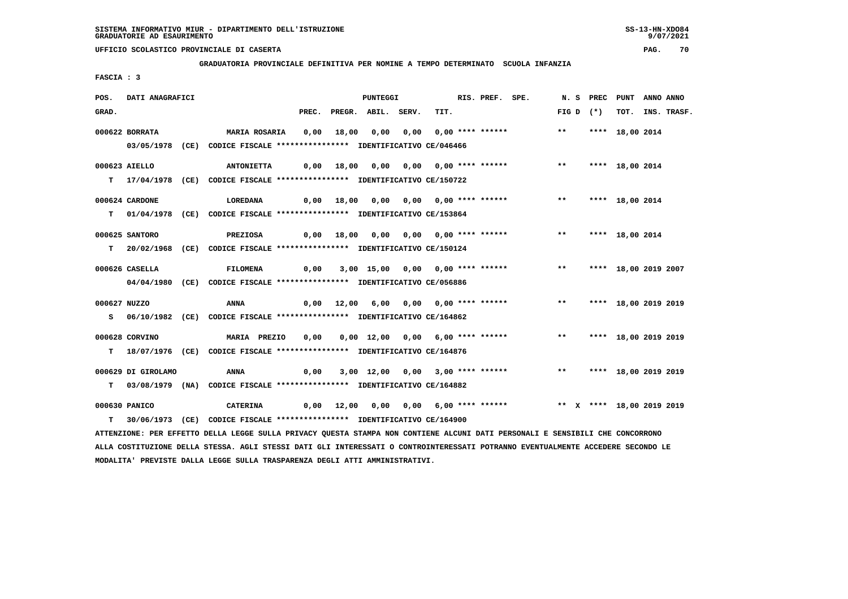**GRADUATORIA PROVINCIALE DEFINITIVA PER NOMINE A TEMPO DETERMINATO SCUOLA INFANZIA**

 **FASCIA : 3**

| POS.         | <b>DATI ANAGRAFICI</b> |                                                                                                                                 |       | <b>PUNTEGGI</b>                       |      | RIS. PREF. SPE. |                                                                        |       | N.S PREC    | PUNT                    | ANNO ANNO |             |
|--------------|------------------------|---------------------------------------------------------------------------------------------------------------------------------|-------|---------------------------------------|------|-----------------|------------------------------------------------------------------------|-------|-------------|-------------------------|-----------|-------------|
| GRAD.        |                        |                                                                                                                                 | PREC. | PREGR. ABIL. SERV.                    | TIT. |                 |                                                                        |       | FIG D $(*)$ | тот.                    |           | INS. TRASF. |
|              | 000622 BORRATA         | MARIA ROSARIA                                                                                                                   | 0,00  | 18,00  0,00  0,00  0,00  ****  ****** |      |                 |                                                                        | $***$ |             | **** 18,00 2014         |           |             |
|              |                        | 03/05/1978 (CE) CODICE FISCALE *************** IDENTIFICATIVO CE/046466                                                         |       |                                       |      |                 |                                                                        |       |             |                         |           |             |
|              |                        |                                                                                                                                 |       |                                       |      |                 |                                                                        |       |             |                         |           |             |
|              | 000623 AIELLO          | <b>ANTONIETTA</b>                                                                                                               |       | 0,00 18,00 0,00 0,00 0,00 **** ****** |      |                 |                                                                        | $***$ |             | **** 18,00 2014         |           |             |
|              |                        | T 17/04/1978 (CE) CODICE FISCALE *************** IDENTIFICATIVO CE/150722                                                       |       |                                       |      |                 |                                                                        |       |             |                         |           |             |
|              |                        |                                                                                                                                 |       |                                       |      |                 |                                                                        |       |             |                         |           |             |
|              | 000624 CARDONE         | <b>LOREDANA</b>                                                                                                                 |       | 0,00 18,00 0,00 0,00 0,00 **** ****** |      |                 |                                                                        |       |             | ** **** 18,00 2014      |           |             |
|              |                        | T 01/04/1978 (CE) CODICE FISCALE **************** IDENTIFICATIVO CE/153864                                                      |       |                                       |      |                 |                                                                        |       |             |                         |           |             |
|              | 000625 SANTORO         | PREZIOSA                                                                                                                        |       | 0,00 18,00 0,00 0,00 0,00 **** ****** |      |                 |                                                                        | $***$ |             | **** 18,00 2014         |           |             |
|              |                        | T  20/02/1968 (CE) CODICE FISCALE *************** IDENTIFICATIVO CE/150124                                                      |       |                                       |      |                 |                                                                        |       |             |                         |           |             |
|              |                        |                                                                                                                                 |       |                                       |      |                 |                                                                        |       |             |                         |           |             |
|              | 000626 CASELLA         | FILOMENA                                                                                                                        | 0,00  | 3,00 15,00 0,00 0,00 **** ******      |      |                 |                                                                        | $***$ |             | **** 18,00 2019 2007    |           |             |
|              |                        | 04/04/1980 (CE) CODICE FISCALE *************** IDENTIFICATIVO CE/056886                                                         |       |                                       |      |                 |                                                                        |       |             |                         |           |             |
|              |                        |                                                                                                                                 |       |                                       |      |                 |                                                                        |       |             |                         |           |             |
| 000627 NUZZO |                        | ANNA                                                                                                                            | 0,00  | 12,00 6,00 0,00 0,00 **** ******      |      |                 |                                                                        | $***$ |             | **** 18,00 2019 2019    |           |             |
|              |                        | S 06/10/1982 (CE) CODICE FISCALE *************** IDENTIFICATIVO CE/164862                                                       |       |                                       |      |                 |                                                                        |       |             |                         |           |             |
|              | 000628 CORVINO         | <b>MARIA PREZIO</b>                                                                                                             | 0,00  | 0,00 12,00 0,00 6,00 **** ******      |      |                 |                                                                        | $***$ |             | **** 18,00 2019 2019    |           |             |
|              |                        | T 18/07/1976 (CE) CODICE FISCALE *************** IDENTIFICATIVO CE/164876                                                       |       |                                       |      |                 |                                                                        |       |             |                         |           |             |
|              |                        |                                                                                                                                 |       |                                       |      |                 |                                                                        |       |             |                         |           |             |
|              | 000629 DI GIROLAMO     | ANNA                                                                                                                            | 0,00  | 3,00 12,00 0,00 3,00 **** ******      |      |                 |                                                                        |       |             | ** **** 18,00 2019 2019 |           |             |
| T.           |                        | 03/08/1979 (NA) CODICE FISCALE *************** IDENTIFICATIVO CE/164882                                                         |       |                                       |      |                 |                                                                        |       |             |                         |           |             |
|              |                        |                                                                                                                                 |       |                                       |      |                 |                                                                        |       |             |                         |           |             |
|              | 000630 PANICO          | CATERINA                                                                                                                        |       |                                       |      |                 | 0,00 12,00 0,00 0,00 6,00 **** ****** **** *** ** **** 18,00 2019 2019 |       |             |                         |           |             |
| т            |                        | 30/06/1973 (CE) CODICE FISCALE **************** IDENTIFICATIVO CE/164900                                                        |       |                                       |      |                 |                                                                        |       |             |                         |           |             |
|              |                        | ATTENZIONE: PER EFFETTO DELLA LEGGE SULLA PRIVACY QUESTA STAMPA NON CONTIENE ALCUNI DATI PERSONALI E SENSIBILI CHE CONCORRONO   |       |                                       |      |                 |                                                                        |       |             |                         |           |             |
|              |                        | ALLA COSTITUZIONE DELLA STESSA. AGLI STESSI DATI GLI INTERESSATI O CONTROINTERESSATI POTRANNO EVENTUALMENTE ACCEDERE SECONDO LE |       |                                       |      |                 |                                                                        |       |             |                         |           |             |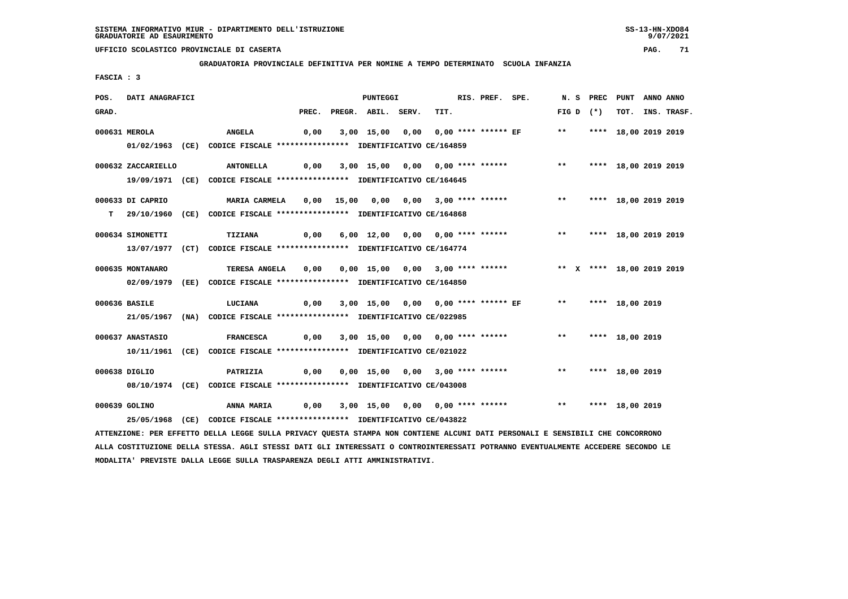**GRADUATORIA PROVINCIALE DEFINITIVA PER NOMINE A TEMPO DETERMINATO SCUOLA INFANZIA**

 **FASCIA : 3**

| POS.  | DATI ANAGRAFICI    |                                                                                                                               |      | PUNTEGGI                 |                                             | RIS. PREF. SPE. |                                                                              |             | N. S PREC PUNT     | ANNO ANNO        |
|-------|--------------------|-------------------------------------------------------------------------------------------------------------------------------|------|--------------------------|---------------------------------------------|-----------------|------------------------------------------------------------------------------|-------------|--------------------|------------------|
| GRAD. |                    |                                                                                                                               |      | PREC. PREGR. ABIL. SERV. | TIT.                                        |                 |                                                                              | FIG D $(*)$ |                    | TOT. INS. TRASF. |
|       | 000631 MEROLA      | <b>ANGELA</b>                                                                                                                 | 0,00 |                          |                                             |                 | 3,00 15,00 0,00 0,00 **** ****** EF ** **** 18,00 2019 2019                  |             |                    |                  |
|       |                    | 01/02/1963 (CE) CODICE FISCALE *************** IDENTIFICATIVO CE/164859                                                       |      |                          |                                             |                 |                                                                              |             |                    |                  |
|       | 000632 ZACCARIELLO |                                                                                                                               |      |                          |                                             |                 |                                                                              |             |                    |                  |
|       |                    | 19/09/1971 (CE) CODICE FISCALE *************** IDENTIFICATIVO CE/164645                                                       |      |                          |                                             |                 |                                                                              |             |                    |                  |
|       | 000633 DI CAPRIO   | MARIA CARMELA                                                                                                                 |      |                          |                                             |                 | 0,00 15,00 0,00 0,00 3,00 **** ******           **     **** 18,00 2019 2019  |             |                    |                  |
|       |                    | T 29/10/1960 (CE) CODICE FISCALE *************** IDENTIFICATIVO CE/164868                                                     |      |                          |                                             |                 |                                                                              |             |                    |                  |
|       | 000634 SIMONETTI   | TIZIANA                                                                                                                       |      |                          |                                             |                 | 0,00 6,00 12,00 0,00 0,00 **** ****** *** *** **** 18,00 2019 2019           |             |                    |                  |
|       |                    | 13/07/1977 (CT) CODICE FISCALE *************** IDENTIFICATIVO CE/164774                                                       |      |                          |                                             |                 |                                                                              |             |                    |                  |
|       | 000635 MONTANARO   | TERESA ANGELA 0,00 0,00 15,00 0,00 3,00 **** ****** **** ** ** **** 18,00 2019 2019                                           |      |                          |                                             |                 |                                                                              |             |                    |                  |
|       |                    | 02/09/1979 (EE) CODICE FISCALE *************** IDENTIFICATIVO CE/164850                                                       |      |                          |                                             |                 |                                                                              |             |                    |                  |
|       | 000636 BASILE      | LUCIANA                                                                                                                       |      |                          |                                             |                 | 0,00 3,00 15,00 0,00 0,00 **** ****** EF       **     **** 18,00 2019        |             |                    |                  |
|       |                    | 21/05/1967 (NA) CODICE FISCALE *************** IDENTIFICATIVO CE/022985                                                       |      |                          |                                             |                 |                                                                              |             |                    |                  |
|       | 000637 ANASTASIO   | <b>FRANCESCA</b>                                                                                                              |      |                          |                                             |                 | 0,00 3,00 15,00 0,00 0,00 **** ******               **       **** 18,00 2019 |             |                    |                  |
|       |                    | 10/11/1961 (CE) CODICE FISCALE *************** IDENTIFICATIVO CE/021022                                                       |      |                          |                                             |                 |                                                                              |             |                    |                  |
|       | 000638 DIGLIO      | PATRIZIA                                                                                                                      |      |                          | 0,00  0,00  15,00  0,00  3,00  ****  ****** |                 |                                                                              |             | ** **** 18,00 2019 |                  |
|       |                    | 08/10/1974 (CE) CODICE FISCALE *************** IDENTIFICATIVO CE/043008                                                       |      |                          |                                             |                 |                                                                              |             |                    |                  |
|       | 000639 GOLINO      |                                                                                                                               |      |                          |                                             |                 |                                                                              |             |                    |                  |
|       |                    | 25/05/1968 (CE) CODICE FISCALE *************** IDENTIFICATIVO CE/043822                                                       |      |                          |                                             |                 |                                                                              |             |                    |                  |
|       |                    | ATTENZIONE: PER EFFETTO DELLA LEGGE SULLA PRIVACY QUESTA STAMPA NON CONTIENE ALCUNI DATI PERSONALI E SENSIBILI CHE CONCORRONO |      |                          |                                             |                 |                                                                              |             |                    |                  |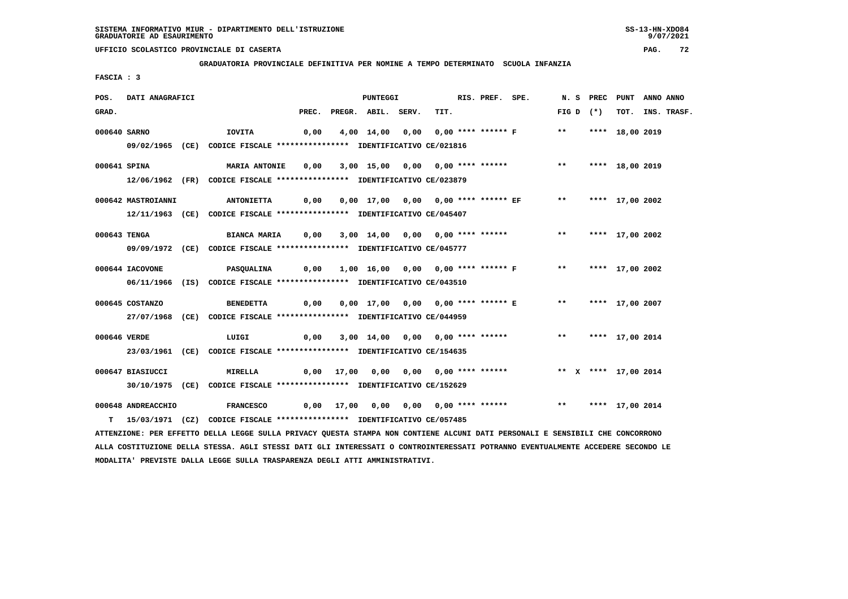**GRADUATORIA PROVINCIALE DEFINITIVA PER NOMINE A TEMPO DETERMINATO SCUOLA INFANZIA**

 **FASCIA : 3**

| POS.         | DATI ANAGRAFICI    |                                                                                                                               |       | <b>PUNTEGGI</b>    |                                                                      | RIS. PREF. SPE. | N.S PREC   |                      | PUNT ANNO ANNO   |
|--------------|--------------------|-------------------------------------------------------------------------------------------------------------------------------|-------|--------------------|----------------------------------------------------------------------|-----------------|------------|----------------------|------------------|
| GRAD.        |                    |                                                                                                                               | PREC. | PREGR. ABIL. SERV. | TIT.                                                                 |                 | $FIGD (*)$ |                      | TOT. INS. TRASF. |
| 000640 SARNO |                    | IOVITA                                                                                                                        | 0,00  |                    | 4,00 14,00 0,00 0,00 **** ****** F ** **** 18,00 2019                |                 |            |                      |                  |
|              |                    | 09/02/1965 (CE) CODICE FISCALE *************** IDENTIFICATIVO CE/021816                                                       |       |                    |                                                                      |                 |            |                      |                  |
|              | 000641 SPINA       | MARIA ANTONIE 0,00 3,00 15,00 0,00 0,00 **** ****** *** *** **** 18,00 2019                                                   |       |                    |                                                                      |                 |            |                      |                  |
|              |                    | 12/06/1962 (FR) CODICE FISCALE *************** IDENTIFICATIVO CE/023879                                                       |       |                    |                                                                      |                 |            |                      |                  |
|              | 000642 MASTROIANNI | <b>ANTONIETTA</b>                                                                                                             | 0,00  |                    | 0,00 17,00 0,00 0,00 **** ****** EF         **       **** 17,00 2002 |                 |            |                      |                  |
|              |                    | 12/11/1963 (CE) CODICE FISCALE *************** IDENTIFICATIVO CE/045407                                                       |       |                    |                                                                      |                 |            |                      |                  |
|              | 000643 TENGA       | BIANCA MARIA 0,00 3,00 14,00 0,00 0,00 **** ****** **** **** 17,00 2002                                                       |       |                    |                                                                      |                 |            |                      |                  |
|              |                    | 09/09/1972 (CE) CODICE FISCALE *************** IDENTIFICATIVO CE/045777                                                       |       |                    |                                                                      |                 |            |                      |                  |
|              | 000644 IACOVONE    |                                                                                                                               |       |                    |                                                                      |                 |            |                      |                  |
|              |                    | 06/11/1966 (IS) CODICE FISCALE *************** IDENTIFICATIVO CE/043510                                                       |       |                    |                                                                      |                 |            |                      |                  |
|              | 000645 COSTANZO    |                                                                                                                               |       |                    |                                                                      |                 |            |                      |                  |
|              |                    | 27/07/1968 (CE) CODICE FISCALE *************** IDENTIFICATIVO CE/044959                                                       |       |                    |                                                                      |                 |            |                      |                  |
|              | 000646 VERDE       | LUIGI                                                                                                                         | 0,00  |                    | 3,00 14,00 0,00 0,00 **** ****** *** *** **** 17,00 2014             |                 |            |                      |                  |
|              |                    | 23/03/1961 (CE) CODICE FISCALE *************** IDENTIFICATIVO CE/154635                                                       |       |                    |                                                                      |                 |            |                      |                  |
|              | 000647 BIASIUCCI   | <b>MIRELLA</b>                                                                                                                |       |                    | 0,00 17,00 0,00 0,00 0,00 **** ******                                |                 |            | ** X **** 17,00 2014 |                  |
|              |                    | 30/10/1975 (CE) CODICE FISCALE *************** IDENTIFICATIVO CE/152629                                                       |       |                    |                                                                      |                 |            |                      |                  |
|              | 000648 ANDREACCHIO |                                                                                                                               |       |                    |                                                                      |                 |            |                      |                  |
|              |                    | T 15/03/1971 (CZ) CODICE FISCALE *************** IDENTIFICATIVO CE/057485                                                     |       |                    |                                                                      |                 |            |                      |                  |
|              |                    | ATTENZIONE: PER EFFETTO DELLA LEGGE SULLA PRIVACY QUESTA STAMPA NON CONTIENE ALCUNI DATI PERSONALI E SENSIBILI CHE CONCORRONO |       |                    |                                                                      |                 |            |                      |                  |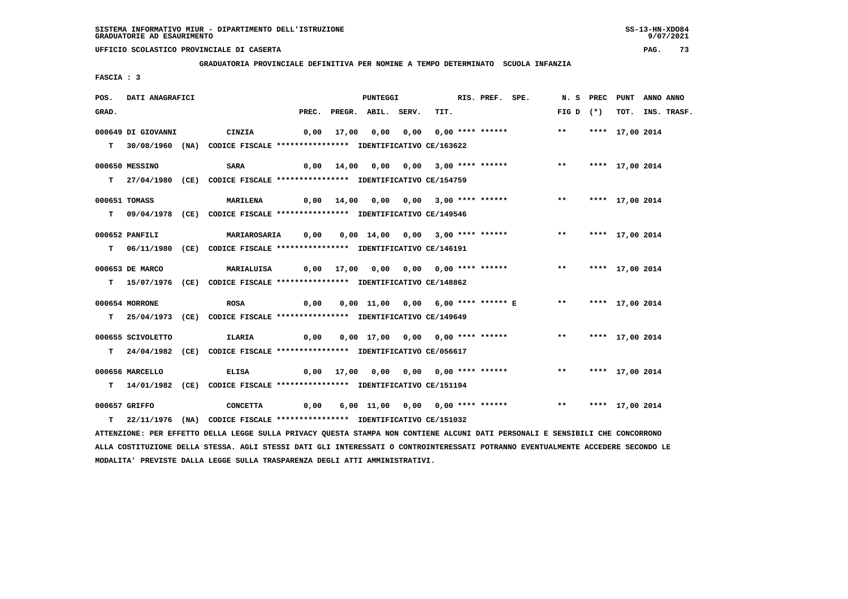**GRADUATORIA PROVINCIALE DEFINITIVA PER NOMINE A TEMPO DETERMINATO SCUOLA INFANZIA**

 **FASCIA : 3**

| POS.  | DATI ANAGRAFICI    |                                                                                                                               |      | PUNTEGGI                 |                                                                            | RIS. PREF. SPE. |                    | N. S PREC PUNT ANNO ANNO |                  |
|-------|--------------------|-------------------------------------------------------------------------------------------------------------------------------|------|--------------------------|----------------------------------------------------------------------------|-----------------|--------------------|--------------------------|------------------|
| GRAD. |                    |                                                                                                                               |      | PREC. PREGR. ABIL. SERV. | TIT.                                                                       |                 | FIG D $(*)$        |                          | TOT. INS. TRASF. |
|       | 000649 DI GIOVANNI | CINZIA                                                                                                                        |      |                          |                                                                            |                 |                    |                          |                  |
|       |                    | T 30/08/1960 (NA) CODICE FISCALE **************** IDENTIFICATIVO CE/163622                                                    |      |                          |                                                                            |                 |                    |                          |                  |
|       |                    |                                                                                                                               |      |                          |                                                                            |                 |                    |                          |                  |
|       | 000650 MESSINO     | <b>SARA</b>                                                                                                                   | 0,00 |                          | 14,00  0,00  0,00  3,00  ****  ******    **    ***    ***    17,00    2014 |                 |                    |                          |                  |
|       |                    | T 27/04/1980 (CE) CODICE FISCALE *************** IDENTIFICATIVO CE/154759                                                     |      |                          |                                                                            |                 |                    |                          |                  |
|       | 000651 TOMASS      | MARILENA                                                                                                                      |      |                          | 0,00 14,00 0,00 0,00 3,00 **** ****** *** **** 17,00 2014                  |                 |                    |                          |                  |
|       |                    | T 09/04/1978 (CE) CODICE FISCALE *************** IDENTIFICATIVO CE/149546                                                     |      |                          |                                                                            |                 |                    |                          |                  |
|       |                    |                                                                                                                               |      |                          |                                                                            |                 |                    |                          |                  |
|       | 000652 PANFILI     | MARIAROSARIA         0,00      0,00    14,00     0,00     3,00  ****  ******                                                  |      |                          |                                                                            |                 | ** **** 17,00 2014 |                          |                  |
|       |                    | T 06/11/1980 (CE) CODICE FISCALE **************** IDENTIFICATIVO CE/146191                                                    |      |                          |                                                                            |                 |                    |                          |                  |
|       | 000653 DE MARCO    | <b>MARIALUISA</b>                                                                                                             |      |                          | 0,00 17,00 0,00 0,00 0,00 **** ******     **  **** 17,00 2014              |                 |                    |                          |                  |
|       |                    |                                                                                                                               |      |                          |                                                                            |                 |                    |                          |                  |
|       |                    | T 15/07/1976 (CE) CODICE FISCALE **************** IDENTIFICATIVO CE/148862                                                    |      |                          |                                                                            |                 |                    |                          |                  |
|       | 000654 MORRONE     | <b>ROSA</b>                                                                                                                   | 0,00 |                          | 0,00 11,00 0,00 6,00 **** ****** E ** **** 17,00 2014                      |                 |                    |                          |                  |
|       |                    | T 25/04/1973 (CE) CODICE FISCALE *************** IDENTIFICATIVO CE/149649                                                     |      |                          |                                                                            |                 |                    |                          |                  |
|       |                    |                                                                                                                               |      |                          |                                                                            |                 |                    |                          |                  |
|       | 000655 SCIVOLETTO  | <b>ILARIA</b>                                                                                                                 | 0,00 |                          | 0,00 17,00 0,00 0,00 **** ******                                           |                 | ** **** 17,00 2014 |                          |                  |
|       |                    | T 24/04/1982 (CE) CODICE FISCALE *************** IDENTIFICATIVO CE/056617                                                     |      |                          |                                                                            |                 |                    |                          |                  |
|       | 000656 MARCELLO    | <b>ELISA</b>                                                                                                                  |      |                          | 0,00 17,00 0,00 0,00 0,00 **** ******             **     **** 17,00 2014   |                 |                    |                          |                  |
|       |                    | T 14/01/1982 (CE) CODICE FISCALE *************** IDENTIFICATIVO CE/151194                                                     |      |                          |                                                                            |                 |                    |                          |                  |
|       |                    |                                                                                                                               |      |                          |                                                                            |                 |                    |                          |                  |
|       | 000657 GRIFFO      | CONCETTA                                                                                                                      |      |                          | 0,00 6,00 11,00 0,00 0,00 **** ****** *** *** **** 17,00 2014              |                 |                    |                          |                  |
|       |                    | T 22/11/1976 (NA) CODICE FISCALE *************** IDENTIFICATIVO CE/151032                                                     |      |                          |                                                                            |                 |                    |                          |                  |
|       |                    | ATTENZIONE: PER EFFETTO DELLA LEGGE SULLA PRIVACY QUESTA STAMPA NON CONTIENE ALCUNI DATI PERSONALI E SENSIBILI CHE CONCORRONO |      |                          |                                                                            |                 |                    |                          |                  |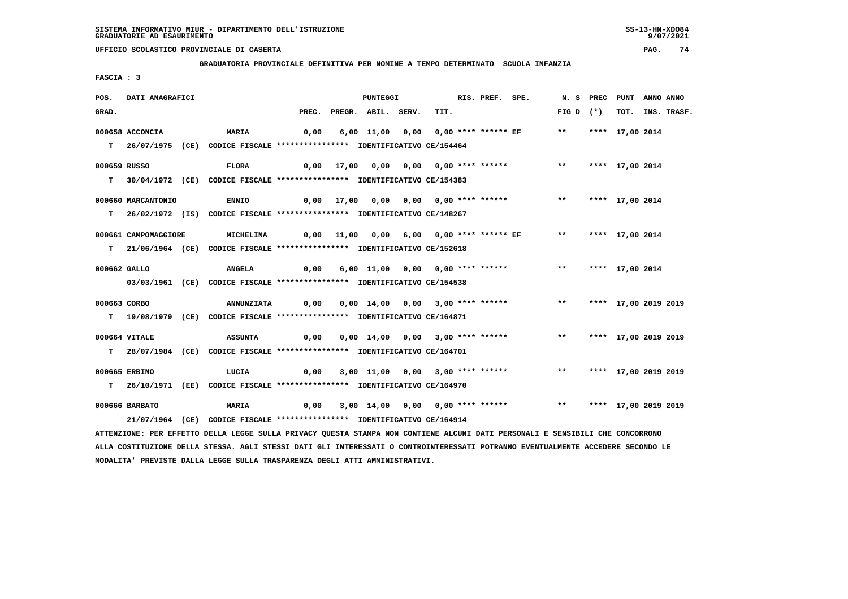**GRADUATORIA PROVINCIALE DEFINITIVA PER NOMINE A TEMPO DETERMINATO SCUOLA INFANZIA**

 **FASCIA : 3**

| POS.         | DATI ANAGRAFICI      |                                                                                                                                 |      | <b>PUNTEGGI</b>                       |      | RIS. PREF. SPE. |                                                                    |                    | N. S PREC PUNT       | ANNO ANNO |                  |
|--------------|----------------------|---------------------------------------------------------------------------------------------------------------------------------|------|---------------------------------------|------|-----------------|--------------------------------------------------------------------|--------------------|----------------------|-----------|------------------|
| GRAD.        |                      |                                                                                                                                 |      | PREC. PREGR. ABIL. SERV.              | TIT. |                 |                                                                    | FIG D $(*)$        |                      |           | TOT. INS. TRASF. |
|              | 000658 ACCONCIA      | <b>MARIA</b>                                                                                                                    | 0,00 |                                       |      |                 | 6,00 11,00 0,00 0,00 **** ****** EF                                |                    | ** **** 17,00 2014   |           |                  |
|              |                      |                                                                                                                                 |      |                                       |      |                 |                                                                    |                    |                      |           |                  |
|              |                      | T 26/07/1975 (CE) CODICE FISCALE *************** IDENTIFICATIVO CE/154464                                                       |      |                                       |      |                 |                                                                    |                    |                      |           |                  |
| 000659 RUSSO |                      | <b>FLORA</b>                                                                                                                    |      | 0,00 17,00 0,00 0,00 0,00 **** ****** |      |                 |                                                                    | $***$              | **** 17,00 2014      |           |                  |
|              |                      | T 30/04/1972 (CE) CODICE FISCALE *************** IDENTIFICATIVO CE/154383                                                       |      |                                       |      |                 |                                                                    |                    |                      |           |                  |
|              | 000660 MARCANTONIO   | <b>ENNIO</b>                                                                                                                    |      | 0,00 17,00 0,00 0,00 0,00 **** ****** |      |                 |                                                                    | ** **** 17,00 2014 |                      |           |                  |
|              |                      |                                                                                                                                 |      |                                       |      |                 |                                                                    |                    |                      |           |                  |
|              |                      | T 26/02/1972 (IS) CODICE FISCALE **************** IDENTIFICATIVO CE/148267                                                      |      |                                       |      |                 |                                                                    |                    |                      |           |                  |
|              | 000661 CAMPOMAGGIORE | <b>MICHELINA</b>                                                                                                                |      |                                       |      |                 | 0,00 11,00 0,00 6,00 0,00 **** ****** EF         **                |                    | **** 17,00 2014      |           |                  |
|              |                      | T 21/06/1964 (CE) CODICE FISCALE **************** IDENTIFICATIVO CE/152618                                                      |      |                                       |      |                 |                                                                    |                    |                      |           |                  |
|              |                      |                                                                                                                                 |      |                                       |      |                 |                                                                    |                    |                      |           |                  |
| 000662 GALLO |                      | <b>ANGELA</b>                                                                                                                   | 0,00 | 6,00 11,00 0,00 0,00 **** ******      |      |                 |                                                                    | ** **** 17,00 2014 |                      |           |                  |
|              |                      | 03/03/1961 (CE) CODICE FISCALE *************** IDENTIFICATIVO CE/154538                                                         |      |                                       |      |                 |                                                                    |                    |                      |           |                  |
| 000663 CORBO |                      | <b>ANNUNZIATA</b>                                                                                                               | 0,00 |                                       |      |                 | 0,00 14,00 0,00 3,00 **** ****** *** *** **** 17,00 2019 2019      |                    |                      |           |                  |
|              |                      |                                                                                                                                 |      |                                       |      |                 |                                                                    |                    |                      |           |                  |
|              |                      | T 19/08/1979 (CE) CODICE FISCALE **************** IDENTIFICATIVO CE/164871                                                      |      |                                       |      |                 |                                                                    |                    |                      |           |                  |
|              | 000664 VITALE        | <b>ASSUNTA</b>                                                                                                                  | 0,00 |                                       |      |                 | 0,00 14,00 0,00 3,00 **** ******                                   | $***$              | **** 17,00 2019 2019 |           |                  |
|              |                      | T 28/07/1984 (CE) CODICE FISCALE *************** IDENTIFICATIVO CE/164701                                                       |      |                                       |      |                 |                                                                    |                    |                      |           |                  |
|              |                      |                                                                                                                                 |      |                                       |      |                 |                                                                    |                    |                      |           |                  |
|              | 000665 ERBINO        | LUCIA                                                                                                                           |      |                                       |      |                 | 0,00 3,00 11,00 0,00 3,00 **** ****** *** *** **** 17,00 2019 2019 |                    |                      |           |                  |
|              |                      | T 26/10/1971 (EE) CODICE FISCALE *************** IDENTIFICATIVO CE/164970                                                       |      |                                       |      |                 |                                                                    |                    |                      |           |                  |
|              | 000666 BARBATO       | <b>MARIA</b>                                                                                                                    | 0,00 |                                       |      |                 | 3,00 14,00 0,00 0,00 **** ****** *** *** **** 17,00 2019 2019      |                    |                      |           |                  |
|              |                      | 21/07/1964 (CE) CODICE FISCALE *************** IDENTIFICATIVO CE/164914                                                         |      |                                       |      |                 |                                                                    |                    |                      |           |                  |
|              |                      |                                                                                                                                 |      |                                       |      |                 |                                                                    |                    |                      |           |                  |
|              |                      | ATTENZIONE: PER EFFETTO DELLA LEGGE SULLA PRIVACY QUESTA STAMPA NON CONTIENE ALCUNI DATI PERSONALI E SENSIBILI CHE CONCORRONO   |      |                                       |      |                 |                                                                    |                    |                      |           |                  |
|              |                      | ALLA COSTITUZIONE DELLA STESSA. AGLI STESSI DATI GLI INTERESSATI O CONTROINTERESSATI POTRANNO EVENTUALMENTE ACCEDERE SECONDO LE |      |                                       |      |                 |                                                                    |                    |                      |           |                  |

 **MODALITA' PREVISTE DALLA LEGGE SULLA TRASPARENZA DEGLI ATTI AMMINISTRATIVI.**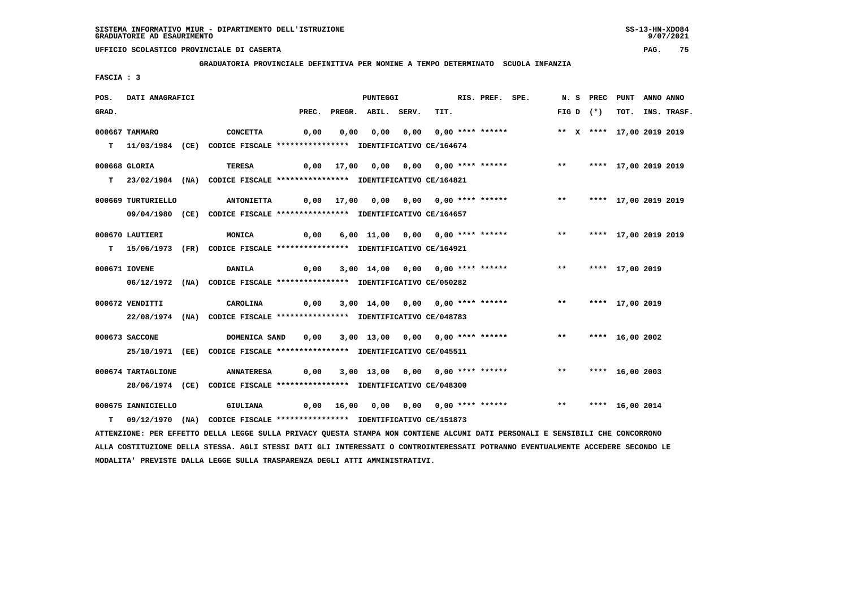**GRADUATORIA PROVINCIALE DEFINITIVA PER NOMINE A TEMPO DETERMINATO SCUOLA INFANZIA**

 **FASCIA : 3**

| POS.  | DATI ANAGRAFICI    |                                                                            |      |      | PUNTEGGI                 |                                                                | RIS. PREF. SPE. |               | N.S PREC    | PUNT                      | ANNO ANNO |                  |
|-------|--------------------|----------------------------------------------------------------------------|------|------|--------------------------|----------------------------------------------------------------|-----------------|---------------|-------------|---------------------------|-----------|------------------|
| GRAD. |                    |                                                                            |      |      | PREC. PREGR. ABIL. SERV. | TIT.                                                           |                 |               | FIG D $(*)$ |                           |           | TOT. INS. TRASF. |
|       | 000667 TAMMARO     | <b>CONCETTA</b>                                                            | 0,00 | 0,00 | 0,00                     | 0,00 0,00 **** ******                                          |                 |               |             | ** X **** 17,00 2019 2019 |           |                  |
|       |                    | T 11/03/1984 (CE) CODICE FISCALE **************** IDENTIFICATIVO CE/164674 |      |      |                          |                                                                |                 |               |             |                           |           |                  |
|       | 000668 GLORIA      | <b>TERESA</b>                                                              |      |      |                          | 0,00 17,00 0,00 0,00 0,00 **** ****** *** **** 17,00 2019 2019 |                 |               |             |                           |           |                  |
|       |                    | T 23/02/1984 (NA) CODICE FISCALE **************** IDENTIFICATIVO CE/164821 |      |      |                          |                                                                |                 |               |             |                           |           |                  |
|       | 000669 TURTURIELLO | <b>ANTONIETTA</b>                                                          |      |      |                          | 0,00 17,00 0,00 0,00 0,00 **** ******                          |                 | $\star \star$ |             | **** 17,00 2019 2019      |           |                  |
|       |                    | 09/04/1980 (CE) CODICE FISCALE *************** IDENTIFICATIVO CE/164657    |      |      |                          |                                                                |                 |               |             |                           |           |                  |
|       | 000670 LAUTIERI    | <b>MONICA</b>                                                              | 0,00 |      |                          | 6,00 11,00 0,00 0,00 **** ******                               |                 | $\star\star$  |             | **** 17,00 2019 2019      |           |                  |
|       |                    | T 15/06/1973 (FR) CODICE FISCALE *************** IDENTIFICATIVO CE/164921  |      |      |                          |                                                                |                 |               |             |                           |           |                  |
|       | 000671 IOVENE      | <b>DANILA</b>                                                              |      |      |                          | 0,00 3,00 14,00 0,00 0,00 **** ******                          |                 | $***$         |             | **** 17,00 2019           |           |                  |
|       |                    | 06/12/1972 (NA) CODICE FISCALE *************** IDENTIFICATIVO CE/050282    |      |      |                          |                                                                |                 |               |             |                           |           |                  |
|       | 000672 VENDITTI    | CAROLINA                                                                   |      |      |                          | 0,00 3,00 14,00 0,00 0,00 **** ******                          |                 | $***$         |             | **** 17,00 2019           |           |                  |
|       |                    | 22/08/1974 (NA) CODICE FISCALE *************** IDENTIFICATIVO CE/048783    |      |      |                          |                                                                |                 |               |             |                           |           |                  |
|       | 000673 SACCONE     | DOMENICA SAND                                                              | 0,00 |      |                          | 3,00 13,00 0,00 0,00 **** ******                               |                 | $***$         |             | **** 16,00 2002           |           |                  |
|       |                    | 25/10/1971 (EE) CODICE FISCALE *************** IDENTIFICATIVO CE/045511    |      |      |                          |                                                                |                 |               |             |                           |           |                  |
|       | 000674 TARTAGLIONE | <b>ANNATERESA</b>                                                          | 0,00 |      |                          | 3,00 13,00 0,00 0,00 **** ******                               |                 | $***$         |             | **** 16,00 2003           |           |                  |
|       |                    | 28/06/1974 (CE) CODICE FISCALE *************** IDENTIFICATIVO CE/048300    |      |      |                          |                                                                |                 |               |             |                           |           |                  |
|       | 000675 IANNICIELLO | <b>GIULIANA</b>                                                            |      |      |                          | 0,00 16,00 0,00 0,00 0,00 **** ******                          |                 | $* *$         |             | **** 16,00 2014           |           |                  |
| т     |                    | 09/12/1970 (NA) CODICE FISCALE *************** IDENTIFICATIVO CE/151873    |      |      |                          |                                                                |                 |               |             |                           |           |                  |

 **ATTENZIONE: PER EFFETTO DELLA LEGGE SULLA PRIVACY QUESTA STAMPA NON CONTIENE ALCUNI DATI PERSONALI E SENSIBILI CHE CONCORRONO ALLA COSTITUZIONE DELLA STESSA. AGLI STESSI DATI GLI INTERESSATI O CONTROINTERESSATI POTRANNO EVENTUALMENTE ACCEDERE SECONDO LE MODALITA' PREVISTE DALLA LEGGE SULLA TRASPARENZA DEGLI ATTI AMMINISTRATIVI.**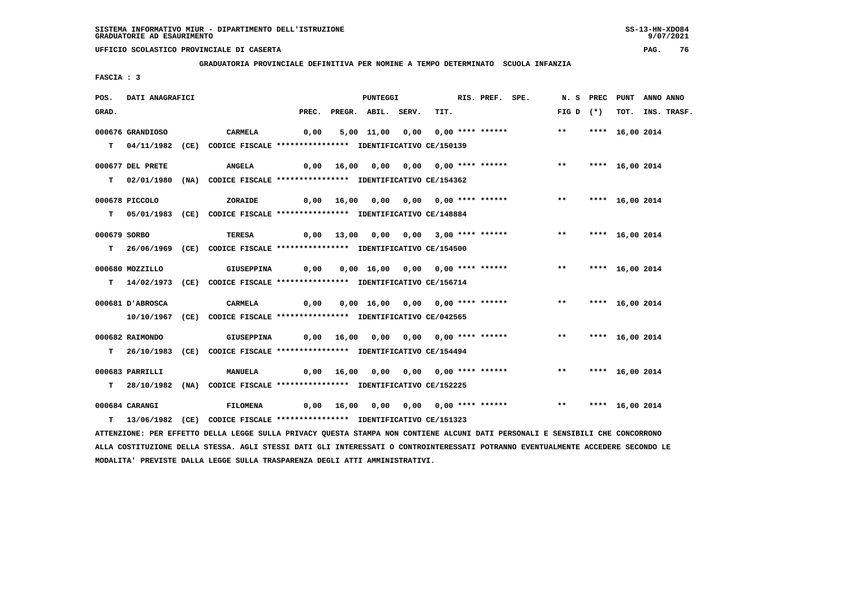**GRADUATORIA PROVINCIALE DEFINITIVA PER NOMINE A TEMPO DETERMINATO SCUOLA INFANZIA**

 **FASCIA : 3**

| POS.         | DATI ANAGRAFICI  |                                                                                                                               |      | PUNTEGGI                 |                                                               | RIS. PREF. SPE. |                    | N. S PREC PUNT  | ANNO ANNO |                  |
|--------------|------------------|-------------------------------------------------------------------------------------------------------------------------------|------|--------------------------|---------------------------------------------------------------|-----------------|--------------------|-----------------|-----------|------------------|
| GRAD.        |                  |                                                                                                                               |      | PREC. PREGR. ABIL. SERV. | TIT.                                                          |                 | FIG D $(*)$        |                 |           | TOT. INS. TRASF. |
|              | 000676 GRANDIOSO | CARMELA                                                                                                                       | 0,00 |                          | 5,00 11,00 0,00 0,00 **** ******                              |                 | $\star \star$      | **** 16,00 2014 |           |                  |
|              |                  | T 04/11/1982 (CE) CODICE FISCALE **************** IDENTIFICATIVO CE/150139                                                    |      |                          |                                                               |                 |                    |                 |           |                  |
|              | 000677 DEL PRETE | <b>ANGELA</b>                                                                                                                 |      |                          | 0,00 16,00 0,00 0,00 0,00 **** ******                         |                 | ** **** 16,00 2014 |                 |           |                  |
|              |                  | T 02/01/1980 (NA) CODICE FISCALE *************** IDENTIFICATIVO CE/154362                                                     |      |                          |                                                               |                 |                    |                 |           |                  |
|              | 000678 PICCOLO   | ZORAIDE                                                                                                                       |      |                          | $0,00$ 16,00 0,00 0,00 0,00 **** ****** *** **                |                 |                    | **** 16,00 2014 |           |                  |
|              |                  | T 05/01/1983 (CE) CODICE FISCALE *************** IDENTIFICATIVO CE/148884                                                     |      |                          |                                                               |                 |                    |                 |           |                  |
| 000679 SORBO |                  | TERESA                                                                                                                        |      |                          | 0,00 13,00 0,00 0,00 3,00 **** ******                         |                 | ** **** 16,00 2014 |                 |           |                  |
|              |                  | T 26/06/1969 (CE) CODICE FISCALE *************** IDENTIFICATIVO CE/154500                                                     |      |                          |                                                               |                 |                    |                 |           |                  |
|              | 000680 MOZZILLO  | GIUSEPPINA                                                                                                                    |      |                          | 0,00 0,00 16,00 0,00 0,00 **** ****** *** *** **** 16,00 2014 |                 |                    |                 |           |                  |
|              |                  | T 14/02/1973 (CE) CODICE FISCALE *************** IDENTIFICATIVO CE/156714                                                     |      |                          |                                                               |                 |                    |                 |           |                  |
|              | 000681 D'ABROSCA | CARMELA                                                                                                                       | 0,00 |                          | 0,00 16,00 0,00 0,00 **** ******                              |                 | $***$              | **** 16,00 2014 |           |                  |
|              |                  | 10/10/1967 (CE) CODICE FISCALE *************** IDENTIFICATIVO CE/042565                                                       |      |                          |                                                               |                 |                    |                 |           |                  |
|              | 000682 RAIMONDO  | GIUSEPPINA                                                                                                                    |      |                          | 0,00 16,00 0,00 0,00 0,00 **** ****** *** **                  |                 |                    | **** 16,00 2014 |           |                  |
|              |                  | T 26/10/1983 (CE) CODICE FISCALE *************** IDENTIFICATIVO CE/154494                                                     |      |                          |                                                               |                 |                    |                 |           |                  |
|              | 000683 PARRILLI  | MANUELA                                                                                                                       |      |                          | 0,00 16,00 0,00 0,00 0,00 **** ******                         |                 | ** **** 16,00 2014 |                 |           |                  |
|              |                  | T 28/10/1982 (NA) CODICE FISCALE **************** IDENTIFICATIVO CE/152225                                                    |      |                          |                                                               |                 |                    |                 |           |                  |
|              | 000684 CARANGI   | FILOMENA                                                                                                                      |      |                          |                                                               |                 |                    |                 |           |                  |
|              |                  | T 13/06/1982 (CE) CODICE FISCALE *************** IDENTIFICATIVO CE/151323                                                     |      |                          |                                                               |                 |                    |                 |           |                  |
|              |                  | ATTENZIONE: PER EFFETTO DELLA LEGGE SULLA PRIVACY QUESTA STAMPA NON CONTIENE ALCUNI DATI PERSONALI E SENSIBILI CHE CONCORRONO |      |                          |                                                               |                 |                    |                 |           |                  |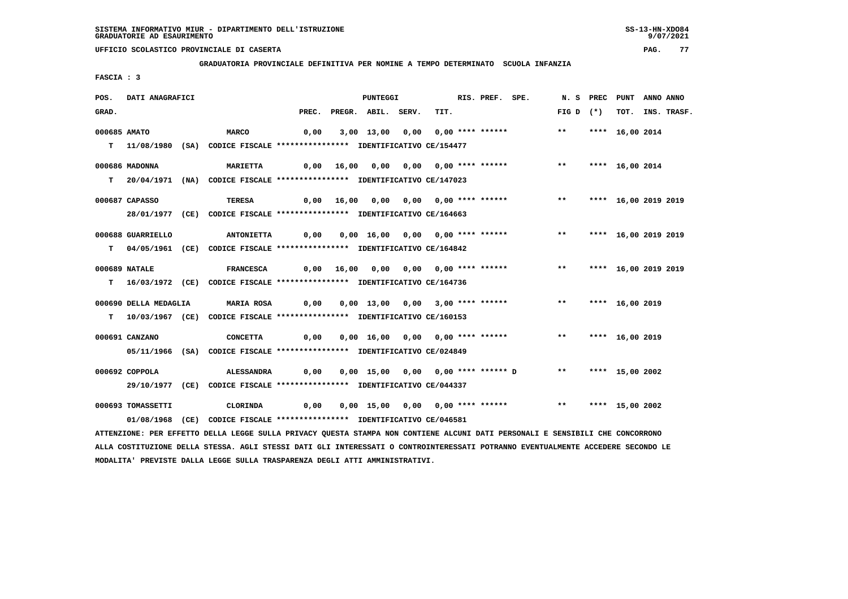**GRADUATORIA PROVINCIALE DEFINITIVA PER NOMINE A TEMPO DETERMINATO SCUOLA INFANZIA**

 **FASCIA : 3**

| POS.         | DATI ANAGRAFICI       |                                                                                                                               |      | PUNTEGGI                 |                                                                            | RIS. PREF. SPE. |                         | N. S PREC PUNT |                      | ANNO ANNO |                  |
|--------------|-----------------------|-------------------------------------------------------------------------------------------------------------------------------|------|--------------------------|----------------------------------------------------------------------------|-----------------|-------------------------|----------------|----------------------|-----------|------------------|
| GRAD.        |                       |                                                                                                                               |      | PREC. PREGR. ABIL. SERV. | TIT.                                                                       |                 | FIG D $(*)$             |                |                      |           | TOT. INS. TRASF. |
| 000685 AMATO |                       | <b>MARCO</b>                                                                                                                  | 0,00 |                          | 3,00 13,00 0,00 0,00 **** ******                                           |                 | $***$                   |                | **** 16,00 2014      |           |                  |
|              |                       | T 11/08/1980 (SA) CODICE FISCALE *************** IDENTIFICATIVO CE/154477                                                     |      |                          |                                                                            |                 |                         |                |                      |           |                  |
|              |                       |                                                                                                                               |      |                          |                                                                            |                 |                         |                |                      |           |                  |
|              | 000686 MADONNA        | <b>MARIETTA</b>                                                                                                               |      |                          | 0,00 16,00 0,00 0,00 0,00 **** ******               **     **** 16,00 2014 |                 |                         |                |                      |           |                  |
|              |                       | T 20/04/1971 (NA) CODICE FISCALE **************** IDENTIFICATIVO CE/147023                                                    |      |                          |                                                                            |                 |                         |                |                      |           |                  |
|              |                       |                                                                                                                               |      |                          |                                                                            |                 |                         |                |                      |           |                  |
|              | 000687 CAPASSO        | TERESA                                                                                                                        |      |                          | 0,00 16,00 0,00 0,00 0,00 **** ******                                      |                 | $***$                   |                | **** 16,00 2019 2019 |           |                  |
|              |                       | 28/01/1977 (CE) CODICE FISCALE *************** IDENTIFICATIVO CE/164663                                                       |      |                          |                                                                            |                 |                         |                |                      |           |                  |
|              | 000688 GUARRIELLO     | <b>ANTONIETTA</b>                                                                                                             | 0,00 |                          | 0,00 16,00 0,00 0,00 **** ****** *** **** 16,00 2019 2019                  |                 |                         |                |                      |           |                  |
|              |                       | T 04/05/1961 (CE) CODICE FISCALE **************** IDENTIFICATIVO CE/164842                                                    |      |                          |                                                                            |                 |                         |                |                      |           |                  |
|              |                       |                                                                                                                               |      |                          |                                                                            |                 |                         |                |                      |           |                  |
|              | 000689 NATALE         | <b>FRANCESCA</b>                                                                                                              |      |                          | 0,00 16,00 0,00 0,00 0,00 **** ******                                      |                 | ** **** 16,00 2019 2019 |                |                      |           |                  |
|              |                       | T 16/03/1972 (CE) CODICE FISCALE **************** IDENTIFICATIVO CE/164736                                                    |      |                          |                                                                            |                 |                         |                |                      |           |                  |
|              |                       |                                                                                                                               |      |                          |                                                                            |                 |                         |                |                      |           |                  |
|              | 000690 DELLA MEDAGLIA | MARIA ROSA        0,00    0,00   13,00   0,00   3,00  ****  ******                **                                          |      |                          |                                                                            |                 |                         |                | **** 16,00 2019      |           |                  |
|              |                       | T 10/03/1967 (CE) CODICE FISCALE *************** IDENTIFICATIVO CE/160153                                                     |      |                          |                                                                            |                 |                         |                |                      |           |                  |
|              | 000691 CANZANO        | <b>CONCETTA</b>                                                                                                               | 0,00 |                          | 0,00 16,00 0,00 0,00 **** ****** ** **                                     |                 |                         |                | **** 16,00 2019      |           |                  |
|              |                       | 05/11/1966 (SA) CODICE FISCALE *************** IDENTIFICATIVO CE/024849                                                       |      |                          |                                                                            |                 |                         |                |                      |           |                  |
|              |                       |                                                                                                                               |      |                          |                                                                            |                 |                         |                |                      |           |                  |
|              | 000692 COPPOLA        | <b>ALESSANDRA</b>                                                                                                             | 0,00 |                          | 0,00 15,00 0,00 0,00 **** ****** D                                         |                 | ** **** 15,00 2002      |                |                      |           |                  |
|              |                       | 29/10/1977 (CE) CODICE FISCALE *************** IDENTIFICATIVO CE/044337                                                       |      |                          |                                                                            |                 |                         |                |                      |           |                  |
|              | 000693 TOMASSETTI     |                                                                                                                               | 0,00 |                          | 0,00 15,00 0,00 0,00 **** ****** *** *** **** 15,00 2002                   |                 |                         |                |                      |           |                  |
|              |                       | CLORINDA                                                                                                                      |      |                          |                                                                            |                 |                         |                |                      |           |                  |
|              |                       | 01/08/1968 (CE) CODICE FISCALE *************** IDENTIFICATIVO CE/046581                                                       |      |                          |                                                                            |                 |                         |                |                      |           |                  |
|              |                       | ATTENZIONE: PER EFFETTO DELLA LEGGE SULLA PRIVACY QUESTA STAMPA NON CONTIENE ALCUNI DATI PERSONALI E SENSIBILI CHE CONCORRONO |      |                          |                                                                            |                 |                         |                |                      |           |                  |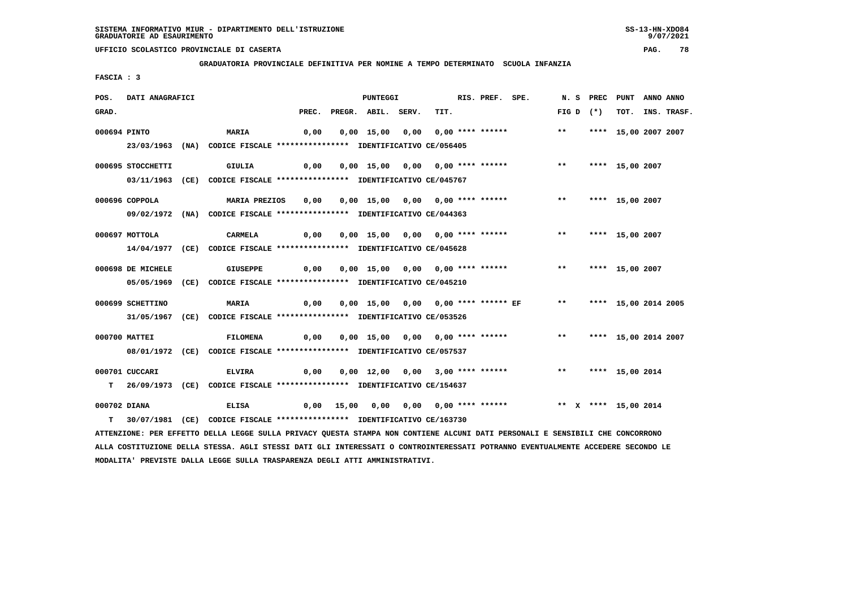**GRADUATORIA PROVINCIALE DEFINITIVA PER NOMINE A TEMPO DETERMINATO SCUOLA INFANZIA**

 **FASCIA : 3**

| POS.  | DATI ANAGRAFICI   |                                                                                                                               | <b>PUNTEGGI</b> |                    | RIS. PREF. SPE.                  |  |                                                               | N. S PREC PUNT     |  | ANNO ANNO            |  |                  |
|-------|-------------------|-------------------------------------------------------------------------------------------------------------------------------|-----------------|--------------------|----------------------------------|--|---------------------------------------------------------------|--------------------|--|----------------------|--|------------------|
| GRAD. |                   |                                                                                                                               | PREC.           | PREGR. ABIL. SERV. | TIT.                             |  |                                                               | $FIG D (*)$        |  |                      |  | TOT. INS. TRASF. |
|       | 000694 PINTO      | <b>MARIA</b>                                                                                                                  | 0,00            |                    | 0,00 15,00 0,00 0,00 **** ****** |  |                                                               | $***$              |  | **** 15,00 2007 2007 |  |                  |
|       |                   | 23/03/1963 (NA) CODICE FISCALE *************** IDENTIFICATIVO CE/056405                                                       |                 |                    |                                  |  |                                                               |                    |  |                      |  |                  |
|       | 000695 STOCCHETTI | GIULIA                                                                                                                        | 0,00            |                    |                                  |  | 0,00 15,00 0,00 0,00 **** ****** *** *** **** 15,00 2007      |                    |  |                      |  |                  |
|       |                   | 03/11/1963 (CE) CODICE FISCALE *************** IDENTIFICATIVO CE/045767                                                       |                 |                    |                                  |  |                                                               |                    |  |                      |  |                  |
|       | $000696$ COPPOLA  | <b>MARIA PREZIOS</b>                                                                                                          | 0,00            |                    | 0,00 15,00 0,00 0,00 **** ****** |  |                                                               | $***$              |  | **** 15,00 2007      |  |                  |
|       |                   | 09/02/1972 (NA) CODICE FISCALE *************** IDENTIFICATIVO CE/044363                                                       |                 |                    |                                  |  |                                                               |                    |  |                      |  |                  |
|       | 000697 MOTTOLA    | CARMELA                                                                                                                       | 0,00            |                    |                                  |  | 0,00 15,00 0,00 0,00 **** ****** *** **                       |                    |  | **** 15,00 2007      |  |                  |
|       |                   | 14/04/1977 (CE) CODICE FISCALE **************** IDENTIFICATIVO CE/045628                                                      |                 |                    |                                  |  |                                                               |                    |  |                      |  |                  |
|       | 000698 DE MICHELE | GIUSEPPE                                                                                                                      | 0,00            |                    |                                  |  | 0,00 15,00 0,00 0,00 **** ****** *** *** **** 15,00 2007      |                    |  |                      |  |                  |
|       |                   | 05/05/1969 (CE) CODICE FISCALE *************** IDENTIFICATIVO CE/045210                                                       |                 |                    |                                  |  |                                                               |                    |  |                      |  |                  |
|       | 000699 SCHETTINO  | <b>MARIA</b>                                                                                                                  | 0,00            |                    |                                  |  | 0,00 15,00 0,00 0,00 **** ****** EF ** **** 15,00 2014 2005   |                    |  |                      |  |                  |
|       |                   | 31/05/1967 (CE) CODICE FISCALE *************** IDENTIFICATIVO CE/053526                                                       |                 |                    |                                  |  |                                                               |                    |  |                      |  |                  |
|       | 000700 MATTEI     | <b>FILOMENA</b>                                                                                                               | 0,00            |                    |                                  |  | 0,00 15,00 0,00 0,00 **** ****** *** *** **** 15,00 2014 2007 |                    |  |                      |  |                  |
|       |                   | 08/01/1972 (CE) CODICE FISCALE *************** IDENTIFICATIVO CE/057537                                                       |                 |                    |                                  |  |                                                               |                    |  |                      |  |                  |
|       |                   |                                                                                                                               |                 |                    |                                  |  |                                                               |                    |  |                      |  |                  |
|       | 000701 CUCCARI    | <b>ELVIRA</b>                                                                                                                 | 0,00            |                    | 0,00 12,00 0,00 3,00 **** ****** |  |                                                               | ** **** 15,00 2014 |  |                      |  |                  |
|       |                   | T 26/09/1973 (CE) CODICE FISCALE **************** IDENTIFICATIVO CE/154637                                                    |                 |                    |                                  |  |                                                               |                    |  |                      |  |                  |
|       | 000702 DIANA      | <b>ELISA</b>                                                                                                                  | 0,00            |                    |                                  |  | 15,00 0,00 0,00 0,00 **** ****** * *** * **** 15,00 2014      |                    |  |                      |  |                  |
| т     |                   | 30/07/1981 (CE) CODICE FISCALE **************** IDENTIFICATIVO CE/163730                                                      |                 |                    |                                  |  |                                                               |                    |  |                      |  |                  |
|       |                   | ATTENZIONE: PER EFFETTO DELLA LEGGE SULLA PRIVACY QUESTA STAMPA NON CONTIENE ALCUNI DATI PERSONALI E SENSIBILI CHE CONCORRONO |                 |                    |                                  |  |                                                               |                    |  |                      |  |                  |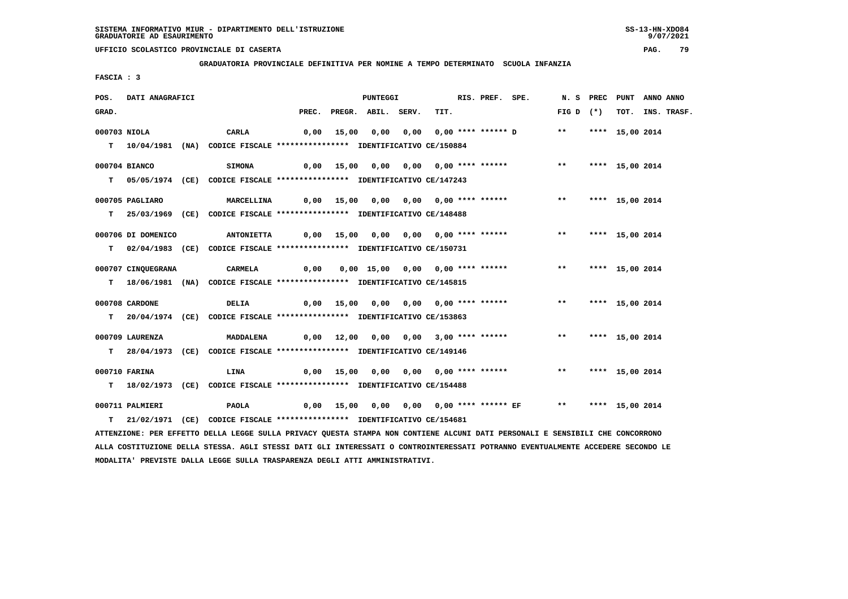**GRADUATORIA PROVINCIALE DEFINITIVA PER NOMINE A TEMPO DETERMINATO SCUOLA INFANZIA**

 **FASCIA : 3**

| POS.  | DATI ANAGRAFICI    |                                                                                                                               |                                                                            | <b>PUNTEGGI</b>          |                                                                          | RIS. PREF. SPE. |             | N. S PREC PUNT ANNO ANNO |                  |
|-------|--------------------|-------------------------------------------------------------------------------------------------------------------------------|----------------------------------------------------------------------------|--------------------------|--------------------------------------------------------------------------|-----------------|-------------|--------------------------|------------------|
| GRAD. |                    |                                                                                                                               |                                                                            | PREC. PREGR. ABIL. SERV. | TIT.                                                                     |                 | FIG D $(*)$ |                          | TOT. INS. TRASF. |
|       | 000703 NIOLA       | CARLA                                                                                                                         |                                                                            |                          | 0,00 15,00 0,00 0,00 0,00 **** ****** D ** **** 15,00 2014               |                 |             |                          |                  |
|       |                    |                                                                                                                               |                                                                            |                          |                                                                          |                 |             |                          |                  |
|       |                    | T  10/04/1981 (NA) CODICE FISCALE *************** IDENTIFICATIVO CE/150884                                                    |                                                                            |                          |                                                                          |                 |             |                          |                  |
|       | 000704 BIANCO      | <b>SIMONA</b>                                                                                                                 |                                                                            |                          | 0,00 15,00 0,00 0,00 0,00 **** ******             **     **** 15,00 2014 |                 |             |                          |                  |
|       |                    | T 05/05/1974 (CE) CODICE FISCALE *************** IDENTIFICATIVO CE/147243                                                     |                                                                            |                          |                                                                          |                 |             |                          |                  |
|       |                    |                                                                                                                               |                                                                            |                          |                                                                          |                 |             |                          |                  |
|       | 000705 PAGLIARO    | <b>MARCELLINA</b>                                                                                                             |                                                                            |                          | 0,00 15,00 0,00 0,00 0,00 **** ****** *** **                             |                 |             | **** 15,00 2014          |                  |
|       |                    | T 25/03/1969 (CE) CODICE FISCALE *************** IDENTIFICATIVO CE/148488                                                     |                                                                            |                          |                                                                          |                 |             |                          |                  |
|       |                    |                                                                                                                               |                                                                            |                          |                                                                          |                 |             |                          |                  |
|       | 000706 DI DOMENICO | <b>ANTONIETTA</b>                                                                                                             | 0,00 15,00 0,00 0,00 0,00 **** ******               **     **** 15,00 2014 |                          |                                                                          |                 |             |                          |                  |
|       |                    | T 02/04/1983 (CE) CODICE FISCALE *************** IDENTIFICATIVO CE/150731                                                     |                                                                            |                          |                                                                          |                 |             |                          |                  |
|       |                    |                                                                                                                               |                                                                            |                          |                                                                          |                 |             |                          |                  |
|       | 000707 CINQUEGRANA | CARMELA                                                                                                                       |                                                                            |                          |                                                                          |                 |             |                          |                  |
|       |                    | T 18/06/1981 (NA) CODICE FISCALE *************** IDENTIFICATIVO CE/145815                                                     |                                                                            |                          |                                                                          |                 |             |                          |                  |
|       | 000708 CARDONE     | DELIA                                                                                                                         |                                                                            |                          | 0,00 15,00 0,00 0,00 0,00 **** ****** *** **                             |                 |             | **** 15,00 2014          |                  |
|       |                    |                                                                                                                               |                                                                            |                          |                                                                          |                 |             |                          |                  |
|       |                    | T 20/04/1974 (CE) CODICE FISCALE *************** IDENTIFICATIVO CE/153863                                                     |                                                                            |                          |                                                                          |                 |             |                          |                  |
|       | 000709 LAURENZA    | MADDALENA                                                                                                                     |                                                                            |                          | 0,00 12,00 0,00 0,00 3,00 **** ****** *** **                             |                 |             | **** 15,00 2014          |                  |
|       |                    | T 28/04/1973 (CE) CODICE FISCALE *************** IDENTIFICATIVO CE/149146                                                     |                                                                            |                          |                                                                          |                 |             |                          |                  |
|       |                    |                                                                                                                               |                                                                            |                          |                                                                          |                 |             |                          |                  |
|       | 000710 FARINA      | LINA                                                                                                                          |                                                                            |                          | 0,00 15,00 0,00 0,00 0,00 **** ****** *** **** 15,00 2014                |                 |             |                          |                  |
|       |                    | T 18/02/1973 (CE) CODICE FISCALE **************** IDENTIFICATIVO CE/154488                                                    |                                                                            |                          |                                                                          |                 |             |                          |                  |
|       |                    |                                                                                                                               |                                                                            |                          |                                                                          |                 |             |                          |                  |
|       | 000711 PALMIERI    | <b>PAOLA</b>                                                                                                                  |                                                                            |                          | 0,00 15,00 0,00 0,00 0,00 **** ****** EF ** **** 15,00 2014              |                 |             |                          |                  |
|       |                    | T 21/02/1971 (CE) CODICE FISCALE *************** IDENTIFICATIVO CE/154681                                                     |                                                                            |                          |                                                                          |                 |             |                          |                  |
|       |                    | ATTENZIONE: PER EFFETTO DELLA LEGGE SULLA PRIVACY QUESTA STAMPA NON CONTIENE ALCUNI DATI PERSONALI E SENSIBILI CHE CONCORRONO |                                                                            |                          |                                                                          |                 |             |                          |                  |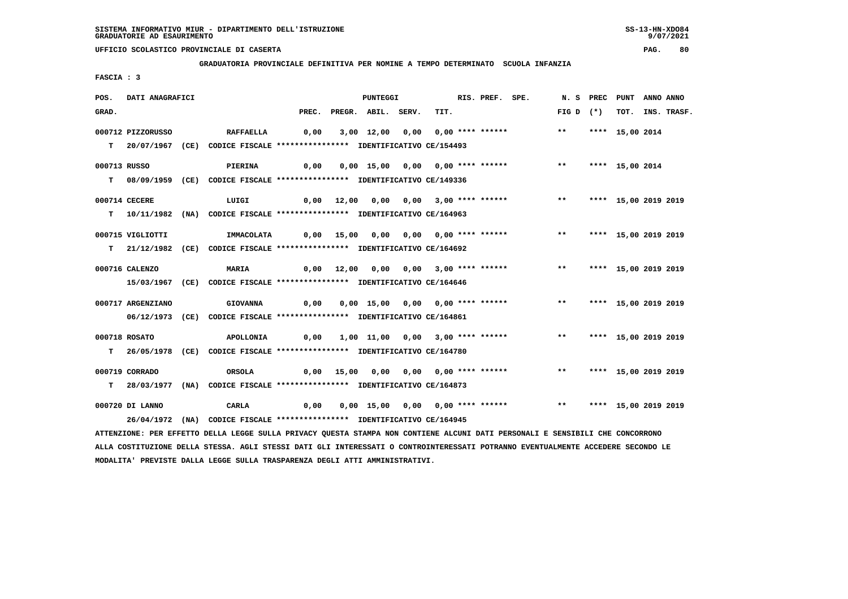**GRADUATORIA PROVINCIALE DEFINITIVA PER NOMINE A TEMPO DETERMINATO SCUOLA INFANZIA**

 **FASCIA : 3**

| POS.         | DATI ANAGRAFICI   |                                                                                                                               |       | PUNTEGGI                              |      | RIS. PREF. SPE. |                                       |               | N.S PREC | PUNT                    | ANNO ANNO |             |
|--------------|-------------------|-------------------------------------------------------------------------------------------------------------------------------|-------|---------------------------------------|------|-----------------|---------------------------------------|---------------|----------|-------------------------|-----------|-------------|
| GRAD.        |                   |                                                                                                                               | PREC. | PREGR. ABIL. SERV.                    | TIT. |                 |                                       | FIG D $(*)$   |          | тот.                    |           | INS. TRASF. |
|              | 000712 PIZZORUSSO | <b>RAFFAELLA</b>                                                                                                              | 0,00  | 3,00 12,00 0,00 0,00 **** ******      |      |                 |                                       | $***$         |          | **** 15,00 2014         |           |             |
|              |                   |                                                                                                                               |       |                                       |      |                 |                                       |               |          |                         |           |             |
|              |                   | T 20/07/1967 (CE) CODICE FISCALE *************** IDENTIFICATIVO CE/154493                                                     |       |                                       |      |                 |                                       |               |          |                         |           |             |
| 000713 RUSSO |                   | PIERINA                                                                                                                       | 0,00  | 0,00 15,00 0,00 0,00 **** ******      |      |                 |                                       | $***$         |          | **** 15,00 2014         |           |             |
|              |                   | T 08/09/1959 (CE) CODICE FISCALE *************** IDENTIFICATIVO CE/149336                                                     |       |                                       |      |                 |                                       |               |          |                         |           |             |
|              |                   |                                                                                                                               |       |                                       |      |                 |                                       |               |          |                         |           |             |
|              | 000714 CECERE     | LUIGI                                                                                                                         |       | 0,00 12,00 0,00 0,00 3,00 **** ****** |      |                 |                                       | $***$         |          | **** 15,00 2019 2019    |           |             |
|              |                   | T  10/11/1982 (NA) CODICE FISCALE *************** IDENTIFICATIVO CE/164963                                                    |       |                                       |      |                 |                                       |               |          |                         |           |             |
|              |                   |                                                                                                                               |       |                                       |      |                 |                                       |               |          |                         |           |             |
|              | 000715 VIGLIOTTI  | IMMACOLATA                                                                                                                    |       | 0,00 15,00 0,00 0,00 0,00 **** ****** |      |                 |                                       |               |          | ** **** 15,00 2019 2019 |           |             |
|              |                   | T 21/12/1982 (CE) CODICE FISCALE *************** IDENTIFICATIVO CE/164692                                                     |       |                                       |      |                 |                                       |               |          |                         |           |             |
|              | 000716 CALENZO    | <b>MARIA</b>                                                                                                                  |       | 0,00 12,00 0,00 0,00 3,00 **** ****** |      |                 |                                       | $***$         |          | **** 15,00 2019 2019    |           |             |
|              |                   |                                                                                                                               |       |                                       |      |                 |                                       |               |          |                         |           |             |
|              |                   | 15/03/1967 (CE) CODICE FISCALE *************** IDENTIFICATIVO CE/164646                                                       |       |                                       |      |                 |                                       |               |          |                         |           |             |
|              | 000717 ARGENZIANO | <b>GIOVANNA</b>                                                                                                               | 0,00  | 0,00 15,00 0,00 0,00 **** ******      |      |                 |                                       | $***$         |          | **** 15,00 2019 2019    |           |             |
|              |                   | 06/12/1973 (CE) CODICE FISCALE **************** IDENTIFICATIVO CE/164861                                                      |       |                                       |      |                 |                                       |               |          |                         |           |             |
|              |                   |                                                                                                                               |       |                                       |      |                 |                                       |               |          |                         |           |             |
|              | 000718 ROSATO     | APOLLONIA                                                                                                                     | 0,00  | 1,00 11,00 0,00 3,00 **** ******      |      |                 |                                       | $***$         |          | **** 15,00 2019 2019    |           |             |
| т            |                   | 26/05/1978 (CE) CODICE FISCALE *************** IDENTIFICATIVO CE/164780                                                       |       |                                       |      |                 |                                       |               |          |                         |           |             |
|              |                   |                                                                                                                               |       |                                       |      |                 |                                       |               |          |                         |           |             |
|              | 000719 CORRADO    | ORSOLA                                                                                                                        |       |                                       |      |                 | 0,00 15,00 0,00 0,00 0,00 **** ****** | $***$         |          | **** 15,00 2019 2019    |           |             |
|              |                   | T 28/03/1977 (NA) CODICE FISCALE *************** IDENTIFICATIVO CE/164873                                                     |       |                                       |      |                 |                                       |               |          |                         |           |             |
|              | 000720 DI LANNO   | CARLA                                                                                                                         | 0,00  | $0,00$ 15,00 0,00 0,00 **** ******    |      |                 |                                       | $\star \star$ |          | **** 15,00 2019 2019    |           |             |
|              | 26/04/1972        | (NA) CODICE FISCALE **************** IDENTIFICATIVO CE/164945                                                                 |       |                                       |      |                 |                                       |               |          |                         |           |             |
|              |                   | ATTENZIONE: PER EFFETTO DELLA LEGGE SULLA PRIVACY QUESTA STAMPA NON CONTIENE ALCUNI DATI PERSONALI E SENSIBILI CHE CONCORRONO |       |                                       |      |                 |                                       |               |          |                         |           |             |
|              |                   |                                                                                                                               |       |                                       |      |                 |                                       |               |          |                         |           |             |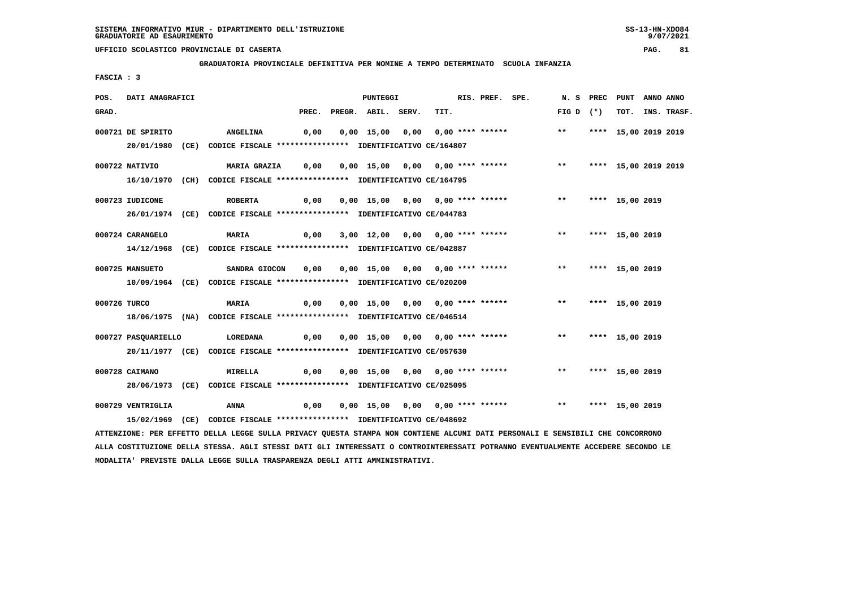**GRADUATORIA PROVINCIALE DEFINITIVA PER NOMINE A TEMPO DETERMINATO SCUOLA INFANZIA**

 **FASCIA : 3**

| POS.         | DATI ANAGRAFICI     |                                                                                                                               |      |                          | <b>PUNTEGGI</b> |                                  | RIS. PREF. SPE. |                                                          |                    | N. S PREC PUNT ANNO ANNO |                  |
|--------------|---------------------|-------------------------------------------------------------------------------------------------------------------------------|------|--------------------------|-----------------|----------------------------------|-----------------|----------------------------------------------------------|--------------------|--------------------------|------------------|
| GRAD.        |                     |                                                                                                                               |      | PREC. PREGR. ABIL. SERV. |                 | TIT.                             |                 |                                                          | $FIG D (*)$        |                          | TOT. INS. TRASF. |
|              | 000721 DE SPIRITO   | <b>ANGELINA</b>                                                                                                               | 0,00 |                          |                 |                                  |                 | 0,00 15,00 0,00 0,00 **** ****** *** **                  |                    | **** 15,00 2019 2019     |                  |
|              |                     | 20/01/1980 (CE) CODICE FISCALE *************** IDENTIFICATIVO CE/164807                                                       |      |                          |                 |                                  |                 |                                                          |                    |                          |                  |
|              | 000722 NATIVIO      |                                                                                                                               |      |                          |                 |                                  |                 |                                                          |                    |                          |                  |
|              |                     | 16/10/1970 (CH) CODICE FISCALE *************** IDENTIFICATIVO CE/164795                                                       |      |                          |                 |                                  |                 |                                                          |                    |                          |                  |
|              | 000723 IUDICONE     | <b>ROBERTA</b>                                                                                                                | 0,00 |                          |                 |                                  |                 | 0,00 15,00 0,00 0,00 **** ****** *** **                  |                    | **** 15,00 2019          |                  |
|              |                     | 26/01/1974 (CE) CODICE FISCALE *************** IDENTIFICATIVO CE/044783                                                       |      |                          |                 |                                  |                 |                                                          |                    |                          |                  |
|              | 000724 CARANGELO    | <b>MARIA</b>                                                                                                                  | 0,00 |                          |                 |                                  |                 | 3,00 12,00 0,00 0,00 **** ****** *** **                  |                    | **** 15,00 2019          |                  |
|              |                     | 14/12/1968 (CE) CODICE FISCALE *************** IDENTIFICATIVO CE/042887                                                       |      |                          |                 |                                  |                 |                                                          |                    |                          |                  |
|              | 000725 MANSUETO     | SANDRA GIOCON                                                                                                                 |      |                          |                 |                                  |                 |                                                          |                    |                          |                  |
|              |                     | 10/09/1964 (CE) CODICE FISCALE *************** IDENTIFICATIVO CE/020200                                                       |      |                          |                 |                                  |                 |                                                          |                    |                          |                  |
| 000726 TURCO |                     | <b>MARIA</b>                                                                                                                  | 0,00 |                          |                 |                                  |                 | 0,00 15,00 0,00 0,00 **** ******             **          |                    | **** 15,00 2019          |                  |
|              |                     | 18/06/1975 (NA) CODICE FISCALE *************** IDENTIFICATIVO CE/046514                                                       |      |                          |                 |                                  |                 |                                                          |                    |                          |                  |
|              | 000727 PASQUARIELLO | <b>LOREDANA</b>                                                                                                               |      |                          |                 |                                  |                 |                                                          |                    | **** 15,00 2019          |                  |
|              |                     | 20/11/1977 (CE) CODICE FISCALE *************** IDENTIFICATIVO CE/057630                                                       |      |                          |                 |                                  |                 |                                                          |                    |                          |                  |
|              | 000728 CAIMANO      | <b>MIRELLA</b>                                                                                                                | 0,00 |                          |                 | 0,00 15,00 0,00 0,00 **** ****** |                 |                                                          | ** **** 15,00 2019 |                          |                  |
|              |                     | 28/06/1973 (CE) CODICE FISCALE *************** IDENTIFICATIVO CE/025095                                                       |      |                          |                 |                                  |                 |                                                          |                    |                          |                  |
|              | 000729 VENTRIGLIA   | ANNA                                                                                                                          | 0,00 |                          |                 |                                  |                 | 0,00 15,00 0,00 0,00 **** ****** *** *** **** 15,00 2019 |                    |                          |                  |
|              |                     | 15/02/1969 (CE) CODICE FISCALE *************** IDENTIFICATIVO CE/048692                                                       |      |                          |                 |                                  |                 |                                                          |                    |                          |                  |
|              |                     | ATTENZIONE: PER EFFETTO DELLA LEGGE SULLA PRIVACY QUESTA STAMPA NON CONTIENE ALCUNI DATI PERSONALI E SENSIBILI CHE CONCORRONO |      |                          |                 |                                  |                 |                                                          |                    |                          |                  |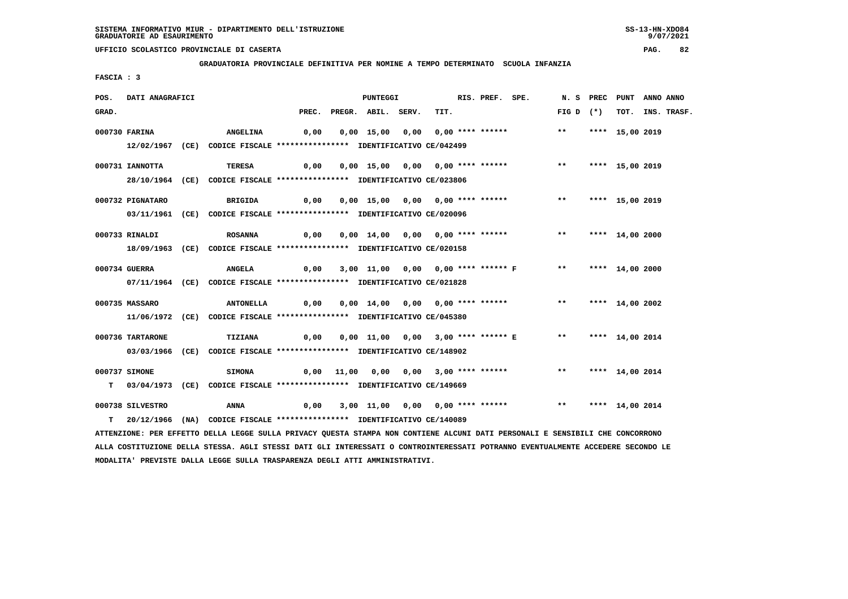**GRADUATORIA PROVINCIALE DEFINITIVA PER NOMINE A TEMPO DETERMINATO SCUOLA INFANZIA**

 **FASCIA : 3**

| POS.  | DATI ANAGRAFICI  |                                                                                                                               |      | <b>PUNTEGGI</b>          |                                                                     | RIS. PREF. SPE. |                    | N. S PREC PUNT ANNO ANNO |                  |
|-------|------------------|-------------------------------------------------------------------------------------------------------------------------------|------|--------------------------|---------------------------------------------------------------------|-----------------|--------------------|--------------------------|------------------|
| GRAD. |                  |                                                                                                                               |      | PREC. PREGR. ABIL. SERV. | TIT.                                                                |                 | FIG D $(*)$        |                          | TOT. INS. TRASF. |
|       | 000730 FARINA    | <b>ANGELINA</b>                                                                                                               |      |                          |                                                                     |                 | $\star \star$      | **** 15,00 2019          |                  |
|       |                  | 12/02/1967 (CE) CODICE FISCALE *************** IDENTIFICATIVO CE/042499                                                       |      |                          |                                                                     |                 |                    |                          |                  |
|       | 000731 IANNOTTA  | TERESA                                                                                                                        | 0,00 |                          | 0,00 15,00 0,00 0,00 **** ******                                    |                 | ** **** 15,00 2019 |                          |                  |
|       |                  | 28/10/1964 (CE) CODICE FISCALE *************** IDENTIFICATIVO CE/023806                                                       |      |                          |                                                                     |                 |                    |                          |                  |
|       | 000732 PIGNATARO | BRIGIDA                                                                                                                       | 0,00 |                          | 0,00 15,00 0,00 0,00 **** ******                                    |                 | $***$              | **** 15,00 2019          |                  |
|       |                  | 03/11/1961 (CE) CODICE FISCALE *************** IDENTIFICATIVO CE/020096                                                       |      |                          |                                                                     |                 |                    |                          |                  |
|       | 000733 RINALDI   | <b>ROSANNA</b>                                                                                                                | 0,00 |                          | 0,00 14,00 0,00 0,00 **** ******             **     **** 14,00 2000 |                 |                    |                          |                  |
|       |                  | 18/09/1963 (CE) CODICE FISCALE *************** IDENTIFICATIVO CE/020158                                                       |      |                          |                                                                     |                 |                    |                          |                  |
|       | 000734 GUERRA    | <b>ANGELA</b>                                                                                                                 |      |                          | 0,00 3,00 11,00 0,00 0,00 **** ****** F ** **** 14,00 2000          |                 |                    |                          |                  |
|       |                  | 07/11/1964 (CE) CODICE FISCALE *************** IDENTIFICATIVO CE/021828                                                       |      |                          |                                                                     |                 |                    |                          |                  |
|       | 000735 MASSARO   | ANTONELLA 0,00                                                                                                                |      |                          | 0,00 14,00 0,00 0,00 **** ******                                    |                 | $***$              | **** 14,00 2002          |                  |
|       |                  | 11/06/1972 (CE) CODICE FISCALE *************** IDENTIFICATIVO CE/045380                                                       |      |                          |                                                                     |                 |                    |                          |                  |
|       | 000736 TARTARONE | TIZIANA                                                                                                                       | 0,00 |                          | 0,00 11,00 0,00 3,00 **** ****** E **                               |                 |                    | **** 14,00 2014          |                  |
|       |                  | 03/03/1966 (CE) CODICE FISCALE *************** IDENTIFICATIVO CE/148902                                                       |      |                          |                                                                     |                 |                    |                          |                  |
|       | 000737 SIMONE    | <b>SIMONA</b>                                                                                                                 |      |                          | $0,00$ 11,00 0,00 0,00 3,00 **** ******                             |                 | ** **** 14,00 2014 |                          |                  |
|       |                  | T 03/04/1973 (CE) CODICE FISCALE *************** IDENTIFICATIVO CE/149669                                                     |      |                          |                                                                     |                 |                    |                          |                  |
|       | 000738 SILVESTRO | <b>ANNA</b>                                                                                                                   | 0,00 |                          |                                                                     |                 |                    |                          |                  |
|       |                  | T 20/12/1966 (NA) CODICE FISCALE *************** IDENTIFICATIVO CE/140089                                                     |      |                          |                                                                     |                 |                    |                          |                  |
|       |                  | ATTENZIONE: PER EFFETTO DELLA LEGGE SULLA PRIVACY QUESTA STAMPA NON CONTIENE ALCUNI DATI PERSONALI E SENSIBILI CHE CONCORRONO |      |                          |                                                                     |                 |                    |                          |                  |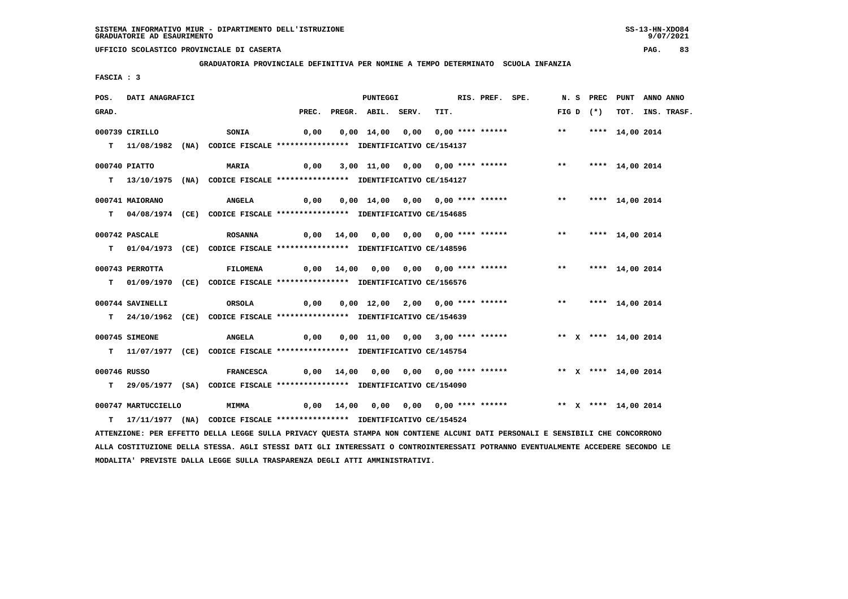**GRADUATORIA PROVINCIALE DEFINITIVA PER NOMINE A TEMPO DETERMINATO SCUOLA INFANZIA**

 **FASCIA : 3**

| POS.         | DATI ANAGRAFICI     |                                                                                                                               |      | <b>PUNTEGGI</b>          |                                                                            | RIS. PREF. SPE. |              |             | N. S PREC PUNT ANNO ANNO |                  |
|--------------|---------------------|-------------------------------------------------------------------------------------------------------------------------------|------|--------------------------|----------------------------------------------------------------------------|-----------------|--------------|-------------|--------------------------|------------------|
| GRAD.        |                     |                                                                                                                               |      | PREC. PREGR. ABIL. SERV. | TIT.                                                                       |                 |              | FIG D $(*)$ |                          | TOT. INS. TRASF. |
|              | 000739 CIRILLO      | <b>SONIA</b>                                                                                                                  | 0,00 |                          | 0,00 14,00 0,00 0,00 **** ******                                           |                 | $\star\star$ |             | **** 14,00 2014          |                  |
|              |                     |                                                                                                                               |      |                          |                                                                            |                 |              |             |                          |                  |
|              |                     | T 11/08/1982 (NA) CODICE FISCALE **************** IDENTIFICATIVO CE/154137                                                    |      |                          |                                                                            |                 |              |             |                          |                  |
|              | 000740 PIATTO       | <b>MARIA</b>                                                                                                                  | 0,00 |                          | 3,00 11,00 0,00 0,00 **** ******                                           |                 |              |             | ** **** 14,00 2014       |                  |
|              |                     | T 13/10/1975 (NA) CODICE FISCALE *************** IDENTIFICATIVO CE/154127                                                     |      |                          |                                                                            |                 |              |             |                          |                  |
|              | 000741 MAIORANO     | <b>ANGELA</b>                                                                                                                 | 0,00 |                          | 0,00 14,00 0,00 0,00 **** ******                                           |                 |              |             | ** **** 14,00 2014       |                  |
|              |                     |                                                                                                                               |      |                          |                                                                            |                 |              |             |                          |                  |
|              |                     | T 04/08/1974 (CE) CODICE FISCALE *************** IDENTIFICATIVO CE/154685                                                     |      |                          |                                                                            |                 |              |             |                          |                  |
|              | 000742 PASCALE      | <b>ROSANNA</b>                                                                                                                |      |                          | 0,00 14,00 0,00 0,00 0,00 **** ******               **     **** 14,00 2014 |                 |              |             |                          |                  |
|              |                     | T 01/04/1973 (CE) CODICE FISCALE *************** IDENTIFICATIVO CE/148596                                                     |      |                          |                                                                            |                 |              |             |                          |                  |
|              |                     |                                                                                                                               |      |                          |                                                                            |                 |              |             |                          |                  |
|              | 000743 PERROTTA     | <b>FILOMENA</b>                                                                                                               |      |                          | 0,00 14,00 0,00 0,00 0,00 **** ******                                      |                 |              |             | ** **** 14,00 2014       |                  |
|              |                     | T 01/09/1970 (CE) CODICE FISCALE *************** IDENTIFICATIVO CE/156576                                                     |      |                          |                                                                            |                 |              |             |                          |                  |
|              | 000744 SAVINELLI    | ORSOLA                                                                                                                        | 0,00 |                          | 0,00 12,00 2,00 0,00 **** ****** *** *** **** 14,00 2014                   |                 |              |             |                          |                  |
|              |                     |                                                                                                                               |      |                          |                                                                            |                 |              |             |                          |                  |
|              |                     | T 24/10/1962 (CE) CODICE FISCALE **************** IDENTIFICATIVO CE/154639                                                    |      |                          |                                                                            |                 |              |             |                          |                  |
|              | 000745 SIMEONE      | <b>ANGELA</b>                                                                                                                 | 0,00 |                          | 0,00 11,00 0,00 3,00 **** ******                                           |                 |              |             | ** X **** 14,00 2014     |                  |
|              |                     | T 11/07/1977 (CE) CODICE FISCALE **************** IDENTIFICATIVO CE/145754                                                    |      |                          |                                                                            |                 |              |             |                          |                  |
| 000746 RUSSO |                     | <b>FRANCESCA</b>                                                                                                              |      |                          | 0,00 14,00 0,00 0,00 0,00 **** ******             ** x **** 14,00 2014     |                 |              |             |                          |                  |
|              |                     |                                                                                                                               |      |                          |                                                                            |                 |              |             |                          |                  |
|              |                     | T 29/05/1977 (SA) CODICE FISCALE *************** IDENTIFICATIVO CE/154090                                                     |      |                          |                                                                            |                 |              |             |                          |                  |
|              | 000747 MARTUCCIELLO | <b>MIMMA</b>                                                                                                                  |      |                          | 0,00 14,00 0,00 0,00 0,00 **** ****** **** ** ** **** 14,00 2014           |                 |              |             |                          |                  |
|              |                     | T 17/11/1977 (NA) CODICE FISCALE **************** IDENTIFICATIVO CE/154524                                                    |      |                          |                                                                            |                 |              |             |                          |                  |
|              |                     | ATTENZIONE: PER EFFETTO DELLA LEGGE SULLA PRIVACY QUESTA STAMPA NON CONTIENE ALCUNI DATI PERSONALI E SENSIBILI CHE CONCORRONO |      |                          |                                                                            |                 |              |             |                          |                  |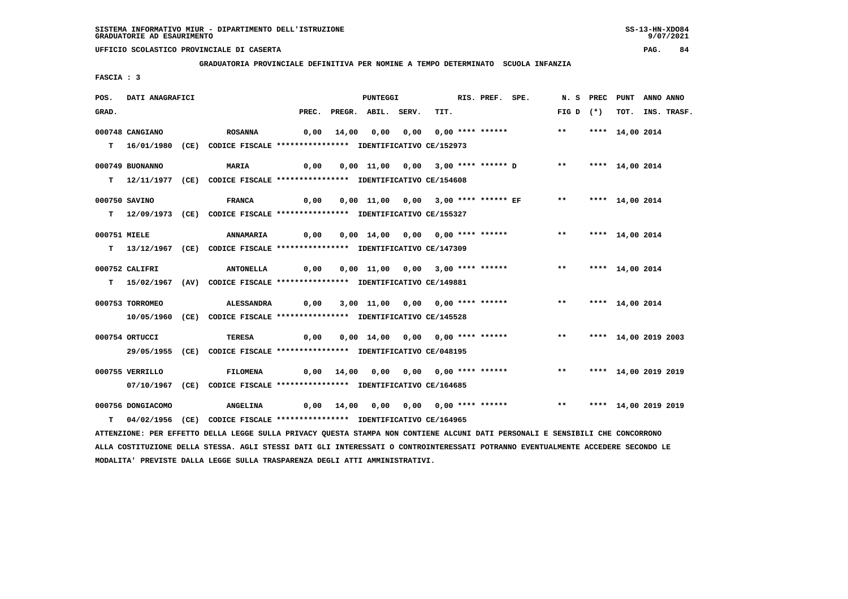**GRADUATORIA PROVINCIALE DEFINITIVA PER NOMINE A TEMPO DETERMINATO SCUOLA INFANZIA**

 **FASCIA : 3**

| POS.         | DATI ANAGRAFICI   |                                                                                                                               |       |       | PUNTEGGI           |                                                      | RIS. PREF. SPE. |                         | N. S PREC PUNT       | ANNO ANNO |             |
|--------------|-------------------|-------------------------------------------------------------------------------------------------------------------------------|-------|-------|--------------------|------------------------------------------------------|-----------------|-------------------------|----------------------|-----------|-------------|
| GRAD.        |                   |                                                                                                                               | PREC. |       | PREGR. ABIL. SERV. | TIT.                                                 |                 | FIG D $(*)$             | тот.                 |           | INS. TRASF. |
|              | 000748 CANGIANO   | <b>ROSANNA</b>                                                                                                                | 0,00  | 14,00 |                    | 0,00 0,00 0,00 **** ******                           |                 | $***$                   | **** 14,00 2014      |           |             |
|              |                   | T 16/01/1980 (CE) CODICE FISCALE **************** IDENTIFICATIVO CE/152973                                                    |       |       |                    |                                                      |                 |                         |                      |           |             |
|              |                   |                                                                                                                               |       |       |                    |                                                      |                 |                         |                      |           |             |
|              | 000749 BUONANNO   | <b>MARIA</b>                                                                                                                  | 0,00  |       |                    | 0,00 11,00 0,00 3,00 **** ****** D                   |                 | $***$                   | **** 14,00 2014      |           |             |
|              |                   | T 12/11/1977 (CE) CODICE FISCALE *************** IDENTIFICATIVO CE/154608                                                     |       |       |                    |                                                      |                 |                         |                      |           |             |
|              | 000750 SAVINO     | <b>FRANCA</b>                                                                                                                 | 0,00  |       |                    | 0,00 11,00 0,00 3,00 **** ****** EF                  |                 | $***$                   | **** 14,00 2014      |           |             |
|              |                   | T 12/09/1973 (CE) CODICE FISCALE *************** IDENTIFICATIVO CE/155327                                                     |       |       |                    |                                                      |                 |                         |                      |           |             |
|              |                   |                                                                                                                               |       |       |                    |                                                      |                 |                         |                      |           |             |
| 000751 MIELE |                   | <b>ANNAMARIA</b>                                                                                                              | 0,00  |       |                    | 0,00 14,00 0,00 0,00 **** ******                     |                 |                         | ** **** 14,00 2014   |           |             |
|              |                   | T 13/12/1967 (CE) CODICE FISCALE *************** IDENTIFICATIVO CE/147309                                                     |       |       |                    |                                                      |                 |                         |                      |           |             |
|              | 000752 CALIFRI    | <b>ANTONELLA</b>                                                                                                              | 0,00  |       |                    | 0,00 11,00 0,00 3,00 **** ******                     |                 | $***$                   | **** 14,00 2014      |           |             |
|              |                   | T 15/02/1967 (AV) CODICE FISCALE *************** IDENTIFICATIVO CE/149881                                                     |       |       |                    |                                                      |                 |                         |                      |           |             |
|              |                   |                                                                                                                               |       |       |                    |                                                      |                 |                         |                      |           |             |
|              | 000753 TORROMEO   | <b>ALESSANDRA</b>                                                                                                             | 0,00  |       |                    | 3,00 11,00 0,00 0,00 **** ******                     |                 | $***$                   | **** 14,00 2014      |           |             |
|              |                   | 10/05/1960 (CE) CODICE FISCALE *************** IDENTIFICATIVO CE/145528                                                       |       |       |                    |                                                      |                 |                         |                      |           |             |
|              | 000754 ORTUCCI    | TERESA                                                                                                                        | 0,00  |       |                    | 0,00 14,00 0,00 0,00 **** ******                     |                 | $***$                   | **** 14,00 2019 2003 |           |             |
|              |                   | 29/05/1955 (CE) CODICE FISCALE *************** IDENTIFICATIVO CE/048195                                                       |       |       |                    |                                                      |                 |                         |                      |           |             |
|              |                   |                                                                                                                               |       |       |                    |                                                      |                 |                         |                      |           |             |
|              | 000755 VERRILLO   | FILOMENA                                                                                                                      |       |       |                    | $0,00$ $14,00$ $0,00$ $0,00$ $0,00$ $***$ **** ***** |                 | $***$                   | **** 14,00 2019 2019 |           |             |
|              |                   | 07/10/1967 (CE) CODICE FISCALE *************** IDENTIFICATIVO CE/164685                                                       |       |       |                    |                                                      |                 |                         |                      |           |             |
|              | 000756 DONGIACOMO | <b>ANGELINA</b>                                                                                                               |       |       |                    | 0,00 14,00 0,00 0,00 0,00 **** ******                |                 | ** **** 14,00 2019 2019 |                      |           |             |
|              |                   | T 04/02/1956 (CE) CODICE FISCALE **************** IDENTIFICATIVO CE/164965                                                    |       |       |                    |                                                      |                 |                         |                      |           |             |
|              |                   | ATTENZIONE: PER EFFETTO DELLA LEGGE SULLA PRIVACY QUESTA STAMPA NON CONTIENE ALCUNI DATI PERSONALI E SENSIBILI CHE CONCORRONO |       |       |                    |                                                      |                 |                         |                      |           |             |

 **ATTENZIONE: PER EFFETTO DELLA LEGGE SULLA PRIVACY QUESTA STAMPA NON CONTIENE ALCUNI DATI PERSONALI E SENSIBILI CHE CONCORRONO ALLA COSTITUZIONE DELLA STESSA. AGLI STESSI DATI GLI INTERESSATI O CONTROINTERESSATI POTRANNO EVENTUALMENTE ACCEDERE SECONDO LE MODALITA' PREVISTE DALLA LEGGE SULLA TRASPARENZA DEGLI ATTI AMMINISTRATIVI.**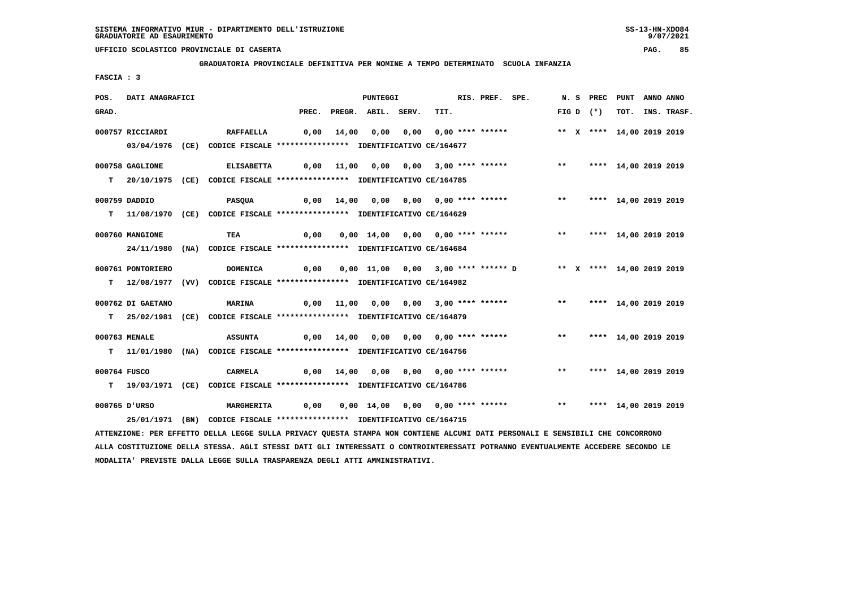**GRADUATORIA PROVINCIALE DEFINITIVA PER NOMINE A TEMPO DETERMINATO SCUOLA INFANZIA**

 **FASCIA : 3**

| POS.         | DATI ANAGRAFICI   |                                                                                                                                 |       |                | <b>PUNTEGGI</b>    |                                                       | RIS. PREF. SPE. |                                  |              |             | N. S PREC PUNT            | ANNO ANNO |             |
|--------------|-------------------|---------------------------------------------------------------------------------------------------------------------------------|-------|----------------|--------------------|-------------------------------------------------------|-----------------|----------------------------------|--------------|-------------|---------------------------|-----------|-------------|
| GRAD.        |                   |                                                                                                                                 | PREC. |                | PREGR. ABIL. SERV. | TIT.                                                  |                 |                                  |              | FIG D $(*)$ | тот.                      |           | INS. TRASF. |
|              | 000757 RICCIARDI  | <b>RAFFAELLA</b>                                                                                                                | 0,00  | 14,00          | 0,00               |                                                       |                 |                                  |              |             | ** X **** 14,00 2019 2019 |           |             |
|              |                   |                                                                                                                                 |       |                |                    |                                                       |                 |                                  |              |             |                           |           |             |
|              |                   | 03/04/1976 (CE) CODICE FISCALE *************** IDENTIFICATIVO CE/164677                                                         |       |                |                    |                                                       |                 |                                  |              |             |                           |           |             |
|              | 000758 GAGLIONE   | <b>ELISABETTA</b>                                                                                                               |       |                |                    | $0,00$ 11,00 0,00 0,00 3,00 **** ******               |                 |                                  | $***$        |             | **** 14,00 2019 2019      |           |             |
|              |                   | T 20/10/1975 (CE) CODICE FISCALE **************** IDENTIFICATIVO CE/164785                                                      |       |                |                    |                                                       |                 |                                  |              |             |                           |           |             |
|              |                   |                                                                                                                                 |       |                |                    |                                                       |                 |                                  |              |             |                           |           |             |
|              | 000759 DADDIO     | <b>PASQUA</b>                                                                                                                   |       |                |                    | $0,00$ 14,00 0,00 0,00 0,00 **** ******               |                 |                                  |              |             | ** **** 14,00 2019 2019   |           |             |
|              |                   | T 11/08/1970 (CE) CODICE FISCALE **************** IDENTIFICATIVO CE/164629                                                      |       |                |                    |                                                       |                 |                                  |              |             |                           |           |             |
|              | 000760 MANGIONE   | TEA                                                                                                                             | 0,00  |                |                    | 0,00 14,00 0,00 0,00 **** ******                      |                 |                                  | $***$        |             | **** 14,00 2019 2019      |           |             |
|              |                   | 24/11/1980 (NA) CODICE FISCALE *************** IDENTIFICATIVO CE/164684                                                         |       |                |                    |                                                       |                 |                                  |              |             |                           |           |             |
|              |                   |                                                                                                                                 |       |                |                    |                                                       |                 |                                  |              |             |                           |           |             |
|              | 000761 PONTORIERO | <b>DOMENICA</b>                                                                                                                 | 0,00  |                |                    | 0,00 11,00 0,00 3,00 **** ****** D                    |                 |                                  |              |             | ** X **** 14,00 2019 2019 |           |             |
| т            |                   | 12/08/1977 (VV) CODICE FISCALE *************** IDENTIFICATIVO CE/164982                                                         |       |                |                    |                                                       |                 |                                  |              |             |                           |           |             |
|              |                   |                                                                                                                                 |       |                |                    |                                                       |                 |                                  |              |             |                           |           |             |
|              | 000762 DI GAETANO | <b>MARINA</b>                                                                                                                   | 0,00  | 11,00          |                    | 0,00 0,00 3,00 **** ******                            |                 |                                  | $\star\star$ |             | **** 14,00 2019 2019      |           |             |
|              |                   | T 25/02/1981 (CE) CODICE FISCALE *************** IDENTIFICATIVO CE/164879                                                       |       |                |                    |                                                       |                 |                                  |              |             |                           |           |             |
|              | 000763 MENALE     | <b>ASSUNTA</b>                                                                                                                  |       |                |                    | $0,00$ $14,00$ $0,00$ $0,00$ $0,00$ $***$ **** ****** |                 |                                  | $***$        |             | **** 14,00 2019 2019      |           |             |
|              |                   | T 11/01/1980 (NA) CODICE FISCALE **************** IDENTIFICATIVO CE/164756                                                      |       |                |                    |                                                       |                 |                                  |              |             |                           |           |             |
|              |                   |                                                                                                                                 |       |                |                    |                                                       |                 |                                  |              |             |                           |           |             |
| 000764 FUSCO |                   | CARMELA                                                                                                                         |       | $0,00$ $14,00$ |                    |                                                       |                 |                                  | $***$        |             | **** 14,00 2019 2019      |           |             |
|              |                   | T 19/03/1971 (CE) CODICE FISCALE *************** IDENTIFICATIVO CE/164786                                                       |       |                |                    |                                                       |                 |                                  |              |             |                           |           |             |
|              |                   |                                                                                                                                 |       |                |                    |                                                       |                 |                                  |              |             |                           |           |             |
|              | 000765 D'URSO     | <b>MARGHERITA</b>                                                                                                               | 0,00  |                |                    |                                                       |                 | 0,00 14,00 0,00 0,00 **** ****** | $***$        |             | **** 14,00 2019 2019      |           |             |
|              |                   | 25/01/1971 (BN) CODICE FISCALE *************** IDENTIFICATIVO CE/164715                                                         |       |                |                    |                                                       |                 |                                  |              |             |                           |           |             |
|              |                   | ATTENZIONE: PER EFFETTO DELLA LEGGE SULLA PRIVACY QUESTA STAMPA NON CONTIENE ALCUNI DATI PERSONALI E SENSIBILI CHE CONCORRONO   |       |                |                    |                                                       |                 |                                  |              |             |                           |           |             |
|              |                   | ALLA COSTITUZIONE DELLA STESSA. AGLI STESSI DATI GLI INTERESSATI O CONTROINTERESSATI POTRANNO EVENTUALMENTE ACCEDERE SECONDO LE |       |                |                    |                                                       |                 |                                  |              |             |                           |           |             |

 **MODALITA' PREVISTE DALLA LEGGE SULLA TRASPARENZA DEGLI ATTI AMMINISTRATIVI.**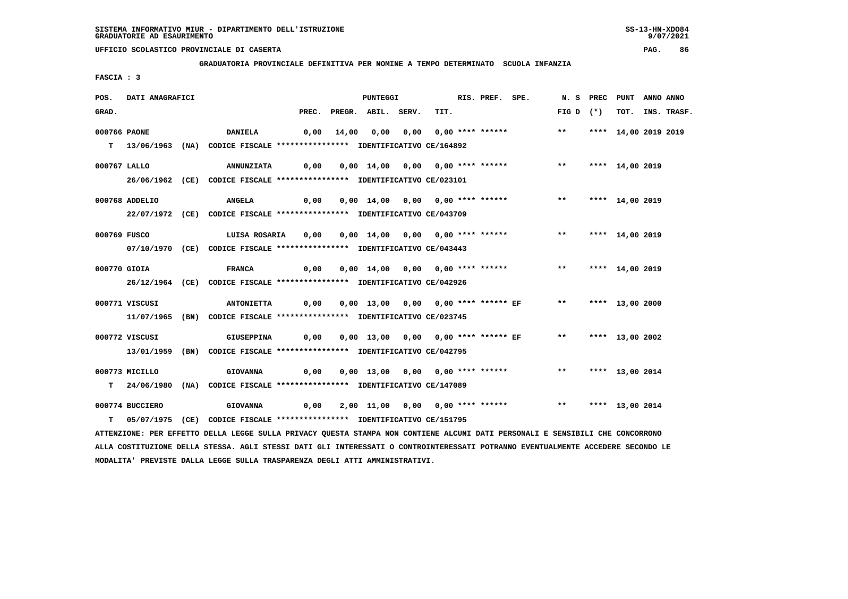**GRADUATORIA PROVINCIALE DEFINITIVA PER NOMINE A TEMPO DETERMINATO SCUOLA INFANZIA**

 **FASCIA : 3**

| POS.         | <b>DATI ANAGRAFICI</b> |                                                                                                                               | <b>PUNTEGGI</b> |  |                          |  |      | RIS. PREF. SPE.                                                        | N. S PREC PUNT ANNO ANNO |                      |                  |
|--------------|------------------------|-------------------------------------------------------------------------------------------------------------------------------|-----------------|--|--------------------------|--|------|------------------------------------------------------------------------|--------------------------|----------------------|------------------|
| GRAD.        |                        |                                                                                                                               |                 |  | PREC. PREGR. ABIL. SERV. |  | TIT. |                                                                        | FIG D $(*)$              |                      | TOT. INS. TRASF. |
| 000766 PAONE |                        | <b>DANIELA</b>                                                                                                                |                 |  |                          |  |      | 0,00 14,00 0,00 0,00 0,00 **** ******           **                     |                          | **** 14,00 2019 2019 |                  |
|              |                        | T 13/06/1963 (NA) CODICE FISCALE **************** IDENTIFICATIVO CE/164892                                                    |                 |  |                          |  |      |                                                                        |                          |                      |                  |
| 000767 LALLO |                        | ANNUNZIATA     0,00    0,00    14,00    0,00    0,00    ****    ****    ***    ****    14,00    2019                          |                 |  |                          |  |      |                                                                        |                          |                      |                  |
|              |                        | 26/06/1962 (CE) CODICE FISCALE *************** IDENTIFICATIVO CE/023101                                                       |                 |  |                          |  |      |                                                                        |                          |                      |                  |
|              |                        |                                                                                                                               |                 |  |                          |  |      |                                                                        |                          |                      |                  |
|              | 000768 ADDELIO         | <b>ANGELA</b>                                                                                                                 |                 |  |                          |  |      |                                                                        |                          |                      |                  |
|              |                        | 22/07/1972 (CE) CODICE FISCALE *************** IDENTIFICATIVO CE/043709                                                       |                 |  |                          |  |      |                                                                        |                          |                      |                  |
| 000769 FUSCO |                        | LUISA ROSARIA 0,00 0,00 14,00 0,00 0,00 **** ****** **** **** 14,00 2019                                                      |                 |  |                          |  |      |                                                                        |                          |                      |                  |
|              |                        | 07/10/1970 (CE) CODICE FISCALE *************** IDENTIFICATIVO CE/043443                                                       |                 |  |                          |  |      |                                                                        |                          |                      |                  |
|              |                        |                                                                                                                               |                 |  |                          |  |      |                                                                        |                          |                      |                  |
| 000770 GIOIA |                        | <b>FRANCA</b>                                                                                                                 |                 |  |                          |  |      | 0,00 0,00 14,00 0,00 0,00 **** ****** *** *** **** 14,00 2019          |                          |                      |                  |
|              |                        | 26/12/1964 (CE) CODICE FISCALE *************** IDENTIFICATIVO CE/042926                                                       |                 |  |                          |  |      |                                                                        |                          |                      |                  |
|              | 000771 VISCUSI         | ANTONIETTA         0,00     0,00   13,00    0,00    0,00  **** ******  EF            **       ****   13,00  2000              |                 |  |                          |  |      |                                                                        |                          |                      |                  |
|              |                        | 11/07/1965 (BN) CODICE FISCALE *************** IDENTIFICATIVO CE/023745                                                       |                 |  |                          |  |      |                                                                        |                          |                      |                  |
|              |                        |                                                                                                                               |                 |  |                          |  |      |                                                                        |                          |                      |                  |
|              | 000772 VISCUSI         | <b>GIUSEPPINA</b>                                                                                                             |                 |  |                          |  |      | 0,00  0,00 13,00  0,00  0,00 **** ****** EF      **    **** 13,00 2002 |                          |                      |                  |
|              |                        | 13/01/1959 (BN) CODICE FISCALE *************** IDENTIFICATIVO CE/042795                                                       |                 |  |                          |  |      |                                                                        |                          |                      |                  |
|              | 000773 MICILLO         | <b>GIOVANNA</b>                                                                                                               |                 |  |                          |  |      |                                                                        | ** **** 13,00 2014       |                      |                  |
|              |                        | T 24/06/1980 (NA) CODICE FISCALE *************** IDENTIFICATIVO CE/147089                                                     |                 |  |                          |  |      |                                                                        |                          |                      |                  |
|              | 000774 BUCCIERO        |                                                                                                                               |                 |  |                          |  |      |                                                                        |                          |                      |                  |
|              |                        |                                                                                                                               |                 |  |                          |  |      |                                                                        |                          |                      |                  |
|              |                        | T 05/07/1975 (CE) CODICE FISCALE *************** IDENTIFICATIVO CE/151795                                                     |                 |  |                          |  |      |                                                                        |                          |                      |                  |
|              |                        | ATTENZIONE: PER EFFETTO DELLA LEGGE SULLA PRIVACY QUESTA STAMPA NON CONTIENE ALCUNI DATI PERSONALI E SENSIBILI CHE CONCORRONO |                 |  |                          |  |      |                                                                        |                          |                      |                  |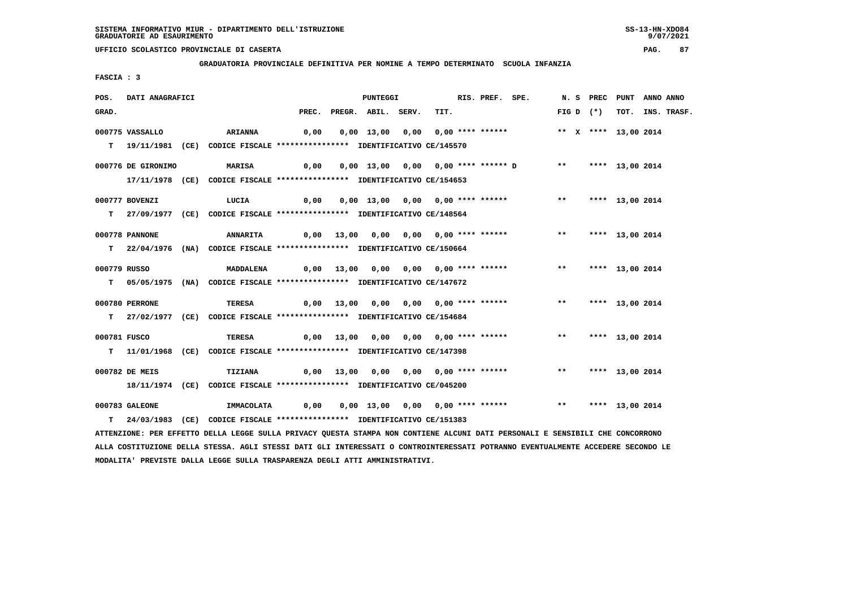**GRADUATORIA PROVINCIALE DEFINITIVA PER NOMINE A TEMPO DETERMINATO SCUOLA INFANZIA**

 **FASCIA : 3**

| POS.         | DATI ANAGRAFICI    |                                                                            |  | <b>PUNTEGGI</b>          |                                                                                | RIS. PREF. SPE. |             | N. S PREC PUNT ANNO ANNO |                 |                  |
|--------------|--------------------|----------------------------------------------------------------------------|--|--------------------------|--------------------------------------------------------------------------------|-----------------|-------------|--------------------------|-----------------|------------------|
| GRAD.        |                    |                                                                            |  | PREC. PREGR. ABIL. SERV. | TIT.                                                                           |                 | FIG D $(*)$ |                          |                 | TOT. INS. TRASF. |
|              | 000775 VASSALLO    | <b>ARIANNA</b>                                                             |  |                          | 0,00  0,00  13,00  0,00  0,00  ****  ******    **    **    ****    13,00  2014 |                 |             |                          |                 |                  |
|              |                    | T 19/11/1981 (CE) CODICE FISCALE **************** IDENTIFICATIVO CE/145570 |  |                          |                                                                                |                 |             |                          |                 |                  |
|              | 000776 DE GIRONIMO | <b>MARISA</b>                                                              |  |                          |                                                                                |                 |             |                          |                 |                  |
|              |                    | 17/11/1978 (CE) CODICE FISCALE *************** IDENTIFICATIVO CE/154653    |  |                          |                                                                                |                 |             |                          |                 |                  |
|              | 000777 BOVENZI     | LUCIA                                                                      |  |                          |                                                                                |                 |             |                          |                 |                  |
|              |                    | T 27/09/1977 (CE) CODICE FISCALE *************** IDENTIFICATIVO CE/148564  |  |                          |                                                                                |                 |             |                          |                 |                  |
|              | 000778 PANNONE     | <b>ANNARITA</b>                                                            |  |                          | 0,00 13,00 0,00 0,00 0,00 **** ******           **                             |                 |             |                          | **** 13,00 2014 |                  |
|              |                    | T 22/04/1976 (NA) CODICE FISCALE **************** IDENTIFICATIVO CE/150664 |  |                          |                                                                                |                 |             |                          |                 |                  |
| 000779 RUSSO |                    | MADDALENA                                                                  |  |                          |                                                                                |                 |             |                          |                 |                  |
|              |                    | T 05/05/1975 (NA) CODICE FISCALE **************** IDENTIFICATIVO CE/147672 |  |                          |                                                                                |                 |             |                          |                 |                  |
|              |                    |                                                                            |  |                          |                                                                                |                 |             |                          |                 |                  |
|              | 000780 PERRONE     | TERESA                                                                     |  |                          | 0,00 13,00 0,00 0,00 0,00 **** ****** *** **                                   |                 |             |                          | **** 13,00 2014 |                  |
|              |                    | T 27/02/1977 (CE) CODICE FISCALE *************** IDENTIFICATIVO CE/154684  |  |                          |                                                                                |                 |             |                          |                 |                  |
| 000781 FUSCO |                    | <b>TERESA</b>                                                              |  |                          | 0,00 13,00 0,00 0,00 0,00 **** ******                                          |                 | $***$       |                          | **** 13,00 2014 |                  |
|              |                    | T 11/01/1968 (CE) CODICE FISCALE **************** IDENTIFICATIVO CE/147398 |  |                          |                                                                                |                 |             |                          |                 |                  |
|              | 000782 DE MEIS     | <b>TIZIANA</b>                                                             |  |                          |                                                                                |                 |             |                          |                 |                  |
|              |                    | 18/11/1974 (CE) CODICE FISCALE *************** IDENTIFICATIVO CE/045200    |  |                          |                                                                                |                 |             |                          |                 |                  |
|              |                    |                                                                            |  |                          |                                                                                |                 |             |                          |                 |                  |
|              | 000783 GALEONE     |                                                                            |  |                          |                                                                                |                 |             |                          | **** 13,00 2014 |                  |
|              |                    | T 24/03/1983 (CE) CODICE FISCALE **************** IDENTIFICATIVO CE/151383 |  |                          |                                                                                |                 |             |                          |                 |                  |

 **ATTENZIONE: PER EFFETTO DELLA LEGGE SULLA PRIVACY QUESTA STAMPA NON CONTIENE ALCUNI DATI PERSONALI E SENSIBILI CHE CONCORRONO ALLA COSTITUZIONE DELLA STESSA. AGLI STESSI DATI GLI INTERESSATI O CONTROINTERESSATI POTRANNO EVENTUALMENTE ACCEDERE SECONDO LE MODALITA' PREVISTE DALLA LEGGE SULLA TRASPARENZA DEGLI ATTI AMMINISTRATIVI.**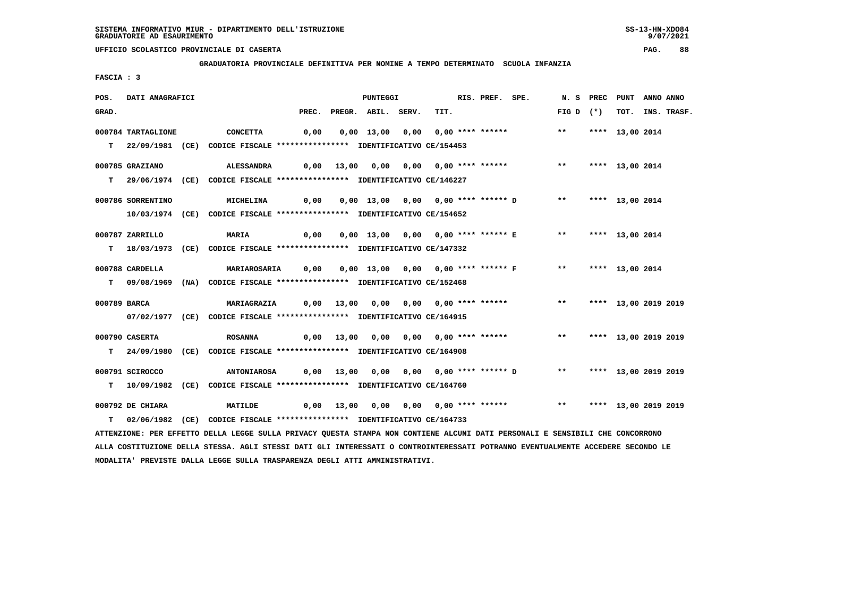**GRADUATORIA PROVINCIALE DEFINITIVA PER NOMINE A TEMPO DETERMINATO SCUOLA INFANZIA**

 **FASCIA : 3**

| POS.         | DATI ANAGRAFICI    |                                                                                                                                 |      | PUNTEGGI                                |      | RIS. PREF. SPE. |                                                       |                         | N. S PREC PUNT ANNO ANNO |                  |
|--------------|--------------------|---------------------------------------------------------------------------------------------------------------------------------|------|-----------------------------------------|------|-----------------|-------------------------------------------------------|-------------------------|--------------------------|------------------|
| GRAD.        |                    |                                                                                                                                 |      | PREC. PREGR. ABIL. SERV.                | TIT. |                 |                                                       | FIG D $(*)$             |                          | TOT. INS. TRASF. |
|              | 000784 TARTAGLIONE | <b>CONCETTA</b>                                                                                                                 | 0,00 | 0,00 13,00 0,00 0,00 **** ******        |      |                 |                                                       | $***$                   | **** 13,00 2014          |                  |
|              |                    | T 22/09/1981 (CE) CODICE FISCALE *************** IDENTIFICATIVO CE/154453                                                       |      |                                         |      |                 |                                                       |                         |                          |                  |
|              |                    |                                                                                                                                 |      |                                         |      |                 |                                                       |                         |                          |                  |
|              | 000785 GRAZIANO    | ALESSANDRA                                                                                                                      |      | 0,00 13,00 0,00 0,00 0,00 **** ******   |      |                 |                                                       | $***$                   | **** 13,00 2014          |                  |
|              |                    | T 29/06/1974 (CE) CODICE FISCALE **************** IDENTIFICATIVO CE/146227                                                      |      |                                         |      |                 |                                                       |                         |                          |                  |
|              |                    |                                                                                                                                 |      |                                         |      |                 |                                                       |                         |                          |                  |
|              | 000786 SORRENTINO  | MICHELINA                                                                                                                       | 0,00 |                                         |      |                 | 0,00 13,00 0,00 0,00 **** ****** D ** **** 13,00 2014 |                         |                          |                  |
|              |                    | 10/03/1974 (CE) CODICE FISCALE *************** IDENTIFICATIVO CE/154652                                                         |      |                                         |      |                 |                                                       |                         |                          |                  |
|              | 000787 ZARRILLO    | <b>MARIA</b>                                                                                                                    | 0,00 |                                         |      |                 | 0,00 13,00 0,00 0,00 **** ****** E ** **** 13,00 2014 |                         |                          |                  |
|              |                    | T 18/03/1973 (CE) CODICE FISCALE *************** IDENTIFICATIVO CE/147332                                                       |      |                                         |      |                 |                                                       |                         |                          |                  |
|              |                    |                                                                                                                                 |      |                                         |      |                 |                                                       |                         |                          |                  |
|              | 000788 CARDELLA    | <b>MARIAROSARIA</b>                                                                                                             | 0,00 |                                         |      |                 | 0,00 13,00 0,00 0,00 **** ****** F **                 |                         | **** 13,00 2014          |                  |
|              |                    | T 09/08/1969 (NA) CODICE FISCALE *************** IDENTIFICATIVO CE/152468                                                       |      |                                         |      |                 |                                                       |                         |                          |                  |
|              |                    |                                                                                                                                 |      |                                         |      |                 |                                                       |                         |                          |                  |
| 000789 BARCA |                    | <b>MARIAGRAZIA</b>                                                                                                              |      |                                         |      |                 | 0,00 13,00 0,00 0,00 0,00 **** ******                 | ** **** 13,00 2019 2019 |                          |                  |
|              |                    | 07/02/1977 (CE) CODICE FISCALE *************** IDENTIFICATIVO CE/164915                                                         |      |                                         |      |                 |                                                       |                         |                          |                  |
|              | 000790 CASERTA     | <b>ROSANNA</b>                                                                                                                  |      |                                         |      |                 | 0,00 13,00 0,00 0,00 0,00 **** ******                 | $***$                   | **** 13,00 2019 2019     |                  |
|              |                    | T 24/09/1980 (CE) CODICE FISCALE **************** IDENTIFICATIVO CE/164908                                                      |      |                                         |      |                 |                                                       |                         |                          |                  |
|              |                    |                                                                                                                                 |      |                                         |      |                 |                                                       |                         |                          |                  |
|              | 000791 SCIROCCO    | <b>ANTONIAROSA</b>                                                                                                              |      | 0,00 13,00 0,00 0,00 0,00 **** ****** D |      |                 |                                                       | ** **** 13,00 2019 2019 |                          |                  |
|              |                    | T 10/09/1982 (CE) CODICE FISCALE *************** IDENTIFICATIVO CE/164760                                                       |      |                                         |      |                 |                                                       |                         |                          |                  |
|              |                    |                                                                                                                                 |      |                                         |      |                 |                                                       |                         |                          |                  |
|              | 000792 DE CHIARA   | <b>MATILDE</b>                                                                                                                  |      |                                         |      |                 | 0,00 13,00 0,00 0,00 0,00 **** ******                 | $\star\star$            | **** 13,00 2019 2019     |                  |
| т            |                    | 02/06/1982 (CE) CODICE FISCALE **************** IDENTIFICATIVO CE/164733                                                        |      |                                         |      |                 |                                                       |                         |                          |                  |
|              |                    | ATTENZIONE: PER EFFETTO DELLA LEGGE SULLA PRIVACY QUESTA STAMPA NON CONTIENE ALCUNI DATI PERSONALI E SENSIBILI CHE CONCORRONO   |      |                                         |      |                 |                                                       |                         |                          |                  |
|              |                    | ALLA COSTITUZIONE DELLA STESSA. AGLI STESSI DATI GLI INTERESSATI O CONTROINTERESSATI POTRANNO EVENTUALMENTE ACCEDERE SECONDO LE |      |                                         |      |                 |                                                       |                         |                          |                  |

 **MODALITA' PREVISTE DALLA LEGGE SULLA TRASPARENZA DEGLI ATTI AMMINISTRATIVI.**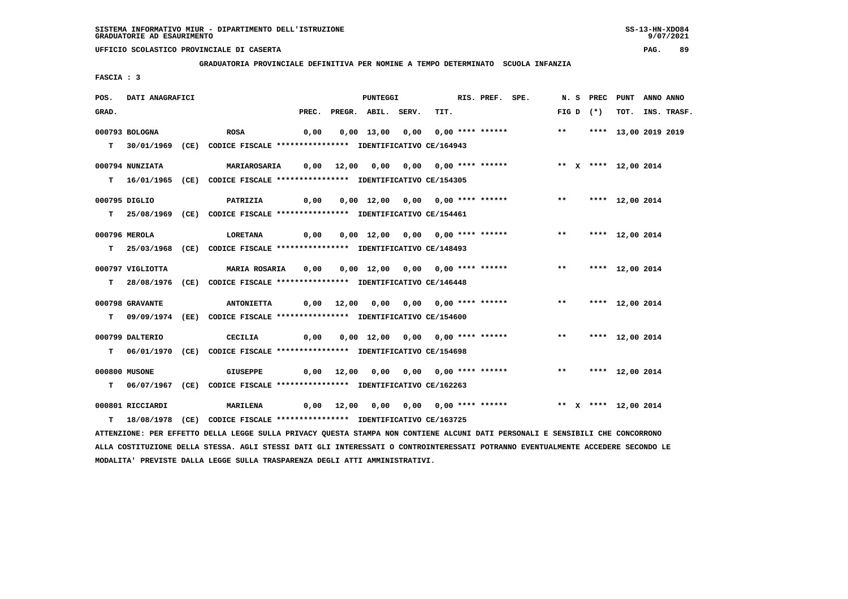**GRADUATORIA PROVINCIALE DEFINITIVA PER NOMINE A TEMPO DETERMINATO SCUOLA INFANZIA**

 **FASCIA : 3**

| POS.  | DATI ANAGRAFICI  |                                                                                                                               |      | PUNTEGGI                 |                                                                                    | RIS. PREF. SPE. |  |             | N. S PREC PUNT ANNO ANNO |                  |
|-------|------------------|-------------------------------------------------------------------------------------------------------------------------------|------|--------------------------|------------------------------------------------------------------------------------|-----------------|--|-------------|--------------------------|------------------|
| GRAD. |                  |                                                                                                                               |      | PREC. PREGR. ABIL. SERV. | TIT.                                                                               |                 |  | $FIG D (*)$ |                          | TOT. INS. TRASF. |
|       | 000793 BOLOGNA   | <b>ROSA</b>                                                                                                                   | 0,00 |                          | 0,00 13,00 0,00 0,00 **** ****** *** *** **** 13,00 2019 2019                      |                 |  |             |                          |                  |
|       |                  | T 30/01/1969 (CE) CODICE FISCALE *************** IDENTIFICATIVO CE/164943                                                     |      |                          |                                                                                    |                 |  |             |                          |                  |
|       | 000794 NUNZIATA  | MARIAROSARIA 0,00 12,00 0,00 0,00 0,00 **** ****** **** X **** 12,00 2014                                                     |      |                          |                                                                                    |                 |  |             |                          |                  |
|       |                  | T 16/01/1965 (CE) CODICE FISCALE *************** IDENTIFICATIVO CE/154305                                                     |      |                          |                                                                                    |                 |  |             |                          |                  |
|       | 000795 DIGLIO    | <b>PATRIZIA</b>                                                                                                               | 0,00 |                          | 0,00 12,00 0,00 0,00 **** ****** *** *** **** 12,00 2014                           |                 |  |             |                          |                  |
|       |                  | T 25/08/1969 (CE) CODICE FISCALE *************** IDENTIFICATIVO CE/154461                                                     |      |                          |                                                                                    |                 |  |             |                          |                  |
|       | 000796 MEROLA    | LORETANA                                                                                                                      |      |                          | 0,00  0,00  12,00  0,00  0,00  ****  ******            **      ****    12,00  2014 |                 |  |             |                          |                  |
|       |                  | T 25/03/1968 (CE) CODICE FISCALE *************** IDENTIFICATIVO CE/148493                                                     |      |                          |                                                                                    |                 |  |             |                          |                  |
|       | 000797 VIGLIOTTA | <b>MARIA ROSARIA</b>                                                                                                          |      |                          |                                                                                    |                 |  |             |                          |                  |
|       |                  | T 28/08/1976 (CE) CODICE FISCALE *************** IDENTIFICATIVO CE/146448                                                     |      |                          |                                                                                    |                 |  |             |                          |                  |
|       | 000798 GRAVANTE  |                                                                                                                               |      |                          |                                                                                    |                 |  |             | **** 12,00 2014          |                  |
|       |                  | T 09/09/1974 (EE) CODICE FISCALE **************** IDENTIFICATIVO CE/154600                                                    |      |                          |                                                                                    |                 |  |             |                          |                  |
|       | 000799 DALTERIO  | CECILIA                                                                                                                       | 0,00 |                          | 0,00 12,00 0,00 0,00 **** ******             **     **** 12,00 2014                |                 |  |             |                          |                  |
|       |                  | T 06/01/1970 (CE) CODICE FISCALE *************** IDENTIFICATIVO CE/154698                                                     |      |                          |                                                                                    |                 |  |             |                          |                  |
|       | 000800 MUSONE    | <b>GIUSEPPE</b>                                                                                                               |      |                          | 0,00 12,00 0,00 0,00 0,00 **** ******             **     **** 12,00 2014           |                 |  |             |                          |                  |
|       |                  | T 06/07/1967 (CE) CODICE FISCALE **************** IDENTIFICATIVO CE/162263                                                    |      |                          |                                                                                    |                 |  |             |                          |                  |
|       | 000801 RICCIARDI | <b>MARILENA</b>                                                                                                               |      |                          |                                                                                    |                 |  |             |                          |                  |
|       |                  | T 18/08/1978 (CE) CODICE FISCALE **************** IDENTIFICATIVO CE/163725                                                    |      |                          |                                                                                    |                 |  |             |                          |                  |
|       |                  | ATTENZIONE: PER EFFETTO DELLA LEGGE SULLA PRIVACY QUESTA STAMPA NON CONTIENE ALCUNI DATI PERSONALI E SENSIBILI CHE CONCORRONO |      |                          |                                                                                    |                 |  |             |                          |                  |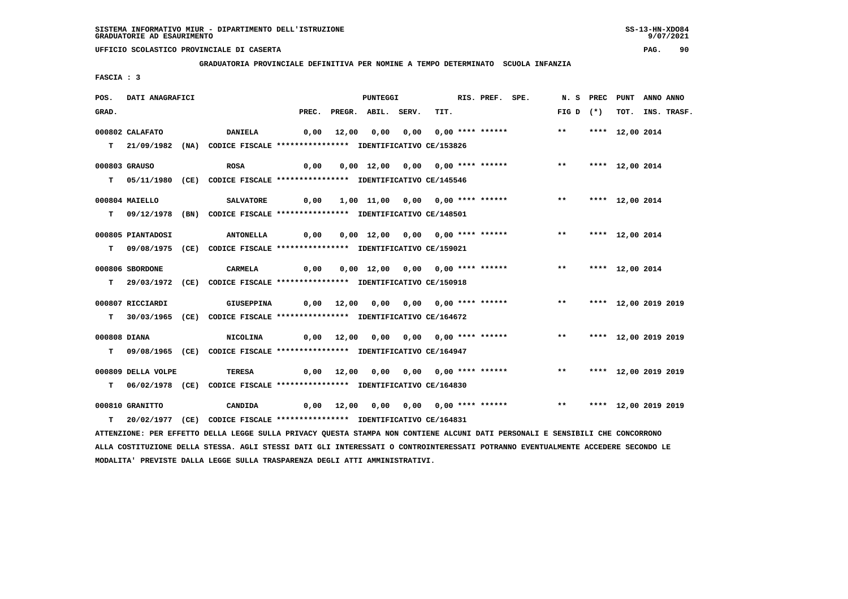**MODALITA' PREVISTE DALLA LEGGE SULLA TRASPARENZA DEGLI ATTI AMMINISTRATIVI.**

# **UFFICIO SCOLASTICO PROVINCIALE DI CASERTA PAG. 90**

 **GRADUATORIA PROVINCIALE DEFINITIVA PER NOMINE A TEMPO DETERMINATO SCUOLA INFANZIA**

 **FASCIA : 3**

| POS.  | DATI ANAGRAFICI    |                                                                                                                                 |       |       | <b>PUNTEGGI</b>    |                                       | RIS. PREF. SPE. |                         | N. S PREC PUNT |                      | ANNO ANNO |             |
|-------|--------------------|---------------------------------------------------------------------------------------------------------------------------------|-------|-------|--------------------|---------------------------------------|-----------------|-------------------------|----------------|----------------------|-----------|-------------|
| GRAD. |                    |                                                                                                                                 | PREC. |       | PREGR. ABIL. SERV. | TIT.                                  |                 | FIG D $(*)$             |                | тот.                 |           | INS. TRASF. |
|       | 000802 CALAFATO    | <b>DANIELA</b>                                                                                                                  | 0,00  | 12,00 |                    |                                       |                 | $***$                   |                | **** 12,00 2014      |           |             |
|       |                    |                                                                                                                                 |       |       |                    |                                       |                 |                         |                |                      |           |             |
|       |                    | T 21/09/1982 (NA) CODICE FISCALE *************** IDENTIFICATIVO CE/153826                                                       |       |       |                    |                                       |                 |                         |                |                      |           |             |
|       | 000803 GRAUSO      | <b>ROSA</b>                                                                                                                     | 0,00  |       |                    | 0,00 12,00 0,00 0,00 **** ******      |                 | $***$                   |                | **** 12,00 2014      |           |             |
|       |                    | T 05/11/1980 (CE) CODICE FISCALE *************** IDENTIFICATIVO CE/145546                                                       |       |       |                    |                                       |                 |                         |                |                      |           |             |
|       |                    |                                                                                                                                 |       |       |                    |                                       |                 |                         |                |                      |           |             |
|       | 000804 MAIELLO     | <b>SALVATORE</b>                                                                                                                | 0,00  |       |                    | 1,00 11,00 0,00 0,00 **** ******      |                 | ** **** 12,00 2014      |                |                      |           |             |
|       |                    | T 09/12/1978 (BN) CODICE FISCALE **************** IDENTIFICATIVO CE/148501                                                      |       |       |                    |                                       |                 |                         |                |                      |           |             |
|       |                    |                                                                                                                                 |       |       |                    |                                       |                 |                         |                |                      |           |             |
|       | 000805 PIANTADOSI  | <b>ANTONELLA</b>                                                                                                                | 0,00  |       |                    | 0,00 12,00 0,00 0,00 **** ******      |                 | $***$                   |                | **** 12,00 2014      |           |             |
|       |                    | T 09/08/1975 (CE) CODICE FISCALE *************** IDENTIFICATIVO CE/159021                                                       |       |       |                    |                                       |                 |                         |                |                      |           |             |
|       | 000806 SBORDONE    | CARMELA                                                                                                                         | 0,00  |       |                    | 0,00 12,00 0,00 0,00 **** ******      |                 | $***$                   |                | **** 12,00 2014      |           |             |
|       |                    | T 29/03/1972 (CE) CODICE FISCALE *************** IDENTIFICATIVO CE/150918                                                       |       |       |                    |                                       |                 |                         |                |                      |           |             |
|       |                    |                                                                                                                                 |       |       |                    |                                       |                 |                         |                |                      |           |             |
|       | 000807 RICCIARDI   | <b>GIUSEPPINA</b>                                                                                                               | 0,00  | 12,00 |                    |                                       |                 | $***$                   |                | **** 12,00 2019 2019 |           |             |
|       |                    | T 30/03/1965 (CE) CODICE FISCALE *************** IDENTIFICATIVO CE/164672                                                       |       |       |                    |                                       |                 |                         |                |                      |           |             |
|       |                    |                                                                                                                                 |       |       |                    |                                       |                 |                         |                |                      |           |             |
|       | 000808 DIANA       | NICOLINA                                                                                                                        |       |       |                    | 0,00 12,00 0,00 0,00 0,00 **** ****** |                 | $***$                   |                | **** 12,00 2019 2019 |           |             |
|       |                    | T 09/08/1965 (CE) CODICE FISCALE *************** IDENTIFICATIVO CE/164947                                                       |       |       |                    |                                       |                 |                         |                |                      |           |             |
|       |                    |                                                                                                                                 |       |       |                    |                                       |                 |                         |                |                      |           |             |
|       | 000809 DELLA VOLPE | TERESA                                                                                                                          |       |       |                    | 0,00 12,00 0,00 0,00 0,00 **** ****** |                 | ** **** 12,00 2019 2019 |                |                      |           |             |
| т     |                    | 06/02/1978 (CE) CODICE FISCALE **************** IDENTIFICATIVO CE/164830                                                        |       |       |                    |                                       |                 |                         |                |                      |           |             |
|       | 000810 GRANITTO    | CANDIDA                                                                                                                         |       |       |                    |                                       |                 |                         |                |                      |           |             |
| т     |                    | 20/02/1977 (CE) CODICE FISCALE *************** IDENTIFICATIVO CE/164831                                                         |       |       |                    |                                       |                 |                         |                |                      |           |             |
|       |                    | ATTENZIONE: PER EFFETTO DELLA LEGGE SULLA PRIVACY QUESTA STAMPA NON CONTIENE ALCUNI DATI PERSONALI E SENSIBILI CHE CONCORRONO   |       |       |                    |                                       |                 |                         |                |                      |           |             |
|       |                    | ALLA COSTITUZIONE DELLA STESSA. AGLI STESSI DATI GLI INTERESSATI O CONTROINTERESSATI POTRANNO EVENTUALMENTE ACCEDERE SECONDO LE |       |       |                    |                                       |                 |                         |                |                      |           |             |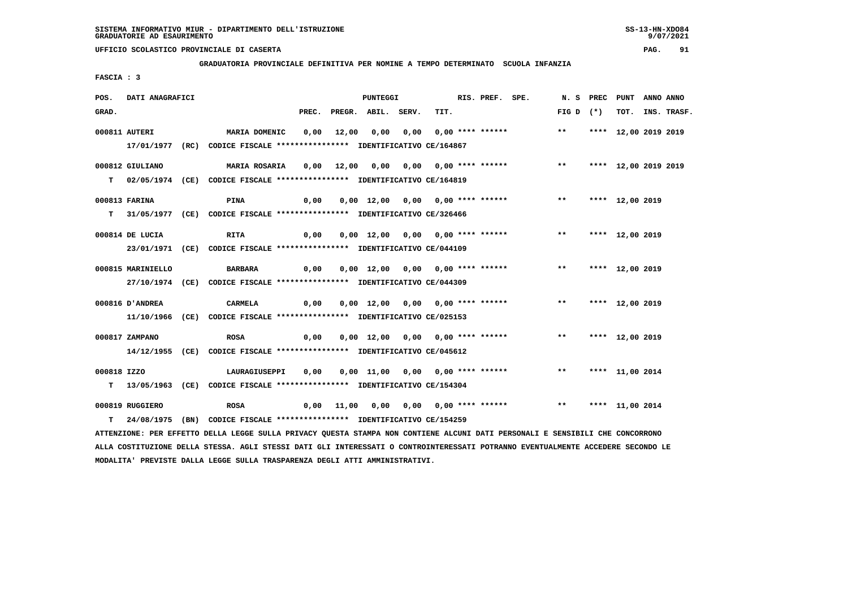**GRADUATORIA PROVINCIALE DEFINITIVA PER NOMINE A TEMPO DETERMINATO SCUOLA INFANZIA**

 **FASCIA : 3**

| POS.        | DATI ANAGRAFICI   |                                                                                                                               | PUNTEGGI |  |                          |                                  | RIS. PREF. SPE. |                                                                             |              | N. S PREC PUNT ANNO ANNO |                  |
|-------------|-------------------|-------------------------------------------------------------------------------------------------------------------------------|----------|--|--------------------------|----------------------------------|-----------------|-----------------------------------------------------------------------------|--------------|--------------------------|------------------|
| GRAD.       |                   |                                                                                                                               |          |  | PREC. PREGR. ABIL. SERV. | TIT.                             |                 |                                                                             | FIG D $(*)$  |                          | TOT. INS. TRASF. |
|             | 000811 AUTERI     | MARIA DOMENIC                                                                                                                 |          |  |                          |                                  |                 | 0,00 12,00 0,00 0,00 0,00 **** ****** ** **                                 |              | **** 12,00 2019 2019     |                  |
|             |                   | 17/01/1977 (RC) CODICE FISCALE *************** IDENTIFICATIVO CE/164867                                                       |          |  |                          |                                  |                 |                                                                             |              |                          |                  |
|             | 000812 GIULIANO   | MARIA ROSARIA                                                                                                                 |          |  |                          |                                  |                 | 0,00 12,00 0,00 0,00 0,00 **** ******           **     **** 12,00 2019 2019 |              |                          |                  |
|             |                   | T 02/05/1974 (CE) CODICE FISCALE **************** IDENTIFICATIVO CE/164819                                                    |          |  |                          |                                  |                 |                                                                             |              |                          |                  |
|             | 000813 FARINA     | <b>PINA</b>                                                                                                                   | 0,00     |  |                          |                                  |                 | 0,00 12,00 0,00 0,00 **** ****** ** **                                      |              | **** 12,00 2019          |                  |
|             |                   | T 31/05/1977 (CE) CODICE FISCALE *************** IDENTIFICATIVO CE/326466                                                     |          |  |                          |                                  |                 |                                                                             |              |                          |                  |
|             | 000814 DE LUCIA   | <b>RITA</b>                                                                                                                   | 0,00     |  |                          |                                  |                 | 0,00 12,00 0,00 0,00 **** ****** *** *** **** 12,00 2019                    |              |                          |                  |
|             |                   | 23/01/1971 (CE) CODICE FISCALE *************** IDENTIFICATIVO CE/044109                                                       |          |  |                          |                                  |                 |                                                                             |              |                          |                  |
|             | 000815 MARINIELLO | BARBARA                                                                                                                       |          |  |                          |                                  |                 |                                                                             |              |                          |                  |
|             |                   | 27/10/1974 (CE) CODICE FISCALE *************** IDENTIFICATIVO CE/044309                                                       |          |  |                          |                                  |                 |                                                                             |              |                          |                  |
|             | 000816 D'ANDREA   | CARMELA                                                                                                                       | 0,00     |  |                          |                                  |                 | 0,00 12,00 0,00 0,00 **** ******                                            | $***$        | **** 12,00 2019          |                  |
|             |                   | 11/10/1966 (CE) CODICE FISCALE *************** IDENTIFICATIVO CE/025153                                                       |          |  |                          |                                  |                 |                                                                             |              |                          |                  |
|             | 000817 ZAMPANO    | <b>ROSA</b>                                                                                                                   | 0,00     |  |                          | 0,00 12,00 0,00 0,00 **** ****** |                 |                                                                             | $\star\star$ | **** 12,00 2019          |                  |
|             |                   | 14/12/1955 (CE) CODICE FISCALE *************** IDENTIFICATIVO CE/045612                                                       |          |  |                          |                                  |                 |                                                                             |              |                          |                  |
| 000818 IZZO |                   | LAURAGIUSEPPI                                                                                                                 | 0,00     |  |                          |                                  |                 | 0,00 11,00 0,00 0,00 **** ****** *** *** **** 11,00 2014                    |              |                          |                  |
|             |                   | T 13/05/1963 (CE) CODICE FISCALE **************** IDENTIFICATIVO CE/154304                                                    |          |  |                          |                                  |                 |                                                                             |              |                          |                  |
|             | 000819 RUGGIERO   | <b>ROSA</b>                                                                                                                   |          |  |                          |                                  |                 |                                                                             |              |                          |                  |
| T.          |                   | 24/08/1975 (BN) CODICE FISCALE **************** IDENTIFICATIVO CE/154259                                                      |          |  |                          |                                  |                 |                                                                             |              |                          |                  |
|             |                   | ATTENZIONE: PER EFFETTO DELLA LEGGE SULLA PRIVACY QUESTA STAMPA NON CONTIENE ALCUNI DATI PERSONALI E SENSIBILI CHE CONCORRONO |          |  |                          |                                  |                 |                                                                             |              |                          |                  |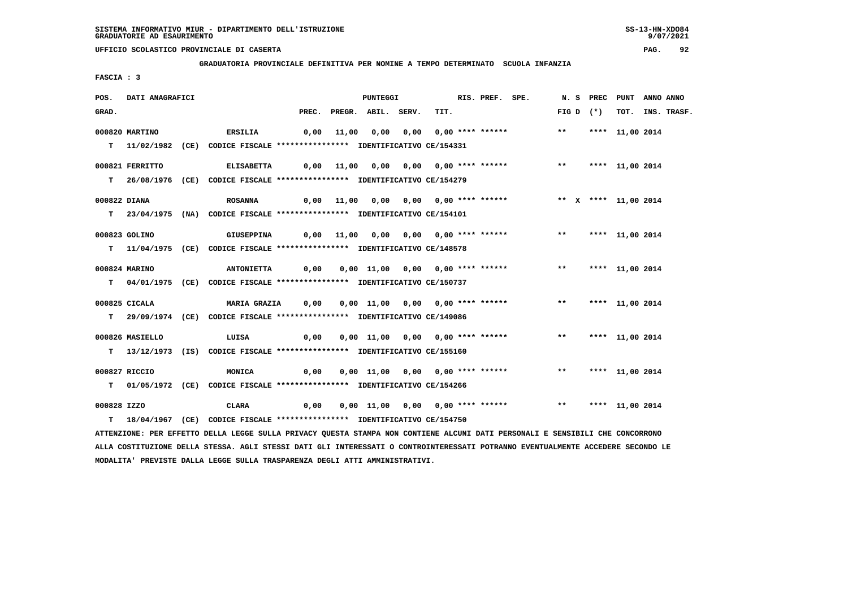**GRADUATORIA PROVINCIALE DEFINITIVA PER NOMINE A TEMPO DETERMINATO SCUOLA INFANZIA**

 **FASCIA : 3**

| POS.         | DATI ANAGRAFICI |                                                                                                                               |      | PUNTEGGI                 |                                                          | RIS. PREF. SPE. |             | N. S PREC PUNT ANNO ANNO |                  |
|--------------|-----------------|-------------------------------------------------------------------------------------------------------------------------------|------|--------------------------|----------------------------------------------------------|-----------------|-------------|--------------------------|------------------|
| GRAD.        |                 |                                                                                                                               |      | PREC. PREGR. ABIL. SERV. | TIT.                                                     |                 | $FIG D (*)$ |                          | TOT. INS. TRASF. |
|              | 000820 MARTINO  | <b>ERSILIA</b>                                                                                                                |      |                          | 0,00 11,00 0,00 0,00 0,00 **** ******           **       |                 |             | **** 11,00 2014          |                  |
|              |                 | T 11/02/1982 (CE) CODICE FISCALE **************** IDENTIFICATIVO CE/154331                                                    |      |                          |                                                          |                 |             |                          |                  |
|              | 000821 FERRITTO | <b>ELISABETTA</b>                                                                                                             |      |                          |                                                          |                 |             |                          |                  |
|              |                 | T 26/08/1976 (CE) CODICE FISCALE *************** IDENTIFICATIVO CE/154279                                                     |      |                          |                                                          |                 |             |                          |                  |
| 000822 DIANA |                 | <b>ROSANNA</b>                                                                                                                |      |                          |                                                          |                 |             |                          |                  |
|              |                 | T 23/04/1975 (NA) CODICE FISCALE *************** IDENTIFICATIVO CE/154101                                                     |      |                          |                                                          |                 |             |                          |                  |
|              | 000823 GOLINO   | GIUSEPPINA                                                                                                                    |      |                          |                                                          |                 |             |                          |                  |
|              |                 | T 11/04/1975 (CE) CODICE FISCALE **************** IDENTIFICATIVO CE/148578                                                    |      |                          |                                                          |                 |             |                          |                  |
|              | 000824 MARINO   | <b>ANTONIETTA</b>                                                                                                             | 0,00 |                          | 0,00 11,00 0,00 0,00 **** ****** *** *** **** 11,00 2014 |                 |             |                          |                  |
|              |                 | T 04/01/1975 (CE) CODICE FISCALE *************** IDENTIFICATIVO CE/150737                                                     |      |                          |                                                          |                 |             |                          |                  |
|              | 000825 CICALA   | <b>MARIA GRAZIA</b>                                                                                                           | 0,00 |                          | 0,00 11,00 0,00 0,00 **** ******                         |                 | $***$       | **** 11,00 2014          |                  |
|              |                 | T 29/09/1974 (CE) CODICE FISCALE *************** IDENTIFICATIVO CE/149086                                                     |      |                          |                                                          |                 |             |                          |                  |
|              | 000826 MASIELLO | LUISA                                                                                                                         | 0,00 |                          | 0,00 11,00 0,00 0,00 **** ******                         |                 | $***$       | **** 11,00 2014          |                  |
|              |                 | T 13/12/1973 (IS) CODICE FISCALE *************** IDENTIFICATIVO CE/155160                                                     |      |                          |                                                          |                 |             |                          |                  |
|              | 000827 RICCIO   | MONICA                                                                                                                        | 0,00 |                          | 0,00 11,00 0,00 0,00 **** ****** *** *** **** 11,00 2014 |                 |             |                          |                  |
|              |                 | T 01/05/1972 (CE) CODICE FISCALE *************** IDENTIFICATIVO CE/154266                                                     |      |                          |                                                          |                 |             |                          |                  |
| 000828 IZZO  |                 | CLARA                                                                                                                         | 0,00 |                          | 0,00 11,00 0,00 0,00 **** ****** *** *** **** 11,00 2014 |                 |             |                          |                  |
|              |                 | T 18/04/1967 (CE) CODICE FISCALE **************** IDENTIFICATIVO CE/154750                                                    |      |                          |                                                          |                 |             |                          |                  |
|              |                 | ATTENZIONE: PER EFFETTO DELLA LEGGE SULLA PRIVACY QUESTA STAMPA NON CONTIENE ALCUNI DATI PERSONALI E SENSIBILI CHE CONCORRONO |      |                          |                                                          |                 |             |                          |                  |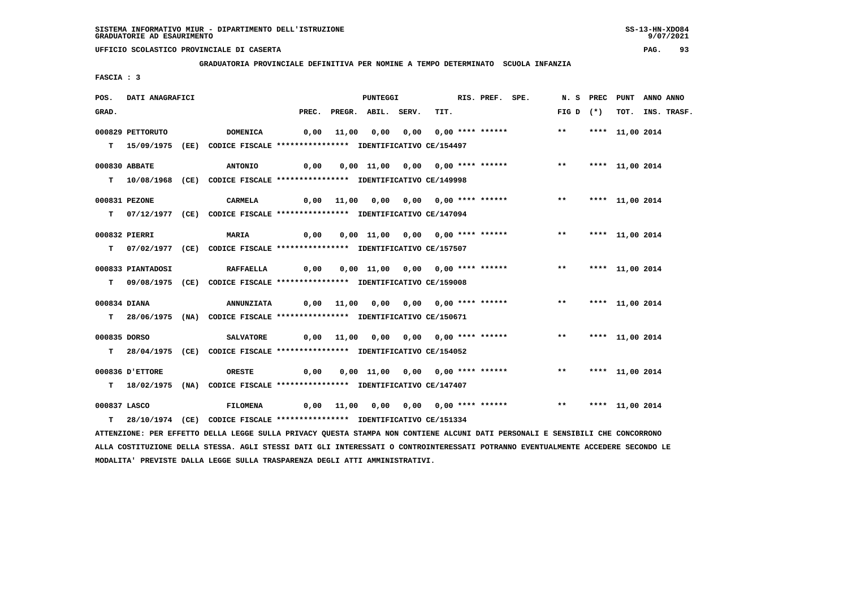**GRADUATORIA PROVINCIALE DEFINITIVA PER NOMINE A TEMPO DETERMINATO SCUOLA INFANZIA**

 **FASCIA : 3**

| POS.         | DATI ANAGRAFICI   |                                                                                                                               |      | <b>PUNTEGGI</b>          |                                                                        | RIS. PREF. SPE. |                    | N. S PREC PUNT ANNO ANNO |                  |
|--------------|-------------------|-------------------------------------------------------------------------------------------------------------------------------|------|--------------------------|------------------------------------------------------------------------|-----------------|--------------------|--------------------------|------------------|
| GRAD.        |                   |                                                                                                                               |      | PREC. PREGR. ABIL. SERV. | TIT.                                                                   |                 | FIG D $(*)$        |                          | TOT. INS. TRASF. |
|              | 000829 PETTORUTO  | <b>DOMENICA</b>                                                                                                               |      |                          | 0,00 11,00 0,00 0,00 0,00 **** ******                                  |                 | $***$              | **** 11,00 2014          |                  |
|              |                   |                                                                                                                               |      |                          |                                                                        |                 |                    |                          |                  |
|              |                   | T 15/09/1975 (EE) CODICE FISCALE **************** IDENTIFICATIVO CE/154497                                                    |      |                          |                                                                        |                 |                    |                          |                  |
|              | 000830 ABBATE     | <b>ANTONIO</b>                                                                                                                | 0,00 |                          | 0,00 11,00 0,00 0,00 **** ******                                       |                 | ** **** 11,00 2014 |                          |                  |
|              |                   | T  10/08/1968 (CE) CODICE FISCALE **************** IDENTIFICATIVO CE/149998                                                   |      |                          |                                                                        |                 |                    |                          |                  |
|              |                   |                                                                                                                               |      |                          |                                                                        |                 |                    |                          |                  |
|              | 000831 PEZONE     | CARMELA                                                                                                                       |      |                          | 0,00 11,00 0,00 0,00 0,00 **** ******                                  |                 | ** **** 11,00 2014 |                          |                  |
|              |                   | T 07/12/1977 (CE) CODICE FISCALE *************** IDENTIFICATIVO CE/147094                                                     |      |                          |                                                                        |                 |                    |                          |                  |
|              |                   |                                                                                                                               |      |                          |                                                                        |                 |                    |                          |                  |
|              | 000832 PIERRI     | <b>MARIA</b>                                                                                                                  | 0,00 |                          | 0,00 11,00 0,00 0,00 **** ******                                       |                 | ** **** 11,00 2014 |                          |                  |
|              |                   | T 07/02/1977 (CE) CODICE FISCALE *************** IDENTIFICATIVO CE/157507                                                     |      |                          |                                                                        |                 |                    |                          |                  |
|              | 000833 PIANTADOSI | RAFFAELLA 0,00                                                                                                                |      |                          | 0,00 11,00 0,00 0,00 **** ******               **       *** 11,00 2014 |                 |                    |                          |                  |
|              |                   | T 09/08/1975 (CE) CODICE FISCALE *************** IDENTIFICATIVO CE/159008                                                     |      |                          |                                                                        |                 |                    |                          |                  |
|              |                   |                                                                                                                               |      |                          |                                                                        |                 |                    |                          |                  |
|              | 000834 DIANA      | <b>ANNUNZIATA</b>                                                                                                             |      |                          | 0,00 11,00 0,00 0,00 0,00 **** ******                                  |                 | ** **** 11,00 2014 |                          |                  |
|              |                   | T 28/06/1975 (NA) CODICE FISCALE *************** IDENTIFICATIVO CE/150671                                                     |      |                          |                                                                        |                 |                    |                          |                  |
|              |                   |                                                                                                                               |      |                          |                                                                        |                 |                    |                          |                  |
| 000835 DORSO |                   | <b>SALVATORE</b>                                                                                                              |      |                          | 0,00 11,00 0,00 0,00 0,00 **** ******                                  |                 | ** **** 11,00 2014 |                          |                  |
|              |                   | T 28/04/1975 (CE) CODICE FISCALE **************** IDENTIFICATIVO CE/154052                                                    |      |                          |                                                                        |                 |                    |                          |                  |
|              | 000836 D'ETTORE   | ORESTE                                                                                                                        | 0,00 |                          | 0,00 11,00 0,00 0,00 **** ****** *** **** 11,00 2014                   |                 |                    |                          |                  |
|              |                   | T 18/02/1975 (NA) CODICE FISCALE **************** IDENTIFICATIVO CE/147407                                                    |      |                          |                                                                        |                 |                    |                          |                  |
|              |                   |                                                                                                                               |      |                          |                                                                        |                 |                    |                          |                  |
|              | 000837 LASCO      | <b>FILOMENA</b>                                                                                                               |      |                          |                                                                        |                 |                    |                          |                  |
|              |                   | T 28/10/1974 (CE) CODICE FISCALE *************** IDENTIFICATIVO CE/151334                                                     |      |                          |                                                                        |                 |                    |                          |                  |
|              |                   | ATTENZIONE: PER EFFETTO DELLA LEGGE SULLA PRIVACY QUESTA STAMPA NON CONTIENE ALCUNI DATI PERSONALI E SENSIBILI CHE CONCORRONO |      |                          |                                                                        |                 |                    |                          |                  |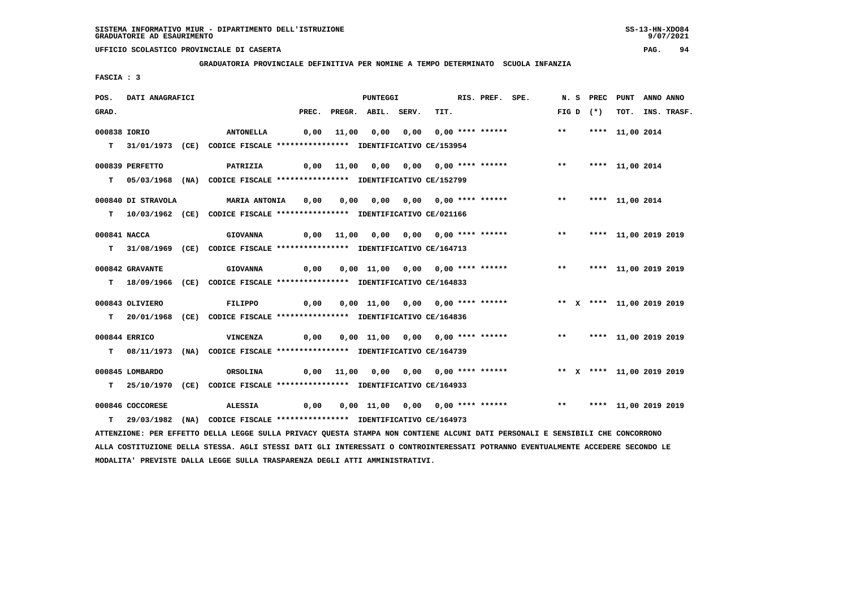**GRADUATORIA PROVINCIALE DEFINITIVA PER NOMINE A TEMPO DETERMINATO SCUOLA INFANZIA**

 **FASCIA : 3**

| POS.         | DATI ANAGRAFICI    |                                                                                                                                 |       |       | <b>PUNTEGGI</b>                         |      | RIS. PREF. SPE. |                                                                     |       |             | N. S PREC PUNT          | <b>ANNO ANNO</b> |                  |
|--------------|--------------------|---------------------------------------------------------------------------------------------------------------------------------|-------|-------|-----------------------------------------|------|-----------------|---------------------------------------------------------------------|-------|-------------|-------------------------|------------------|------------------|
| GRAD.        |                    |                                                                                                                                 | PREC. |       | PREGR. ABIL. SERV.                      | TIT. |                 |                                                                     |       | FIG D $(*)$ |                         |                  | TOT. INS. TRASF. |
| 000838 IORIO |                    | <b>ANTONELLA</b>                                                                                                                | 0,00  | 11,00 |                                         |      |                 |                                                                     | $***$ |             | **** 11,00 2014         |                  |                  |
|              |                    |                                                                                                                                 |       |       |                                         |      |                 |                                                                     |       |             |                         |                  |                  |
|              |                    | T 31/01/1973 (CE) CODICE FISCALE *************** IDENTIFICATIVO CE/153954                                                       |       |       |                                         |      |                 |                                                                     |       |             |                         |                  |                  |
|              | 000839 PERFETTO    | PATRIZIA                                                                                                                        |       |       | $0,00$ 11,00 0,00 0,00 0,00 **** ****** |      |                 |                                                                     | $***$ |             | **** 11,00 2014         |                  |                  |
|              |                    | T 05/03/1968 (NA) CODICE FISCALE **************** IDENTIFICATIVO CE/152799                                                      |       |       |                                         |      |                 |                                                                     |       |             |                         |                  |                  |
|              |                    |                                                                                                                                 |       |       |                                         |      |                 |                                                                     |       |             |                         |                  |                  |
|              | 000840 DI STRAVOLA | <b>MARIA ANTONIA</b>                                                                                                            | 0,00  |       |                                         |      |                 |                                                                     | $***$ |             | **** 11,00 2014         |                  |                  |
|              |                    | T  10/03/1962 (CE) CODICE FISCALE **************** IDENTIFICATIVO CE/021166                                                     |       |       |                                         |      |                 |                                                                     |       |             |                         |                  |                  |
| 000841 NACCA |                    | <b>GIOVANNA</b>                                                                                                                 |       |       | 11,00  0,00  0,00  0,00  ****  ******   |      |                 |                                                                     | $***$ |             | **** 11,00 2019 2019    |                  |                  |
|              |                    |                                                                                                                                 | 0,00  |       |                                         |      |                 |                                                                     |       |             |                         |                  |                  |
|              |                    | T 31/08/1969 (CE) CODICE FISCALE **************** IDENTIFICATIVO CE/164713                                                      |       |       |                                         |      |                 |                                                                     |       |             |                         |                  |                  |
|              | 000842 GRAVANTE    | <b>GIOVANNA</b>                                                                                                                 | 0,00  |       | 0,00 11,00 0,00 0,00 **** ******        |      |                 |                                                                     | $***$ |             | **** 11,00 2019 2019    |                  |                  |
|              |                    | T 18/09/1966 (CE) CODICE FISCALE **************** IDENTIFICATIVO CE/164833                                                      |       |       |                                         |      |                 |                                                                     |       |             |                         |                  |                  |
|              |                    |                                                                                                                                 |       |       |                                         |      |                 |                                                                     |       |             |                         |                  |                  |
|              | 000843 OLIVIERO    | FILIPPO                                                                                                                         | 0,00  |       |                                         |      |                 | 0,00 11,00 0,00 0,00 **** ****** * *** * **** 11,00 2019 2019       |       |             |                         |                  |                  |
|              |                    | T 20/01/1968 (CE) CODICE FISCALE **************** IDENTIFICATIVO CE/164836                                                      |       |       |                                         |      |                 |                                                                     |       |             |                         |                  |                  |
|              |                    |                                                                                                                                 |       |       |                                         |      |                 |                                                                     |       |             |                         |                  |                  |
|              | 000844 ERRICO      | <b>VINCENZA</b>                                                                                                                 | 0,00  |       | 0,00 11,00 0,00 0,00 **** ******        |      |                 |                                                                     |       |             | ** **** 11,00 2019 2019 |                  |                  |
|              |                    | T 08/11/1973 (NA) CODICE FISCALE *************** IDENTIFICATIVO CE/164739                                                       |       |       |                                         |      |                 |                                                                     |       |             |                         |                  |                  |
|              | 000845 LOMBARDO    | ORSOLINA                                                                                                                        |       |       |                                         |      |                 | 0,00 11,00 0,00 0,00 0,00 **** ****** *** ** ** *** 11,00 2019 2019 |       |             |                         |                  |                  |
| т            |                    | 25/10/1970 (CE) CODICE FISCALE *************** IDENTIFICATIVO CE/164933                                                         |       |       |                                         |      |                 |                                                                     |       |             |                         |                  |                  |
|              |                    |                                                                                                                                 |       |       |                                         |      |                 |                                                                     |       |             |                         |                  |                  |
|              | 000846 COCCORESE   | <b>ALESSIA</b>                                                                                                                  | 0,00  |       |                                         |      |                 | 0,00 11,00 0,00 0,00 **** ******                                    |       |             | ** **** 11,00 2019 2019 |                  |                  |
| т            |                    | 29/03/1982 (NA) CODICE FISCALE **************** IDENTIFICATIVO CE/164973                                                        |       |       |                                         |      |                 |                                                                     |       |             |                         |                  |                  |
|              |                    | ATTENZIONE: PER EFFETTO DELLA LEGGE SULLA PRIVACY QUESTA STAMPA NON CONTIENE ALCUNI DATI PERSONALI E SENSIBILI CHE CONCORRONO   |       |       |                                         |      |                 |                                                                     |       |             |                         |                  |                  |
|              |                    | ALLA COSTITUZIONE DELLA STESSA. AGLI STESSI DATI GLI INTERESSATI O CONTROINTERESSATI POTRANNO EVENTUALMENTE ACCEDERE SECONDO LE |       |       |                                         |      |                 |                                                                     |       |             |                         |                  |                  |

 **MODALITA' PREVISTE DALLA LEGGE SULLA TRASPARENZA DEGLI ATTI AMMINISTRATIVI.**